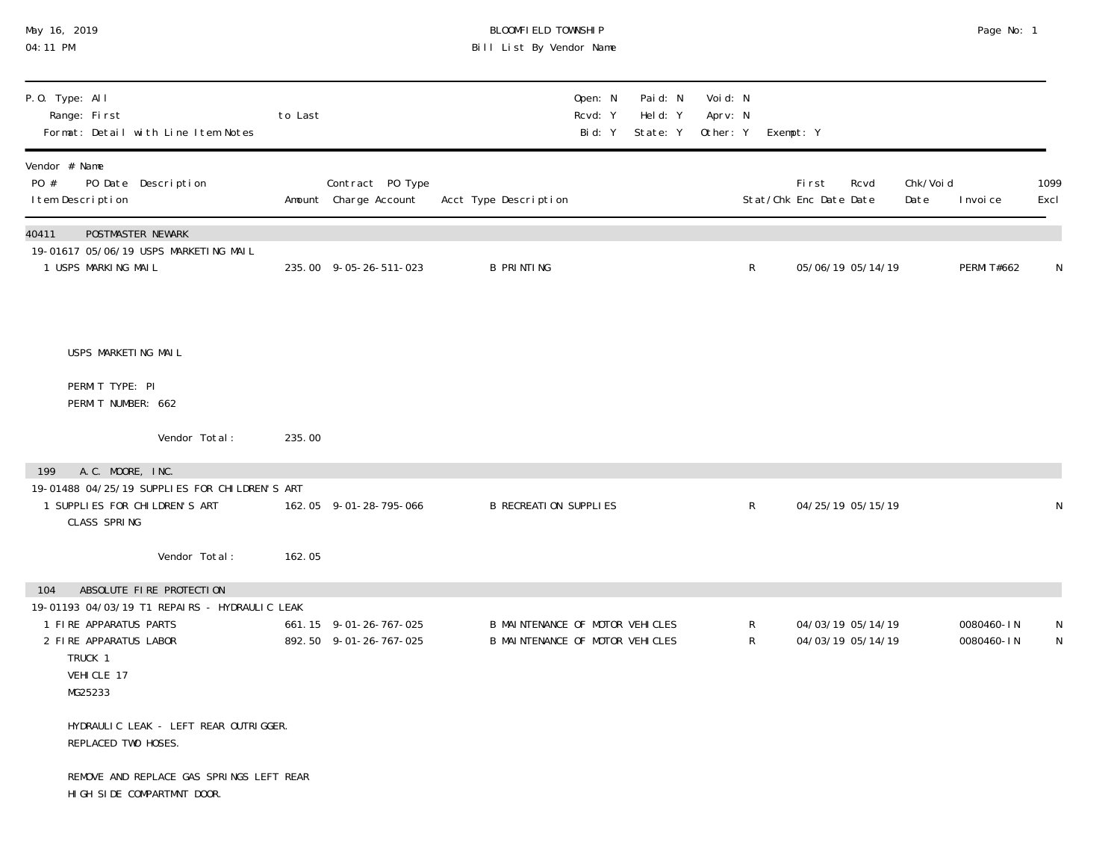| May 16, 2019<br>04:11 PM                                                                                                              |         |                                                  | BLOOMFIELD TOWNSHIP<br>Bill List By Vendor Name                    |                              |                                |                                |              |                                 |                                        |                   | Page No: 1               |                              |
|---------------------------------------------------------------------------------------------------------------------------------------|---------|--------------------------------------------------|--------------------------------------------------------------------|------------------------------|--------------------------------|--------------------------------|--------------|---------------------------------|----------------------------------------|-------------------|--------------------------|------------------------------|
| P.O. Type: All<br>Range: First<br>Format: Detail with Line Item Notes                                                                 | to Last |                                                  |                                                                    | Open: N<br>Rcvd: Y<br>Bid: Y | Paid: N<br>Held: Y<br>State: Y | Void: N<br>Aprv: N<br>Other: Y |              | Exempt: Y                       |                                        |                   |                          |                              |
| Vendor # Name<br>PO #<br>PO Date Description<br>I tem Description                                                                     |         | Contract PO Type<br>Amount Charge Account        | Acct Type Description                                              |                              |                                |                                |              | First<br>Stat/Chk Enc Date Date | Rcvd                                   | Chk/Voi d<br>Date | I nvoi ce                | 1099<br>Excl                 |
| POSTMASTER NEWARK<br>40411<br>19-01617 05/06/19 USPS MARKETING MAIL<br>1 USPS MARKING MAIL                                            |         | 235.00 9-05-26-511-023                           | <b>B PRINTING</b>                                                  |                              |                                |                                | $\mathsf R$  |                                 | 05/06/19 05/14/19                      |                   | <b>PERMI T#662</b>       | Λ                            |
| USPS MARKETING MAIL                                                                                                                   |         |                                                  |                                                                    |                              |                                |                                |              |                                 |                                        |                   |                          |                              |
| PERMIT TYPE: PI<br>PERMIT NUMBER: 662                                                                                                 |         |                                                  |                                                                    |                              |                                |                                |              |                                 |                                        |                   |                          |                              |
| Vendor Total:                                                                                                                         | 235.00  |                                                  |                                                                    |                              |                                |                                |              |                                 |                                        |                   |                          |                              |
| A.C. MOORE, INC.<br>199                                                                                                               |         |                                                  |                                                                    |                              |                                |                                |              |                                 |                                        |                   |                          |                              |
| 19-01488 04/25/19 SUPPLIES FOR CHILDREN'S ART<br>1 SUPPLIES FOR CHILDREN'S ART<br>CLASS SPRING                                        |         | 162.05 9-01-28-795-066                           | <b>B RECREATION SUPPLIES</b>                                       |                              |                                |                                | $\mathsf{R}$ |                                 | 04/25/19 05/15/19                      |                   |                          |                              |
| Vendor Total:                                                                                                                         | 162.05  |                                                  |                                                                    |                              |                                |                                |              |                                 |                                        |                   |                          |                              |
| ABSOLUTE FIRE PROTECTION<br>104                                                                                                       |         |                                                  |                                                                    |                              |                                |                                |              |                                 |                                        |                   |                          |                              |
| 19-01193 04/03/19 T1 REPAIRS - HYDRAULIC LEAK<br>1 FIRE APPARATUS PARTS<br>2 FIRE APPARATUS LABOR<br>TRUCK 1<br>VEHICLE 17<br>MG25233 |         | 661.15 9-01-26-767-025<br>892.50 9-01-26-767-025 | B MAINTENANCE OF MOTOR VEHICLES<br>B MAINTENANCE OF MOTOR VEHICLES |                              |                                |                                | R<br>R       |                                 | 04/03/19 05/14/19<br>04/03/19 05/14/19 |                   | 0080460-IN<br>0080460-IN | $\mathsf{N}$<br>$\mathsf{N}$ |
| HYDRAULIC LEAK - LEFT REAR OUTRIGGER.<br>REPLACED TWO HOSES.                                                                          |         |                                                  |                                                                    |                              |                                |                                |              |                                 |                                        |                   |                          |                              |
| REMOVE AND REPLACE GAS SPRINGS LEFT REAR<br>HIGH SIDE COMPARTMNT DOOR.                                                                |         |                                                  |                                                                    |                              |                                |                                |              |                                 |                                        |                   |                          |                              |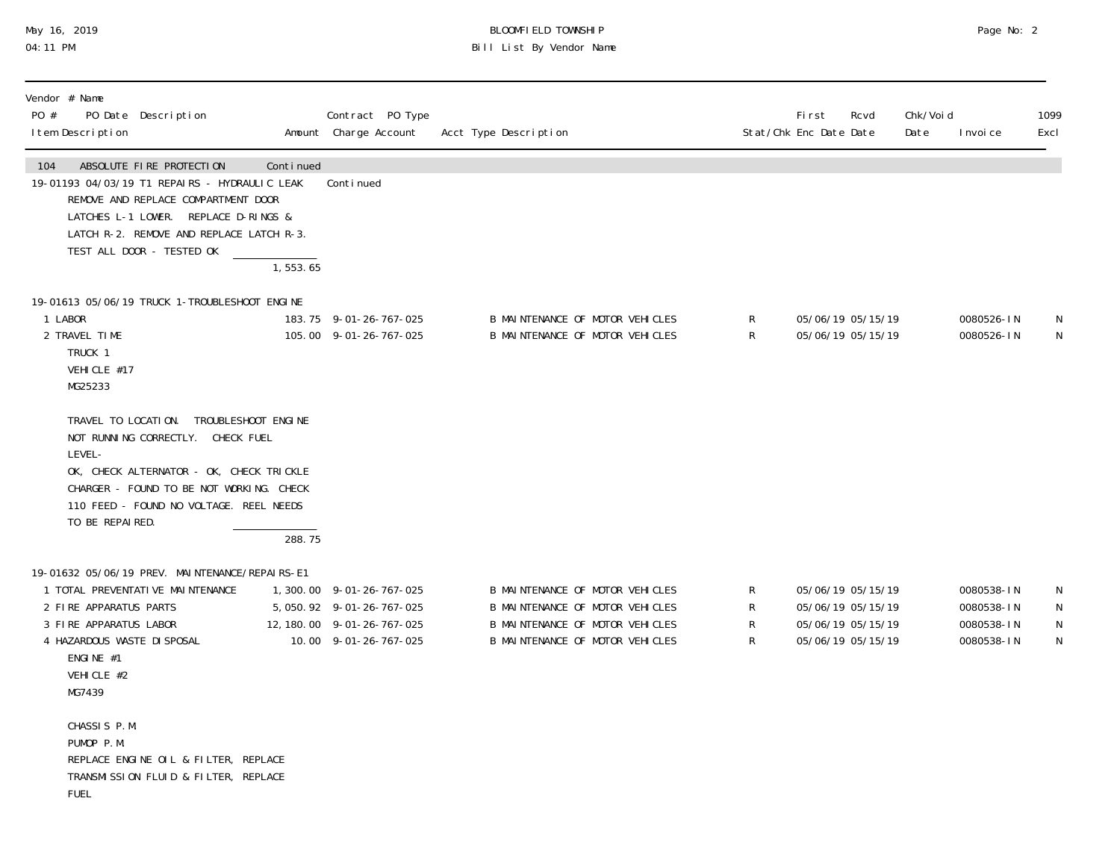### May 16, 2019 BLOOMFIELD TOWNSHIP Page No: 2 Page No: 2 Page No: 2 04:11 PM Bill List By Vendor Name

| Vendor # Name<br>PO #<br>I tem Description                                                                           | PO Date Description                                                                                                                                                                                                               |                        | Contract PO Type<br>Amount Charge Account                                                                      | Acct Type Description                                                                                                                    |                  | First<br>Rcvd<br>Stat/Chk Enc Date Date                                          | Chk/Voi d<br>Date | I nvoi ce                                            | 1099<br>Excl             |
|----------------------------------------------------------------------------------------------------------------------|-----------------------------------------------------------------------------------------------------------------------------------------------------------------------------------------------------------------------------------|------------------------|----------------------------------------------------------------------------------------------------------------|------------------------------------------------------------------------------------------------------------------------------------------|------------------|----------------------------------------------------------------------------------|-------------------|------------------------------------------------------|--------------------------|
| 104                                                                                                                  | ABSOLUTE FIRE PROTECTION<br>19-01193 04/03/19 T1 REPAIRS - HYDRAULIC LEAK<br>REMOVE AND REPLACE COMPARTMENT DOOR<br>LATCHES L-1 LOWER. REPLACE D-RINGS &<br>LATCH R-2. REMOVE AND REPLACE LATCH R-3.<br>TEST ALL DOOR - TESTED OK | Continued<br>1, 553.65 | Conti nued                                                                                                     |                                                                                                                                          |                  |                                                                                  |                   |                                                      |                          |
| 1 LABOR<br>2 TRAVEL TIME<br>TRUCK 1<br>VEHICLE #17<br>MG25233                                                        | 19-01613 05/06/19 TRUCK 1-TROUBLESHOOT ENGINE                                                                                                                                                                                     |                        | 183.75 9-01-26-767-025<br>105.00 9-01-26-767-025                                                               | B MAINTENANCE OF MOTOR VEHICLES<br>B MAINTENANCE OF MOTOR VEHICLES                                                                       | R<br>R           | 05/06/19 05/15/19<br>05/06/19 05/15/19                                           |                   | 0080526-IN<br>0080526-IN                             | N<br>N                   |
| LEVEL-<br>TO BE REPAIRED.                                                                                            | TRAVEL TO LOCATION. TROUBLESHOOT ENGINE<br>NOT RUNNING CORRECTLY. CHECK FUEL<br>OK, CHECK ALTERNATOR - OK, CHECK TRICKLE<br>CHARGER - FOUND TO BE NOT WORKING. CHECK<br>110 FEED - FOUND NO VOLTAGE. REEL NEEDS                   |                        |                                                                                                                |                                                                                                                                          |                  |                                                                                  |                   |                                                      |                          |
|                                                                                                                      |                                                                                                                                                                                                                                   | 288.75                 |                                                                                                                |                                                                                                                                          |                  |                                                                                  |                   |                                                      |                          |
| 2 FIRE APPARATUS PARTS<br>3 FIRE APPARATUS LABOR<br>4 HAZARDOUS WASTE DI SPOSAL<br>ENGINE #1<br>VEHICLE #2<br>MG7439 | 19-01632 05/06/19 PREV. MAINTENANCE/REPAIRS-E1<br>1 TOTAL PREVENTATIVE MAINTENANCE                                                                                                                                                |                        | 1,300.00 9-01-26-767-025<br>5, 050. 92 9-01-26-767-025<br>12, 180. 00 9-01-26-767-025<br>10.00 9-01-26-767-025 | B MAINTENANCE OF MOTOR VEHICLES<br>B MAINTENANCE OF MOTOR VEHICLES<br>B MAINTENANCE OF MOTOR VEHICLES<br>B MAINTENANCE OF MOTOR VEHICLES | R<br>R<br>R<br>R | 05/06/19 05/15/19<br>05/06/19 05/15/19<br>05/06/19 05/15/19<br>05/06/19 05/15/19 |                   | 0080538-IN<br>0080538-IN<br>0080538-IN<br>0080538-IN | N<br>N<br>${\sf N}$<br>N |
| CHASSIS P.M.<br>PUMOP P.M.<br><b>FUEL</b>                                                                            | REPLACE ENGINE OIL & FILTER, REPLACE<br>TRANSMISSION FLUID & FILTER, REPLACE                                                                                                                                                      |                        |                                                                                                                |                                                                                                                                          |                  |                                                                                  |                   |                                                      |                          |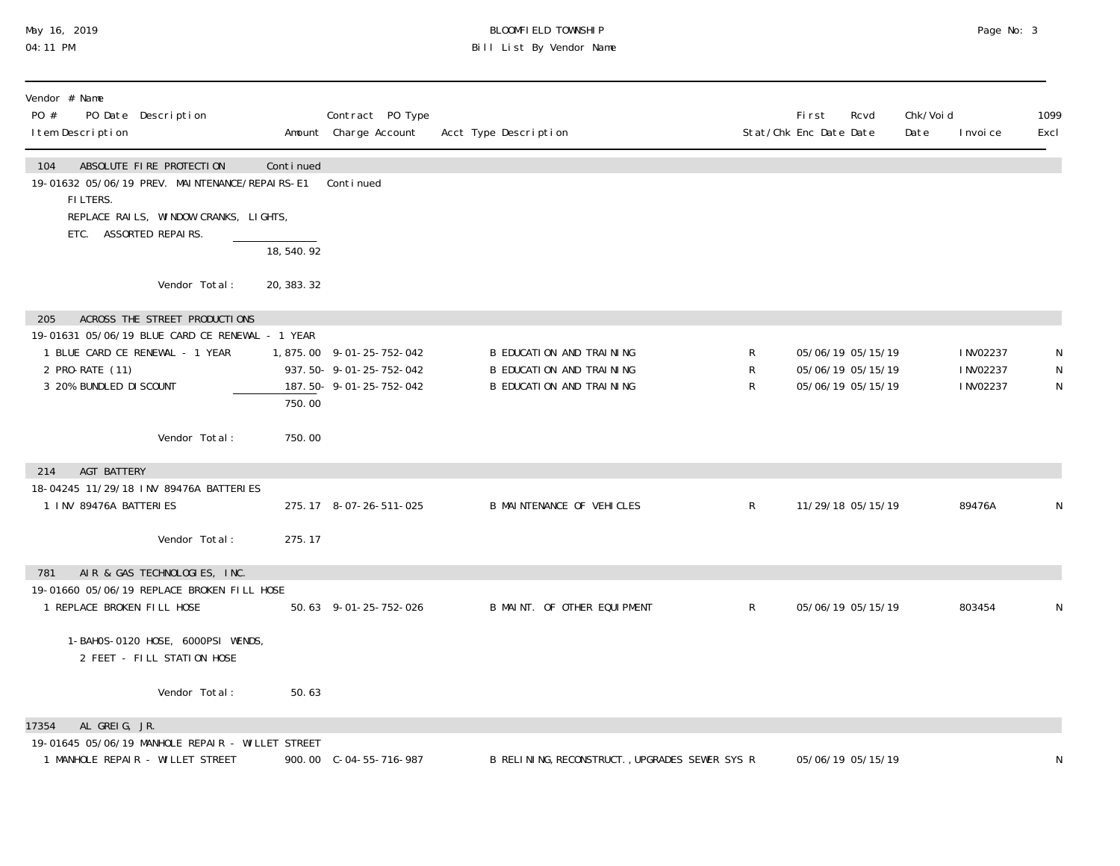### May 16, 2019 BLOOMFIELD TOWNSHIP Page No: 3 Page No: 3 Page No: 3 04:11 PM Bill List By Vendor Name

| Vendor # Name<br>PO #<br>PO Date Description<br>I tem Description                                                                                                        |                          | Contract PO Type<br>Amount Charge Account                                    | Acct Type Description                                                            |             | <b>First</b><br>Rcvd<br>Stat/Chk Enc Date Date              | Chk/Voi d<br>Date | I nvoi ce                           | 1099<br>Excl |
|--------------------------------------------------------------------------------------------------------------------------------------------------------------------------|--------------------------|------------------------------------------------------------------------------|----------------------------------------------------------------------------------|-------------|-------------------------------------------------------------|-------------------|-------------------------------------|--------------|
| ABSOLUTE FIRE PROTECTION<br>104<br>19-01632 05/06/19 PREV. MAINTENANCE/REPAIRS-E1<br>FILTERS.<br>REPLACE RAILS, WINDOW CRANKS, LIGHTS,<br>ETC. ASSORTED REPAIRS.         | Continued<br>18, 540. 92 | Continued                                                                    |                                                                                  |             |                                                             |                   |                                     |              |
| Vendor Total:                                                                                                                                                            | 20, 383. 32              |                                                                              |                                                                                  |             |                                                             |                   |                                     |              |
| ACROSS THE STREET PRODUCTIONS<br>205<br>19-01631 05/06/19 BLUE CARD CE RENEWAL - 1 YEAR<br>1 BLUE CARD CE RENEWAL - 1 YEAR<br>2 PRO-RATE (11)<br>3 20% BUNDLED DI SCOUNT | 750.00                   | 1,875.00 9-01-25-752-042<br>937.50-9-01-25-752-042<br>187.50-9-01-25-752-042 | B EDUCATION AND TRAINING<br>B EDUCATION AND TRAINING<br>B EDUCATION AND TRAINING | R<br>R<br>R | 05/06/19 05/15/19<br>05/06/19 05/15/19<br>05/06/19 05/15/19 |                   | I NV02237<br>I NV02237<br>I NV02237 | N<br>N<br>N  |
| Vendor Total:                                                                                                                                                            | 750.00                   |                                                                              |                                                                                  |             |                                                             |                   |                                     |              |
| <b>AGT BATTERY</b><br>214                                                                                                                                                |                          |                                                                              |                                                                                  |             |                                                             |                   |                                     |              |
| 18-04245 11/29/18 INV 89476A BATTERIES<br>1 INV 89476A BATTERIES                                                                                                         |                          | 275.17 8-07-26-511-025                                                       | <b>B MAINTENANCE OF VEHICLES</b>                                                 | R           | 11/29/18 05/15/19                                           |                   | 89476A                              | N            |
| Vendor Total:                                                                                                                                                            | 275.17                   |                                                                              |                                                                                  |             |                                                             |                   |                                     |              |
| AIR & GAS TECHNOLOGIES, INC.<br>781<br>19-01660 05/06/19 REPLACE BROKEN FILL HOSE<br>1 REPLACE BROKEN FILL HOSE                                                          |                          | 50.63 9-01-25-752-026                                                        | B MAINT. OF OTHER EQUIPMENT                                                      | R           | 05/06/19 05/15/19                                           |                   | 803454                              | N            |
| 1-BAHOS-0120 HOSE, 6000PSI WENDS,<br>2 FEET - FILL STATION HOSE                                                                                                          |                          |                                                                              |                                                                                  |             |                                                             |                   |                                     |              |
| Vendor Total:                                                                                                                                                            | 50.63                    |                                                                              |                                                                                  |             |                                                             |                   |                                     |              |
| AL GREIG, JR.<br>17354<br>19-01645 05/06/19 MANHOLE REPAIR - WILLET STREET<br>1 MANHOLE REPAIR - WILLET STREET                                                           |                          | 900.00 C-04-55-716-987                                                       | B RELINING, RECONSTRUCT., UPGRADES SEWER SYS R                                   |             | 05/06/19 05/15/19                                           |                   |                                     | N            |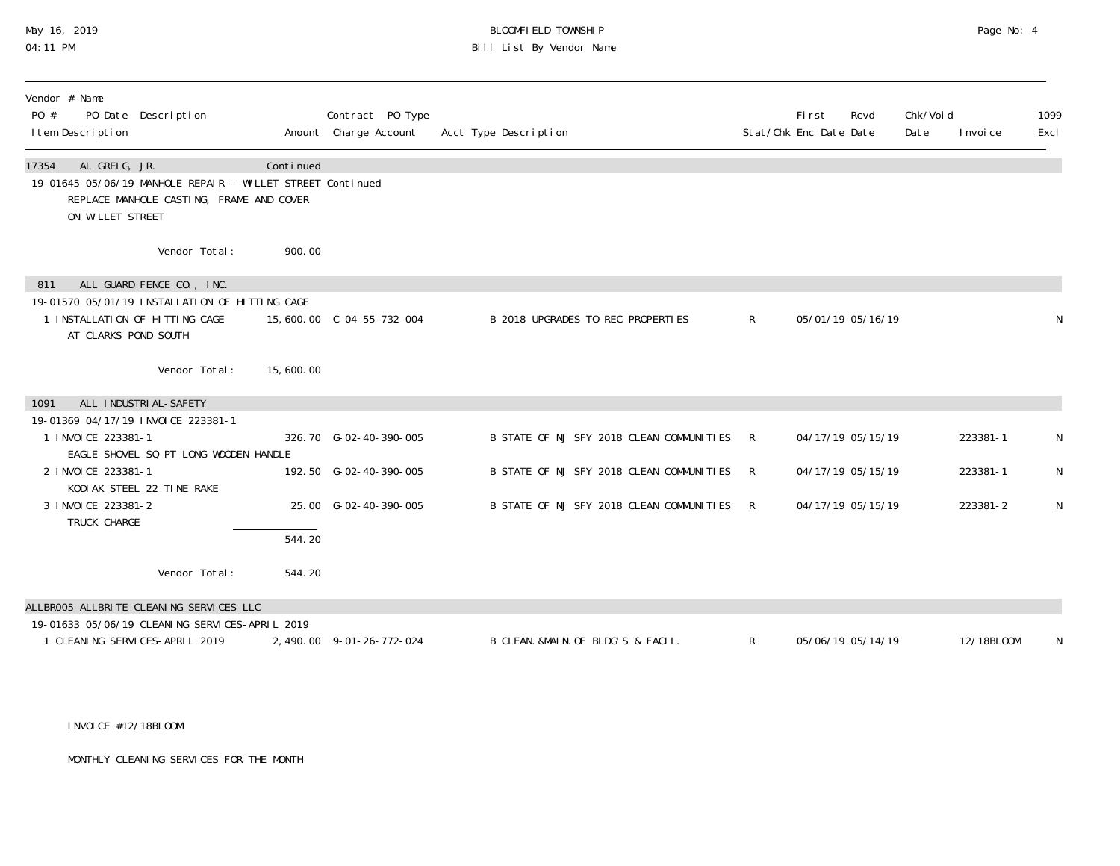# May 16, 2019 BLOOMFIELD TOWNSHIP Page No: 4 Bill List By Vendor Name

| Vendor # Name<br>PO Date Description<br>PO #<br>I tem Description                                                                                    |                     | Contract PO Type<br>Amount Charge Account | Acct Type Description                    |              | First<br>Stat/Chk Enc Date Date | Rcvd              | Chk/Voi d<br>Date | I nvoi ce  | 1099<br>Excl |
|------------------------------------------------------------------------------------------------------------------------------------------------------|---------------------|-------------------------------------------|------------------------------------------|--------------|---------------------------------|-------------------|-------------------|------------|--------------|
| AL GREIG, JR.<br>17354<br>19-01645 05/06/19 MANHOLE REPAIR - WILLET STREET Continued<br>REPLACE MANHOLE CASTING, FRAME AND COVER<br>ON WILLET STREET | Continued           |                                           |                                          |              |                                 |                   |                   |            |              |
| Vendor Total:                                                                                                                                        | 900.00              |                                           |                                          |              |                                 |                   |                   |            |              |
| ALL GUARD FENCE CO., INC.<br>811                                                                                                                     |                     |                                           |                                          |              |                                 |                   |                   |            |              |
| 19-01570 05/01/19 INSTALLATION OF HITTING CAGE<br>1 INSTALLATION OF HITTING CAGE<br>AT CLARKS POND SOUTH                                             |                     |                                           | B 2018 UPGRADES TO REC PROPERTIES        | $\mathsf{R}$ |                                 | 05/01/19 05/16/19 |                   |            | N            |
| Vendor Total:                                                                                                                                        | 15,600.00           |                                           |                                          |              |                                 |                   |                   |            |              |
| ALL INDUSTRIAL-SAFETY<br>1091                                                                                                                        |                     |                                           |                                          |              |                                 |                   |                   |            |              |
| 19-01369 04/17/19 INVOICE 223381-1                                                                                                                   |                     |                                           |                                          |              |                                 |                   |                   |            |              |
| 1 INVOICE 223381-1<br>EAGLE SHOVEL SQ PT LONG WOODEN HANDLE                                                                                          |                     | 326.70 G-02-40-390-005                    | B STATE OF NJ SFY 2018 CLEAN COMMUNITIES | R            |                                 | 04/17/19 05/15/19 |                   | 223381-1   | N            |
| 2 I NVOI CE 223381-1<br>KODI AK STEEL 22 TINE RAKE                                                                                                   |                     | 192.50 G-02-40-390-005                    | B STATE OF NJ SFY 2018 CLEAN COMMUNITIES | R            |                                 | 04/17/19 05/15/19 |                   | 223381-1   | N            |
| 3 I NVOI CE 223381-2<br>TRUCK CHARGE                                                                                                                 |                     | 25.00 G-02-40-390-005                     | B STATE OF NJ SFY 2018 CLEAN COMMUNITIES | R            |                                 | 04/17/19 05/15/19 |                   | 223381-2   | N            |
|                                                                                                                                                      | $\overline{544.20}$ |                                           |                                          |              |                                 |                   |                   |            |              |
| Vendor Total:                                                                                                                                        | 544.20              |                                           |                                          |              |                                 |                   |                   |            |              |
| ALLBROO5 ALLBRITE CLEANING SERVICES LLC                                                                                                              |                     |                                           |                                          |              |                                 |                   |                   |            |              |
| 19-01633 05/06/19 CLEANING SERVICES-APRIL 2019<br>1 CLEANING SERVICES-APRIL 2019                                                                     |                     | 2, 490.00 9-01-26-772-024                 | B CLEAN, &MAIN, OF BLDG'S & FACIL.       | R            |                                 | 05/06/19 05/14/19 |                   | 12/18BL00M | N            |

#### INVOICE #12/18BLOOM

MONTHLY CLEANING SERVICES FOR THE MONTH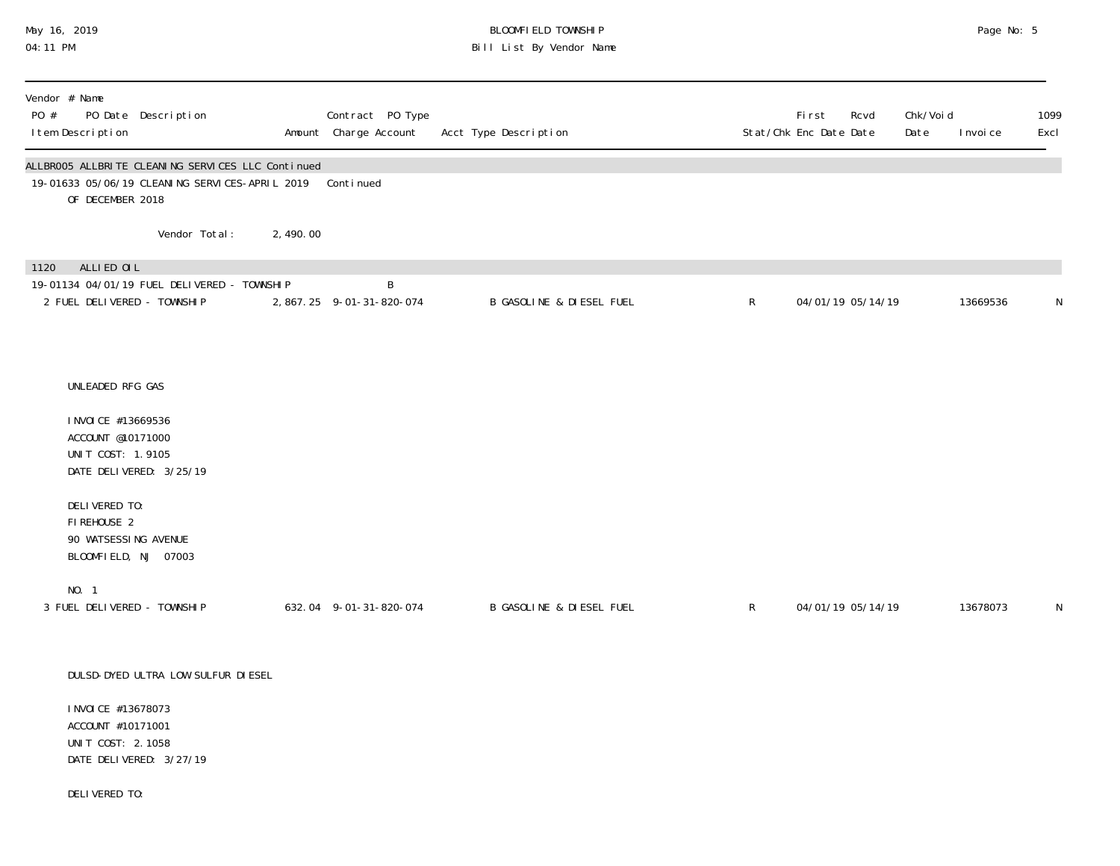### May 16, 2019 BLOOMFIELD TOWNSHIP Page No: 5 Page No: 5 04:11 PM Bill List By Vendor Name

| Vendor # Name<br>PO #<br>I tem Description | PO Date Description                                                                                                               |          | Contract PO Type<br>Amount Charge Account | Acct Type Description               |              | First<br>Rcvd<br>Stat/Chk Enc Date Date | Chk/Voi d<br>Date | I nvoi ce | 1099<br>Excl |
|--------------------------------------------|-----------------------------------------------------------------------------------------------------------------------------------|----------|-------------------------------------------|-------------------------------------|--------------|-----------------------------------------|-------------------|-----------|--------------|
|                                            | ALLBROO5 ALLBRITE CLEANING SERVICES LLC Continued<br>19-01633 05/06/19 CLEANING SERVICES-APRIL 2019 Continued<br>OF DECEMBER 2018 |          |                                           |                                     |              |                                         |                   |           |              |
|                                            | Vendor Total:                                                                                                                     | 2,490.00 |                                           |                                     |              |                                         |                   |           |              |
| ALLIED OIL<br>1120                         | 19-01134 04/01/19 FUEL DELIVERED - TOWNSHIP<br>2 FUEL DELIVERED - TOWNSHIP                                                        |          | B<br>2, 867. 25 9-01-31-820-074           | <b>B GASOLINE &amp; DIESEL FUEL</b> | $\mathsf{R}$ | 04/01/19 05/14/19                       |                   | 13669536  | N            |
|                                            | UNLEADED RFG GAS<br>I NVOI CE #13669536<br>ACCOUNT @10171000<br>UNIT COST: 1.9105<br>DATE DELIVERED: 3/25/19                      |          |                                           |                                     |              |                                         |                   |           |              |
| DELIVERED TO:<br>FIREHOUSE 2<br>NO. 1      | 90 WATSESSING AVENUE<br>BLOOMFIELD, NJ 07003                                                                                      |          |                                           |                                     |              |                                         |                   |           |              |
|                                            | 3 FUEL DELIVERED - TOWNSHIP                                                                                                       |          | 632.04 9-01-31-820-074                    | <b>B GASOLINE &amp; DIESEL FUEL</b> | $\mathsf{R}$ | 04/01/19 05/14/19                       |                   | 13678073  | N            |
|                                            | DULSD-DYED ULTRA LOW SULFUR DIESEL<br>I NVOI CE #13678073<br>ACCOUNT #10171001<br>UNIT COST: 2.1058<br>DATE DELIVERED: 3/27/19    |          |                                           |                                     |              |                                         |                   |           |              |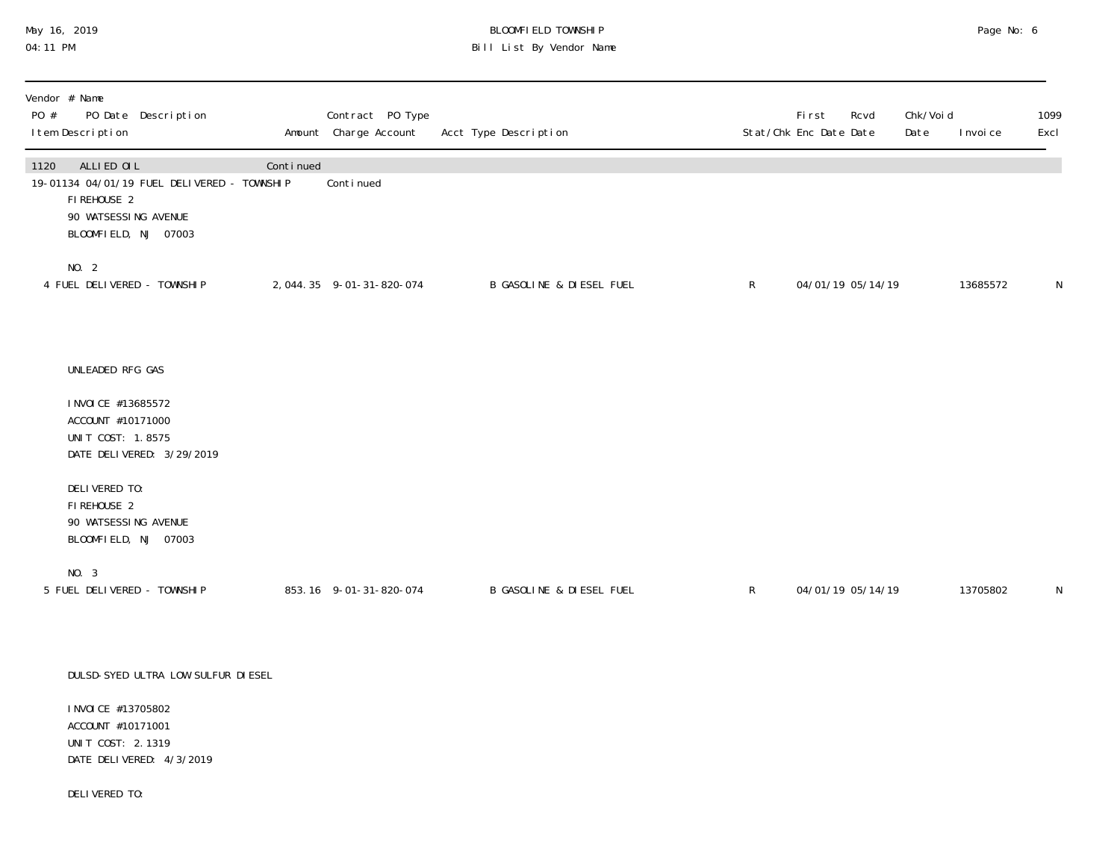# May 16, 2019 BLOOMFIELD TOWNSHIP Page No: 6 Bill List By Vendor Name

| Vendor # Name<br>PO #<br>PO Date Description<br>I tem Description                                                                |           | Contract PO Type<br>Amount Charge Account | Acct Type Description               |              | <b>First</b><br>Rcvd<br>Stat/Chk Enc Date Date | Chk/Voi d<br>Date<br>I nvoi ce | 1099<br>Excl |
|----------------------------------------------------------------------------------------------------------------------------------|-----------|-------------------------------------------|-------------------------------------|--------------|------------------------------------------------|--------------------------------|--------------|
| ALLIED OIL<br>1120<br>19-01134 04/01/19 FUEL DELIVERED - TOWNSHIP<br>FIREHOUSE 2<br>90 WATSESSING AVENUE<br>BLOOMFIELD, NJ 07003 | Continued | Continued                                 |                                     |              |                                                |                                |              |
| NO. 2<br>4 FUEL DELIVERED - TOWNSHIP                                                                                             |           | 2, 044. 35 9-01-31-820-074                | <b>B GASOLINE &amp; DIESEL FUEL</b> | $\mathsf{R}$ | 04/01/19 05/14/19                              | 13685572                       | N            |
| UNLEADED RFG GAS                                                                                                                 |           |                                           |                                     |              |                                                |                                |              |
| I NVOI CE #13685572<br>ACCOUNT #10171000<br>UNIT COST: 1.8575<br>DATE DELIVERED: 3/29/2019                                       |           |                                           |                                     |              |                                                |                                |              |
| DELIVERED TO:<br>FIREHOUSE 2<br>90 WATSESSING AVENUE<br>BLOOMFIELD, NJ 07003                                                     |           |                                           |                                     |              |                                                |                                |              |
| NO. 3<br>5 FUEL DELIVERED - TOWNSHIP                                                                                             |           | 853.16 9-01-31-820-074                    | B GASOLINE & DIESEL FUEL            | $\mathsf{R}$ | 04/01/19 05/14/19                              | 13705802                       | N            |
| DULSD-SYED ULTRA LOW SULFUR DIESEL                                                                                               |           |                                           |                                     |              |                                                |                                |              |
| I NVOI CE #13705802                                                                                                              |           |                                           |                                     |              |                                                |                                |              |

 ACCOUNT #10171001 UNIT COST: 2.1319 DATE DELIVERED: 4/3/2019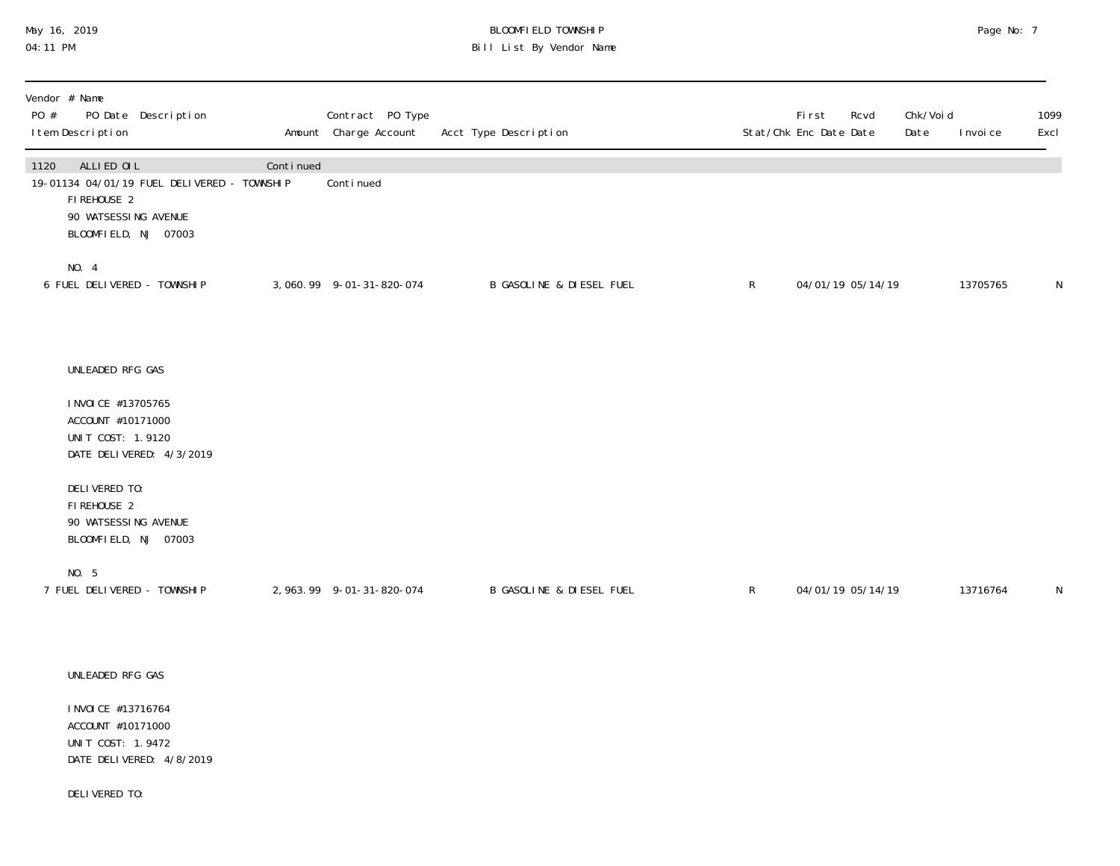## May 16, 2019 BLOOMFIELD TOWNSHIP Page No: 7 Page No: 7 04:11 PM Bill List By Vendor Name

| Vendor # Name<br>PO #<br>PO Date Description<br>I tem Description                                                                |           | Contract PO Type<br>Amount Charge Account | Acct Type Description    |              | First<br>Rcvd<br>Stat/Chk Enc Date Date | Chk/Voi d<br>Date | I nvoi ce | 1099<br>Excl |
|----------------------------------------------------------------------------------------------------------------------------------|-----------|-------------------------------------------|--------------------------|--------------|-----------------------------------------|-------------------|-----------|--------------|
| 1120<br>ALLIED OIL<br>19-01134 04/01/19 FUEL DELIVERED - TOWNSHIP<br>FIREHOUSE 2<br>90 WATSESSING AVENUE<br>BLOOMFIELD, NJ 07003 | Continued | Continued                                 |                          |              |                                         |                   |           |              |
| NO. 4<br>6 FUEL DELIVERED - TOWNSHIP                                                                                             |           | 3,060.99 9-01-31-820-074                  | B GASOLINE & DIESEL FUEL | $\mathsf{R}$ | 04/01/19 05/14/19                       |                   | 13705765  | N            |
| UNLEADED RFG GAS<br>I NVOI CE #13705765                                                                                          |           |                                           |                          |              |                                         |                   |           |              |
| ACCOUNT #10171000<br>UNIT COST: 1.9120<br>DATE DELIVERED: 4/3/2019                                                               |           |                                           |                          |              |                                         |                   |           |              |
| DELIVERED TO:<br>FIREHOUSE 2<br>90 WATSESSING AVENUE<br>BLOOMFIELD, NJ 07003                                                     |           |                                           |                          |              |                                         |                   |           |              |
| NO. 5<br>7 FUEL DELIVERED - TOWNSHIP                                                                                             |           | 2, 963. 99 9-01-31-820-074                | B GASOLINE & DIESEL FUEL | $\mathsf{R}$ | 04/01/19 05/14/19                       |                   | 13716764  | N            |
| UNLEADED RFG GAS                                                                                                                 |           |                                           |                          |              |                                         |                   |           |              |
| I NVOI CE #13716764<br>ACCOUNT #10171000                                                                                         |           |                                           |                          |              |                                         |                   |           |              |

UNIT COST: 1.9472 DATE DELIVERED: 4/8/2019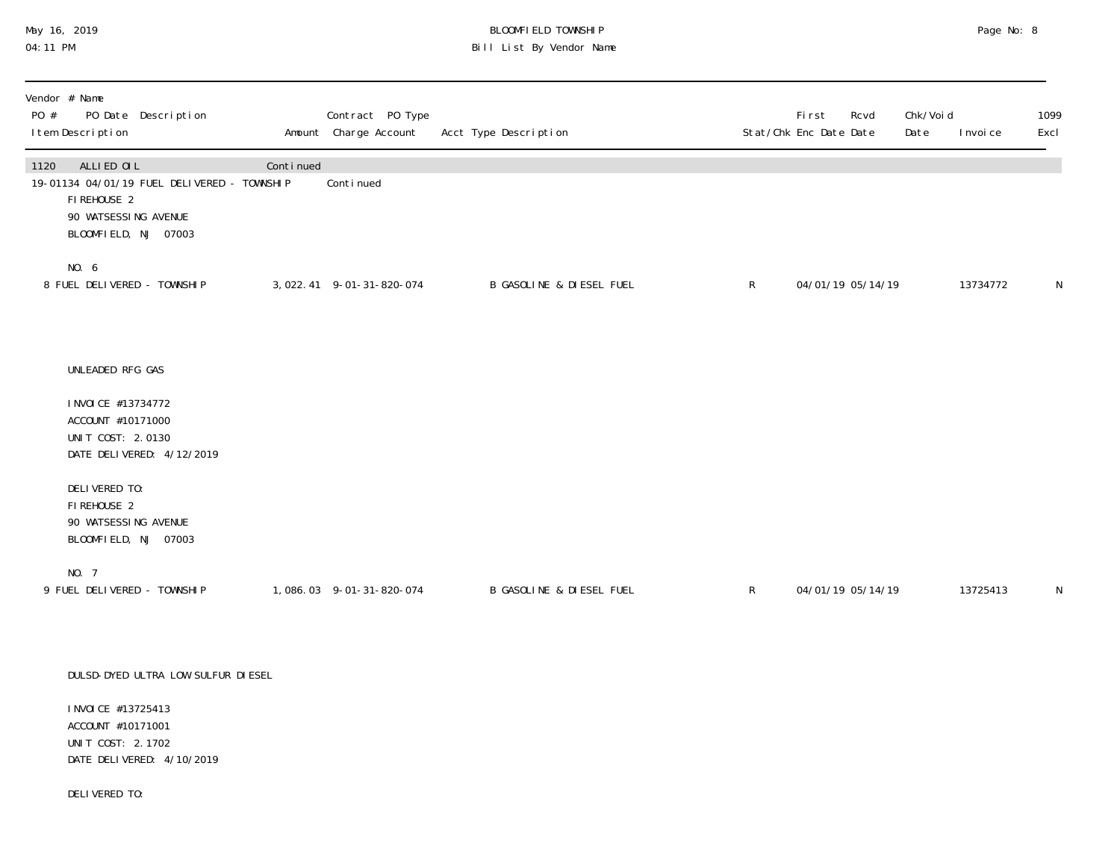### May 16, 2019 BLOOMFIELD TOWNSHIP Page No: 8 Page No: 8 04:11 PM Bill List By Vendor Name

| Vendor # Name<br>PO #<br>PO Date Description<br>I tem Description                                                                |           | Contract PO Type<br>Amount Charge Account | Acct Type Description               |              | First<br>Rcvd<br>Stat/Chk Enc Date Date | Chk/Void<br>Date | I nvoi ce | 1099<br>Excl |
|----------------------------------------------------------------------------------------------------------------------------------|-----------|-------------------------------------------|-------------------------------------|--------------|-----------------------------------------|------------------|-----------|--------------|
| 1120<br>ALLIED OIL<br>19-01134 04/01/19 FUEL DELIVERED - TOWNSHIP<br>FIREHOUSE 2<br>90 WATSESSING AVENUE<br>BLOOMFIELD, NJ 07003 | Continued | Continued                                 |                                     |              |                                         |                  |           |              |
| NO. 6<br>8 FUEL DELIVERED - TOWNSHIP                                                                                             |           | 3, 022. 41 9-01-31-820-074                | <b>B GASOLINE &amp; DIESEL FUEL</b> | $\mathsf{R}$ | 04/01/19 05/14/19                       |                  | 13734772  | N            |
| UNLEADED RFG GAS                                                                                                                 |           |                                           |                                     |              |                                         |                  |           |              |
| I NVOI CE #13734772<br>ACCOUNT #10171000<br>UNIT COST: 2.0130<br>DATE DELIVERED: 4/12/2019                                       |           |                                           |                                     |              |                                         |                  |           |              |
| DELIVERED TO:<br>FIREHOUSE 2<br>90 WATSESSING AVENUE<br>BLOOMFIELD, NJ 07003                                                     |           |                                           |                                     |              |                                         |                  |           |              |
| NO. 7<br>9 FUEL DELIVERED - TOWNSHIP                                                                                             |           | 1,086.03 9-01-31-820-074                  | <b>B GASOLINE &amp; DIESEL FUEL</b> | $\mathsf{R}$ | 04/01/19 05/14/19                       |                  | 13725413  | N            |
| DULSD-DYED ULTRA LOW SULFUR DI ESEL                                                                                              |           |                                           |                                     |              |                                         |                  |           |              |
| I NVOI CE #13725413<br>ACCOUNT #10171001                                                                                         |           |                                           |                                     |              |                                         |                  |           |              |

UNIT COST: 2.1702 DATE DELIVERED: 4/10/2019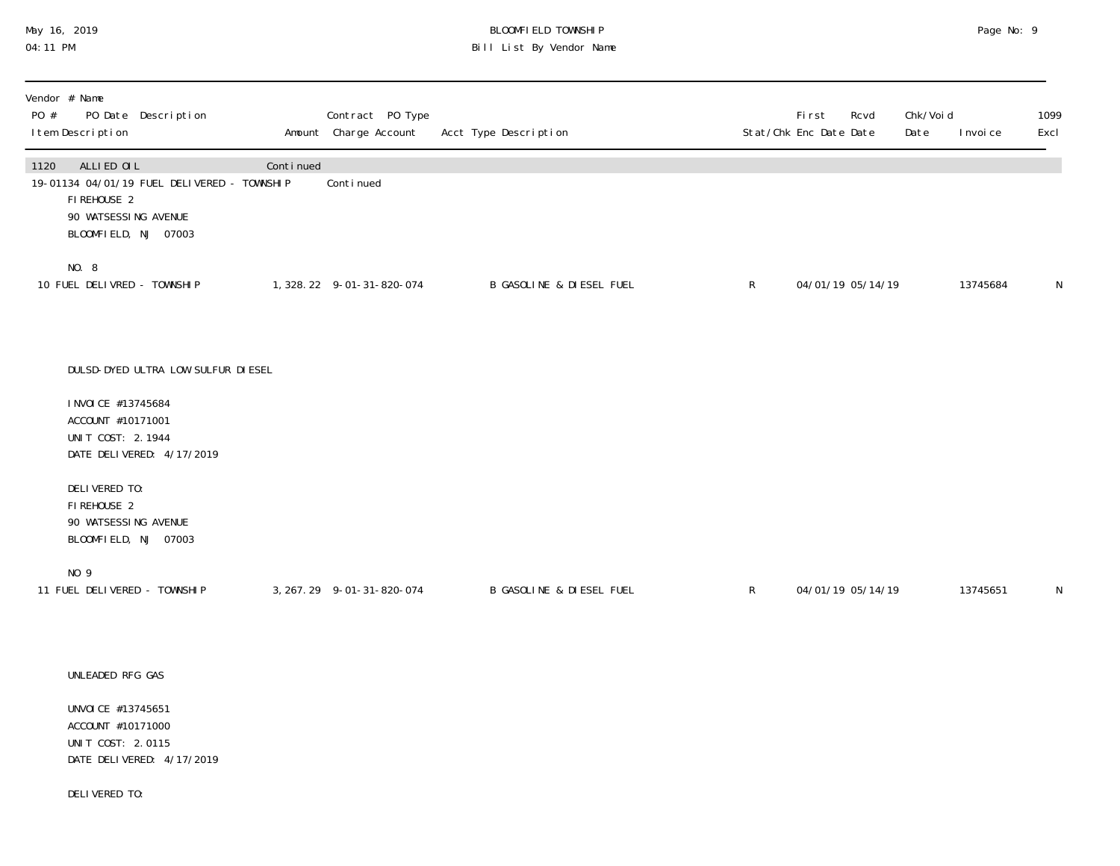# May 16, 2019 BLOOMFIELD TOWNSHIP Page No: 9 Bill List By Vendor Name

| Vendor # Name<br>PO Date Description<br>PO #<br>I tem Description                                                                |           | Contract PO Type<br>Amount Charge Account | Acct Type Description    |              | First<br>Rcvd<br>Stat/Chk Enc Date Date | Chk/Voi d<br>Date | I nvoi ce | 1099<br>Excl |
|----------------------------------------------------------------------------------------------------------------------------------|-----------|-------------------------------------------|--------------------------|--------------|-----------------------------------------|-------------------|-----------|--------------|
| ALLIED OIL<br>1120<br>19-01134 04/01/19 FUEL DELIVERED - TOWNSHIP<br>FIREHOUSE 2<br>90 WATSESSING AVENUE<br>BLOOMFIELD, NJ 07003 | Continued | Continued                                 |                          |              |                                         |                   |           |              |
| NO. 8<br>10 FUEL DELIVRED - TOWNSHIP                                                                                             |           | 1, 328. 22 9-01-31-820-074                | B GASOLINE & DIESEL FUEL | $\mathsf{R}$ | 04/01/19 05/14/19                       |                   | 13745684  | N            |
| DULSD-DYED ULTRA LOW SULFUR DI ESEL<br>I NVOI CE #13745684                                                                       |           |                                           |                          |              |                                         |                   |           |              |
| ACCOUNT #10171001<br>UNIT COST: 2.1944<br>DATE DELIVERED: 4/17/2019                                                              |           |                                           |                          |              |                                         |                   |           |              |
| DELIVERED TO:<br>FI REHOUSE 2<br>90 WATSESSING AVENUE<br>BLOOMFIELD, NJ 07003                                                    |           |                                           |                          |              |                                         |                   |           |              |
| NO 9<br>11 FUEL DELIVERED - TOWNSHIP                                                                                             |           | 3, 267. 29 9-01-31-820-074                | B GASOLINE & DIESEL FUEL | $\mathsf{R}$ | 04/01/19 05/14/19                       |                   | 13745651  | N            |
| UNLEADED RFG GAS                                                                                                                 |           |                                           |                          |              |                                         |                   |           |              |
| UNVOI CE #13745651                                                                                                               |           |                                           |                          |              |                                         |                   |           |              |

 ACCOUNT #10171000 UNIT COST: 2.0115 DATE DELIVERED: 4/17/2019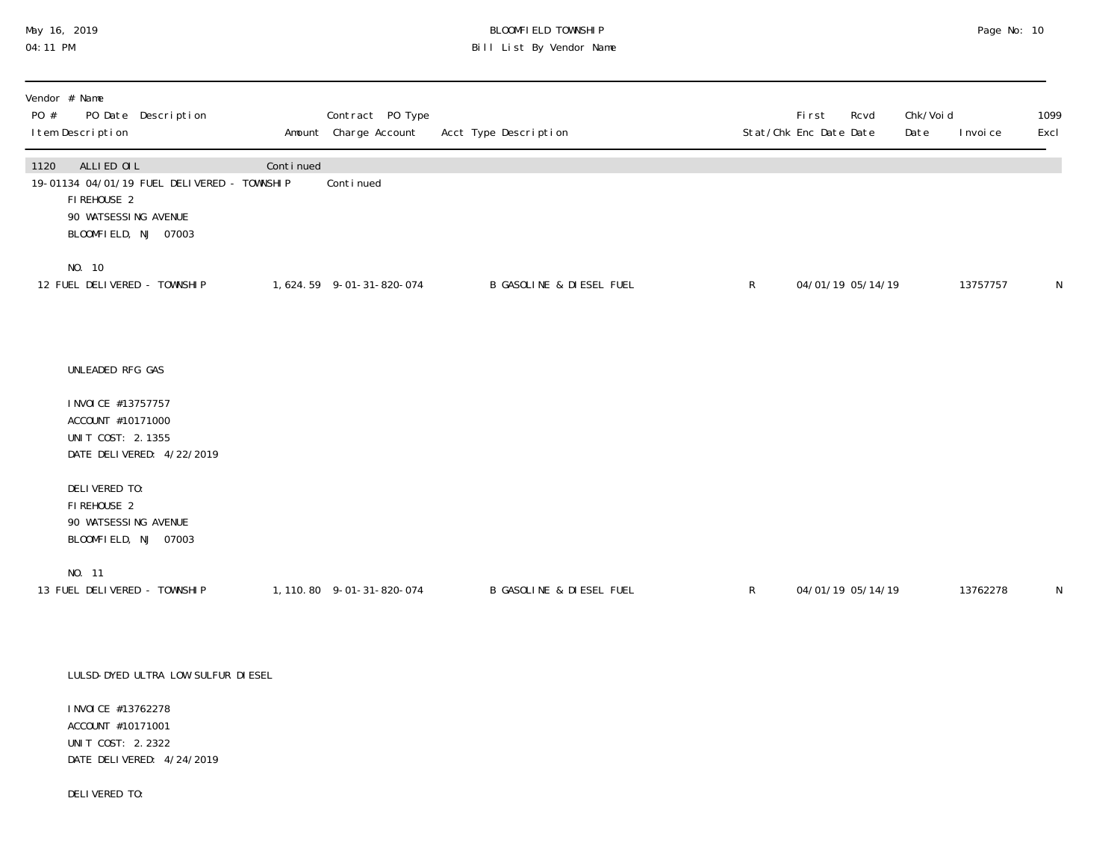# May 16, 2019 BLOOMFIELD TOWNSHIP Page No: 10 Bill List By Vendor Name

| Vendor # Name<br>PO #<br>PO Date Description<br>I tem Description                                                                |           | Contract PO Type<br>Amount Charge Account | Acct Type Description               |              | <b>First</b><br>Rcvd<br>Stat/Chk Enc Date Date | Chk/Voi d<br>Date | 1099<br>Excl<br>I nvoi ce |
|----------------------------------------------------------------------------------------------------------------------------------|-----------|-------------------------------------------|-------------------------------------|--------------|------------------------------------------------|-------------------|---------------------------|
| ALLIED OIL<br>1120<br>19-01134 04/01/19 FUEL DELIVERED - TOWNSHIP<br>FIREHOUSE 2<br>90 WATSESSING AVENUE<br>BLOOMFIELD, NJ 07003 | Continued | Continued                                 |                                     |              |                                                |                   |                           |
| NO. 10<br>12 FUEL DELIVERED - TOWNSHIP                                                                                           |           | 1,624.59 9-01-31-820-074                  | <b>B GASOLINE &amp; DIESEL FUEL</b> | $\mathsf{R}$ | 04/01/19 05/14/19                              |                   | 13757757<br>N             |
| UNLEADED RFG GAS                                                                                                                 |           |                                           |                                     |              |                                                |                   |                           |
| I NVOI CE #13757757<br>ACCOUNT #10171000<br>UNIT COST: 2.1355<br>DATE DELIVERED: 4/22/2019                                       |           |                                           |                                     |              |                                                |                   |                           |
| DELIVERED TO:<br>FIREHOUSE 2<br>90 WATSESSING AVENUE<br>BLOOMFIELD, NJ 07003                                                     |           |                                           |                                     |              |                                                |                   |                           |
| NO. 11<br>13 FUEL DELIVERED - TOWNSHIP                                                                                           |           | 1, 110.80 9-01-31-820-074                 | <b>B GASOLINE &amp; DIESEL FUEL</b> | $\mathsf{R}$ | 04/01/19 05/14/19                              |                   | 13762278<br>N             |
| LULSD-DYED ULTRA LOW SULFUR DI ESEL<br>I NVOI CE #13762278                                                                       |           |                                           |                                     |              |                                                |                   |                           |

 ACCOUNT #10171001 UNIT COST: 2.2322 DATE DELIVERED: 4/24/2019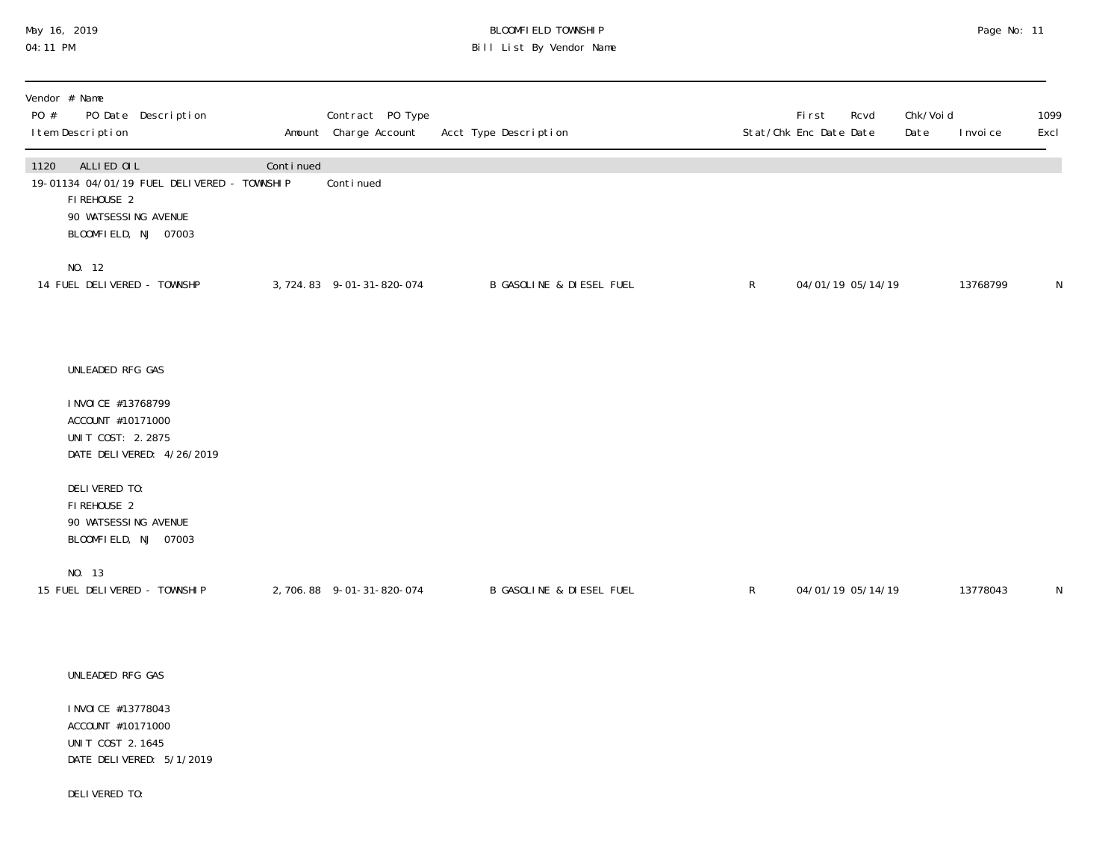# May 16, 2019 BLOOMFIELD TOWNSHIP Page No: 11 Bill List By Vendor Name

| Vendor # Name<br>PO #<br>PO Date Description<br>I tem Description                                                                |           | Contract PO Type<br>Amount Charge Account | Acct Type Description               |              | First<br>Stat/Chk Enc Date Date | Rcvd              | Chk/Voi d<br>Date | I nvoi ce | 1099<br>Excl |
|----------------------------------------------------------------------------------------------------------------------------------|-----------|-------------------------------------------|-------------------------------------|--------------|---------------------------------|-------------------|-------------------|-----------|--------------|
| ALLIED OIL<br>1120<br>19-01134 04/01/19 FUEL DELIVERED - TOWNSHIP<br>FIREHOUSE 2<br>90 WATSESSING AVENUE<br>BLOOMFIELD, NJ 07003 | Continued | Continued                                 |                                     |              |                                 |                   |                   |           |              |
| NO. 12<br>14 FUEL DELIVERED - TOWNSHP                                                                                            |           | 3, 724.83 9-01-31-820-074                 | B GASOLINE & DIESEL FUEL            | $\mathsf{R}$ |                                 | 04/01/19 05/14/19 |                   | 13768799  | $\mathsf{N}$ |
| UNLEADED RFG GAS<br>I NVOI CE #13768799<br>ACCOUNT #10171000<br>UNIT COST: 2.2875                                                |           |                                           |                                     |              |                                 |                   |                   |           |              |
| DATE DELIVERED: 4/26/2019<br>DELIVERED TO:<br>FIREHOUSE 2<br>90 WATSESSING AVENUE<br>BLOOMFIELD, NJ 07003                        |           |                                           |                                     |              |                                 |                   |                   |           |              |
| NO. 13<br>15 FUEL DELIVERED - TOWNSHIP                                                                                           |           | 2,706.88 9-01-31-820-074                  | <b>B GASOLINE &amp; DIESEL FUEL</b> | $\mathsf{R}$ | 04/01/19 05/14/19               |                   |                   | 13778043  | $\mathsf N$  |
| UNLEADED RFG GAS<br>I NVOI CE #13778043<br>$1000111T$ $110171000$                                                                |           |                                           |                                     |              |                                 |                   |                   |           |              |

 ACCOUNT #10171000 UNIT COST 2.1645 DATE DELIVERED: 5/1/2019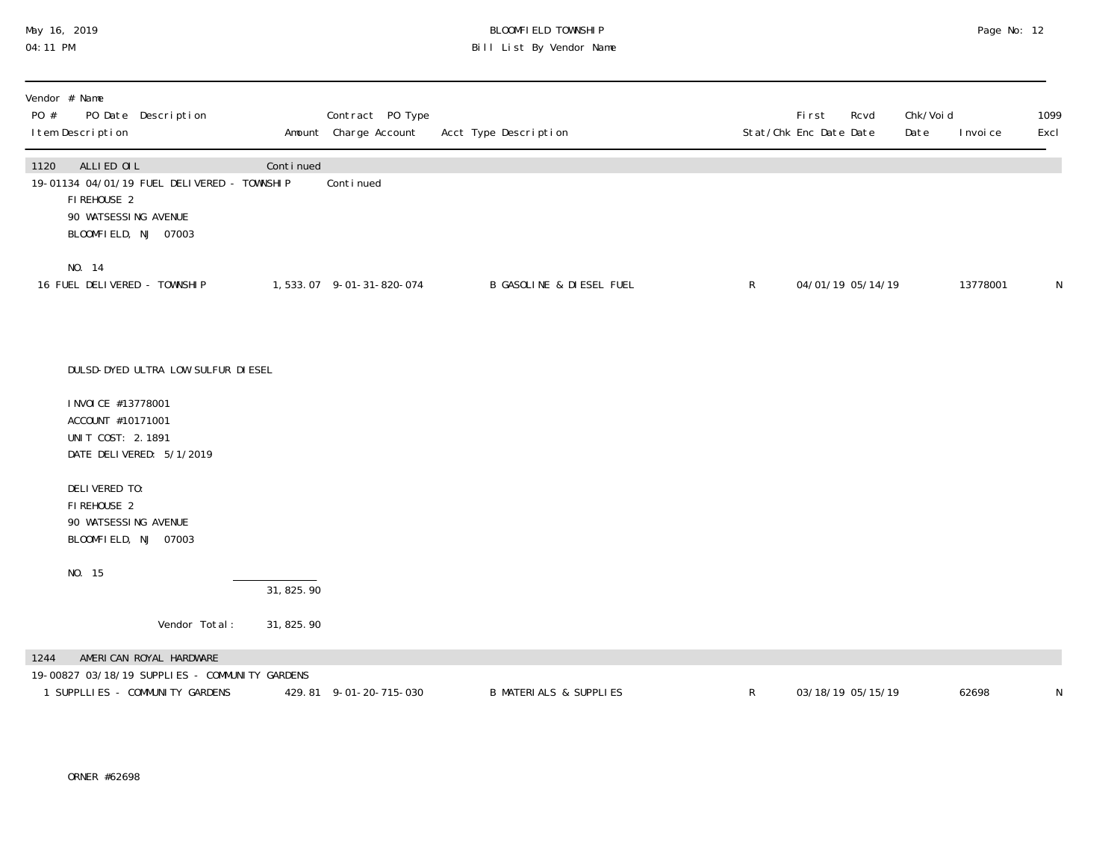## May 16, 2019 BLOOMFIELD TOWNSHIP Page No: 12 04:11 PM Bill List By Vendor Name

| Vendor # Name<br>PO Date Description<br>PO #<br>I tem Description                                                                |            | Contract PO Type<br>Amount Charge Account | Acct Type Description               |              | <b>First</b><br>Rcvd<br>Stat/Chk Enc Date Date | Chk/Voi d<br>Date | 1099<br>Excl<br>I nvoi ce |
|----------------------------------------------------------------------------------------------------------------------------------|------------|-------------------------------------------|-------------------------------------|--------------|------------------------------------------------|-------------------|---------------------------|
| ALLIED OIL<br>1120<br>19-01134 04/01/19 FUEL DELIVERED - TOWNSHIP<br>FIREHOUSE 2<br>90 WATSESSING AVENUE<br>BLOOMFIELD, NJ 07003 | Continued  | Continued                                 |                                     |              |                                                |                   |                           |
| NO. 14<br>16 FUEL DELIVERED - TOWNSHIP                                                                                           |            | 1,533.07 9-01-31-820-074                  | <b>B GASOLINE &amp; DIESEL FUEL</b> | $\mathsf{R}$ | 04/01/19 05/14/19                              |                   | N<br>13778001             |
| DULSD-DYED ULTRA LOW SULFUR DI ESEL                                                                                              |            |                                           |                                     |              |                                                |                   |                           |
| I NVOI CE #13778001<br>ACCOUNT #10171001<br>UNIT COST: 2.1891<br>DATE DELIVERED: 5/1/2019                                        |            |                                           |                                     |              |                                                |                   |                           |
| DELIVERED TO:<br>FI REHOUSE 2<br>90 WATSESSING AVENUE<br>BLOOMFIELD, NJ 07003                                                    |            |                                           |                                     |              |                                                |                   |                           |
| NO. 15                                                                                                                           | 31, 825.90 |                                           |                                     |              |                                                |                   |                           |
| Vendor Total:                                                                                                                    | 31, 825.90 |                                           |                                     |              |                                                |                   |                           |
| AMERICAN ROYAL HARDWARE<br>1244<br>19-00827 03/18/19 SUPPLIES - COMMUNITY GARDENS<br>1 SUPPLLIES - COMMUNITY GARDENS             |            | 429.81 9-01-20-715-030                    | <b>B MATERIALS &amp; SUPPLIES</b>   | $\mathsf{R}$ | 03/18/19 05/15/19                              | 62698             | N                         |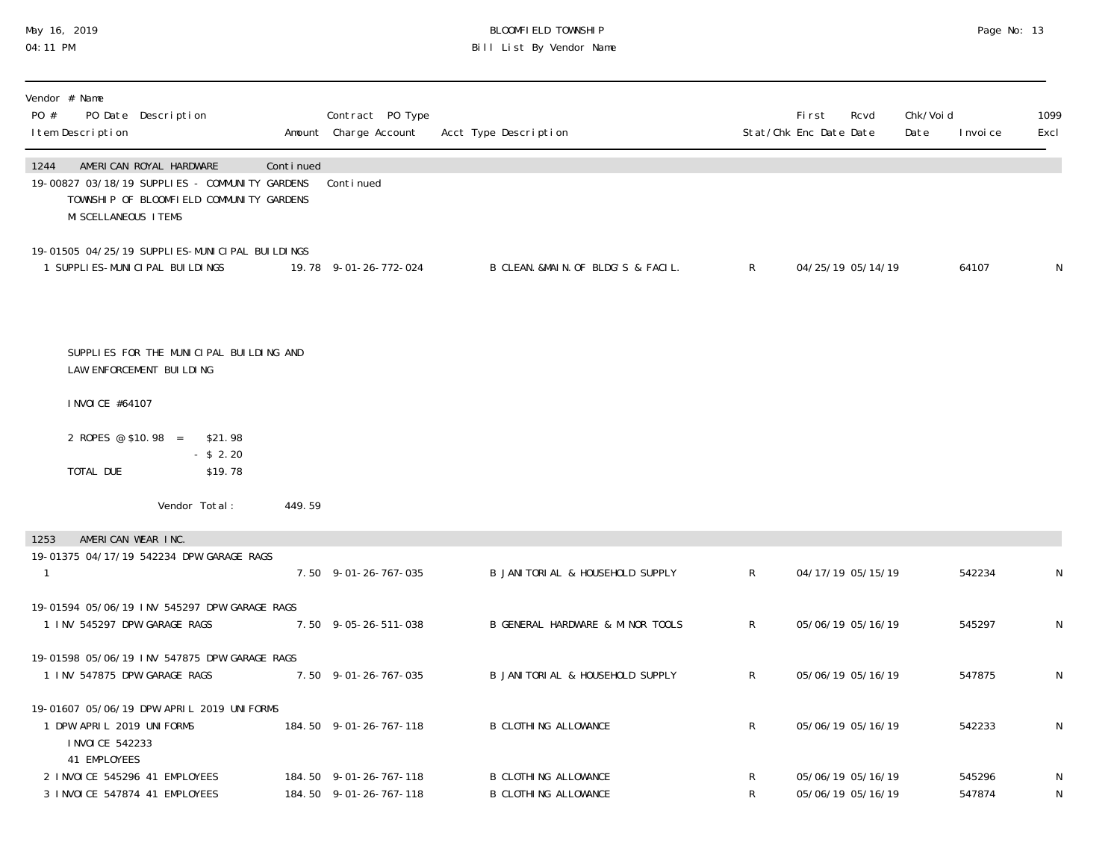# May 16, 2019 BLOOMFIELD TOWNSHIP Page No: 13 Bill List By Vendor Name

| Vendor # Name<br>PO #<br>PO Date Description<br>I tem Description                                                                                      |           | Contract PO Type<br>Amount Charge Account        | Acct Type Description                                      |              | <b>First</b><br>Rcvd<br>Stat/Chk Enc Date Date | Chk/Voi d<br>Date | I nvoi ce        | 1099<br>Excl |
|--------------------------------------------------------------------------------------------------------------------------------------------------------|-----------|--------------------------------------------------|------------------------------------------------------------|--------------|------------------------------------------------|-------------------|------------------|--------------|
| AMERICAN ROYAL HARDWARE<br>1244<br>19-00827 03/18/19 SUPPLIES - COMMUNITY GARDENS<br>TOWNSHIP OF BLOOMFIELD COMMUNITY GARDENS<br>MI SCELLANEOUS I TEMS | Continued | Continued                                        |                                                            |              |                                                |                   |                  |              |
| 19-01505 04/25/19 SUPPLI ES-MUNICIPAL BUILDINGS<br>1 SUPPLI ES-MUNI CI PAL BUI LDI NGS                                                                 |           | 19.78 9-01-26-772-024                            | B CLEAN. &MAIN. OF BLDG'S & FACIL.                         | $\mathsf{R}$ | 04/25/19 05/14/19                              |                   | 64107            | N            |
| SUPPLIES FOR THE MUNICIPAL BUILDING AND<br>LAW ENFORCEMENT BUILDING                                                                                    |           |                                                  |                                                            |              |                                                |                   |                  |              |
| I NVOI CE #64107                                                                                                                                       |           |                                                  |                                                            |              |                                                |                   |                  |              |
| 2 ROPES @ \$10.98 = \$21.98                                                                                                                            |           |                                                  |                                                            |              |                                                |                   |                  |              |
| $-$ \$ 2.20<br>\$19.78<br>TOTAL DUE                                                                                                                    |           |                                                  |                                                            |              |                                                |                   |                  |              |
| Vendor Total:                                                                                                                                          | 449.59    |                                                  |                                                            |              |                                                |                   |                  |              |
| AMERICAN WEAR INC.<br>1253<br>19-01375 04/17/19 542234 DPW GARAGE RAGS                                                                                 |           |                                                  |                                                            |              |                                                |                   |                  |              |
| 1                                                                                                                                                      |           | 7.50 9-01-26-767-035                             | B JANI TORI AL & HOUSEHOLD SUPPLY                          | R            | 04/17/19 05/15/19                              |                   | 542234           | N            |
| 19-01594 05/06/19 INV 545297 DPW GARAGE RAGS<br>1 INV 545297 DPW GARAGE RAGS                                                                           |           | 7.50 9-05-26-511-038                             | B GENERAL HARDWARE & MINOR TOOLS                           | $\mathsf{R}$ | 05/06/19 05/16/19                              |                   | 545297           | N            |
| 19-01598 05/06/19 INV 547875 DPW GARAGE RAGS<br>1 INV 547875 DPW GARAGE RAGS                                                                           |           | 7.50 9-01-26-767-035                             | B JANI TORI AL & HOUSEHOLD SUPPLY                          | R            | 05/06/19 05/16/19                              |                   | 547875           | N            |
| 19-01607 05/06/19 DPW APRIL 2019 UNIFORMS<br>1 DPW APRIL 2019 UNIFORMS<br>I NVOI CE 542233                                                             |           | 184.50 9-01-26-767-118                           | <b>B CLOTHING ALLOWANCE</b>                                | R            | 05/06/19 05/16/19                              |                   | 542233           | N            |
| 41 EMPLOYEES<br>2 INVOICE 545296 41 EMPLOYEES<br>3 INVOICE 547874 41 EMPLOYEES                                                                         |           | 184.50 9-01-26-767-118<br>184.50 9-01-26-767-118 | <b>B CLOTHING ALLOWANCE</b><br><b>B CLOTHING ALLOWANCE</b> | R<br>R       | 05/06/19 05/16/19<br>05/06/19 05/16/19         |                   | 545296<br>547874 | N<br>N       |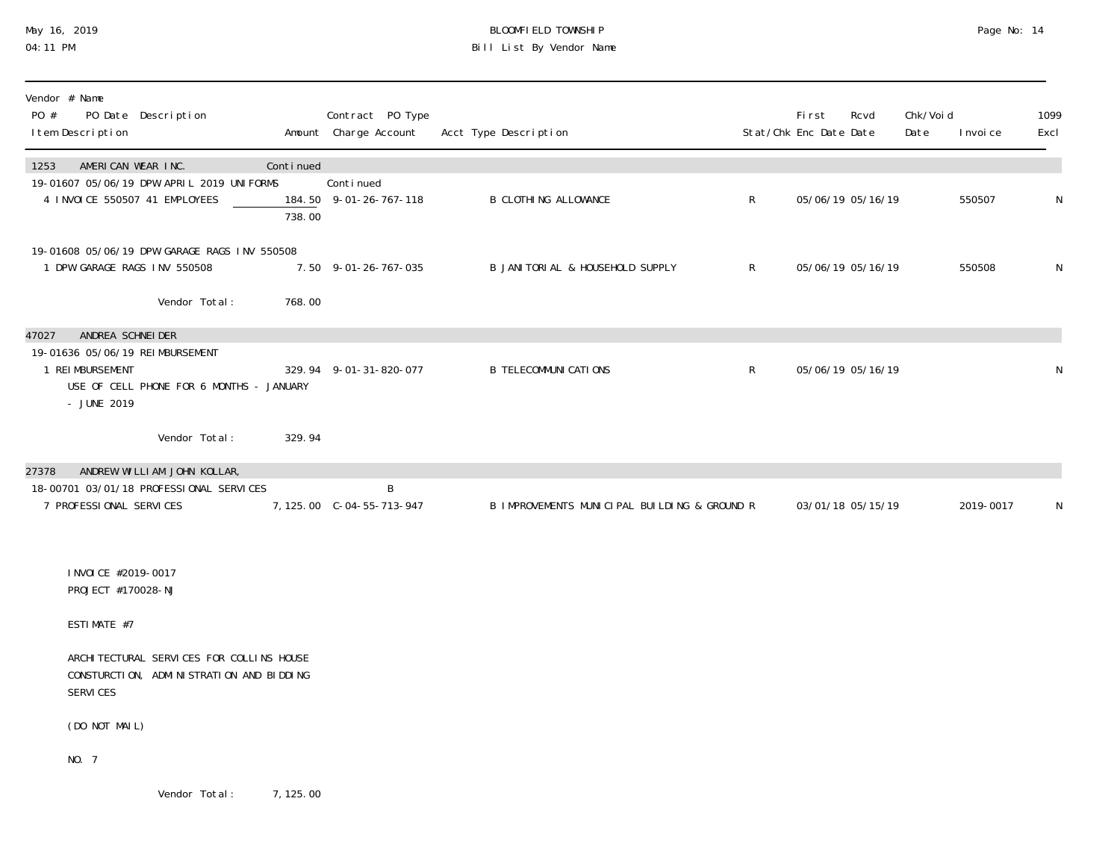### May 16, 2019 BLOOMFIELD TOWNSHIP Page No: 14 04:11 PM Bill List By Vendor Name

| Vendor # Name<br>PO #<br>PO Date Description<br>I tem Description                                                                            |                     | Contract PO Type<br>Amount Charge Account | Acct Type Description                        |              | First<br>Stat/Chk Enc Date Date | Rcvd              | Chk/Voi d<br>Date | I nvoi ce | 1099<br>Excl |
|----------------------------------------------------------------------------------------------------------------------------------------------|---------------------|-------------------------------------------|----------------------------------------------|--------------|---------------------------------|-------------------|-------------------|-----------|--------------|
| AMERICAN WEAR INC.<br>1253<br>19-01607 05/06/19 DPW APRIL 2019 UNIFORMS<br>4 INVOICE 550507 41 EMPLOYEES                                     | Continued<br>738.00 | Conti nued<br>184.50 9-01-26-767-118      | <b>B CLOTHING ALLOWANCE</b>                  | $\mathsf R$  |                                 | 05/06/19 05/16/19 |                   | 550507    | ${\sf N}$    |
| 19-01608 05/06/19 DPW GARAGE RAGS INV 550508<br>1 DPW GARAGE RAGS INV 550508<br>Vendor Total:                                                | 768.00              | 7.50 9-01-26-767-035                      | B JANITORIAL & HOUSEHOLD SUPPLY              | $\mathsf{R}$ |                                 | 05/06/19 05/16/19 |                   | 550508    | N            |
| ANDREA SCHNEI DER<br>47027<br>19-01636 05/06/19 REIMBURSEMENT<br>1 REI MBURSEMENT<br>USE OF CELL PHONE FOR 6 MONTHS - JANUARY<br>- JUNE 2019 |                     | 329.94 9-01-31-820-077                    | <b>B TELECOMMUNI CATIONS</b>                 | $\mathsf{R}$ |                                 | 05/06/19 05/16/19 |                   |           | N            |
| Vendor Total:                                                                                                                                | 329.94              |                                           |                                              |              |                                 |                   |                   |           |              |
| ANDREW WILLIAM JOHN KOLLAR,<br>27378<br>18-00701 03/01/18 PROFESSIONAL SERVICES<br>7 PROFESSIONAL SERVICES                                   |                     | B<br>7, 125.00 C-04-55-713-947            | B IMPROVEMENTS MUNICIPAL BUILDING & GROUND R |              |                                 | 03/01/18 05/15/19 |                   | 2019-0017 | N            |
| I NVOI CE #2019-0017<br>PROJECT #170028-NJ                                                                                                   |                     |                                           |                                              |              |                                 |                   |                   |           |              |
| ESTIMATE #7                                                                                                                                  |                     |                                           |                                              |              |                                 |                   |                   |           |              |
| ARCHI TECTURAL SERVICES FOR COLLINS HOUSE<br>CONSTURCTION, ADMINISTRATION AND BIDDING<br>SERVICES                                            |                     |                                           |                                              |              |                                 |                   |                   |           |              |
| (DO NOT MAIL)                                                                                                                                |                     |                                           |                                              |              |                                 |                   |                   |           |              |
| NO. 7                                                                                                                                        |                     |                                           |                                              |              |                                 |                   |                   |           |              |

Vendor Total: 7,125.00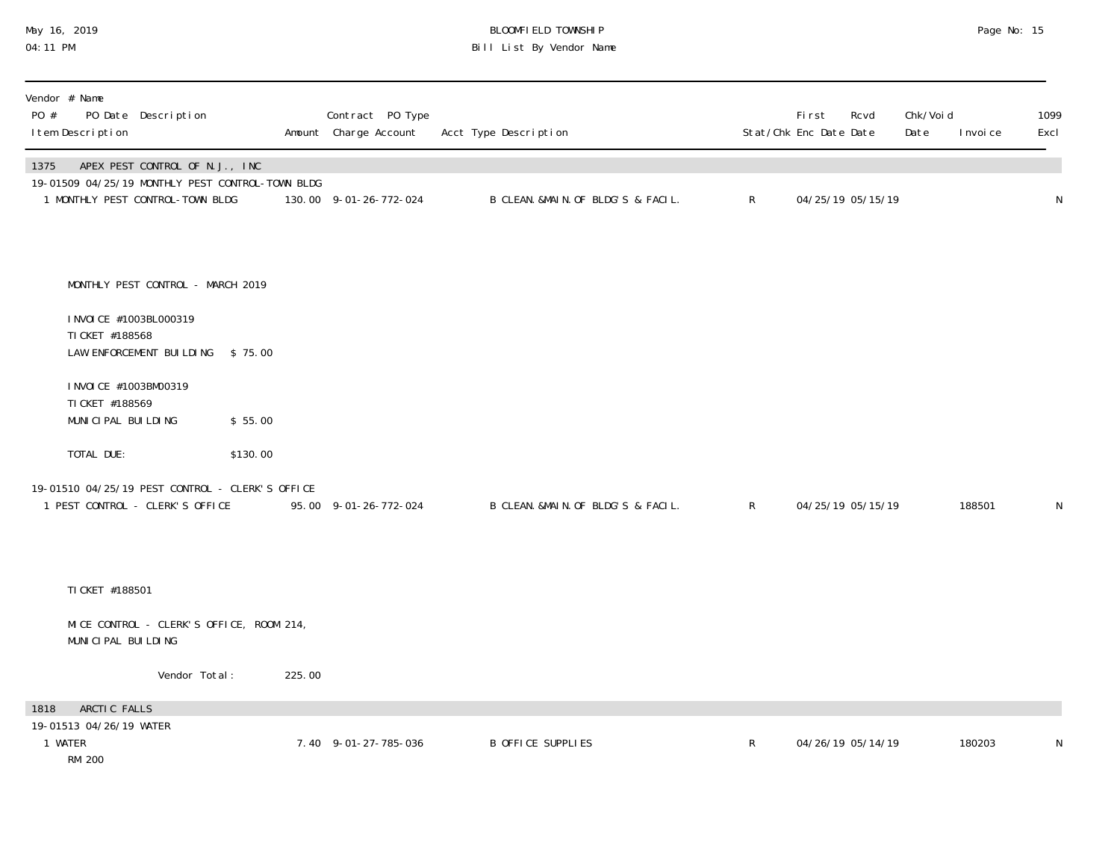### May 16, 2019 BLOOMFIELD TOWNSHIP Page No: 15 04:11 PM Bill List By Vendor Name

| Vendor # Name<br>PO Date Description<br>PO #<br>I tem Description                                                              |          | Contract PO Type<br>Amount Charge Account | Acct Type Description              |                | First<br>Rcvd<br>Stat/Chk Enc Date Date | Chk/Voi d<br>Date<br>I nvoi ce | 1099<br>Excl |
|--------------------------------------------------------------------------------------------------------------------------------|----------|-------------------------------------------|------------------------------------|----------------|-----------------------------------------|--------------------------------|--------------|
| APEX PEST CONTROL OF N.J., INC<br>1375<br>19-01509 04/25/19 MONTHLY PEST CONTROL-TOWN BLDG<br>1 MONTHLY PEST CONTROL-TOWN BLDG |          | 130.00 9-01-26-772-024                    | B CLEAN. &MAIN. OF BLDG'S & FACIL. | $\mathsf{R}^-$ | 04/25/19 05/15/19                       |                                | N            |
| MONTHLY PEST CONTROL - MARCH 2019<br>I NVOI CE #1003BL000319<br>TI CKET #188568<br>LAW ENFORCEMENT BUILDING \$75.00            |          |                                           |                                    |                |                                         |                                |              |
| I NVOI CE #1003BM00319<br>TI CKET #188569<br>MUNICIPAL BUILDING                                                                | \$55.00  |                                           |                                    |                |                                         |                                |              |
| TOTAL DUE:<br>19-01510 04/25/19 PEST CONTROL - CLERK'S OFFICE<br>1 PEST CONTROL - CLERK'S OFFICE                               | \$130.00 | 95.00 9-01-26-772-024                     | B CLEAN. &MAIN. OF BLDG'S & FACIL. | $\mathsf{R}$   | 04/25/19 05/15/19                       | 188501                         | N            |
| TI CKET #188501<br>MICE CONTROL - CLERK'S OFFICE, ROOM 214,<br>MUNICIPAL BUILDING                                              |          |                                           |                                    |                |                                         |                                |              |
| Vendor Total:                                                                                                                  | 225.00   |                                           |                                    |                |                                         |                                |              |
| ARCTIC FALLS<br>1818<br>19-01513 04/26/19 WATER<br>1 WATER<br><b>RM 200</b>                                                    |          | 7.40 9-01-27-785-036                      | B OFFICE SUPPLIES                  | $\mathsf{R}$   | 04/26/19 05/14/19                       | 180203                         | N            |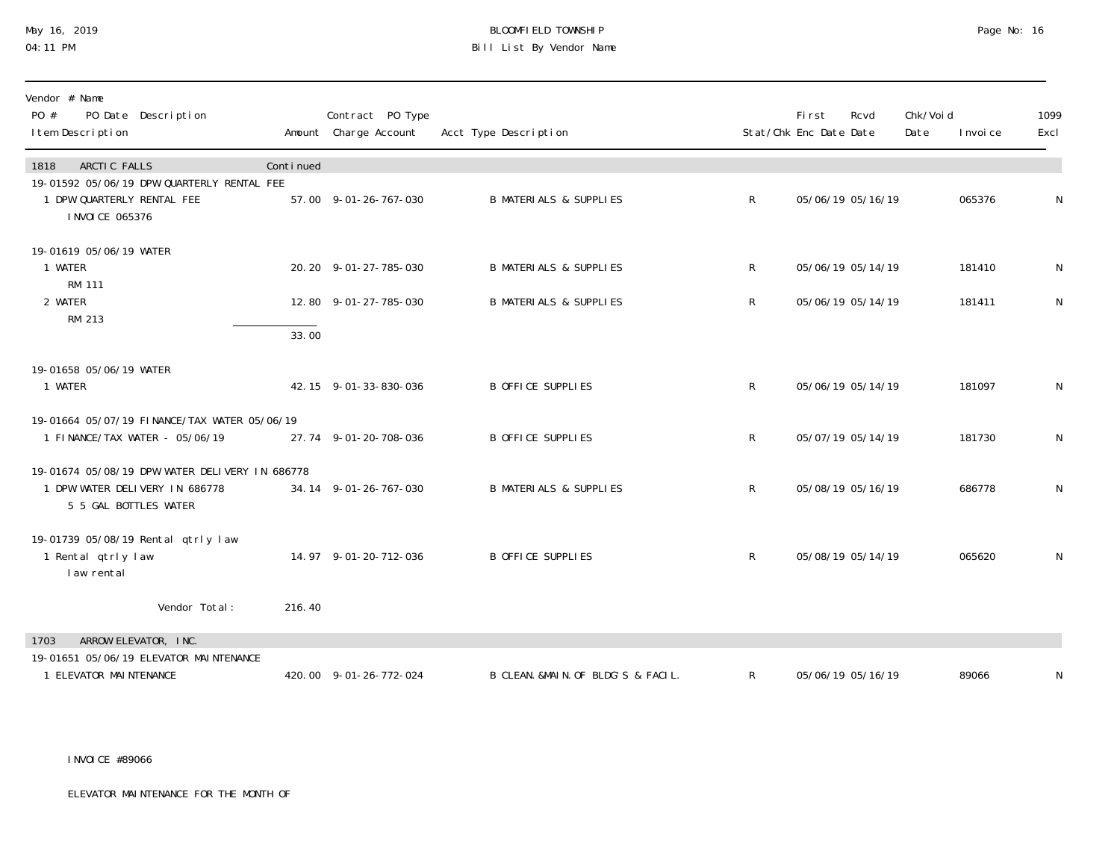# May 16, 2019 BLOOMFIELD TOWNSHIP Page No: 16 Bill List By Vendor Name

| Vendor # Name<br>PO #<br>PO Date Description<br>I tem Description                                         |           | Contract PO Type<br>Amount Charge Account | Acct Type Description              |              | <b>First</b><br>Stat/Chk Enc Date Date | Rcvd              | Chk/Voi d<br>Date | I nvoi ce | 1099<br>Excl |
|-----------------------------------------------------------------------------------------------------------|-----------|-------------------------------------------|------------------------------------|--------------|----------------------------------------|-------------------|-------------------|-----------|--------------|
| ARCTIC FALLS<br>1818                                                                                      | Continued |                                           |                                    |              |                                        |                   |                   |           |              |
| 19-01592 05/06/19 DPW QUARTERLY RENTAL FEE<br>1 DPW QUARTERLY RENTAL FEE<br>I NVOI CE 065376              |           | 57.00 9-01-26-767-030                     | <b>B MATERIALS &amp; SUPPLIES</b>  | $\mathsf{R}$ |                                        | 05/06/19 05/16/19 |                   | 065376    | N            |
| 19-01619 05/06/19 WATER<br>1 WATER                                                                        |           | 20.20 9-01-27-785-030                     | <b>B MATERIALS &amp; SUPPLIES</b>  | R            |                                        | 05/06/19 05/14/19 |                   | 181410    | N            |
| <b>RM 111</b><br>2 WATER<br>RM 213                                                                        |           | 12.80 9-01-27-785-030                     | <b>B MATERIALS &amp; SUPPLIES</b>  | $\mathsf{R}$ |                                        | 05/06/19 05/14/19 |                   | 181411    | ${\sf N}$    |
|                                                                                                           | 33.00     |                                           |                                    |              |                                        |                   |                   |           |              |
| 19-01658 05/06/19 WATER<br>1 WATER                                                                        |           | 42.15 9-01-33-830-036                     | <b>B OFFICE SUPPLIES</b>           | $\mathsf R$  |                                        | 05/06/19 05/14/19 |                   | 181097    | N            |
| 19-01664 05/07/19 FINANCE/TAX WATER 05/06/19<br>1 FINANCE/TAX WATER - 05/06/19                            |           | 27.74 9-01-20-708-036                     | <b>B OFFICE SUPPLIES</b>           | $\mathsf R$  | 05/07/19 05/14/19                      |                   |                   | 181730    | N            |
| 19-01674 05/08/19 DPW WATER DELIVERY IN 686778<br>1 DPW WATER DELIVERY IN 686778<br>5 5 GAL BOTTLES WATER |           | 34.14 9-01-26-767-030                     | <b>B MATERIALS &amp; SUPPLIES</b>  | R            |                                        | 05/08/19 05/16/19 |                   | 686778    | N            |
| 19-01739 05/08/19 Rental qtrly law<br>1 Rental qtrly law<br>law rental                                    |           | 14.97 9-01-20-712-036                     | <b>B OFFICE SUPPLIES</b>           | $\mathsf{R}$ |                                        | 05/08/19 05/14/19 |                   | 065620    | N            |
| Vendor Total:                                                                                             | 216.40    |                                           |                                    |              |                                        |                   |                   |           |              |
| ARROW ELEVATOR, INC.<br>1703                                                                              |           |                                           |                                    |              |                                        |                   |                   |           |              |
| 19-01651 05/06/19 ELEVATOR MAINTENANCE<br>1 ELEVATOR MAINTENANCE                                          |           | 420.00 9-01-26-772-024                    | B CLEAN. &MAIN. OF BLDG'S & FACIL. | R            |                                        | 05/06/19 05/16/19 |                   | 89066     | N            |

INVOICE #89066

ELEVATOR MAINTENANCE FOR THE MONTH OF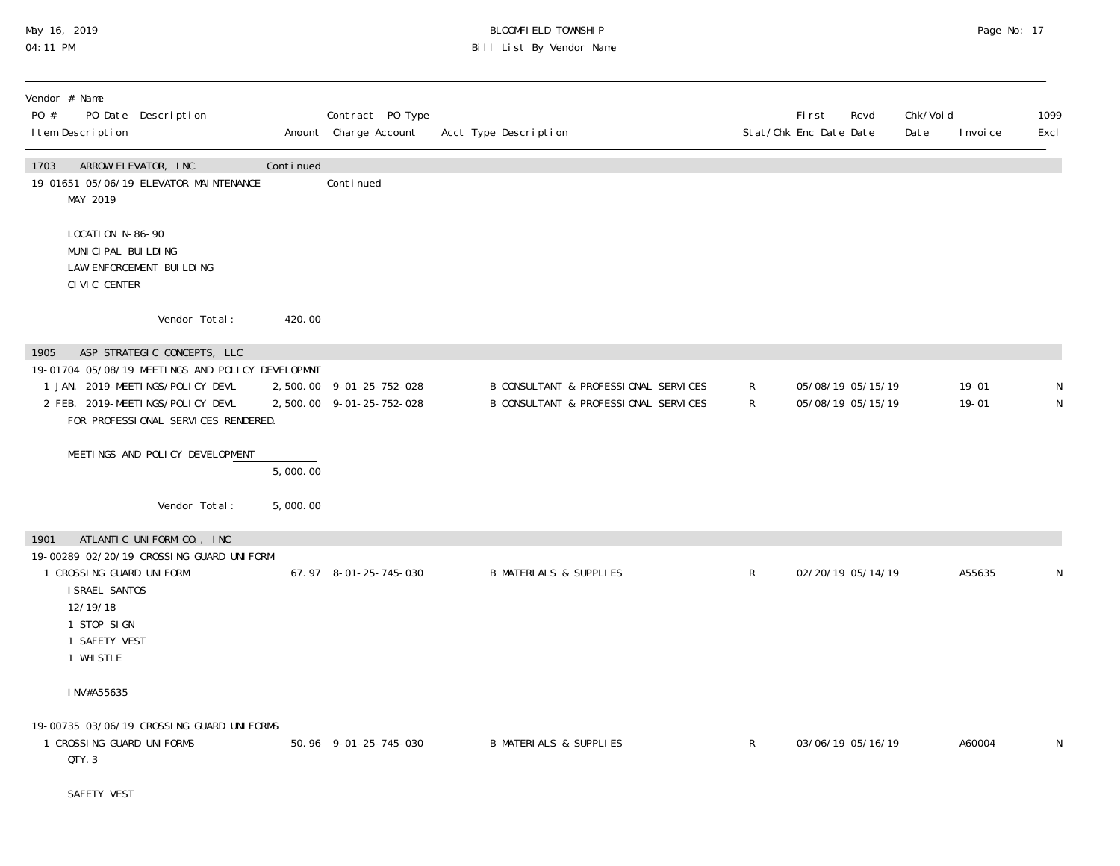### May 16, 2019 BLOOMFIELD TOWNSHIP Page No: 17 04:11 PM Bill List By Vendor Name

| Vendor # Name<br>PO #<br>PO Date Description<br>I tem Description                                                                                                                                      |           | Contract PO Type<br>Amount Charge Account            | Acct Type Description                                                        |                    | First<br>Rcvd<br>Stat/Chk Enc Date Date | Chk/Voi d<br>Date | 1099<br>Excl<br>I nvoi ce             |
|--------------------------------------------------------------------------------------------------------------------------------------------------------------------------------------------------------|-----------|------------------------------------------------------|------------------------------------------------------------------------------|--------------------|-----------------------------------------|-------------------|---------------------------------------|
| 1703<br>ARROW ELEVATOR, INC.<br>19-01651 05/06/19 ELEVATOR MAINTENANCE<br>MAY 2019                                                                                                                     | Continued | Conti nued                                           |                                                                              |                    |                                         |                   |                                       |
| LOCATION N-86-90<br>MUNICIPAL BUILDING<br>LAW ENFORCEMENT BUILDING<br>CIVIC CENTER                                                                                                                     |           |                                                      |                                                                              |                    |                                         |                   |                                       |
| Vendor Total:                                                                                                                                                                                          | 420.00    |                                                      |                                                                              |                    |                                         |                   |                                       |
| ASP STRATEGIC CONCEPTS, LLC<br>1905<br>19-01704 05/08/19 MEETINGS AND POLICY DEVELOPMNT<br>1 JAN. 2019-MEETINGS/POLICY DEVL<br>2 FEB. 2019-MEETINGS/POLICY DEVL<br>FOR PROFESSIONAL SERVICES RENDERED. |           | 2,500.00 9-01-25-752-028<br>2,500.00 9-01-25-752-028 | B CONSULTANT & PROFESSIONAL SERVICES<br>B CONSULTANT & PROFESSIONAL SERVICES | R.<br>$\mathsf{R}$ | 05/08/19 05/15/19<br>05/08/19 05/15/19  |                   | $19 - 01$<br>$19 - 01$<br>$\mathsf N$ |
| MEETINGS AND POLICY DEVELOPMENT                                                                                                                                                                        | 5,000.00  |                                                      |                                                                              |                    |                                         |                   |                                       |
| Vendor Total:                                                                                                                                                                                          | 5,000.00  |                                                      |                                                                              |                    |                                         |                   |                                       |
| ATLANTIC UNIFORM CO., INC<br>1901<br>19-00289 02/20/19 CROSSING GUARD UNIFORM<br>1 CROSSING GUARD UNIFORM<br>I SRAEL SANTOS<br>12/19/18<br>1 STOP SIGN<br>1 SAFETY VEST<br>1 WHI STLE                  |           | 67.97 8-01-25-745-030                                | <b>B MATERIALS &amp; SUPPLIES</b>                                            | $\mathsf{R}$       | 02/20/19 05/14/19                       |                   | A55635<br>N                           |
| INV#A55635                                                                                                                                                                                             |           |                                                      |                                                                              |                    |                                         |                   |                                       |
| 19-00735 03/06/19 CROSSING GUARD UNIFORMS<br>1 CROSSING GUARD UNIFORMS<br>QTY. 3                                                                                                                       |           | 50.96 9-01-25-745-030                                | <b>B MATERIALS &amp; SUPPLIES</b>                                            | $\mathsf{R}$       | 03/06/19 05/16/19                       |                   | A60004<br>N                           |
| SAFETY VEST                                                                                                                                                                                            |           |                                                      |                                                                              |                    |                                         |                   |                                       |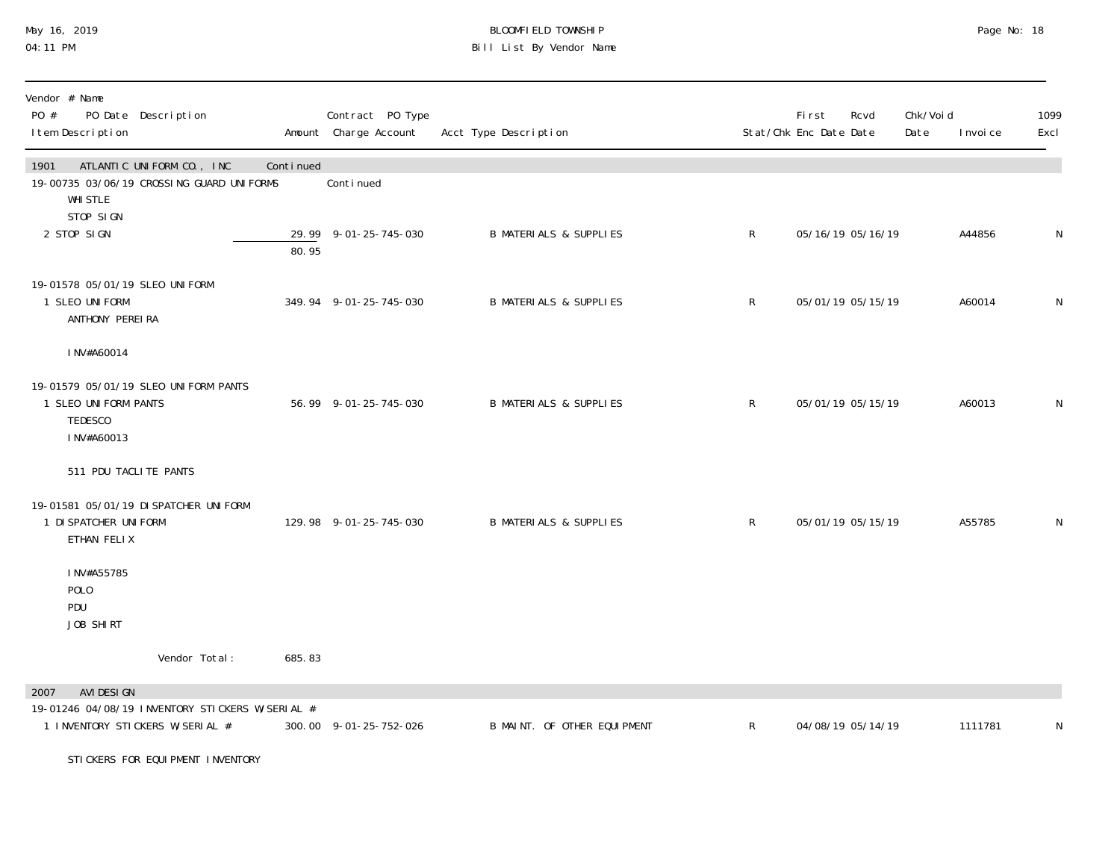## May 16, 2019 BLOOMFIELD TOWNSHIP Page No: 18 04:11 PM Bill List By Vendor Name

| Vendor # Name<br>PO #<br>PO Date Description<br>I tem Description                                         |           | Contract PO Type<br>Amount Charge Account | Acct Type Description             |              | First<br>Stat/Chk Enc Date Date | Rcvd              | Chk/Voi d<br>Date | I nvoi ce | 1099<br>Excl |
|-----------------------------------------------------------------------------------------------------------|-----------|-------------------------------------------|-----------------------------------|--------------|---------------------------------|-------------------|-------------------|-----------|--------------|
| ATLANTIC UNIFORM CO., INC<br>1901<br>19-00735 03/06/19 CROSSING GUARD UNIFORMS<br><b>WHI STLE</b>         | Continued | Continued                                 |                                   |              |                                 |                   |                   |           |              |
| STOP SIGN<br>2 STOP SIGN                                                                                  | 80.95     | 29.99 9-01-25-745-030                     | <b>B MATERIALS &amp; SUPPLIES</b> | $\mathsf R$  |                                 | 05/16/19 05/16/19 |                   | A44856    | N            |
| 19-01578 05/01/19 SLEO UNIFORM<br>1 SLEO UNIFORM<br>ANTHONY PEREIRA                                       |           | 349.94 9-01-25-745-030                    | <b>B MATERIALS &amp; SUPPLIES</b> | $\mathsf{R}$ | 05/01/19 05/15/19               |                   |                   | A60014    | N            |
| INV#A60014                                                                                                |           |                                           |                                   |              |                                 |                   |                   |           |              |
| 19-01579 05/01/19 SLEO UNIFORM PANTS<br>1 SLEO UNIFORM PANTS<br>TEDESCO<br>INV#A60013                     |           | 56.99 9-01-25-745-030                     | <b>B MATERIALS &amp; SUPPLIES</b> | $\mathsf{R}$ |                                 | 05/01/19 05/15/19 |                   | A60013    | N            |
| 511 PDU TACLITE PANTS                                                                                     |           |                                           |                                   |              |                                 |                   |                   |           |              |
| 19-01581 05/01/19 DI SPATCHER UNI FORM<br>1 DI SPATCHER UNI FORM<br>ETHAN FELIX                           |           | 129.98 9-01-25-745-030                    | <b>B MATERIALS &amp; SUPPLIES</b> | $\mathsf R$  |                                 | 05/01/19 05/15/19 |                   | A55785    | N            |
| INV#A55785<br>POLO<br>PDU<br>JOB SHIRT                                                                    |           |                                           |                                   |              |                                 |                   |                   |           |              |
| Vendor Total:                                                                                             | 685.83    |                                           |                                   |              |                                 |                   |                   |           |              |
| AVI DESI GN<br>2007<br>19-01246 04/08/19 INVENTORY STICKERS W/SERIAL #<br>1 INVENTORY STICKERS W/SERIAL # |           | 300.00 9-01-25-752-026                    | B MAINT. OF OTHER EQUIPMENT       | R            | 04/08/19 05/14/19               |                   |                   | 1111781   | N            |
| STICKERS FOR EQUIPMENT INVENTORY                                                                          |           |                                           |                                   |              |                                 |                   |                   |           |              |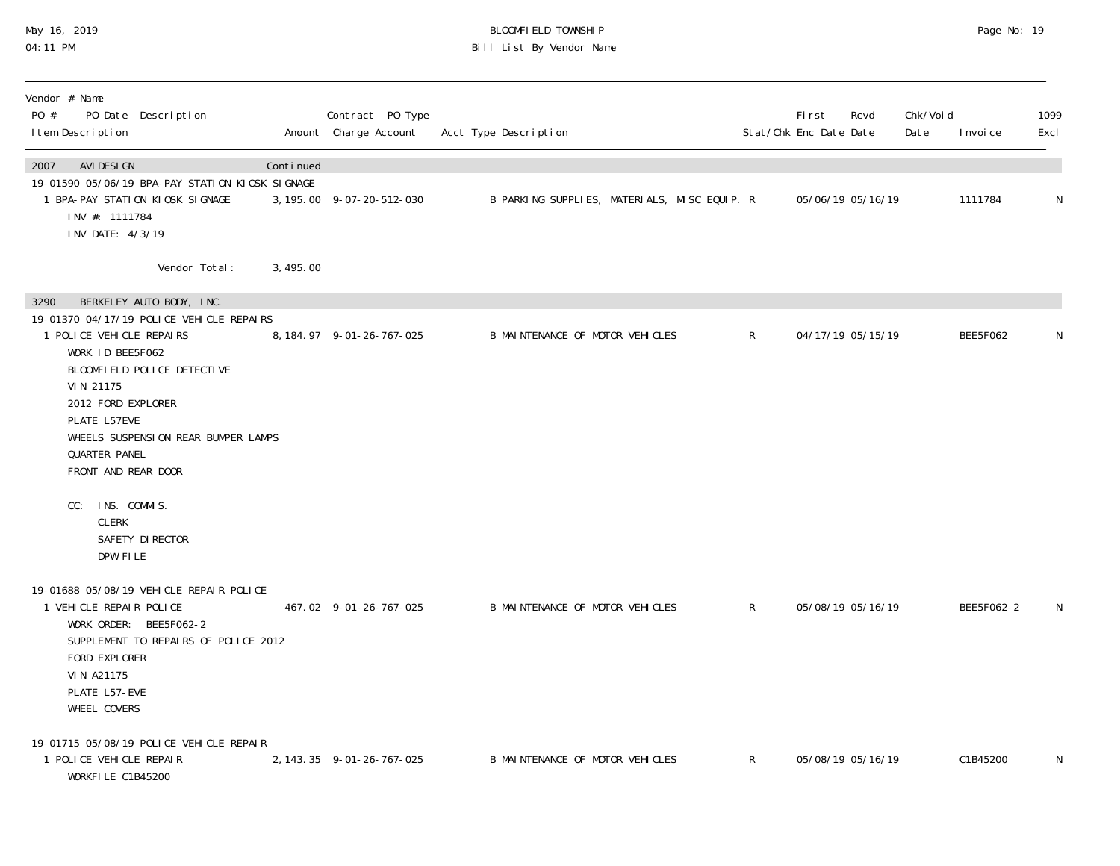### May 16, 2019 BLOOMFIELD TOWNSHIP Page No: 19 04:11 PM Bill List By Vendor Name

| Vendor # Name<br>PO #<br>PO Date Description<br>I tem Description                                                                                                                                                                                                                                    |           | Contract PO Type<br>Amount Charge Account | Acct Type Description                        |              | First<br>Stat/Chk Enc Date Date | Rcvd              | Chk/Voi d<br>Date | I nvoi ce  | 1099<br>Excl |
|------------------------------------------------------------------------------------------------------------------------------------------------------------------------------------------------------------------------------------------------------------------------------------------------------|-----------|-------------------------------------------|----------------------------------------------|--------------|---------------------------------|-------------------|-------------------|------------|--------------|
| AVI DESI GN<br>2007<br>19-01590 05/06/19 BPA-PAY STATION KIOSK SIGNAGE<br>1 BPA-PAY STATION KIOSK SIGNAGE<br>INV #: 1111784<br>INV DATE: 4/3/19                                                                                                                                                      | Continued | 3, 195.00 9-07-20-512-030                 | B PARKING SUPPLIES, MATERIALS, MISC EQUIP. R |              |                                 | 05/06/19 05/16/19 |                   | 1111784    | ${\sf N}$    |
| Vendor Total:                                                                                                                                                                                                                                                                                        | 3,495.00  |                                           |                                              |              |                                 |                   |                   |            |              |
| BERKELEY AUTO BODY, INC.<br>3290<br>19-01370 04/17/19 POLICE VEHICLE REPAIRS<br>1 POLICE VEHICLE REPAIRS<br>WORK ID BEE5F062<br>BLOOMFIELD POLICE DETECTIVE<br>VIN 21175<br>2012 FORD EXPLORER<br>PLATE L57EVE<br>WHEELS SUSPENSION REAR BUMPER LAMPS<br><b>QUARTER PANEL</b><br>FRONT AND REAR DOOR |           | 8, 184. 97 9-01-26-767-025                | B MAINTENANCE OF MOTOR VEHICLES              | $\mathsf{R}$ |                                 | 04/17/19 05/15/19 |                   | BEE5F062   | N            |
| INS. COMMIS.<br>CC:<br><b>CLERK</b><br>SAFETY DI RECTOR<br>DPW FILE<br>19-01688 05/08/19 VEHICLE REPAIR POLICE<br>1 VEHICLE REPAIR POLICE<br>WORK ORDER: BEE5F062-2<br>SUPPLEMENT TO REPAIRS OF POLICE 2012<br>FORD EXPLORER<br>VIN A21175<br>PLATE L57-EVE<br>WHEEL COVERS                          |           | 467.02 9-01-26-767-025                    | B MAINTENANCE OF MOTOR VEHICLES              | R            |                                 | 05/08/19 05/16/19 |                   | BEE5F062-2 | N            |
| 19-01715 05/08/19 POLICE VEHICLE REPAIR<br>1 POLICE VEHICLE REPAIR<br>WORKFILE C1B45200                                                                                                                                                                                                              |           | 2, 143. 35 9-01-26-767-025                | B MAINTENANCE OF MOTOR VEHICLES              | $\mathsf{R}$ |                                 | 05/08/19 05/16/19 |                   | C1B45200   | N            |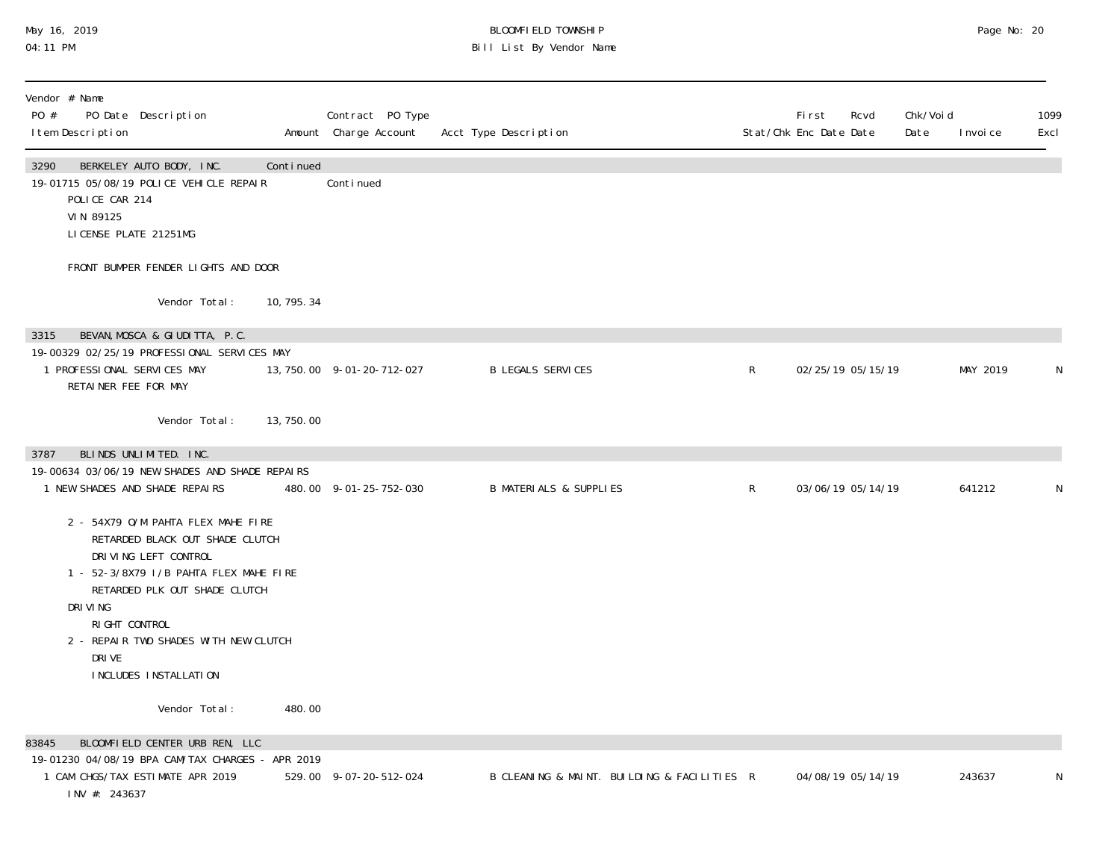### May 16, 2019 BLOOMFIELD TOWNSHIP Page No: 20 04:11 PM Bill List By Vendor Name

| Vendor # Name                                                                                                                                                                                                                                                                      |             |                                           |                                             |              |                                                |                               |              |
|------------------------------------------------------------------------------------------------------------------------------------------------------------------------------------------------------------------------------------------------------------------------------------|-------------|-------------------------------------------|---------------------------------------------|--------------|------------------------------------------------|-------------------------------|--------------|
| PO #<br>PO Date Description<br>I tem Description                                                                                                                                                                                                                                   |             | Contract PO Type<br>Amount Charge Account | Acct Type Description                       |              | <b>First</b><br>Rcvd<br>Stat/Chk Enc Date Date | Chk/Void<br>Date<br>I nvoi ce | 1099<br>Excl |
| 3290<br>BERKELEY AUTO BODY, INC.<br>19-01715 05/08/19 POLICE VEHICLE REPAIR<br>POLICE CAR 214<br>VIN 89125<br>LICENSE PLATE 21251MG                                                                                                                                                | Continued   | Continued                                 |                                             |              |                                                |                               |              |
| FRONT BUMPER FENDER LIGHTS AND DOOR                                                                                                                                                                                                                                                |             |                                           |                                             |              |                                                |                               |              |
| Vendor Total:                                                                                                                                                                                                                                                                      | 10, 795. 34 |                                           |                                             |              |                                                |                               |              |
| BEVAN, MOSCA & GIUDITTA, P.C.<br>3315<br>19-00329 02/25/19 PROFESSIONAL SERVICES MAY<br>1 PROFESSIONAL SERVICES MAY<br>RETAINER FEE FOR MAY                                                                                                                                        |             | 13, 750. 00 9-01-20-712-027               | <b>B LEGALS SERVICES</b>                    | $\mathsf{R}$ | 02/25/19 05/15/19                              | MAY 2019                      | N            |
| Vendor Total:                                                                                                                                                                                                                                                                      | 13,750.00   |                                           |                                             |              |                                                |                               |              |
| BLINDS UNLIMITED. INC.<br>3787<br>19-00634 03/06/19 NEW SHADES AND SHADE REPAIRS<br>1 NEW SHADES AND SHADE REPAIRS                                                                                                                                                                 |             | 480.00 9-01-25-752-030                    | <b>B MATERIALS &amp; SUPPLIES</b>           | $\mathsf{R}$ | 03/06/19 05/14/19                              | 641212                        | N            |
| 2 - 54X79 O/M PAHTA FLEX MAHE FIRE<br>RETARDED BLACK OUT SHADE CLUTCH<br>DRIVING LEFT CONTROL<br>1 - 52-3/8X79 I/B PAHTA FLEX MAHE FIRE<br>RETARDED PLK OUT SHADE CLUTCH<br>DRI VI NG<br>RIGHT CONTROL<br>2 - REPAIR TWO SHADES WITH NEW CLUTCH<br>DRI VE<br>INCLUDES INSTALLATION |             |                                           |                                             |              |                                                |                               |              |
| Vendor Total:                                                                                                                                                                                                                                                                      | 480.00      |                                           |                                             |              |                                                |                               |              |
| BLOOMFIELD CENTER URB REN, LLC<br>83845<br>19-01230 04/08/19 BPA CAM/TAX CHARGES - APR 2019<br>1 CAM CHGS/TAX ESTIMATE APR 2019<br>INV #: 243637                                                                                                                                   |             | 529.00 9-07-20-512-024                    | B CLEANING & MAINT. BUILDING & FACILITIES R |              | 04/08/19 05/14/19                              | 243637                        | N            |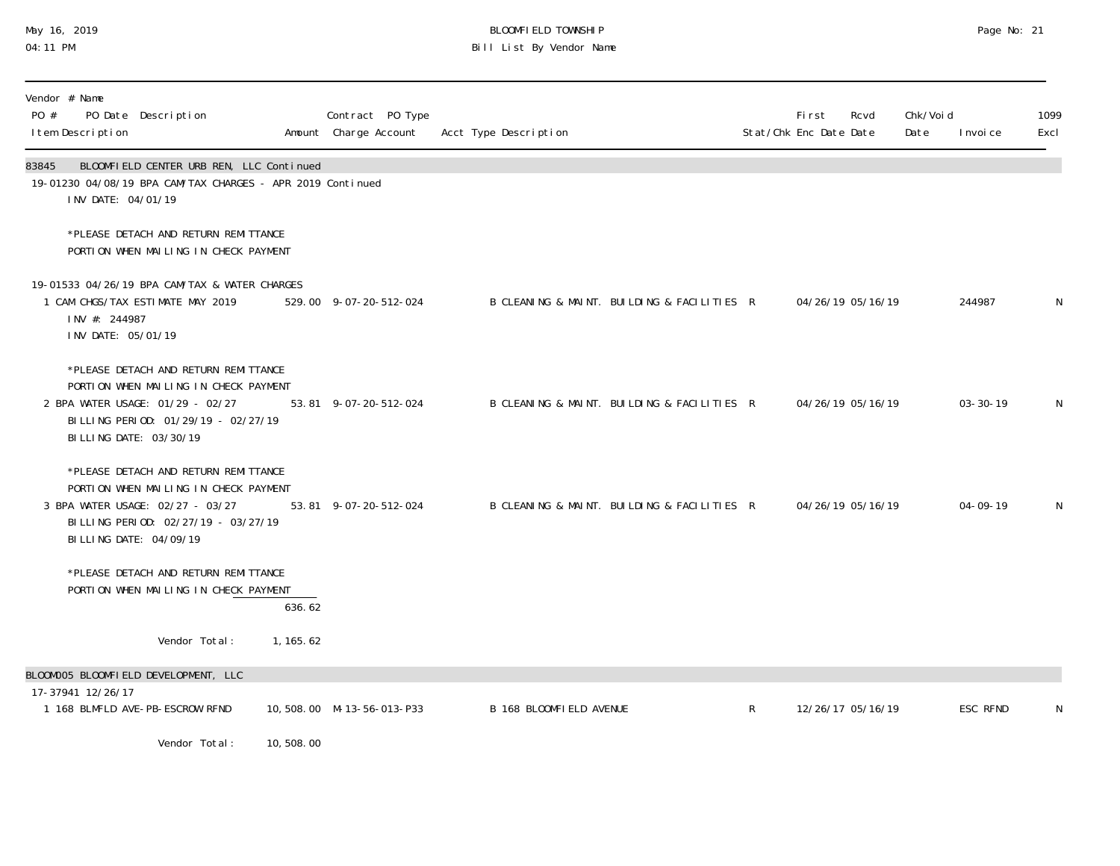## May 16, 2019 BLOOMFIELD TOWNSHIP Page No: 21 04:11 PM Bill List By Vendor Name

| Vendor # Name<br>PO #<br>PO Date Description<br>I tem Description                                                                                                                   |            | Contract PO Type<br>Amount Charge Account | Acct Type Description                       |              | <b>First</b><br>Stat/Chk Enc Date Date | Rcvd              | Chk/Voi d<br>Date | I nvoi ce      | 1099<br>Excl |
|-------------------------------------------------------------------------------------------------------------------------------------------------------------------------------------|------------|-------------------------------------------|---------------------------------------------|--------------|----------------------------------------|-------------------|-------------------|----------------|--------------|
| BLOOMFIELD CENTER URB REN, LLC Continued<br>83845<br>19-01230 04/08/19 BPA CAM/TAX CHARGES - APR 2019 Continued<br>INV DATE: 04/01/19                                               |            |                                           |                                             |              |                                        |                   |                   |                |              |
| *PLEASE DETACH AND RETURN REMITTANCE<br>PORTION WHEN MAILING IN CHECK PAYMENT                                                                                                       |            |                                           |                                             |              |                                        |                   |                   |                |              |
| 19-01533 04/26/19 BPA CAM/TAX & WATER CHARGES<br>1 CAM CHGS/TAX ESTIMATE MAY 2019<br>INV #: 244987<br>INV DATE: 05/01/19                                                            |            | 529.00 9-07-20-512-024                    | B CLEANING & MAINT. BUILDING & FACILITIES R |              |                                        | 04/26/19 05/16/19 |                   | 244987         | N            |
| *PLEASE DETACH AND RETURN REMITTANCE<br>PORTION WHEN MAILING IN CHECK PAYMENT<br>2 BPA WATER USAGE: 01/29 - 02/27<br>BILLING PERIOD: 01/29/19 - 02/27/19<br>BILLING DATE: 03/30/19  |            | 53.81 9-07-20-512-024                     | B CLEANING & MAINT. BUILDING & FACILITIES R |              |                                        | 04/26/19 05/16/19 |                   | $03 - 30 - 19$ | N            |
| *PLEASE DETACH AND RETURN REMITTANCE<br>PORTION WHEN MAILING IN CHECK PAYMENT<br>3 BPA WATER USAGE: 02/27 - 03/27<br>BILLING PERIOD: 02/27/19 - 03/27/19<br>BI LLING DATE: 04/09/19 |            | 53.81 9-07-20-512-024                     | B CLEANING & MAINT. BUILDING & FACILITIES R |              |                                        | 04/26/19 05/16/19 |                   | $04 - 09 - 19$ | N            |
| *PLEASE DETACH AND RETURN REMITTANCE<br>PORTION WHEN MAILING IN CHECK PAYMENT                                                                                                       | 636.62     |                                           |                                             |              |                                        |                   |                   |                |              |
| Vendor Total:                                                                                                                                                                       | 1, 165. 62 |                                           |                                             |              |                                        |                   |                   |                |              |
| BLOOMOO5 BLOOMFIELD DEVELOPMENT, LLC<br>17-37941 12/26/17                                                                                                                           |            |                                           |                                             |              |                                        |                   |                   |                |              |
| 1 168 BLMFLD AVE-PB-ESCROW RFND                                                                                                                                                     |            | 10,508.00 M-13-56-013-P33                 | B 168 BLOOMFIELD AVENUE                     | $\mathsf{R}$ |                                        | 12/26/17 05/16/19 |                   | ESC RFND       | N            |
| Vendor Total:                                                                                                                                                                       | 10,508.00  |                                           |                                             |              |                                        |                   |                   |                |              |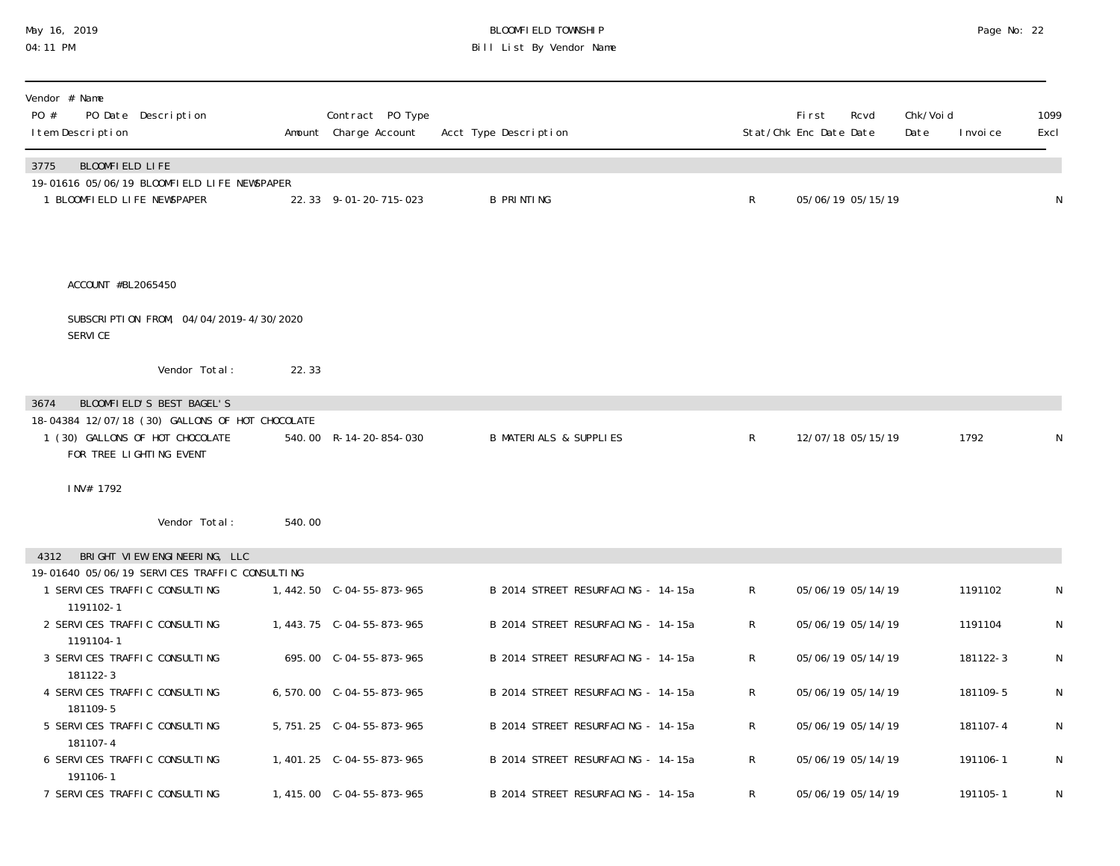#### May 16, 2019 BLOOMFIELD TOWNSHIP Page No: 22 04:11 PM Bill List By Vendor Name

| Vendor # Name<br>PO #<br>PO Date Description<br>I tem Description                                             |        | Contract PO Type<br>Amount Charge Account | Acct Type Description              |   | <b>First</b><br>Rcvd<br>Stat/Chk Enc Date Date | Chk/Voi d<br>Date<br>I nvoi ce | 1099<br>Excl |
|---------------------------------------------------------------------------------------------------------------|--------|-------------------------------------------|------------------------------------|---|------------------------------------------------|--------------------------------|--------------|
| BLOOMFIELD LIFE<br>3775                                                                                       |        |                                           |                                    |   |                                                |                                |              |
| 19-01616 05/06/19 BLOOMFIELD LIFE NEWSPAPER<br>1 BLOOMFIELD LIFE NEWSPAPER                                    |        | 22.33 9-01-20-715-023                     | <b>B PRINTING</b>                  | R | 05/06/19 05/15/19                              |                                | $\mathsf N$  |
| ACCOUNT #BL2065450                                                                                            |        |                                           |                                    |   |                                                |                                |              |
|                                                                                                               |        |                                           |                                    |   |                                                |                                |              |
| SUBSCRIPTION FROM, 04/04/2019-4/30/2020<br><b>SERVICE</b>                                                     |        |                                           |                                    |   |                                                |                                |              |
| Vendor Total:                                                                                                 | 22.33  |                                           |                                    |   |                                                |                                |              |
| BLOOMFIELD'S BEST BAGEL'S<br>3674                                                                             |        |                                           |                                    |   |                                                |                                |              |
| 18-04384 12/07/18 (30) GALLONS OF HOT CHOCOLATE<br>1 (30) GALLONS OF HOT CHOCOLATE<br>FOR TREE LIGHTING EVENT |        | 540.00 R-14-20-854-030                    | <b>B MATERIALS &amp; SUPPLIES</b>  | R | 12/07/18 05/15/19                              | 1792                           | N            |
| INV# 1792                                                                                                     |        |                                           |                                    |   |                                                |                                |              |
| Vendor Total:                                                                                                 | 540.00 |                                           |                                    |   |                                                |                                |              |
| BRIGHT VIEW ENGINEERING, LLC<br>4312                                                                          |        |                                           |                                    |   |                                                |                                |              |
| 19-01640 05/06/19 SERVICES TRAFFIC CONSULTING                                                                 |        |                                           |                                    |   |                                                |                                |              |
| 1 SERVICES TRAFFIC CONSULTING                                                                                 |        | 1, 442.50 C-04-55-873-965                 | B 2014 STREET RESURFACING - 14-15a | R | 05/06/19 05/14/19                              | 1191102                        | N            |
| 1191102-1<br>2 SERVICES TRAFFIC CONSULTING<br>1191104-1                                                       |        | 1, 443. 75 C-04-55-873-965                | B 2014 STREET RESURFACING - 14-15a | R | 05/06/19 05/14/19                              | 1191104                        | N            |
| 3 SERVICES TRAFFIC CONSULTING                                                                                 |        | 695.00 C-04-55-873-965                    | B 2014 STREET RESURFACING - 14-15a | R | 05/06/19 05/14/19                              | 181122-3                       | N            |
| 181122-3                                                                                                      |        |                                           |                                    |   |                                                |                                |              |
| 4 SERVICES TRAFFIC CONSULTING<br>181109-5                                                                     |        | 6,570.00 C-04-55-873-965                  | B 2014 STREET RESURFACING - 14-15a | R | 05/06/19 05/14/19                              | 181109-5                       | N            |
| 5 SERVICES TRAFFIC CONSULTING                                                                                 |        | 5, 751. 25 C-04-55-873-965                | B 2014 STREET RESURFACING - 14-15a | R | 05/06/19 05/14/19                              | 181107-4                       | N            |
| 181107-4                                                                                                      |        |                                           |                                    |   |                                                |                                |              |
| 6 SERVICES TRAFFIC CONSULTING<br>191106-1                                                                     |        | 1, 401. 25 C-04-55-873-965                | B 2014 STREET RESURFACING - 14-15a | R | 05/06/19 05/14/19                              | 191106-1                       | N            |
| 7 SERVICES TRAFFIC CONSULTING                                                                                 |        |                                           | B 2014 STREET RESURFACING - 14-15a | R | 05/06/19 05/14/19                              | 191105-1                       | N            |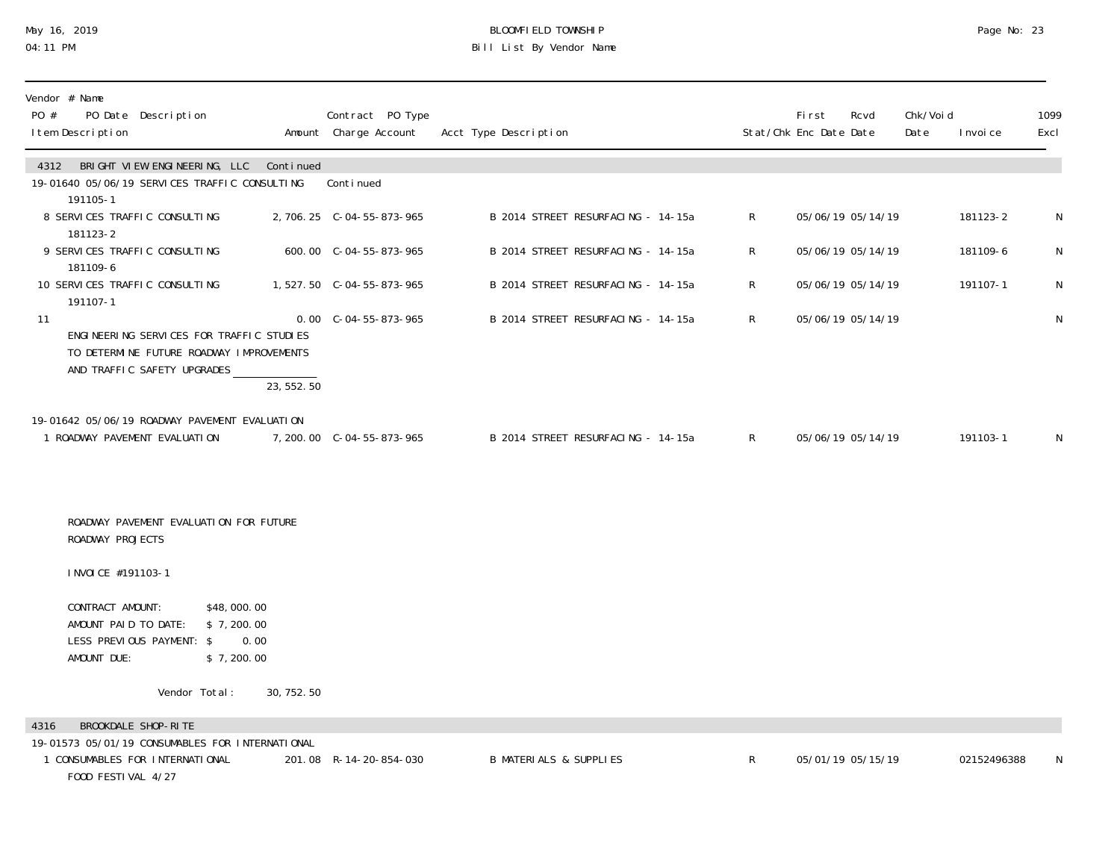### May 16, 2019 BLOOMFIELD TOWNSHIP Page No: 23 04:11 PM Bill List By Vendor Name

| Vendor # Name<br>PO #<br>PO Date Description<br>I tem Description                                                                       |             | Contract PO Type<br>Amount Charge Account | Acct Type Description              |              | First<br>Stat/Chk Enc Date Date | Rcvd              | Chk/Voi d<br>Date<br>I nvoi ce | 1099<br>Excl |
|-----------------------------------------------------------------------------------------------------------------------------------------|-------------|-------------------------------------------|------------------------------------|--------------|---------------------------------|-------------------|--------------------------------|--------------|
| 4312 BRIGHT VIEW ENGINEERING, LLC Continued<br>19-01640 05/06/19 SERVICES TRAFFIC CONSULTING<br>191105-1                                |             | Conti nued                                |                                    |              |                                 |                   |                                |              |
| 8 SERVICES TRAFFIC CONSULTING<br>181123-2                                                                                               |             |                                           | B 2014 STREET RESURFACING - 14-15a | $R_{\perp}$  |                                 | 05/06/19 05/14/19 | 181123-2                       | N            |
| 9 SERVICES TRAFFIC CONSULTING<br>181109-6                                                                                               |             | 600.00 C-04-55-873-965                    | B 2014 STREET RESURFACING - 14-15a | R            | 05/06/19 05/14/19               |                   | 181109-6                       | N            |
| 10 SERVICES TRAFFIC CONSULTING<br>191107-1                                                                                              |             | 1,527.50 C-04-55-873-965                  | B 2014 STREET RESURFACING - 14-15a | $\mathsf{R}$ | 05/06/19 05/14/19               |                   | 191107-1                       | N            |
| 11<br>ENGINEERING SERVICES FOR TRAFFIC STUDIES<br>TO DETERMINE FUTURE ROADWAY IMPROVEMENTS<br>AND TRAFFIC SAFETY UPGRADES               | 23, 552.50  | $0.00 \quad C - 04 - 55 - 873 - 965$      | B 2014 STREET RESURFACING - 14-15a | $R_{\perp}$  | 05/06/19 05/14/19               |                   |                                | N            |
| 19-01642 05/06/19 ROADWAY PAVEMENT EVALUATION<br>1 ROADWAY PAVEMENT EVALUATION                                                          |             | 7, 200.00 C-04-55-873-965                 | B 2014 STREET RESURFACING - 14-15a | R            | 05/06/19 05/14/19               |                   | 191103-1                       | N            |
| ROADWAY PAVEMENT EVALUATION FOR FUTURE<br>ROADWAY PROJECTS                                                                              |             |                                           |                                    |              |                                 |                   |                                |              |
| I NVOI CE #191103-1                                                                                                                     |             |                                           |                                    |              |                                 |                   |                                |              |
| CONTRACT AMOUNT:<br>\$48,000.00<br>AMOUNT PAID TO DATE:<br>\$7, 200.00<br>LESS PREVIOUS PAYMENT: \$<br>AMOUNT DUE:<br>\$7, 200.00       | 0.00        |                                           |                                    |              |                                 |                   |                                |              |
| Vendor Total:                                                                                                                           | 30, 752. 50 |                                           |                                    |              |                                 |                   |                                |              |
| BROOKDALE SHOP-RITE<br>4316<br>19-01573 05/01/19 CONSUMABLES FOR INTERNATIONAL<br>1 CONSUMABLES FOR INTERNATIONAL<br>FOOD FESTIVAL 4/27 |             | 201.08 R-14-20-854-030                    | <b>B MATERIALS &amp; SUPPLIES</b>  | R            |                                 | 05/01/19 05/15/19 | 02152496388                    | N            |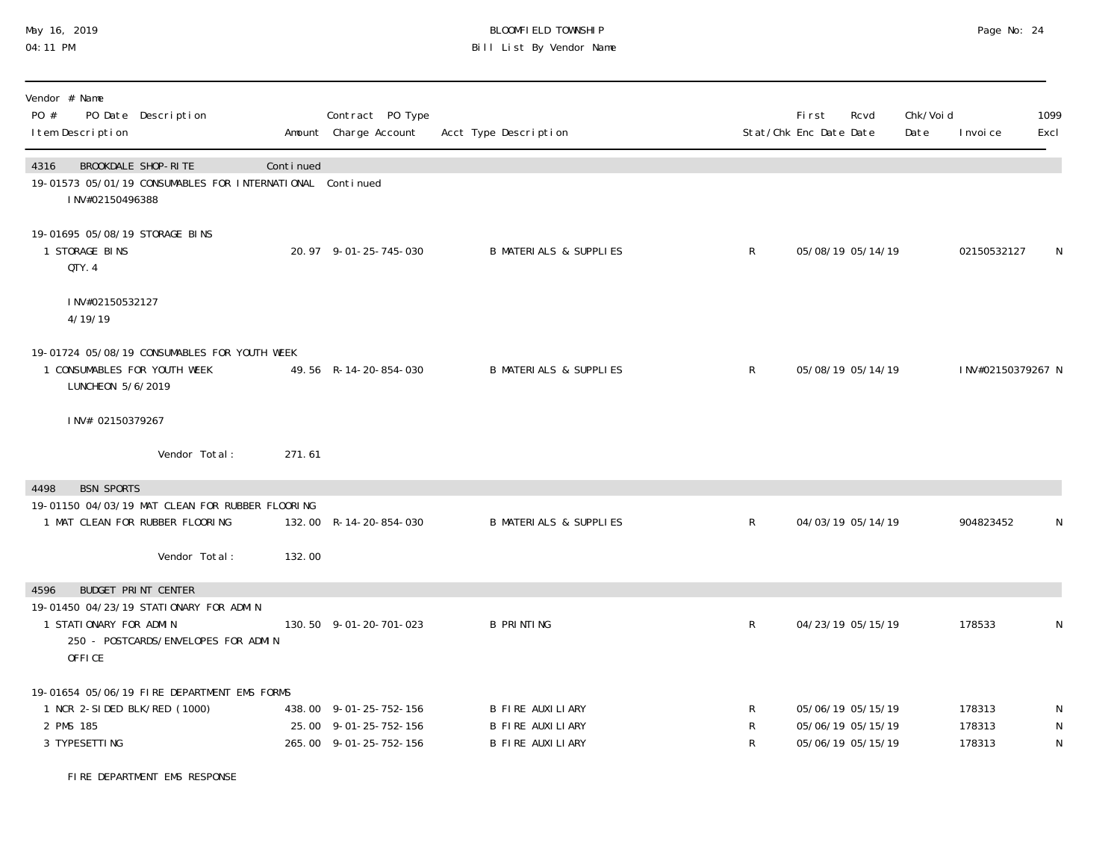# May 16, 2019 BLOOMFIELD TOWNSHIP Page No: 24 Bill List By Vendor Name

| Vendor # Name<br>PO Date Description<br>PO #<br>I tem Description                                                                                       |           | Contract PO Type<br>Amount Charge Account                                 | Acct Type Description                                                         |              | <b>First</b><br>Stat/Chk Enc Date Date | Rcvd                                                        | Chk/Voi d<br>Date | I nvoi ce                  | 1099<br>Excl                |
|---------------------------------------------------------------------------------------------------------------------------------------------------------|-----------|---------------------------------------------------------------------------|-------------------------------------------------------------------------------|--------------|----------------------------------------|-------------------------------------------------------------|-------------------|----------------------------|-----------------------------|
| BROOKDALE SHOP-RITE<br>4316<br>19-01573 05/01/19 CONSUMABLES FOR INTERNATIONAL Continued<br>INV#02150496388                                             | Continued |                                                                           |                                                                               |              |                                        |                                                             |                   |                            |                             |
| 19-01695 05/08/19 STORAGE BINS<br>1 STORAGE BINS<br>QTY. 4                                                                                              |           | 20.97 9-01-25-745-030                                                     | <b>B MATERIALS &amp; SUPPLIES</b>                                             | $\mathsf{R}$ |                                        | 05/08/19 05/14/19                                           |                   | 02150532127                | N                           |
| INV#02150532127<br>4/19/19                                                                                                                              |           |                                                                           |                                                                               |              |                                        |                                                             |                   |                            |                             |
| 19-01724 05/08/19 CONSUMABLES FOR YOUTH WEEK<br>1 CONSUMABLES FOR YOUTH WEEK<br>LUNCHEON 5/6/2019                                                       |           | 49.56 R-14-20-854-030                                                     | <b>B MATERIALS &amp; SUPPLIES</b>                                             | $\mathsf{R}$ |                                        | 05/08/19 05/14/19                                           |                   | INV#02150379267 N          |                             |
| INV# 02150379267                                                                                                                                        |           |                                                                           |                                                                               |              |                                        |                                                             |                   |                            |                             |
| Vendor Total:                                                                                                                                           | 271.61    |                                                                           |                                                                               |              |                                        |                                                             |                   |                            |                             |
| <b>BSN SPORTS</b><br>4498<br>19-01150 04/03/19 MAT CLEAN FOR RUBBER FLOORING<br>1 MAT CLEAN FOR RUBBER FLOORING                                         |           | 132.00 R-14-20-854-030                                                    | <b>B MATERIALS &amp; SUPPLIES</b>                                             | R            |                                        | 04/03/19 05/14/19                                           |                   | 904823452                  | N                           |
| Vendor Total:                                                                                                                                           | 132.00    |                                                                           |                                                                               |              |                                        |                                                             |                   |                            |                             |
| <b>BUDGET PRINT CENTER</b><br>4596<br>19-01450 04/23/19 STATIONARY FOR ADMIN<br>1 STATIONARY FOR ADMIN<br>250 - POSTCARDS/ENVELOPES FOR ADMIN<br>OFFICE |           | 130.50 9-01-20-701-023                                                    | <b>B PRINTING</b>                                                             | $\mathsf R$  |                                        | 04/23/19 05/15/19                                           |                   | 178533                     | N                           |
| 19-01654 05/06/19 FIRE DEPARTMENT EMS FORMS<br>1 NCR 2-SIDED BLK/RED (1000)<br>2 PMS 185<br>3 TYPESETTING                                               |           | 438.00 9-01-25-752-156<br>25.00 9-01-25-752-156<br>265.00 9-01-25-752-156 | <b>B FIRE AUXILIARY</b><br><b>B FIRE AUXILIARY</b><br><b>B FIRE AUXILIARY</b> | R<br>R<br>R  |                                        | 05/06/19 05/15/19<br>05/06/19 05/15/19<br>05/06/19 05/15/19 |                   | 178313<br>178313<br>178313 | N<br>${\sf N}$<br>${\sf N}$ |

FIRE DEPARTMENT EMS RESPONSE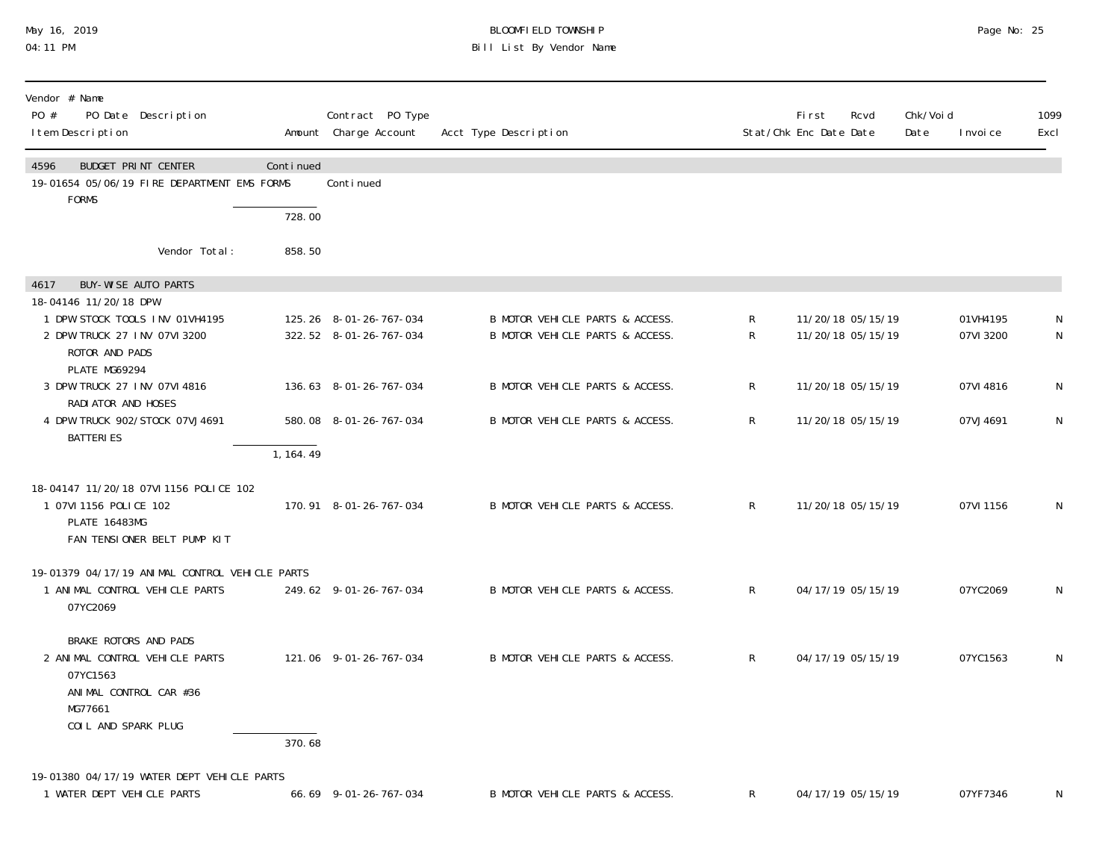### May 16, 2019 BLOOMFIELD TOWNSHIP Page No: 25 04:11 PM Bill List By Vendor Name

| Vendor # Name<br>PO #<br>PO Date Description<br>I tem Description                                                               |           | Contract PO Type<br>Amount Charge Account        | Acct Type Description                                              |              | First<br>Stat/Chk Enc Date Date        | Rcvd | Chk/Voi d<br>Date | I nvoi ce             | 1099<br>Excl     |
|---------------------------------------------------------------------------------------------------------------------------------|-----------|--------------------------------------------------|--------------------------------------------------------------------|--------------|----------------------------------------|------|-------------------|-----------------------|------------------|
| <b>BUDGET PRINT CENTER</b><br>4596<br>19-01654 05/06/19 FIRE DEPARTMENT EMS FORMS<br><b>FORMS</b>                               | Continued | Continued                                        |                                                                    |              |                                        |      |                   |                       |                  |
|                                                                                                                                 | 728.00    |                                                  |                                                                    |              |                                        |      |                   |                       |                  |
| Vendor Total:                                                                                                                   | 858.50    |                                                  |                                                                    |              |                                        |      |                   |                       |                  |
| BUY-WISE AUTO PARTS<br>4617                                                                                                     |           |                                                  |                                                                    |              |                                        |      |                   |                       |                  |
| 18-04146 11/20/18 DPW<br>1 DPW STOCK TOOLS INV 01VH4195<br>2 DPW TRUCK 27 INV 07VI 3200<br>ROTOR AND PADS                       |           | 125.26 8-01-26-767-034<br>322.52 8-01-26-767-034 | B MOTOR VEHICLE PARTS & ACCESS.<br>B MOTOR VEHICLE PARTS & ACCESS. | R<br>R       | 11/20/18 05/15/19<br>11/20/18 05/15/19 |      |                   | 01VH4195<br>07VI 3200 | N<br>$\mathsf N$ |
| PLATE MG69294<br>3 DPW TRUCK 27 INV 07VI 4816                                                                                   |           | 136.63 8-01-26-767-034                           | B MOTOR VEHICLE PARTS & ACCESS.                                    | $\mathsf{R}$ | 11/20/18 05/15/19                      |      |                   | 07VI 4816             | N                |
| RADI ATOR AND HOSES<br>4 DPW TRUCK 902/ST0CK 07VJ4691<br><b>BATTERIES</b>                                                       |           | 580.08 8-01-26-767-034                           | B MOTOR VEHICLE PARTS & ACCESS.                                    | R            | 11/20/18 05/15/19                      |      |                   | 07VJ4691              | $\mathsf N$      |
|                                                                                                                                 | 1, 164.49 |                                                  |                                                                    |              |                                        |      |                   |                       |                  |
| 18-04147 11/20/18 07VI 1156 POLICE 102<br>1 07VI 1156 POLICE 102<br><b>PLATE 16483MG</b><br>FAN TENSIONER BELT PUMP KIT         |           | 170.91 8-01-26-767-034                           | B MOTOR VEHICLE PARTS & ACCESS.                                    | $\mathsf{R}$ | 11/20/18 05/15/19                      |      |                   | 07VI 1156             | N                |
| 19-01379 04/17/19 ANIMAL CONTROL VEHICLE PARTS<br>1 ANIMAL CONTROL VEHICLE PARTS<br>07YC2069                                    |           | 249.62 9-01-26-767-034                           | B MOTOR VEHICLE PARTS & ACCESS.                                    | $\mathsf{R}$ | 04/17/19 05/15/19                      |      |                   | 07YC2069              | N                |
| BRAKE ROTORS AND PADS<br>2 ANIMAL CONTROL VEHICLE PARTS<br>07YC1563<br>ANIMAL CONTROL CAR #36<br>MG77661<br>COIL AND SPARK PLUG |           | 121.06 9-01-26-767-034                           | B MOTOR VEHICLE PARTS & ACCESS.                                    | $\mathsf{R}$ | 04/17/19 05/15/19                      |      |                   | 07YC1563              | N                |
|                                                                                                                                 | 370.68    |                                                  |                                                                    |              |                                        |      |                   |                       |                  |
| 19-01380 04/17/19 WATER DEPT VEHICLE PARTS<br>1 WATER DEPT VEHICLE PARTS                                                        |           | 66.69 9-01-26-767-034                            | B MOTOR VEHICLE PARTS & ACCESS.                                    | R            | 04/17/19 05/15/19                      |      |                   | 07YF7346              | N                |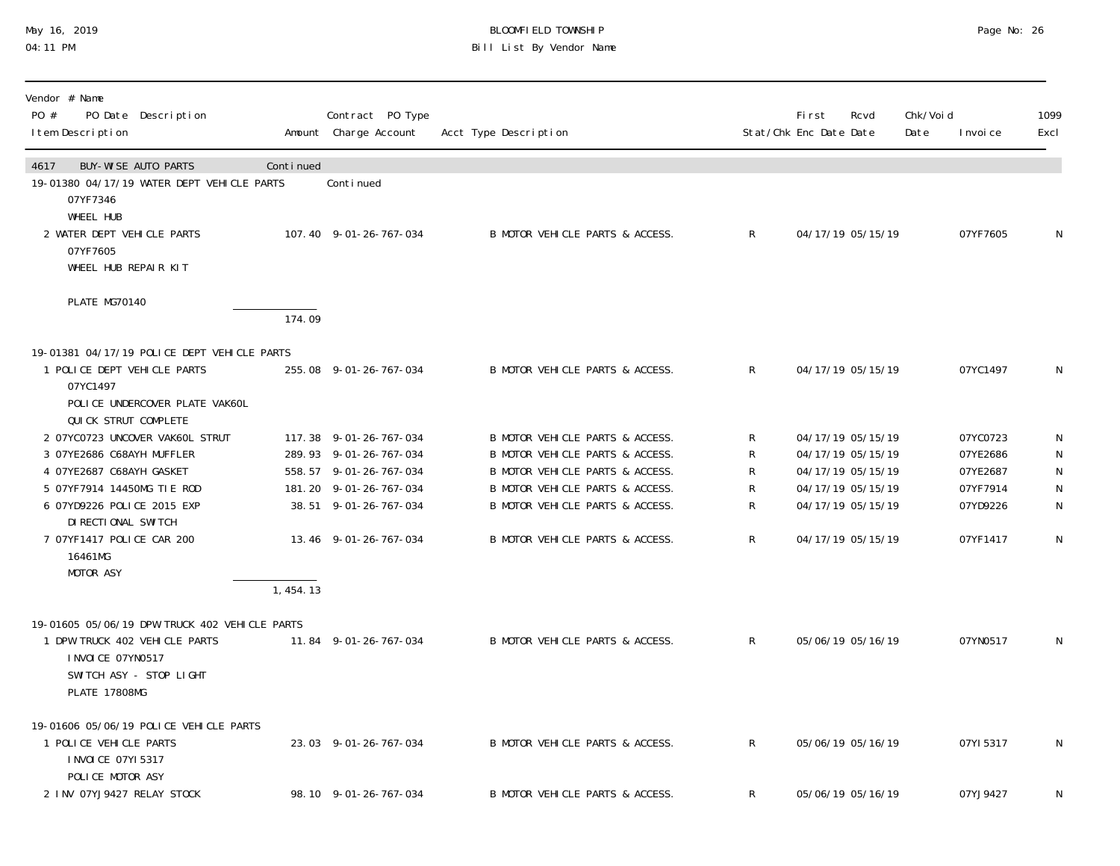# May 16, 2019 BLOOMFIELD TOWNSHIP Page No: 26 Bill List By Vendor Name

| Vendor # Name<br>PO #<br>PO Date Description<br>I tem Description                                                                                       |           | Contract PO Type<br>Amount Charge Account                                                                                     | Acct Type Description                                                                                                                                                       |                       | First<br>Stat/Chk Enc Date Date | Rcvd                                                                                                  | Chk/Voi d<br>Date | I nvoi ce                                                | 1099<br>Excl                             |
|---------------------------------------------------------------------------------------------------------------------------------------------------------|-----------|-------------------------------------------------------------------------------------------------------------------------------|-----------------------------------------------------------------------------------------------------------------------------------------------------------------------------|-----------------------|---------------------------------|-------------------------------------------------------------------------------------------------------|-------------------|----------------------------------------------------------|------------------------------------------|
| <b>BUY-WISE AUTO PARTS</b><br>4617<br>19-01380 04/17/19 WATER DEPT VEHICLE PARTS<br>07YF7346                                                            | Continued | Conti nued                                                                                                                    |                                                                                                                                                                             |                       |                                 |                                                                                                       |                   |                                                          |                                          |
| WHEEL HUB<br>2 WATER DEPT VEHICLE PARTS<br>07YF7605<br>WHEEL HUB REPAIR KIT                                                                             |           | 107.40 9-01-26-767-034                                                                                                        | B MOTOR VEHICLE PARTS & ACCESS.                                                                                                                                             | $\mathsf{R}$          |                                 | 04/17/19 05/15/19                                                                                     |                   | 07YF7605                                                 | $\mathsf N$                              |
| PLATE MG70140                                                                                                                                           | 174.09    |                                                                                                                               |                                                                                                                                                                             |                       |                                 |                                                                                                       |                   |                                                          |                                          |
| 19-01381 04/17/19 POLICE DEPT VEHICLE PARTS<br>1 POLICE DEPT VEHICLE PARTS<br>07YC1497<br>POLICE UNDERCOVER PLATE VAK6OL<br>QUICK STRUT COMPLETE        |           | 255.08 9-01-26-767-034                                                                                                        | B MOTOR VEHICLE PARTS & ACCESS.                                                                                                                                             | $\mathsf{R}$          |                                 | 04/17/19 05/15/19                                                                                     |                   | 07YC1497                                                 | N                                        |
| 2 07YC0723 UNCOVER VAK6OL STRUT<br>3 07YE2686 C68AYH MUFFLER<br>4 07YE2687 C68AYH GASKET<br>5 07YF7914 14450MG TIE ROD<br>6 07YD9226 POLICE 2015 EXP    |           | 117.38 9-01-26-767-034<br>289.93 9-01-26-767-034<br>558.57 9-01-26-767-034<br>181.20 9-01-26-767-034<br>38.51 9-01-26-767-034 | B MOTOR VEHICLE PARTS & ACCESS.<br>B MOTOR VEHICLE PARTS & ACCESS.<br>B MOTOR VEHICLE PARTS & ACCESS.<br>B MOTOR VEHICLE PARTS & ACCESS.<br>B MOTOR VEHICLE PARTS & ACCESS. | R<br>R<br>R<br>R<br>R |                                 | 04/17/19 05/15/19<br>04/17/19 05/15/19<br>04/17/19 05/15/19<br>04/17/19 05/15/19<br>04/17/19 05/15/19 |                   | 07YC0723<br>07YE2686<br>07YE2687<br>07YF7914<br>07YD9226 | N<br>N<br>${\sf N}$<br>N<br>$\mathsf{N}$ |
| DI RECTIONAL SWITCH<br>7 07YF1417 POLICE CAR 200<br>16461MG<br>MOTOR ASY                                                                                | 1,454.13  | 13.46 9-01-26-767-034                                                                                                         | B MOTOR VEHICLE PARTS & ACCESS.                                                                                                                                             | $\mathsf R$           |                                 | 04/17/19 05/15/19                                                                                     |                   | 07YF1417                                                 | $\mathsf N$                              |
| 19-01605 05/06/19 DPW TRUCK 402 VEHICLE PARTS<br>1 DPW TRUCK 402 VEHICLE PARTS<br>I NVOI CE 07YN0517<br>SWITCH ASY - STOP LIGHT<br><b>PLATE 17808MG</b> |           | 11.84 9-01-26-767-034                                                                                                         | B MOTOR VEHICLE PARTS & ACCESS.                                                                                                                                             | $\mathsf{R}$          |                                 | 05/06/19 05/16/19                                                                                     |                   | 07YN0517                                                 | N                                        |
| 19-01606 05/06/19 POLICE VEHICLE PARTS<br>1 POLICE VEHICLE PARTS<br>I NVOI CE 07YI 5317<br>POLICE MOTOR ASY                                             |           | 23.03 9-01-26-767-034                                                                                                         | B MOTOR VEHICLE PARTS & ACCESS.                                                                                                                                             | $\mathsf{R}$          |                                 | 05/06/19 05/16/19                                                                                     |                   | 07YI 5317                                                | $\mathsf N$                              |
| 2 INV 07YJ9427 RELAY STOCK                                                                                                                              |           | 98.10 9-01-26-767-034                                                                                                         | B MOTOR VEHICLE PARTS & ACCESS.                                                                                                                                             | R                     |                                 | 05/06/19 05/16/19                                                                                     |                   | 07YJ9427                                                 | N                                        |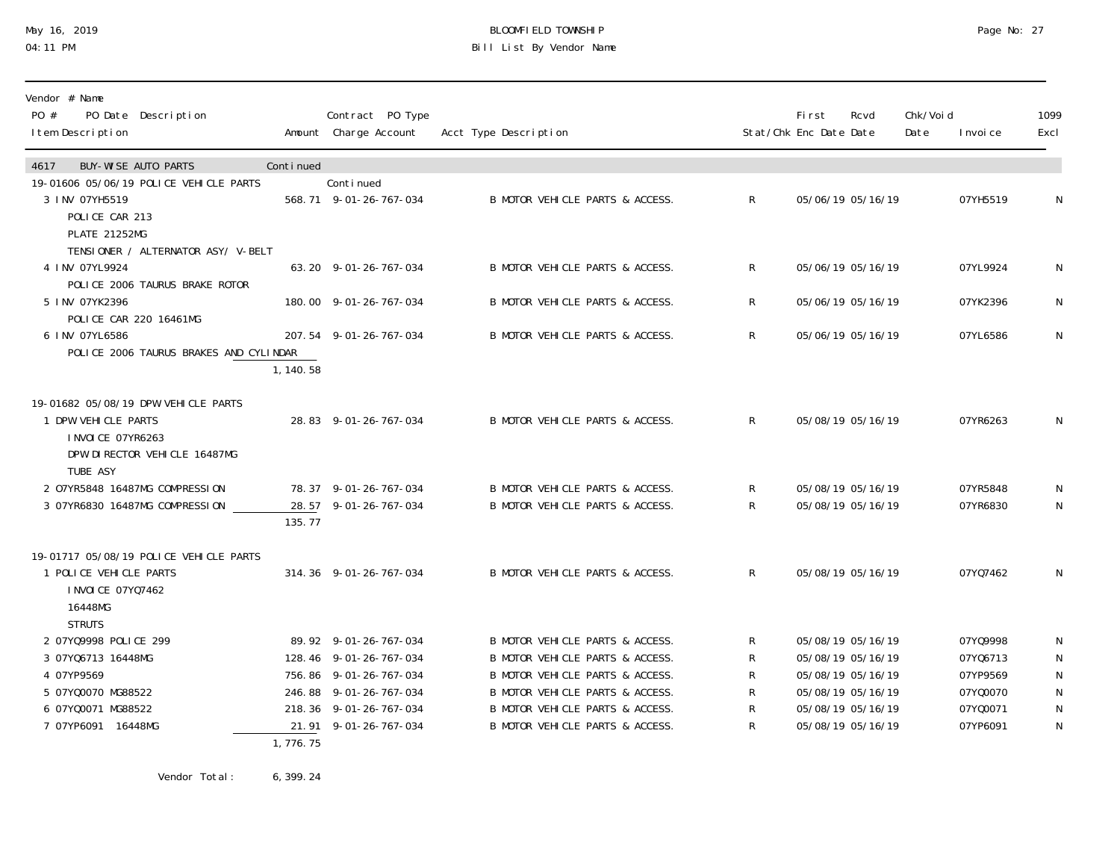### May 16, 2019 BLOOMFIELD TOWNSHIP Page No: 27 04:11 PM Bill List By Vendor Name

| Vendor # Name<br>PO #<br>PO Date Description<br>I tem Description                                                           |           | Contract PO Type<br>Amount Charge Account                                                                                                              | Acct Type Description                                                                                                                                                                                          |                            | First<br>Stat/Chk Enc Date Date                                                  | Rcvd                                   | Chk/Voi d<br>Date | I nvoi ce                                                            | 1099<br>Excl                                       |
|-----------------------------------------------------------------------------------------------------------------------------|-----------|--------------------------------------------------------------------------------------------------------------------------------------------------------|----------------------------------------------------------------------------------------------------------------------------------------------------------------------------------------------------------------|----------------------------|----------------------------------------------------------------------------------|----------------------------------------|-------------------|----------------------------------------------------------------------|----------------------------------------------------|
| <b>BUY-WISE AUTO PARTS</b><br>4617                                                                                          | Continued |                                                                                                                                                        |                                                                                                                                                                                                                |                            |                                                                                  |                                        |                   |                                                                      |                                                    |
| 19-01606 05/06/19 POLICE VEHICLE PARTS<br>3 INV 07YH5519<br>POLICE CAR 213<br><b>PLATE 21252MG</b>                          |           | Continued<br>568.71 9-01-26-767-034                                                                                                                    | B MOTOR VEHICLE PARTS & ACCESS.                                                                                                                                                                                | R.                         |                                                                                  | 05/06/19 05/16/19                      |                   | 07YH5519                                                             | N                                                  |
| TENSIONER / ALTERNATOR ASY/ V-BELT<br>4 INV 07YL9924                                                                        |           | 63.20 9-01-26-767-034                                                                                                                                  | B MOTOR VEHICLE PARTS & ACCESS.                                                                                                                                                                                | R                          |                                                                                  | 05/06/19 05/16/19                      |                   | 07YL9924                                                             | N                                                  |
| POLICE 2006 TAURUS BRAKE ROTOR<br>5 INV 07YK2396<br>POLICE CAR 220 16461MG                                                  |           | 180.00 9-01-26-767-034                                                                                                                                 | B MOTOR VEHICLE PARTS & ACCESS.                                                                                                                                                                                | $\mathsf{R}$               |                                                                                  | 05/06/19 05/16/19                      |                   | 07YK2396                                                             | N                                                  |
| 6 INV 07YL6586<br>POLICE 2006 TAURUS BRAKES AND CYLINDAR                                                                    | 1, 140.58 | 207.54 9-01-26-767-034                                                                                                                                 | B MOTOR VEHICLE PARTS & ACCESS.                                                                                                                                                                                | $\mathsf{R}$               |                                                                                  | 05/06/19 05/16/19                      |                   | 07YL6586                                                             | $\mathsf N$                                        |
| 19-01682 05/08/19 DPW VEHICLE PARTS<br>1 DPW VEHICLE PARTS<br>I NVOI CE 07YR6263<br>DPW DI RECTOR VEHICLE 16487MG           |           | 28.83 9-01-26-767-034                                                                                                                                  | B MOTOR VEHICLE PARTS & ACCESS.                                                                                                                                                                                | $\mathsf{R}$               |                                                                                  | 05/08/19 05/16/19                      |                   | 07YR6263                                                             | N                                                  |
| TUBE ASY<br>2 07YR5848 16487MG COMPRESSION<br>3 07YR6830 16487MG COMPRESSION                                                | 135.77    | 78.37 9-01-26-767-034<br>28.57 9-01-26-767-034                                                                                                         | B MOTOR VEHICLE PARTS & ACCESS.<br>B MOTOR VEHICLE PARTS & ACCESS.                                                                                                                                             | R<br>R                     | 05/08/19 05/16/19                                                                | 05/08/19 05/16/19                      |                   | 07YR5848<br>07YR6830                                                 | N<br>N                                             |
| 19-01717 05/08/19 POLICE VEHICLE PARTS<br>1 POLICE VEHICLE PARTS<br>I NVOI CE 07YQ7462<br>16448MG<br><b>STRUTS</b>          |           | 314.36 9-01-26-767-034                                                                                                                                 | B MOTOR VEHICLE PARTS & ACCESS.                                                                                                                                                                                | $\mathsf{R}$               |                                                                                  | 05/08/19 05/16/19                      |                   | 07YQ7462                                                             | N                                                  |
| 2 07YQ9998 POLICE 299<br>3 07YQ6713 16448MG<br>4 07YP9569<br>5 07Y00070 MG88522<br>6 07Y00071 MG88522<br>7 07YP6091 16448MG | 1,776.75  | 89.92 9-01-26-767-034<br>128.46 9-01-26-767-034<br>756.86 9-01-26-767-034<br>246.88 9-01-26-767-034<br>218.36 9-01-26-767-034<br>21.91 9-01-26-767-034 | B MOTOR VEHICLE PARTS & ACCESS.<br>B MOTOR VEHICLE PARTS & ACCESS.<br>B MOTOR VEHICLE PARTS & ACCESS.<br>B MOTOR VEHICLE PARTS & ACCESS.<br>B MOTOR VEHICLE PARTS & ACCESS.<br>B MOTOR VEHICLE PARTS & ACCESS. | R<br>R<br>R<br>R<br>R<br>R | 05/08/19 05/16/19<br>05/08/19 05/16/19<br>05/08/19 05/16/19<br>05/08/19 05/16/19 | 05/08/19 05/16/19<br>05/08/19 05/16/19 |                   | 07YQ9998<br>07Y06713<br>07YP9569<br>07Y00070<br>07Y00071<br>07YP6091 | N<br>N<br>${\sf N}$<br>${\sf N}$<br>${\sf N}$<br>N |

Vendor Total: 6,399.24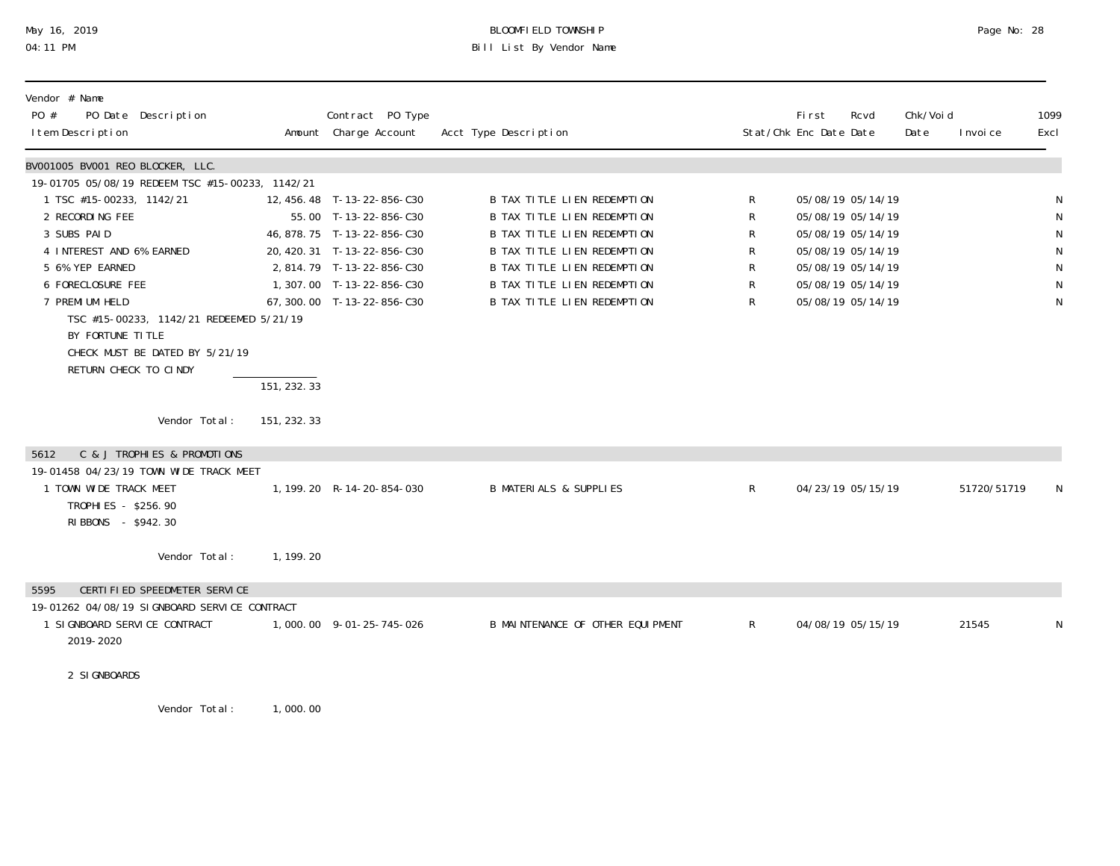# May 16, 2019 BLOOMFIELD TOWNSHIP Page No: 28 04:11 PM Bill List By Vendor Name

| Vendor # Name<br>PO #<br>PO Date Description<br>I tem Description |              | Contract PO Type<br>Amount Charge Account            | Acct Type Description                                      |              | <b>First</b><br>Stat/Chk Enc Date Date | Rcvd                                   | Chk/Voi d<br>Date | I nvoi ce   | 1099<br>Excl |
|-------------------------------------------------------------------|--------------|------------------------------------------------------|------------------------------------------------------------|--------------|----------------------------------------|----------------------------------------|-------------------|-------------|--------------|
| BV001005 BV001 REO BLOCKER, LLC.                                  |              |                                                      |                                                            |              |                                        |                                        |                   |             |              |
| 19-01705 05/08/19 REDEEM TSC #15-00233, 1142/21                   |              |                                                      |                                                            |              |                                        |                                        |                   |             |              |
| 1 TSC #15-00233, 1142/21<br>2 RECORDING FEE                       |              | 12, 456. 48 T-13-22-856-C30<br>55.00 T-13-22-856-C30 | B TAX TITLE LIEN REDEMPTION<br>B TAX TITLE LIEN REDEMPTION | R<br>R       |                                        | 05/08/19 05/14/19<br>05/08/19 05/14/19 |                   |             | N            |
| 3 SUBS PAID                                                       |              | 46, 878. 75 T-13-22-856-C30                          | B TAX TITLE LIEN REDEMPTION                                | R            |                                        | 05/08/19 05/14/19                      |                   |             | N            |
| 4 INTEREST AND 6% EARNED                                          |              | 20, 420. 31 T-13-22-856-C30                          | <b>B TAX TITLE LIEN REDEMPTION</b>                         | R            |                                        | 05/08/19 05/14/19                      |                   |             | N            |
| 5 6% YEP EARNED                                                   |              | 2,814.79 T-13-22-856-C30                             | B TAX TITLE LIEN REDEMPTION                                | R            |                                        | 05/08/19 05/14/19                      |                   |             | N            |
| 6 FORECLOSURE FEE                                                 |              | 1,307.00 T-13-22-856-C30                             | <b>B TAX TITLE LIEN REDEMPTION</b>                         | R            |                                        | 05/08/19 05/14/19                      |                   |             | N            |
| 7 PREMI UM HELD                                                   |              | 67, 300.00 T-13-22-856-C30                           | <b>B TAX TITLE LIEN REDEMPTION</b>                         | R            |                                        | 05/08/19 05/14/19                      |                   |             | N            |
| TSC #15-00233, 1142/21 REDEEMED 5/21/19                           |              |                                                      |                                                            |              |                                        |                                        |                   |             |              |
| BY FORTUNE TITLE<br>CHECK MUST BE DATED BY 5/21/19                |              |                                                      |                                                            |              |                                        |                                        |                   |             |              |
| RETURN CHECK TO CINDY                                             |              |                                                      |                                                            |              |                                        |                                        |                   |             |              |
|                                                                   | 151, 232. 33 |                                                      |                                                            |              |                                        |                                        |                   |             |              |
|                                                                   |              |                                                      |                                                            |              |                                        |                                        |                   |             |              |
| Vendor Total:                                                     | 151, 232. 33 |                                                      |                                                            |              |                                        |                                        |                   |             |              |
| C & J TROPHIES & PROMOTIONS<br>5612                               |              |                                                      |                                                            |              |                                        |                                        |                   |             |              |
| 19-01458 04/23/19 TOWN WIDE TRACK MEET                            |              |                                                      |                                                            |              |                                        |                                        |                   |             |              |
| 1 TOWN WIDE TRACK MEET                                            |              | 1, 199. 20 R-14-20-854-030                           | <b>B MATERIALS &amp; SUPPLIES</b>                          | R            |                                        | 04/23/19 05/15/19                      |                   | 51720/51719 | N.           |
| TROPHIES - \$256.90<br>RIBBONS - \$942.30                         |              |                                                      |                                                            |              |                                        |                                        |                   |             |              |
|                                                                   |              |                                                      |                                                            |              |                                        |                                        |                   |             |              |
| Vendor Total:                                                     | 1, 199. 20   |                                                      |                                                            |              |                                        |                                        |                   |             |              |
| CERTIFIED SPEEDMETER SERVICE<br>5595                              |              |                                                      |                                                            |              |                                        |                                        |                   |             |              |
| 19-01262 04/08/19 SIGNBOARD SERVICE CONTRACT                      |              |                                                      |                                                            |              |                                        |                                        |                   |             |              |
| 1 SI GNBOARD SERVI CE CONTRACT                                    |              | 1,000.00 9-01-25-745-026                             | B MAINTENANCE OF OTHER EQUIPMENT                           | $\mathsf{R}$ |                                        | 04/08/19 05/15/19                      |                   | 21545       | N            |
| 2019-2020                                                         |              |                                                      |                                                            |              |                                        |                                        |                   |             |              |
|                                                                   |              |                                                      |                                                            |              |                                        |                                        |                   |             |              |
| 2 SI GNBOARDS                                                     |              |                                                      |                                                            |              |                                        |                                        |                   |             |              |
|                                                                   |              |                                                      |                                                            |              |                                        |                                        |                   |             |              |

Vendor Total: 1,000.00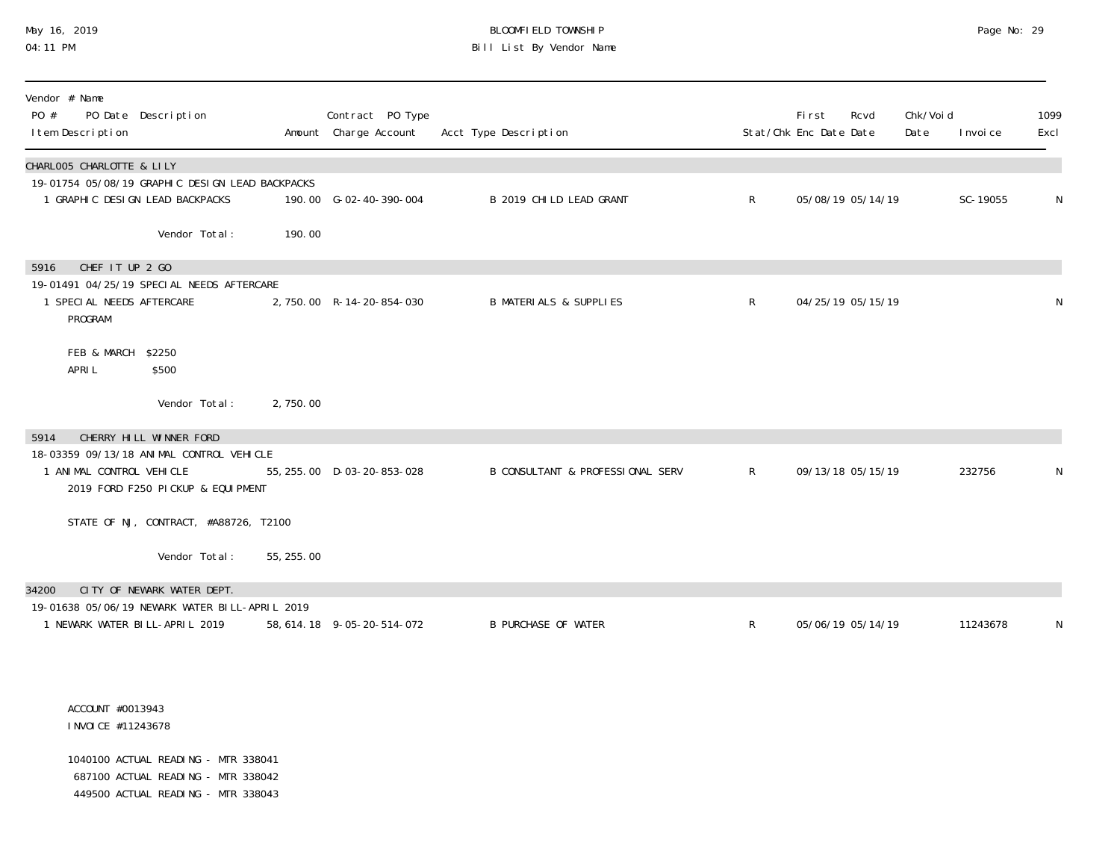# May 16, 2019 BLOOMFIELD TOWNSHIP Page No: 29 Bill List By Vendor Name

| Vendor # Name<br>PO #<br>I tem Description | PO Date Description                                                                |            | Contract PO Type<br>Amount Charge Account | Acct Type Description             |              | Fi rst<br>Stat/Chk Enc Date Date | Rcvd | Chk/Voi d<br>Date | I nvoi ce | 1099<br>Excl |
|--------------------------------------------|------------------------------------------------------------------------------------|------------|-------------------------------------------|-----------------------------------|--------------|----------------------------------|------|-------------------|-----------|--------------|
| CHARLOO5 CHARLOTTE & LILY                  |                                                                                    |            |                                           |                                   |              |                                  |      |                   |           |              |
|                                            | 19-01754 05/08/19 GRAPHIC DESIGN LEAD BACKPACKS<br>1 GRAPHIC DESIGN LEAD BACKPACKS |            | 190.00 G-02-40-390-004                    | B 2019 CHILD LEAD GRANT           | $\mathsf{R}$ | 05/08/19 05/14/19                |      |                   | SC-19055  | N            |
|                                            | Vendor Total:                                                                      | 190.00     |                                           |                                   |              |                                  |      |                   |           |              |
| CHEF IT UP 2 GO<br>5916                    |                                                                                    |            |                                           |                                   |              |                                  |      |                   |           |              |
| 1 SPECIAL NEEDS AFTERCARE<br>PROGRAM       | 19-01491 04/25/19 SPECIAL NEEDS AFTERCARE                                          |            | 2,750.00 R-14-20-854-030                  | <b>B MATERIALS &amp; SUPPLIES</b> | $\mathsf{R}$ | 04/25/19 05/15/19                |      |                   |           | N            |
| FEB & MARCH \$2250<br>APRI L               | \$500                                                                              |            |                                           |                                   |              |                                  |      |                   |           |              |
|                                            | Vendor Total:                                                                      | 2,750.00   |                                           |                                   |              |                                  |      |                   |           |              |
| 5914                                       | CHERRY HILL WINNER FORD                                                            |            |                                           |                                   |              |                                  |      |                   |           |              |
| 1 ANIMAL CONTROL VEHICLE                   | 18-03359 09/13/18 ANIMAL CONTROL VEHICLE<br>2019 FORD F250 PICKUP & EQUIPMENT      |            | 55, 255.00 D-03-20-853-028                | B CONSULTANT & PROFESSIONAL SERV  | R            | 09/13/18 05/15/19                |      |                   | 232756    | N            |
|                                            | STATE OF NJ, CONTRACT, #A88726, T2100                                              |            |                                           |                                   |              |                                  |      |                   |           |              |
|                                            | Vendor Total:                                                                      | 55, 255.00 |                                           |                                   |              |                                  |      |                   |           |              |
| 34200                                      | CITY OF NEWARK WATER DEPT.                                                         |            |                                           |                                   |              |                                  |      |                   |           |              |
| 1 NEWARK WATER BILL-APRIL 2019             | 19-01638 05/06/19 NEWARK WATER BILL-APRIL 2019                                     |            | 58, 614. 18 9-05-20-514-072               | <b>B PURCHASE OF WATER</b>        | $\mathsf{R}$ | 05/06/19 05/14/19                |      |                   | 11243678  | N            |

#### ACCOUNT #0013943 INVOICE #11243678

 1040100 ACTUAL READING - MTR 338041 687100 ACTUAL READING - MTR 338042 449500 ACTUAL READING - MTR 338043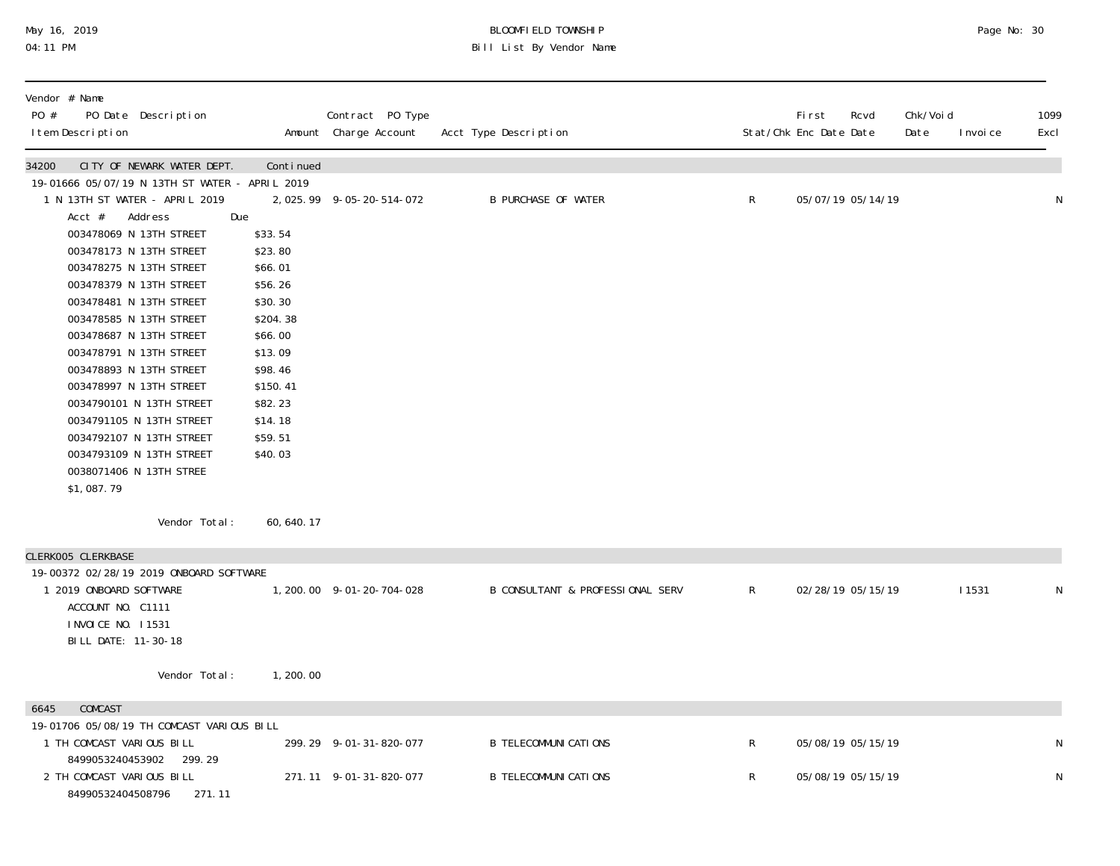# May 16, 2019 BLOOMFIELD TOWNSHIP Page No: 30 04:11 PM Bill List By Vendor Name

| Vendor # Name<br>PO #<br>PO Date Description<br>I tem Description                                                                                                                                                                                                                                                                                                                                                                                                                                                                                                                     |                                                                                                                                                                              | Contract PO Type<br>Amount Charge Account        | Acct Type Description                                        |                   | First<br>Stat/Chk Enc Date Date        | Rcvd              | Chk/Voi d<br>Date | I nvoi ce    | 1099<br>Excl     |
|---------------------------------------------------------------------------------------------------------------------------------------------------------------------------------------------------------------------------------------------------------------------------------------------------------------------------------------------------------------------------------------------------------------------------------------------------------------------------------------------------------------------------------------------------------------------------------------|------------------------------------------------------------------------------------------------------------------------------------------------------------------------------|--------------------------------------------------|--------------------------------------------------------------|-------------------|----------------------------------------|-------------------|-------------------|--------------|------------------|
| CITY OF NEWARK WATER DEPT.<br>34200<br>19-01666 05/07/19 N 13TH ST WATER - APRIL 2019<br>1 N 13TH ST WATER - APRIL 2019<br>$Acct$ #<br>Address<br>003478069 N 13TH STREET<br>003478173 N 13TH STREET<br>003478275 N 13TH STREET<br>003478379 N 13TH STREET<br>003478481 N 13TH STREET<br>003478585 N 13TH STREET<br>003478687 N 13TH STREET<br>003478791 N 13TH STREET<br>003478893 N 13TH STREET<br>003478997 N 13TH STREET<br>0034790101 N 13TH STREET<br>0034791105 N 13TH STREET<br>0034792107 N 13TH STREET<br>0034793109 N 13TH STREET<br>0038071406 N 13TH STREE<br>\$1,087.79 | Continued<br>Due<br>\$33.54<br>\$23.80<br>\$66.01<br>\$56.26<br>\$30.30<br>\$204.38<br>\$66.00<br>\$13.09<br>\$98.46<br>\$150.41<br>\$82.23<br>\$14.18<br>\$59.51<br>\$40.03 | 2,025.99 9-05-20-514-072                         | <b>B PURCHASE OF WATER</b>                                   | $R_{\perp}$       |                                        | 05/07/19 05/14/19 |                   |              | N                |
| Vendor Total:                                                                                                                                                                                                                                                                                                                                                                                                                                                                                                                                                                         | 60, 640. 17                                                                                                                                                                  |                                                  |                                                              |                   |                                        |                   |                   |              |                  |
| CLERK005 CLERKBASE<br>19-00372 02/28/19 2019 ONBOARD SOFTWARE<br>1 2019 ONBOARD SOFTWARE<br>ACCOUNT NO. C1111<br>I NVOI CE NO. 11531<br>BILL DATE: 11-30-18                                                                                                                                                                                                                                                                                                                                                                                                                           |                                                                                                                                                                              | 1, 200. 00 9-01-20-704-028                       | <b>B CONSULTANT &amp; PROFESSIONAL SERV</b>                  | $\mathsf{R}$      |                                        | 02/28/19 05/15/19 |                   | <b>11531</b> | N                |
| Vendor Total:                                                                                                                                                                                                                                                                                                                                                                                                                                                                                                                                                                         | 1,200.00                                                                                                                                                                     |                                                  |                                                              |                   |                                        |                   |                   |              |                  |
| COMCAST<br>6645<br>19-01706 05/08/19 TH COMCAST VARIOUS BILL<br>1 TH COMCAST VARIOUS BILL<br>8499053240453902 299.29<br>2 TH COMCAST VARIOUS BILL                                                                                                                                                                                                                                                                                                                                                                                                                                     |                                                                                                                                                                              | 299.29 9-01-31-820-077<br>271.11 9-01-31-820-077 | <b>B TELECOMMUNI CATIONS</b><br><b>B TELECOMMUNI CATIONS</b> | $\mathsf{R}$<br>R | 05/08/19 05/15/19<br>05/08/19 05/15/19 |                   |                   |              | $\mathsf N$<br>N |
| 84990532404508796<br>271.11                                                                                                                                                                                                                                                                                                                                                                                                                                                                                                                                                           |                                                                                                                                                                              |                                                  |                                                              |                   |                                        |                   |                   |              |                  |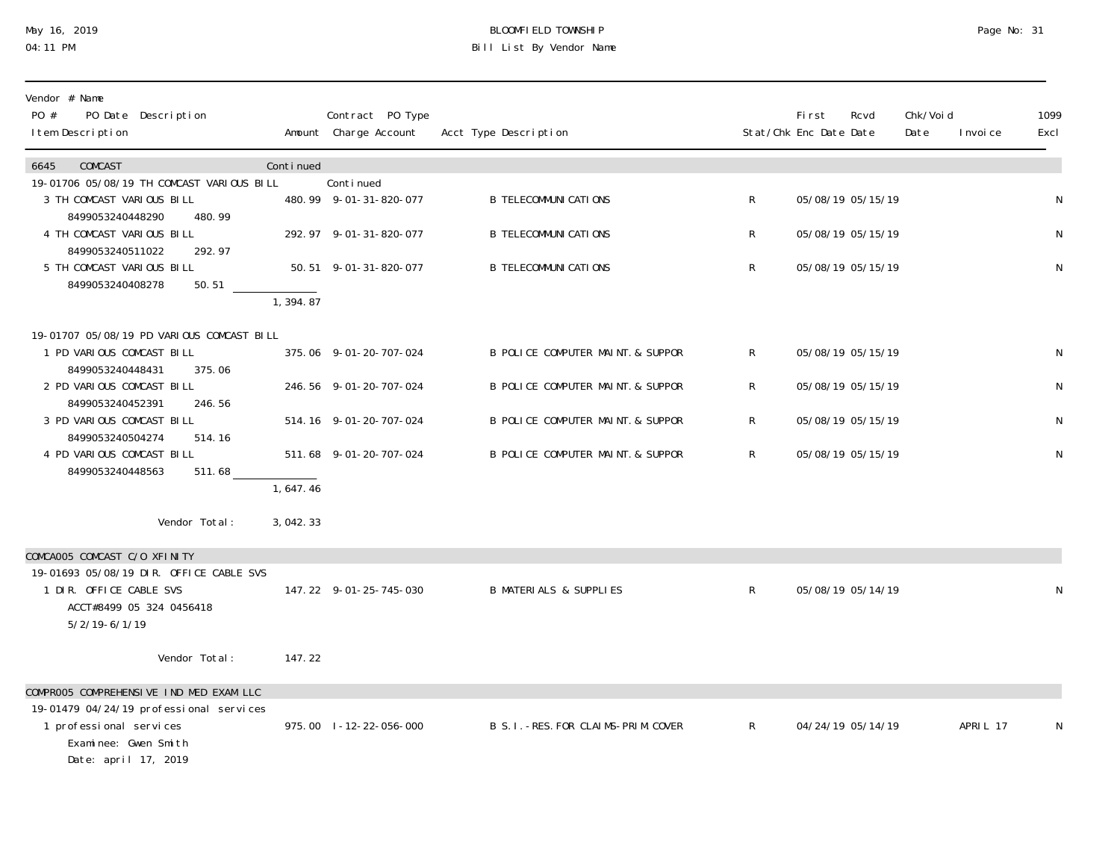### May 16, 2019 BLOOMFIELD TOWNSHIP Page No: 31 04:11 PM Bill List By Vendor Name

| Vendor # Name<br>PO #<br>PO Date Description<br>I tem Description  |           | Contract PO Type<br>Amount Charge Account | Acct Type Description                 |                | First<br>Stat/Chk Enc Date Date | Rcvd | Chk/Void<br>Date | I nvoi ce | 1099<br>Excl |
|--------------------------------------------------------------------|-----------|-------------------------------------------|---------------------------------------|----------------|---------------------------------|------|------------------|-----------|--------------|
|                                                                    |           |                                           |                                       |                |                                 |      |                  |           |              |
| COMCAST<br>6645<br>19-01706 05/08/19 TH COMCAST VARIOUS BILL       | Continued | Conti nued                                |                                       |                |                                 |      |                  |           |              |
| 3 TH COMCAST VARIOUS BILL<br>8499053240448290<br>480.99            |           | 480.99 9-01-31-820-077                    | <b>B TELECOMMUNI CATIONS</b>          | $\mathsf{R}$   | 05/08/19 05/15/19               |      |                  |           | N            |
| 4 TH COMCAST VARIOUS BILL                                          |           | 292.97 9-01-31-820-077                    | <b>B TELECOMMUNI CATIONS</b>          | $\mathsf{R}$   | 05/08/19 05/15/19               |      |                  |           | $\mathsf N$  |
| 8499053240511022<br>292.97<br>5 TH COMCAST VARIOUS BILL            |           | 50.51 9-01-31-820-077                     | <b>B TELECOMMUNI CATI ONS</b>         | $\mathsf{R}$   | 05/08/19 05/15/19               |      |                  |           | N            |
| 8499053240408278<br>50.51                                          | 1, 394.87 |                                           |                                       |                |                                 |      |                  |           |              |
| 19-01707 05/08/19 PD VARIOUS COMCAST BILL                          |           |                                           |                                       |                |                                 |      |                  |           |              |
| 1 PD VARIOUS COMCAST BILL<br>8499053240448431<br>375.06            |           | 375.06 9-01-20-707-024                    | B POLICE COMPUTER MAINT. & SUPPOR     | $\mathsf{R}$   | 05/08/19 05/15/19               |      |                  |           | N            |
| 2 PD VARIOUS COMCAST BILL                                          |           | 246.56 9-01-20-707-024                    | B POLICE COMPUTER MAINT. & SUPPOR     | $\mathsf{R}^-$ | 05/08/19 05/15/19               |      |                  |           | N            |
| 8499053240452391<br>246.56<br>3 PD VARIOUS COMCAST BILL            |           | 514.16 9-01-20-707-024                    | B POLICE COMPUTER MAINT. & SUPPOR     | R              | 05/08/19 05/15/19               |      |                  |           | N            |
| 8499053240504274<br>514.16<br>4 PD VARIOUS COMCAST BILL            |           | 511.68 9-01-20-707-024                    | B POLICE COMPUTER MAINT. & SUPPOR     | $\mathsf{R}^-$ | 05/08/19 05/15/19               |      |                  |           | N            |
| 8499053240448563<br>511.68                                         | 1,647.46  |                                           |                                       |                |                                 |      |                  |           |              |
|                                                                    |           |                                           |                                       |                |                                 |      |                  |           |              |
| Vendor Total:                                                      | 3,042.33  |                                           |                                       |                |                                 |      |                  |           |              |
| COMCAOO5 COMCAST C/O XFINITY                                       |           |                                           |                                       |                |                                 |      |                  |           |              |
| 19-01693 05/08/19 DIR. OFFICE CABLE SVS<br>1 DIR. OFFICE CABLE SVS |           | 147.22 9-01-25-745-030                    | <b>B MATERIALS &amp; SUPPLIES</b>     | $\mathsf{R}$   | 05/08/19 05/14/19               |      |                  |           | N            |
| ACCT#8499 05 324 0456418                                           |           |                                           |                                       |                |                                 |      |                  |           |              |
| $5/2/19 - 6/1/19$                                                  |           |                                           |                                       |                |                                 |      |                  |           |              |
| Vendor Total:                                                      | 147.22    |                                           |                                       |                |                                 |      |                  |           |              |
| COMPROO5 COMPREHENSIVE IND MED EXAM LLC                            |           |                                           |                                       |                |                                 |      |                  |           |              |
| 19-01479 04/24/19 professional services                            |           |                                           |                                       |                |                                 |      |                  |           |              |
| 1 professional services<br>Examinee: Gwen Smith                    |           | 975.00 1-12-22-056-000                    | B S. I. - RES. FOR CLAIMS-PRIM. COVER | $\mathsf{R}$   | 04/24/19 05/14/19               |      |                  | APRIL 17  | N            |
| Date: april 17, 2019                                               |           |                                           |                                       |                |                                 |      |                  |           |              |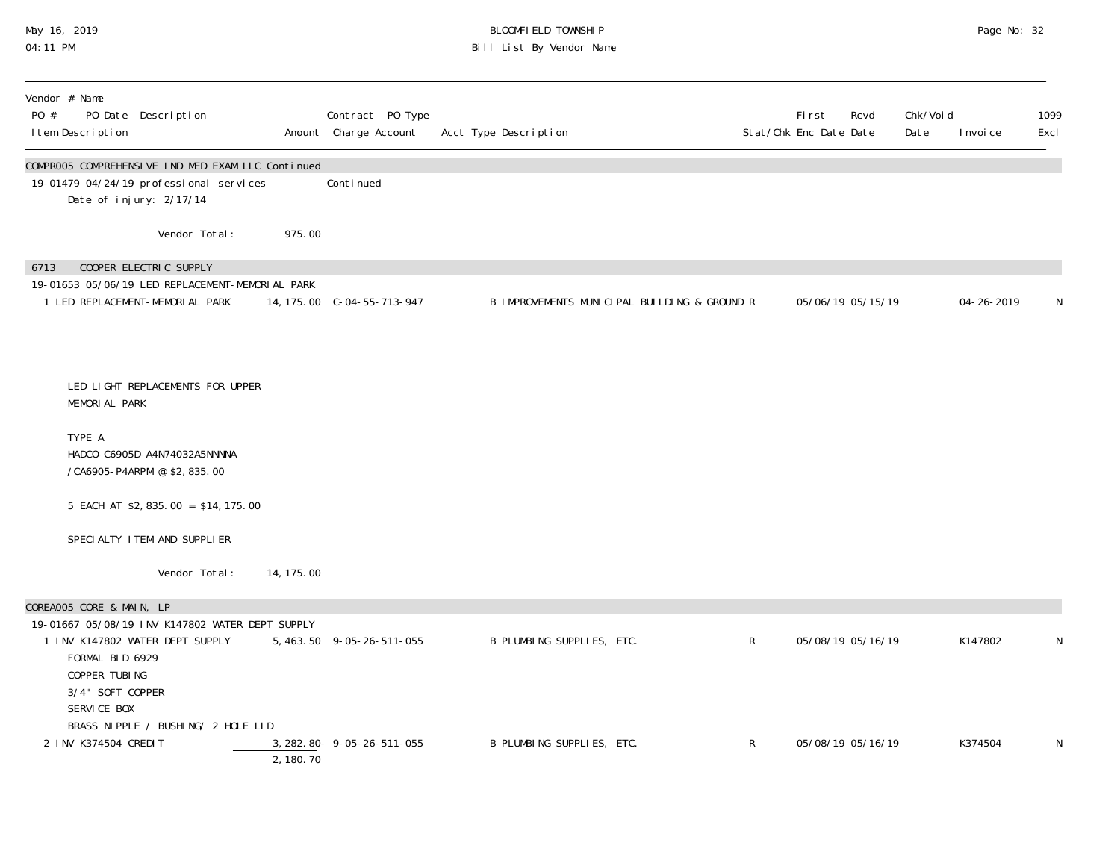### May 16, 2019 BLOOMFIELD TOWNSHIP Page No: 32 04:11 PM Bill List By Vendor Name

| I tem Description        |                                                                     |                                                                                                                         |            | Contract PO Type<br>Amount Charge Account | Acct Type Description                        |              | First<br>Stat/Chk Enc Date Date | Rcvd              | Chk/Voi d<br>Date | I nvoi ce        | 1099<br>Excl |
|--------------------------|---------------------------------------------------------------------|-------------------------------------------------------------------------------------------------------------------------|------------|-------------------------------------------|----------------------------------------------|--------------|---------------------------------|-------------------|-------------------|------------------|--------------|
|                          |                                                                     | COMPROO5 COMPREHENSIVE IND MED EXAM LLC Continued<br>19-01479 04/24/19 professional services<br>Date of injury: 2/17/14 |            | Continued                                 |                                              |              |                                 |                   |                   |                  |              |
|                          |                                                                     | Vendor Total:                                                                                                           | 975.00     |                                           |                                              |              |                                 |                   |                   |                  |              |
| 6713                     |                                                                     | COOPER ELECTRIC SUPPLY<br>19-01653 05/06/19 LED REPLACEMENT-MEMORIAL PARK<br>1 LED REPLACEMENT-MEMORIAL PARK            |            | 14, 175.00 C-04-55-713-947                | B IMPROVEMENTS MUNICIPAL BUILDING & GROUND R |              |                                 | 05/06/19 05/15/19 |                   | $04 - 26 - 2019$ | N            |
|                          | MEMORIAL PARK                                                       | LED LIGHT REPLACEMENTS FOR UPPER                                                                                        |            |                                           |                                              |              |                                 |                   |                   |                  |              |
| TYPE A                   |                                                                     | HADCO-C6905D-A4N74032A5NNNNA<br>/CA6905-P4ARPM @ \$2,835.00                                                             |            |                                           |                                              |              |                                 |                   |                   |                  |              |
|                          |                                                                     | 5 EACH AT \$2, 835.00 = \$14, 175.00                                                                                    |            |                                           |                                              |              |                                 |                   |                   |                  |              |
|                          |                                                                     | SPECIALTY I TEM AND SUPPLIER                                                                                            |            |                                           |                                              |              |                                 |                   |                   |                  |              |
|                          |                                                                     | Vendor Total:                                                                                                           | 14, 175.00 |                                           |                                              |              |                                 |                   |                   |                  |              |
| COREAOO5 CORE & MAIN, LP |                                                                     |                                                                                                                         |            |                                           |                                              |              |                                 |                   |                   |                  |              |
|                          | FORMAL BID 6929<br>COPPER TUBING<br>3/4" SOFT COPPER<br>SERVICE BOX | 19-01667 05/08/19 INV K147802 WATER DEPT SUPPLY<br>1 INV K147802 WATER DEPT SUPPLY                                      |            | 5, 463.50 9-05-26-511-055                 | B PLUMBING SUPPLIES, ETC.                    | $\mathsf{R}$ |                                 | 05/08/19 05/16/19 |                   | K147802          | N            |
|                          | 2 INV K374504 CREDIT                                                | BRASS NIPPLE / BUSHING/ 2 HOLE LID                                                                                      | 2,180.70   | 3, 282. 80 - 9 - 05 - 26 - 511 - 055      | B PLUMBING SUPPLIES, ETC.                    | R            |                                 | 05/08/19 05/16/19 |                   | K374504          | N            |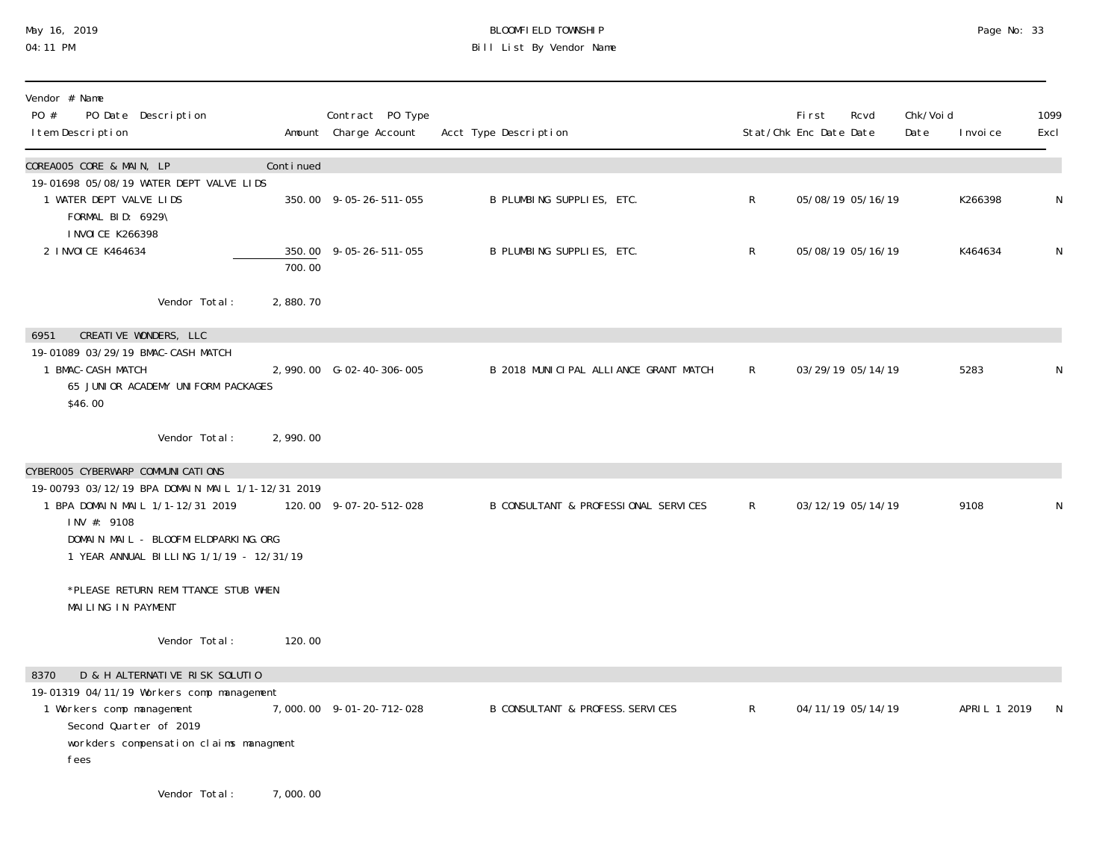# May 16, 2019 BLOOMFIELD TOWNSHIP Page No: 33 Bill List By Vendor Name

| Vendor # Name<br>PO #<br>PO Date Description<br>I tem Description                                                                                                                       |           | Contract PO Type<br>Amount Charge Account | Acct Type Description                 |              | First<br>Stat/Chk Enc Date Date | Rcvd              | Chk/Voi d<br>Date | I nvoi ce    | 1099<br>Excl |
|-----------------------------------------------------------------------------------------------------------------------------------------------------------------------------------------|-----------|-------------------------------------------|---------------------------------------|--------------|---------------------------------|-------------------|-------------------|--------------|--------------|
| COREAOO5 CORE & MAIN, LP                                                                                                                                                                | Continued |                                           |                                       |              |                                 |                   |                   |              |              |
| 19-01698 05/08/19 WATER DEPT VALVE LIDS<br>1 WATER DEPT VALVE LIDS<br>FORMAL BID: 6929\<br><b>INVOICE K266398</b>                                                                       |           | 350.00 9-05-26-511-055                    | B PLUMBING SUPPLIES, ETC.             | $\mathsf{R}$ |                                 | 05/08/19 05/16/19 |                   | K266398      | N            |
| 2 I NVOI CE K464634                                                                                                                                                                     | 700.00    | 350.00 9-05-26-511-055                    | B PLUMBING SUPPLIES, ETC.             | $\mathsf{R}$ |                                 | 05/08/19 05/16/19 |                   | K464634      | $\mathsf N$  |
| Vendor Total:                                                                                                                                                                           | 2,880.70  |                                           |                                       |              |                                 |                   |                   |              |              |
| CREATIVE WONDERS, LLC<br>6951                                                                                                                                                           |           |                                           |                                       |              |                                 |                   |                   |              |              |
| 19-01089 03/29/19 BMAC-CASH MATCH<br>1 BMAC-CASH MATCH<br>65 JUNIOR ACADEMY UNIFORM PACKAGES<br>\$46.00                                                                                 |           | 2,990.00 G-02-40-306-005                  | B 2018 MUNICIPAL ALLIANCE GRANT MATCH | $\mathsf{R}$ |                                 | 03/29/19 05/14/19 |                   | 5283         | N            |
| Vendor Total:                                                                                                                                                                           | 2,990.00  |                                           |                                       |              |                                 |                   |                   |              |              |
| CYBEROO5 CYBERWARP COMMUNICATIONS                                                                                                                                                       |           |                                           |                                       |              |                                 |                   |                   |              |              |
| 19-00793 03/12/19 BPA DOMAIN MAIL 1/1-12/31 2019<br>1 BPA DOMAIN MAIL 1/1-12/31 2019<br>INV #: 9108<br>DOMAIN MAIL - BLOOFMI ELDPARKING. ORG<br>1 YEAR ANNUAL BILLING 1/1/19 - 12/31/19 |           | 120.00 9-07-20-512-028                    | B CONSULTANT & PROFESSIONAL SERVICES  | $\mathsf{R}$ |                                 | 03/12/19 05/14/19 |                   | 9108         | N            |
| *PLEASE RETURN REMITTANCE STUB WHEN<br>MAILING IN PAYMENT                                                                                                                               |           |                                           |                                       |              |                                 |                   |                   |              |              |
| Vendor Total:                                                                                                                                                                           | 120.00    |                                           |                                       |              |                                 |                   |                   |              |              |
| D & H ALTERNATIVE RISK SOLUTIO<br>8370                                                                                                                                                  |           |                                           |                                       |              |                                 |                   |                   |              |              |
| 19-01319 04/11/19 Workers comp management<br>1 Workers comp management<br>Second Quarter of 2019<br>workders compensation claims managment<br>fees                                      |           | 7,000.00 9-01-20-712-028                  | B CONSULTANT & PROFESS. SERVICES      | $\mathsf{R}$ |                                 | 04/11/19 05/14/19 |                   | APRIL 1 2019 | N            |
| Vendor Total:                                                                                                                                                                           | 7,000.00  |                                           |                                       |              |                                 |                   |                   |              |              |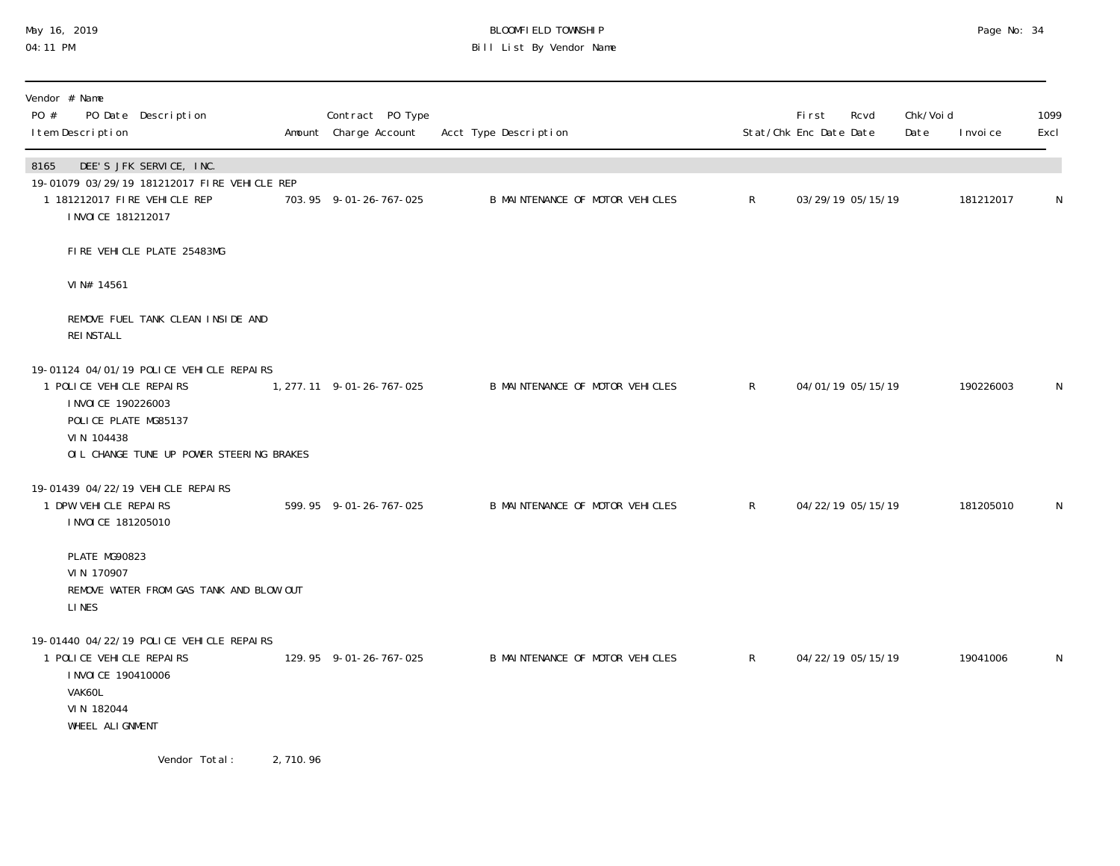### May 16, 2019 BLOOMFIELD TOWNSHIP Page No: 34 04:11 PM Bill List By Vendor Name

| Vendor # Name<br>PO #<br>PO Date Description<br>I tem Description                                                                                                             |          | Contract PO Type<br>Amount Charge Account | Acct Type Description           |              | <b>First</b><br>Stat/Chk Enc Date Date | Rcvd              | Chk/Void<br>Date | I nvoi ce | 1099<br>Excl |
|-------------------------------------------------------------------------------------------------------------------------------------------------------------------------------|----------|-------------------------------------------|---------------------------------|--------------|----------------------------------------|-------------------|------------------|-----------|--------------|
| DEE'S JFK SERVICE, INC.<br>8165<br>19-01079 03/29/19 181212017 FIRE VEHICLE REP<br>1 181212017 FIRE VEHICLE REP<br>I NVOI CE 181212017                                        |          | 703.95 9-01-26-767-025                    | B MAINTENANCE OF MOTOR VEHICLES | $\mathsf{R}$ |                                        | 03/29/19 05/15/19 |                  | 181212017 | N            |
| FIRE VEHICLE PLATE 25483MG                                                                                                                                                    |          |                                           |                                 |              |                                        |                   |                  |           |              |
| VIN# 14561                                                                                                                                                                    |          |                                           |                                 |              |                                        |                   |                  |           |              |
| REMOVE FUEL TANK CLEAN INSIDE AND<br><b>REI NSTALL</b>                                                                                                                        |          |                                           |                                 |              |                                        |                   |                  |           |              |
| 19-01124 04/01/19 POLICE VEHICLE REPAIRS<br>1 POLICE VEHICLE REPAIRS<br>I NVOI CE 190226003<br>POLICE PLATE MG85137<br>VIN 104438<br>OIL CHANGE TUNE UP POWER STEERING BRAKES |          | 1, 277.11 9-01-26-767-025                 | B MAINTENANCE OF MOTOR VEHICLES | R            |                                        | 04/01/19 05/15/19 |                  | 190226003 | N            |
| 19-01439 04/22/19 VEHICLE REPAIRS<br>1 DPW VEHICLE REPAIRS<br>I NVOI CE 181205010                                                                                             |          | 599.95 9-01-26-767-025                    | B MAINTENANCE OF MOTOR VEHICLES | R            |                                        | 04/22/19 05/15/19 |                  | 181205010 | N            |
| PLATE MG90823<br>VIN 170907<br>REMOVE WATER FROM GAS TANK AND BLOW OUT<br><b>LINES</b>                                                                                        |          |                                           |                                 |              |                                        |                   |                  |           |              |
| 19-01440 04/22/19 POLICE VEHICLE REPAIRS<br>1 POLICE VEHICLE REPAIRS<br>I NVOI CE 190410006<br>VAK60L<br>VIN 182044<br>WHEEL ALIGNMENT                                        |          | 129.95 9-01-26-767-025                    | B MAINTENANCE OF MOTOR VEHICLES | $\mathsf{R}$ |                                        | 04/22/19 05/15/19 |                  | 19041006  | N            |
| Vendor Total:                                                                                                                                                                 | 2,710.96 |                                           |                                 |              |                                        |                   |                  |           |              |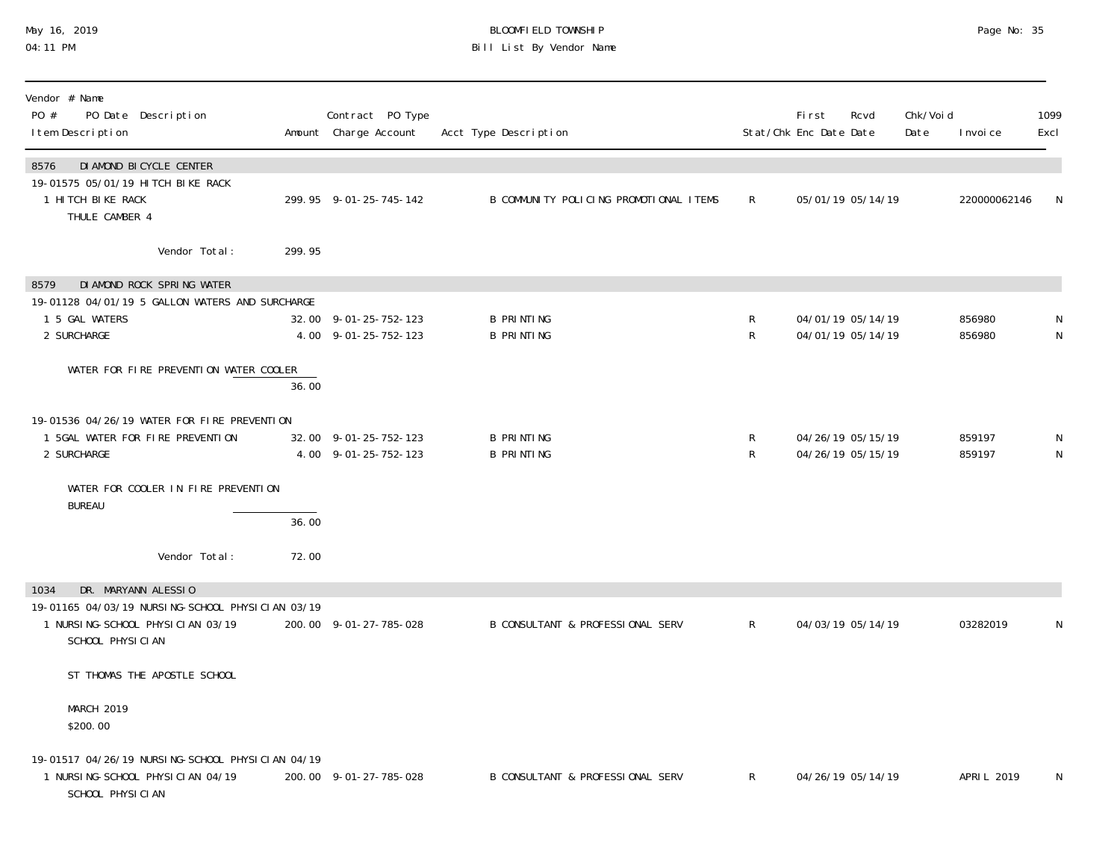#### May 16, 2019 BLOOMFIELD TOWNSHIP Page No: 35 04:11 PM Bill List By Vendor Name

| Vendor # Name<br>PO #<br>PO Date Description<br>I tem Description                                                      |        | Contract PO Type<br>Amount Charge Account     | Acct Type Description                       |                  | First<br>Stat/Chk Enc Date Date | Rcvd                                   | Chk/Voi d<br>Date | I nvoi ce        | 1099<br>Excl     |
|------------------------------------------------------------------------------------------------------------------------|--------|-----------------------------------------------|---------------------------------------------|------------------|---------------------------------|----------------------------------------|-------------------|------------------|------------------|
| DI AMOND BI CYCLE CENTER<br>8576<br>19-01575 05/01/19 HITCH BIKE RACK<br>1 HITCH BIKE RACK<br>THULE CAMBER 4           |        | 299.95 9-01-25-745-142                        | B COMMUNITY POLICING PROMOTIONAL ITEMS      | $\mathsf{R}$     |                                 | 05/01/19 05/14/19                      |                   | 220000062146     | N                |
| Vendor Total:                                                                                                          | 299.95 |                                               |                                             |                  |                                 |                                        |                   |                  |                  |
| DI AMOND ROCK SPRING WATER<br>8579<br>19-01128 04/01/19 5 GALLON WATERS AND SURCHARGE<br>1 5 GAL WATERS<br>2 SURCHARGE |        | 32.00 9-01-25-752-123<br>4.00 9-01-25-752-123 | <b>B PRINTING</b><br><b>B PRINTING</b>      | R<br>R           |                                 | 04/01/19 05/14/19<br>04/01/19 05/14/19 |                   | 856980<br>856980 | N<br>$\mathsf N$ |
| WATER FOR FIRE PREVENTION WATER COOLER                                                                                 | 36.00  |                                               |                                             |                  |                                 |                                        |                   |                  |                  |
| 19-01536 04/26/19 WATER FOR FIRE PREVENTION<br>1 5GAL WATER FOR FIRE PREVENTION<br>2 SURCHARGE                         |        | 32.00 9-01-25-752-123<br>4.00 9-01-25-752-123 | <b>B PRINTING</b><br><b>B PRINTING</b>      | R<br>$\mathsf R$ |                                 | 04/26/19 05/15/19<br>04/26/19 05/15/19 |                   | 859197<br>859197 | N<br>${\sf N}$   |
| WATER FOR COOLER IN FIRE PREVENTION<br><b>BUREAU</b>                                                                   | 36.00  |                                               |                                             |                  |                                 |                                        |                   |                  |                  |
| Vendor Total:                                                                                                          | 72.00  |                                               |                                             |                  |                                 |                                        |                   |                  |                  |
| DR. MARYANN ALESSIO<br>1034<br>19-01165 04/03/19 NURSING-SCHOOL PHYSICIAN 03/19                                        |        |                                               |                                             |                  |                                 |                                        |                   |                  |                  |
| 1 NURSI NG-SCHOOL PHYSICIAN 03/19<br>SCHOOL PHYSICIAN                                                                  |        | 200.00 9-01-27-785-028                        | <b>B CONSULTANT &amp; PROFESSIONAL SERV</b> | $\mathsf{R}$     |                                 | 04/03/19 05/14/19                      |                   | 03282019         | N                |
| ST THOMAS THE APOSTLE SCHOOL                                                                                           |        |                                               |                                             |                  |                                 |                                        |                   |                  |                  |
| MARCH 2019<br>\$200.00                                                                                                 |        |                                               |                                             |                  |                                 |                                        |                   |                  |                  |
| 19-01517 04/26/19 NURSING-SCHOOL PHYSICIAN 04/19<br>1 NURSI NG-SCHOOL PHYSICIAN 04/19<br>SCHOOL PHYSICIAN              |        | 200.00 9-01-27-785-028                        | B CONSULTANT & PROFESSIONAL SERV            | $\mathsf{R}$     |                                 | 04/26/19 05/14/19                      |                   | APRI L 2019      | N                |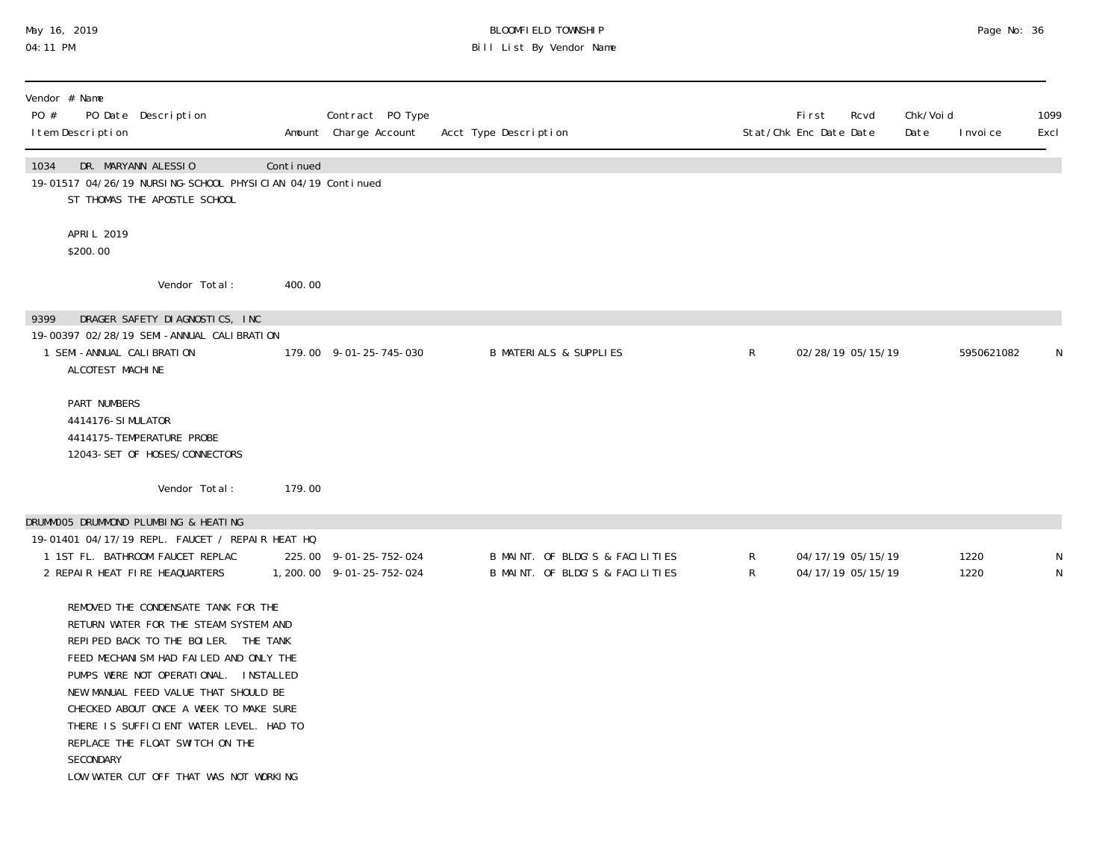### May 16, 2019 BLOOMFIELD TOWNSHIP Page No: 36 04:11 PM Bill List By Vendor Name

| Vendor # Name<br>PO #<br>PO Date Description<br>I tem Description                                                                                                                                                                                                                                                                                                                                                              |           | Contract PO Type<br>Amount Charge Account            | Acct Type Description                                              |                   | <b>First</b><br>Stat/Chk Enc Date Date | Rcvd                                   | Chk/Voi d<br>Date | I nvoi ce    | 1099<br>Excl |
|--------------------------------------------------------------------------------------------------------------------------------------------------------------------------------------------------------------------------------------------------------------------------------------------------------------------------------------------------------------------------------------------------------------------------------|-----------|------------------------------------------------------|--------------------------------------------------------------------|-------------------|----------------------------------------|----------------------------------------|-------------------|--------------|--------------|
| DR. MARYANN ALESSIO<br>1034<br>19-01517 04/26/19 NURSING-SCHOOL PHYSICIAN 04/19 Continued<br>ST THOMAS THE APOSTLE SCHOOL                                                                                                                                                                                                                                                                                                      | Continued |                                                      |                                                                    |                   |                                        |                                        |                   |              |              |
| APRIL 2019<br>\$200.00                                                                                                                                                                                                                                                                                                                                                                                                         |           |                                                      |                                                                    |                   |                                        |                                        |                   |              |              |
| Vendor Total:                                                                                                                                                                                                                                                                                                                                                                                                                  | 400.00    |                                                      |                                                                    |                   |                                        |                                        |                   |              |              |
| 9399<br>DRAGER SAFETY DIAGNOSTICS, INC<br>19-00397 02/28/19 SEMI-ANNUAL CALIBRATION<br>1 SEMI-ANNUAL CALIBRATION<br>ALCOTEST MACHINE                                                                                                                                                                                                                                                                                           |           | 179.00 9-01-25-745-030                               | <b>B MATERIALS &amp; SUPPLIES</b>                                  | $\mathsf{R}$      |                                        | 02/28/19 05/15/19                      |                   | 5950621082   | N            |
| PART NUMBERS<br>4414176-SI MULATOR<br>4414175-TEMPERATURE PROBE<br>12043-SET OF HOSES/CONNECTORS                                                                                                                                                                                                                                                                                                                               |           |                                                      |                                                                    |                   |                                        |                                        |                   |              |              |
| Vendor Total:                                                                                                                                                                                                                                                                                                                                                                                                                  | 179.00    |                                                      |                                                                    |                   |                                        |                                        |                   |              |              |
| DRUMMOO5 DRUMMOND PLUMBING & HEATING<br>19-01401 04/17/19 REPL. FAUCET / REPAIR HEAT HQ                                                                                                                                                                                                                                                                                                                                        |           |                                                      |                                                                    |                   |                                        |                                        |                   |              |              |
| 1 1ST FL. BATHROOM FAUCET REPLAC<br>2 REPAIR HEAT FIRE HEAQUARTERS                                                                                                                                                                                                                                                                                                                                                             |           | 225.00 9-01-25-752-024<br>1, 200. 00 9-01-25-752-024 | B MAINT. OF BLDG'S & FACILITIES<br>B MAINT. OF BLDG'S & FACILITIES | R<br>$\mathsf{R}$ |                                        | 04/17/19 05/15/19<br>04/17/19 05/15/19 |                   | 1220<br>1220 | N<br>N       |
| REMOVED THE CONDENSATE TANK FOR THE<br>RETURN WATER FOR THE STEAM SYSTEM AND<br>REPIPED BACK TO THE BOILER. THE TANK<br>FEED MECHANISM HAD FAILED AND ONLY THE<br>PUMPS WERE NOT OPERATIONAL. INSTALLED<br>NEW MANUAL FEED VALUE THAT SHOULD BE<br>CHECKED ABOUT ONCE A WEEK TO MAKE SURE<br>THERE IS SUFFICIENT WATER LEVEL. HAD TO<br>REPLACE THE FLOAT SWITCH ON THE<br>SECONDARY<br>LOW WATER CUT OFF THAT WAS NOT WORKING |           |                                                      |                                                                    |                   |                                        |                                        |                   |              |              |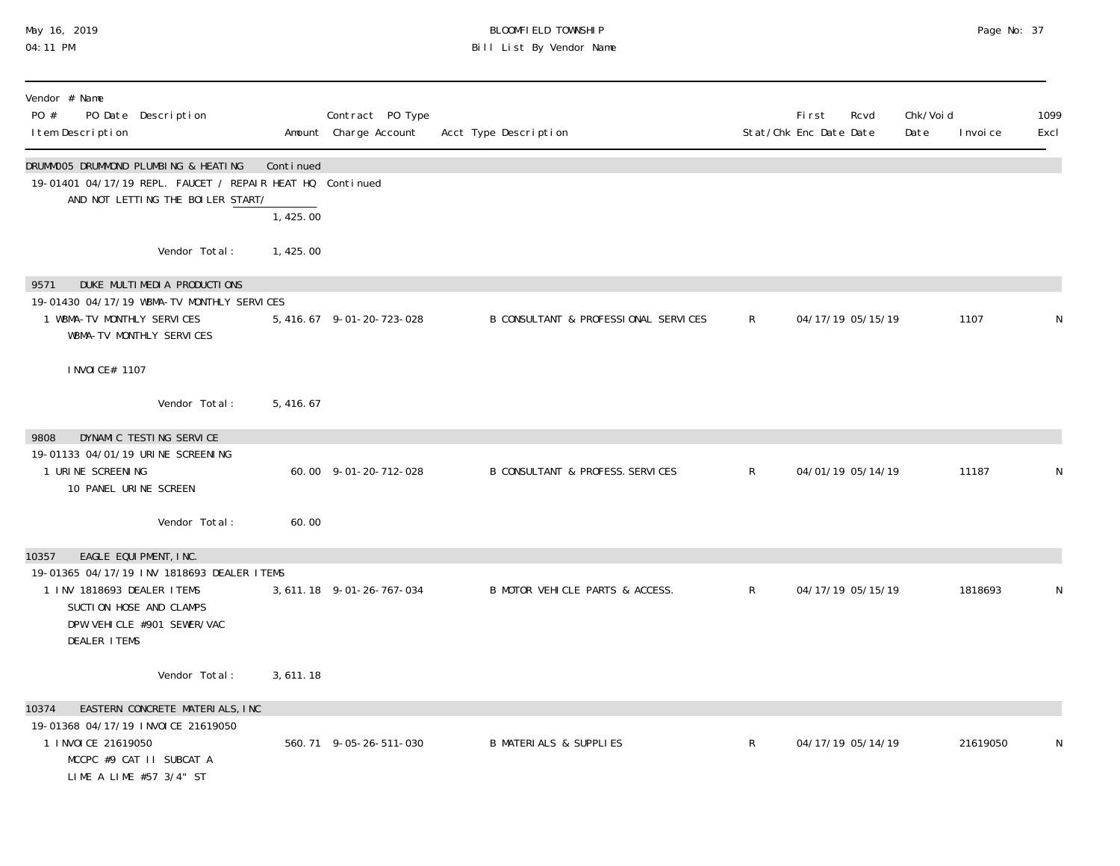# May 16, 2019 BLOOMFIELD TOWNSHIP Page No: 37 04:11 PM Bill List By Vendor Name

| Vendor # Name<br>PO #<br>PO Date Description<br>I tem Description                                                                                                                          |           | Contract PO Type<br>Amount Charge Account | Acct Type Description                       |              | <b>First</b><br>Stat/Chk Enc Date Date | Rcvd | Chk/Voi d<br>Date | I nvoi ce | 1099<br>Excl |
|--------------------------------------------------------------------------------------------------------------------------------------------------------------------------------------------|-----------|-------------------------------------------|---------------------------------------------|--------------|----------------------------------------|------|-------------------|-----------|--------------|
| DRUMMOO5 DRUMMOND PLUMBING & HEATING<br>19-01401 04/17/19 REPL. FAUCET / REPAIR HEAT HQ Continued<br>AND NOT LETTING THE BOILER START/                                                     | Continued |                                           |                                             |              |                                        |      |                   |           |              |
|                                                                                                                                                                                            | 1,425.00  |                                           |                                             |              |                                        |      |                   |           |              |
| Vendor Total:                                                                                                                                                                              | 1,425.00  |                                           |                                             |              |                                        |      |                   |           |              |
| DUKE MULTIMEDIA PRODUCTIONS<br>9571<br>19-01430 04/17/19 WBMA-TV MONTHLY SERVICES<br>1 WBMA-TV MONTHLY SERVICES<br>WBMA-TV MONTHLY SERVICES                                                |           | 5, 416.67 9-01-20-723-028                 | B CONSULTANT & PROFESSIONAL SERVICES        | R            | 04/17/19 05/15/19                      |      |                   | 1107      |              |
| I NVOI CE# 1107                                                                                                                                                                            |           |                                           |                                             |              |                                        |      |                   |           |              |
| Vendor Total:                                                                                                                                                                              | 5,416.67  |                                           |                                             |              |                                        |      |                   |           |              |
| DYNAMIC TESTING SERVICE<br>9808<br>19-01133 04/01/19 URINE SCREENING<br>1 URINE SCREENING<br>10 PANEL URINE SCREEN                                                                         |           | 60.00 9-01-20-712-028                     | <b>B CONSULTANT &amp; PROFESS. SERVICES</b> | $\mathsf{R}$ | 04/01/19 05/14/19                      |      |                   | 11187     | N            |
| Vendor Total:                                                                                                                                                                              | 60.00     |                                           |                                             |              |                                        |      |                   |           |              |
| 10357<br>EAGLE EQUIPMENT, INC.<br>19-01365 04/17/19 INV 1818693 DEALER ITEMS<br>1 INV 1818693 DEALER ITEMS<br>SUCTION HOSE AND CLAMPS<br>DPW VEHICLE #901 SEWER/VAC<br><b>DEALER ITEMS</b> |           | 3, 611. 18 9-01-26-767-034                | B MOTOR VEHICLE PARTS & ACCESS.             | $\mathsf{R}$ | 04/17/19 05/15/19                      |      |                   | 1818693   | N            |
| Vendor Total:                                                                                                                                                                              | 3,611.18  |                                           |                                             |              |                                        |      |                   |           |              |
| EASTERN CONCRETE MATERIALS, INC<br>10374<br>19-01368 04/17/19 INVOICE 21619050<br>1 I NVOI CE 21619050<br>MCCPC #9 CAT II SUBCAT A<br>LIME A LIME #57 3/4" ST                              |           | 560.71 9-05-26-511-030                    | <b>B MATERIALS &amp; SUPPLIES</b>           | $\mathsf{R}$ | 04/17/19 05/14/19                      |      |                   | 21619050  | N            |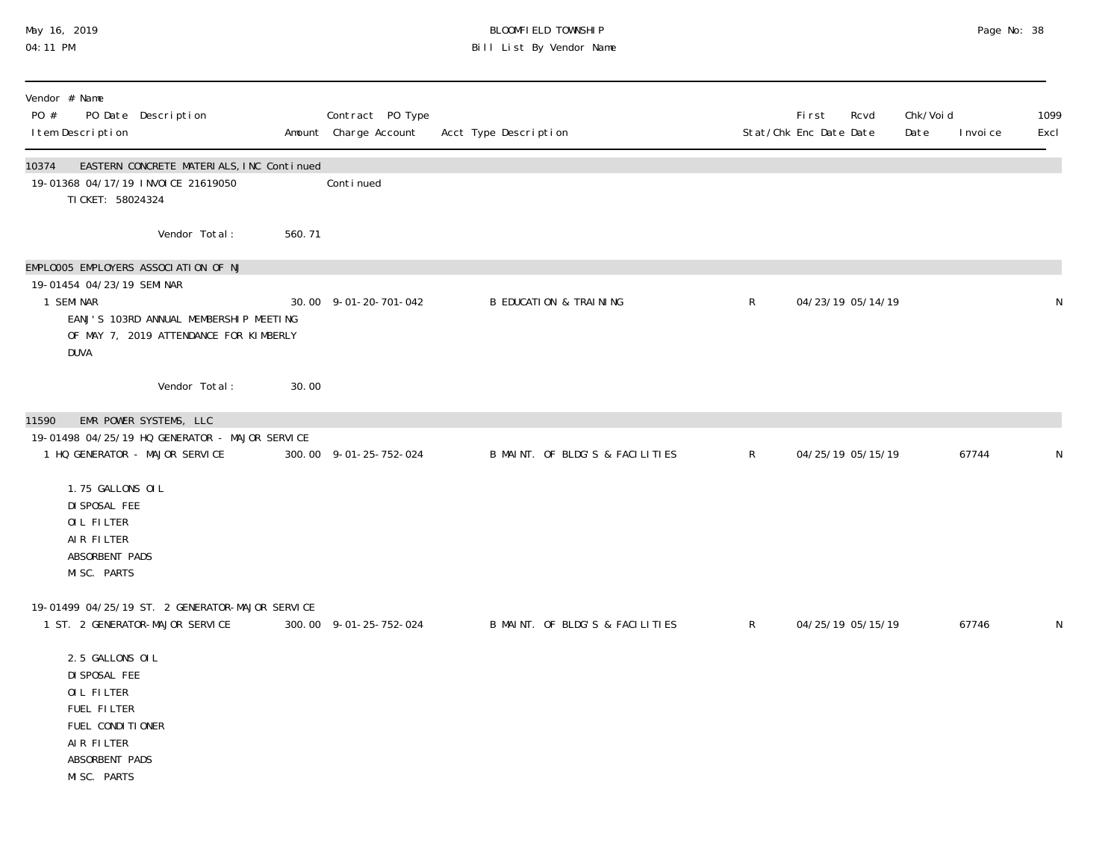## May 16, 2019 BLOOMFIELD TOWNSHIP Page No: 38 04:11 PM Bill List By Vendor Name

| Vendor # Name<br>PO #<br>I tem Description                                                                                       | PO Date Description                                                                |        | Contract PO Type<br>Amount Charge Account | Acct Type Description             |              | <b>First</b><br>Stat/Chk Enc Date Date | Rcvd | Chk/Voi d<br>Date | I nvoi ce | 1099<br>Excl |
|----------------------------------------------------------------------------------------------------------------------------------|------------------------------------------------------------------------------------|--------|-------------------------------------------|-----------------------------------|--------------|----------------------------------------|------|-------------------|-----------|--------------|
| 10374<br>19-01368 04/17/19 INVOICE 21619050<br>TI CKET: 58024324                                                                 | EASTERN CONCRETE MATERIALS, INC Continued                                          |        | Conti nued                                |                                   |              |                                        |      |                   |           |              |
|                                                                                                                                  | Vendor Total:                                                                      | 560.71 |                                           |                                   |              |                                        |      |                   |           |              |
| EMPLOOO5 EMPLOYERS ASSOCIATION OF NJ<br>19-01454 04/23/19 SEMINAR<br>1 SEMINAR<br>DUVA                                           | EANJ'S 103RD ANNUAL MEMBERSHIP MEETING<br>OF MAY 7, 2019 ATTENDANCE FOR KIMBERLY   |        | 30.00 9-01-20-701-042                     | <b>B EDUCATION &amp; TRAINING</b> | $\mathsf{R}$ | 04/23/19 05/14/19                      |      |                   |           | N            |
|                                                                                                                                  | Vendor Total:                                                                      | 30.00  |                                           |                                   |              |                                        |      |                   |           |              |
| 11590<br>1 HQ GENERATOR - MAJOR SERVICE                                                                                          | EMR POWER SYSTEMS, LLC<br>19-01498 04/25/19 HQ GENERATOR - MAJOR SERVICE           |        | 300.00 9-01-25-752-024                    | B MAINT. OF BLDG'S & FACILITIES   | $\mathsf{R}$ | 04/25/19 05/15/19                      |      |                   | 67744     |              |
| 1.75 GALLONS OIL<br>DI SPOSAL FEE<br>OIL FILTER<br>AIR FILTER<br>ABSORBENT PADS<br>MISC. PARTS                                   |                                                                                    |        |                                           |                                   |              |                                        |      |                   |           |              |
|                                                                                                                                  | 19-01499 04/25/19 ST. 2 GENERATOR-MAJOR SERVICE<br>1 ST. 2 GENERATOR-MAJOR SERVICE |        | 300.00 9-01-25-752-024                    | B MAINT. OF BLDG'S & FACILITIES   | R            | 04/25/19 05/15/19                      |      |                   | 67746     | N            |
| 2.5 GALLONS OIL<br>DI SPOSAL FEE<br>OIL FILTER<br>FUEL FILTER<br>FUEL CONDITIONER<br>AIR FILTER<br>ABSORBENT PADS<br>MISC. PARTS |                                                                                    |        |                                           |                                   |              |                                        |      |                   |           |              |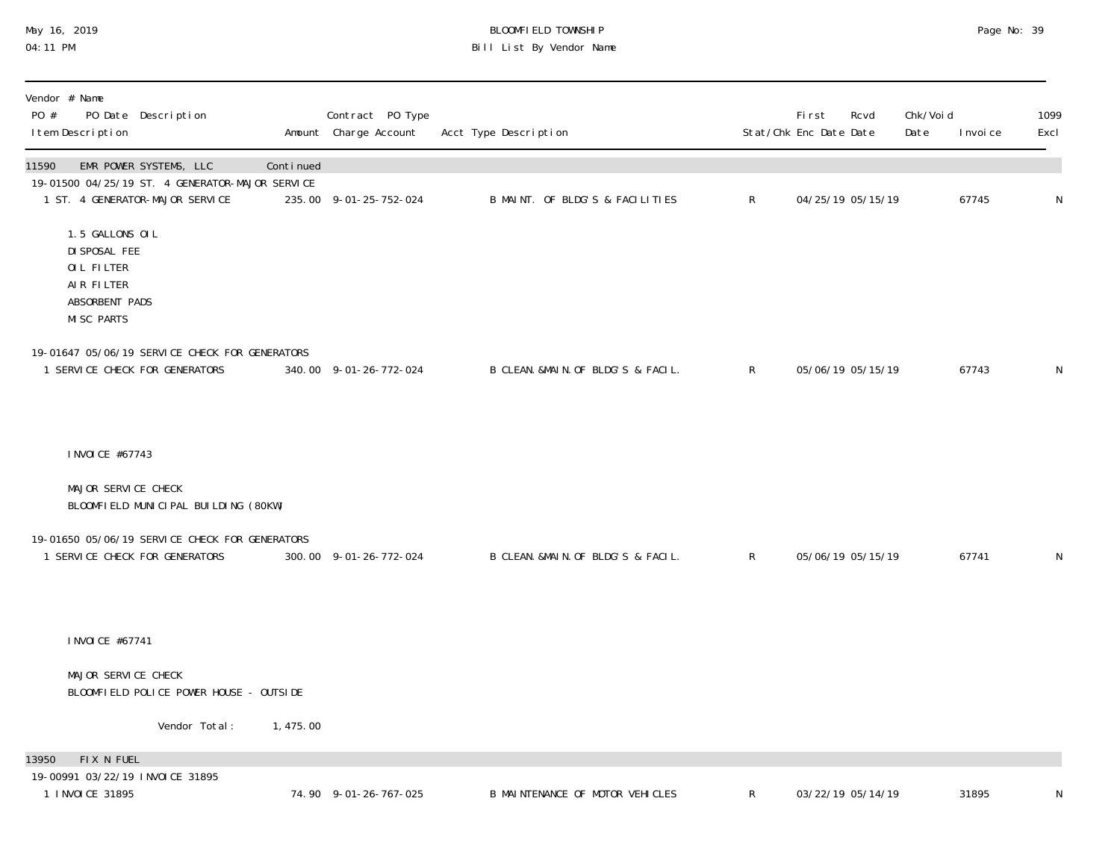## May 16, 2019 BLOOMFIELD TOWNSHIP Page No: 39 04:11 PM Bill List By Vendor Name

| Vendor # Name<br>PO #<br>PO Date Description<br>I tem Description                                                     |           | Contract PO Type<br>Amount Charge Account | Acct Type Description              |              | First<br>Rcvd<br>Stat/Chk Enc Date Date | Chk/Voi d<br>Date | I nvoi ce | 1099<br>Excl |
|-----------------------------------------------------------------------------------------------------------------------|-----------|-------------------------------------------|------------------------------------|--------------|-----------------------------------------|-------------------|-----------|--------------|
| EMR POWER SYSTEMS, LLC<br>11590<br>19-01500 04/25/19 ST. 4 GENERATOR-MAJOR SERVICE<br>1 ST. 4 GENERATOR-MAJOR SERVICE | Continued | 235.00 9-01-25-752-024                    | B MAINT. OF BLDG'S & FACILITIES    | $\mathsf{R}$ | 04/25/19 05/15/19                       |                   | 67745     | $\mathsf{N}$ |
| 1.5 GALLONS OIL<br>DI SPOSAL FEE<br>OIL FILTER<br>AIR FILTER<br>ABSORBENT PADS<br><b>MISC PARTS</b>                   |           |                                           |                                    |              |                                         |                   |           |              |
| 19-01647 05/06/19 SERVICE CHECK FOR GENERATORS<br>1 SERVICE CHECK FOR GENERATORS                                      |           | 340.00 9-01-26-772-024                    | B CLEAN. &MAIN. OF BLDG'S & FACIL. | $\mathsf{R}$ | 05/06/19 05/15/19                       |                   | 67743     | $\mathsf{N}$ |
| I NVOI CE #67743                                                                                                      |           |                                           |                                    |              |                                         |                   |           |              |
| MAJOR SERVICE CHECK<br>BLOOMFIELD MUNICIPAL BUILDING (80KW)                                                           |           |                                           |                                    |              |                                         |                   |           |              |
| 19-01650 05/06/19 SERVICE CHECK FOR GENERATORS<br>1 SERVICE CHECK FOR GENERATORS                                      |           | 300.00 9-01-26-772-024                    | B CLEAN. &MAIN. OF BLDG'S & FACIL. | $\mathsf{R}$ | 05/06/19 05/15/19                       |                   | 67741     | N            |
| I NVOI CE #67741                                                                                                      |           |                                           |                                    |              |                                         |                   |           |              |
| MAJOR SERVICE CHECK<br>BLOOMFIELD POLICE POWER HOUSE - OUTSIDE                                                        |           |                                           |                                    |              |                                         |                   |           |              |
| Vendor Total:                                                                                                         | 1,475.00  |                                           |                                    |              |                                         |                   |           |              |
| FIX N FUEL<br>13950<br>19-00991 03/22/19 INVOICE 31895<br>1 INVOICE 31895                                             |           | 74.90 9-01-26-767-025                     | B MAINTENANCE OF MOTOR VEHICLES    | $\mathsf{R}$ | 03/22/19 05/14/19                       |                   | 31895     | $\mathsf{N}$ |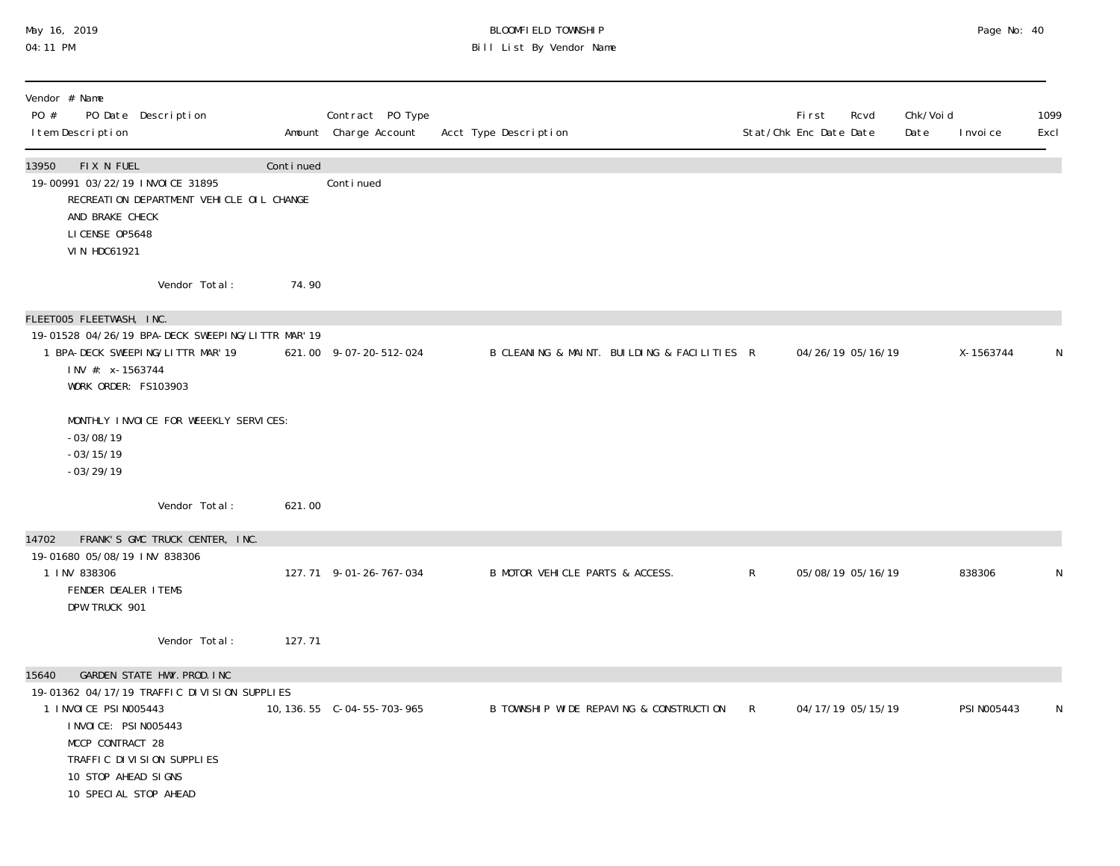# May 16, 2019 BLOOMFIELD TOWNSHIP Page No: 40 04:11 PM Bill List By Vendor Name

| Vendor # Name<br>PO #<br>PO Date Description<br>I tem Description                                                                                                                                                                         |           | Contract PO Type<br>Amount Charge Account | Acct Type Description                       |              | First<br>Rcvd<br>Stat/Chk Enc Date Date | Chk/Voi d<br>Date | I nvoi ce   | 1099<br>Excl |
|-------------------------------------------------------------------------------------------------------------------------------------------------------------------------------------------------------------------------------------------|-----------|-------------------------------------------|---------------------------------------------|--------------|-----------------------------------------|-------------------|-------------|--------------|
| FIX N FUEL<br>13950<br>19-00991 03/22/19 INVOICE 31895<br>RECREATION DEPARTMENT VEHICLE OIL CHANGE<br>AND BRAKE CHECK<br>LICENSE 0P5648<br><b>VIN HDC61921</b>                                                                            | Continued | Continued                                 |                                             |              |                                         |                   |             |              |
| Vendor Total:                                                                                                                                                                                                                             | 74.90     |                                           |                                             |              |                                         |                   |             |              |
| FLEETOO5 FLEETWASH, INC.<br>19-01528 04/26/19 BPA-DECK SWEEPING/LITTR MAR' 19<br>1 BPA-DECK SWEEPING/LITTR MAR' 19<br>INV #: x-1563744<br>WORK ORDER: FS103903                                                                            |           | 621.00 9-07-20-512-024                    | B CLEANING & MAINT. BUILDING & FACILITIES R |              | 04/26/19 05/16/19                       |                   | X-1563744   | N            |
| MONTHLY INVOICE FOR WEEEKLY SERVICES:<br>$-03/08/19$<br>$-03/15/19$<br>$-03/29/19$                                                                                                                                                        |           |                                           |                                             |              |                                         |                   |             |              |
| Vendor Total:                                                                                                                                                                                                                             | 621.00    |                                           |                                             |              |                                         |                   |             |              |
| 14702<br>FRANK'S GMC TRUCK CENTER, INC.<br>19-01680 05/08/19 INV 838306<br>1 INV 838306<br>FENDER DEALER ITEMS<br>DPW TRUCK 901                                                                                                           |           | 127.71 9-01-26-767-034                    | B MOTOR VEHICLE PARTS & ACCESS.             | $\mathsf{R}$ | 05/08/19 05/16/19                       |                   | 838306      | N            |
| Vendor Total:                                                                                                                                                                                                                             | 127.71    |                                           |                                             |              |                                         |                   |             |              |
| GARDEN STATE HWY. PROD. INC<br>15640<br>19-01362 04/17/19 TRAFFIC DIVISION SUPPLIES<br>1 I NVOI CE PSI N005443<br>I NVOI CE: PSI N005443<br>MCCP CONTRACT 28<br>TRAFFIC DIVISION SUPPLIES<br>10 STOP AHEAD SIGNS<br>10 SPECIAL STOP AHEAD |           |                                           | B TOWNSHIP WIDE REPAVING & CONSTRUCTION     | $\mathsf{R}$ | 04/17/19 05/15/19                       |                   | PSI N005443 | N            |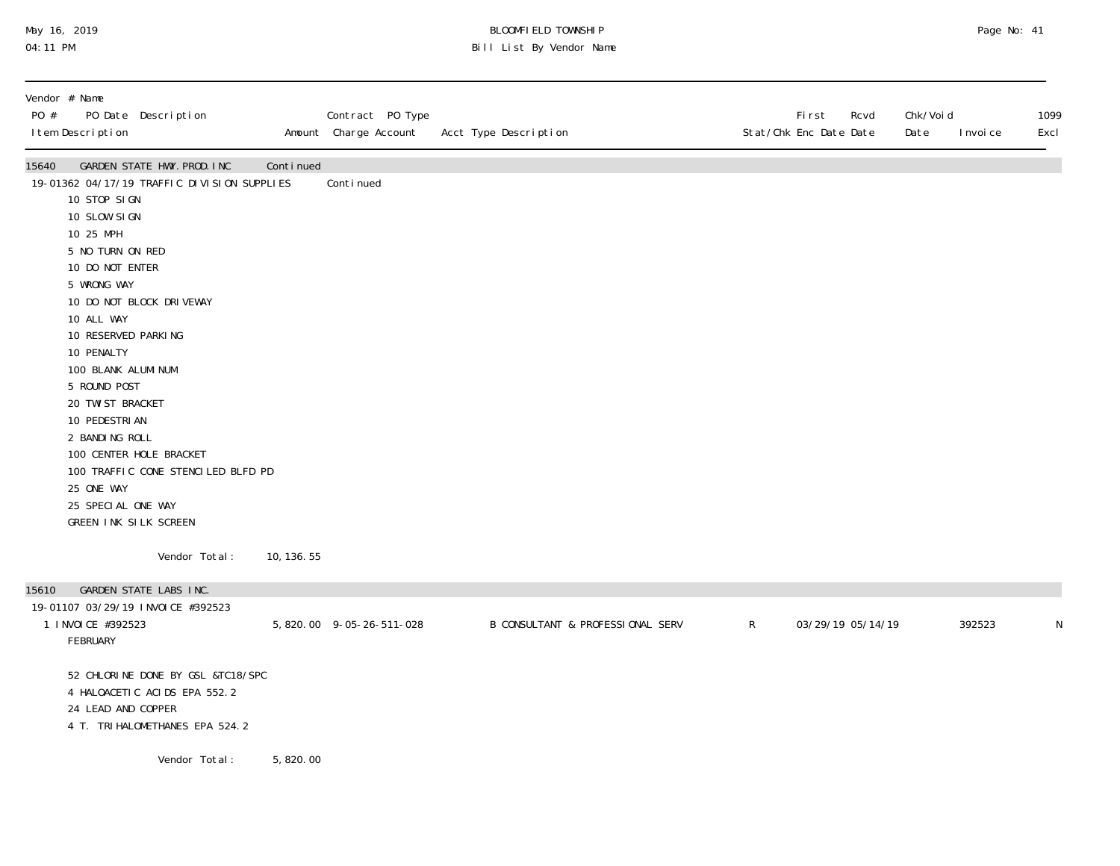# May 16, 2019 BLOOMFIELD TOWNSHIP Page No: 41 04:11 PM Bill List By Vendor Name

| Vendor # Name<br>PO #<br>PO Date Description<br>I tem Description                                                                                                                                                                                                                                                                                                                                                                                                                                   |             | Contract PO Type<br>Amount Charge Account | Acct Type Description                       |              | First<br>Stat/Chk Enc Date Date | Rcvd<br>Date      | Chk/Voi d | I nvoi ce | 1099<br>Excl |
|-----------------------------------------------------------------------------------------------------------------------------------------------------------------------------------------------------------------------------------------------------------------------------------------------------------------------------------------------------------------------------------------------------------------------------------------------------------------------------------------------------|-------------|-------------------------------------------|---------------------------------------------|--------------|---------------------------------|-------------------|-----------|-----------|--------------|
| 15640<br>GARDEN STATE HWY. PROD. INC<br>19-01362 04/17/19 TRAFFIC DIVISION SUPPLIES<br>10 STOP SIGN<br>10 SLOW SIGN<br>10 25 MPH<br>5 NO TURN ON RED<br>10 DO NOT ENTER<br>5 WRONG WAY<br>10 DO NOT BLOCK DRIVEWAY<br>10 ALL WAY<br>10 RESERVED PARKING<br>10 PENALTY<br>100 BLANK ALUMI NUM<br>5 ROUND POST<br>20 TWI ST BRACKET<br>10 PEDESTRI AN<br>2 BANDING ROLL<br>100 CENTER HOLE BRACKET<br>100 TRAFFIC CONE STENCILED BLFD PD<br>25 ONE WAY<br>25 SPECIAL ONE WAY<br>GREEN INK SILK SCREEN | Continued   | Conti nued                                |                                             |              |                                 |                   |           |           |              |
| Vendor Total:                                                                                                                                                                                                                                                                                                                                                                                                                                                                                       | 10, 136. 55 |                                           |                                             |              |                                 |                   |           |           |              |
| 15610<br>GARDEN STATE LABS INC.                                                                                                                                                                                                                                                                                                                                                                                                                                                                     |             |                                           |                                             |              |                                 |                   |           |           |              |
| 19-01107 03/29/19 INVOICE #392523<br>1 INVOICE #392523<br>FEBRUARY                                                                                                                                                                                                                                                                                                                                                                                                                                  |             | 5, 820.00 9-05-26-511-028                 | <b>B CONSULTANT &amp; PROFESSIONAL SERV</b> | $\mathsf{R}$ |                                 | 03/29/19 05/14/19 |           | 392523    | N            |
| 52 CHLORINE DONE BY GSL &TC18/SPC<br>4 HALOACETIC ACIDS EPA 552.2<br>24 LEAD AND COPPER<br>4 T. TRI HALOMETHANES EPA 524.2                                                                                                                                                                                                                                                                                                                                                                          |             |                                           |                                             |              |                                 |                   |           |           |              |
| Vendor Total:                                                                                                                                                                                                                                                                                                                                                                                                                                                                                       | 5,820.00    |                                           |                                             |              |                                 |                   |           |           |              |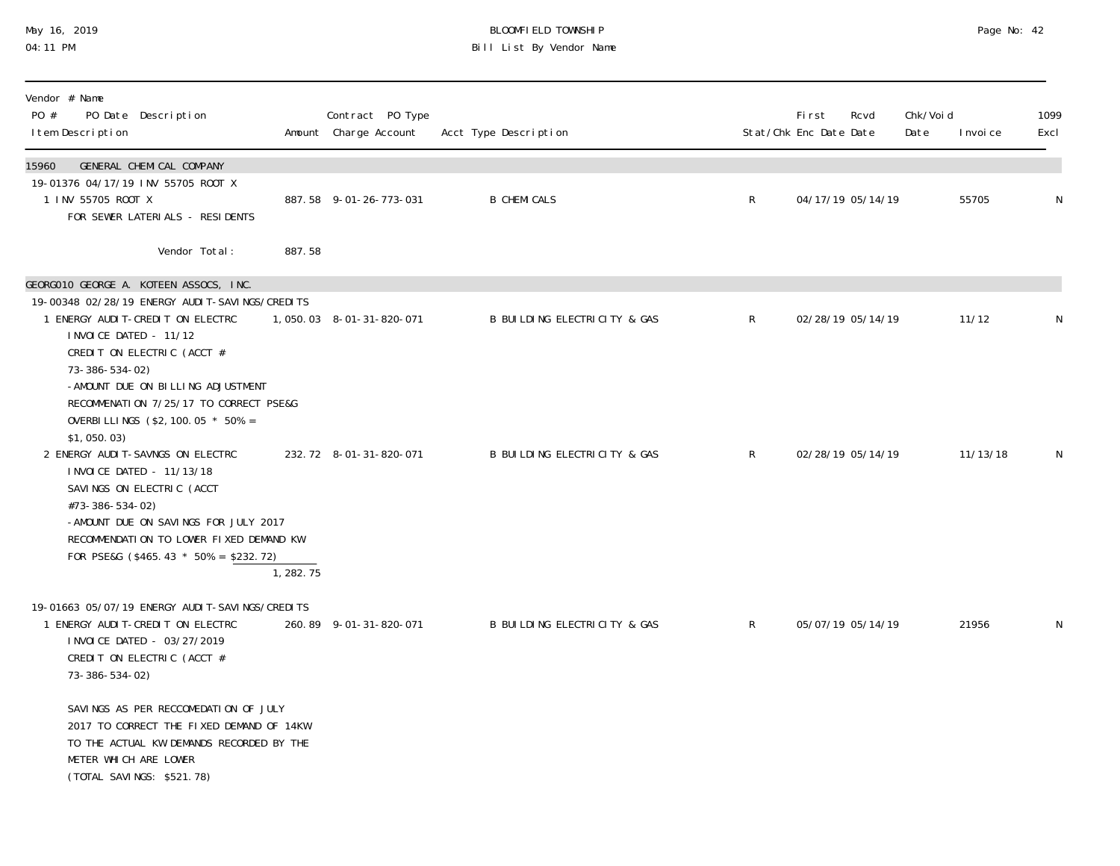## May 16, 2019 BLOOMFIELD TOWNSHIP Page No: 42 04:11 PM Bill List By Vendor Name

| Vendor # Name<br>PO #<br>PO Date Description<br>I tem Description                                                                                                                                                                                                                                                                     |           | Contract PO Type<br>Amount Charge Account | Acct Type Description        |                | First<br>Stat/Chk Enc Date Date | Rcvd              | Chk/Voi d<br>Date | I nvoi ce | 1099<br>Excl |
|---------------------------------------------------------------------------------------------------------------------------------------------------------------------------------------------------------------------------------------------------------------------------------------------------------------------------------------|-----------|-------------------------------------------|------------------------------|----------------|---------------------------------|-------------------|-------------------|-----------|--------------|
| GENERAL CHEMICAL COMPANY<br>15960<br>19-01376 04/17/19 INV 55705 ROOT X<br>1 INV 55705 ROOT X<br>FOR SEWER LATERIALS - RESIDENTS                                                                                                                                                                                                      |           | 887.58 9-01-26-773-031                    | <b>B CHEMICALS</b>           | R              |                                 | 04/17/19 05/14/19 |                   | 55705     | N            |
| Vendor Total:                                                                                                                                                                                                                                                                                                                         | 887.58    |                                           |                              |                |                                 |                   |                   |           |              |
| GEORGO10 GEORGE A. KOTEEN ASSOCS, INC.<br>19-00348 02/28/19 ENERGY AUDIT-SAVINGS/CREDITS<br>1 ENERGY AUDIT-CREDIT ON ELECTRC<br>INVOICE DATED - 11/12<br>CREDIT ON ELECTRIC (ACCT #<br>73-386-534-02)                                                                                                                                 |           | 1,050.03 8-01-31-820-071                  | B BUILDING ELECTRICITY & GAS | R              |                                 | 02/28/19 05/14/19 |                   | 11/12     | N            |
| -AMOUNT DUE ON BILLING ADJUSTMENT<br>RECOMMENATION 7/25/17 TO CORRECT PSE&G<br>OVERBILLINGS (\$2, 100. 05 * 50% =<br>\$1,050.03)<br>2 ENERGY AUDIT-SAVNGS ON ELECTRC<br>I NVOI CE DATED - 11/13/18<br>SAVINGS ON ELECTRIC (ACCT<br>#73-386-534-02)<br>-AMOUNT DUE ON SAVINGS FOR JULY 2017<br>RECOMMENDATION TO LOWER FIXED DEMAND KW |           | 232.72 8-01-31-820-071                    | B BUILDING ELECTRICITY & GAS | $\mathsf{R}^-$ |                                 | 02/28/19 05/14/19 |                   | 11/13/18  | N            |
| FOR PSE&G $(\$465.43 * 50% = \$232.72)$                                                                                                                                                                                                                                                                                               | 1, 282.75 |                                           |                              |                |                                 |                   |                   |           |              |
| 19-01663 05/07/19 ENERGY AUDIT-SAVINGS/CREDITS<br>1 ENERGY AUDIT-CREDIT ON ELECTRC<br>I NVOI CE DATED - 03/27/2019<br>CREDIT ON ELECTRIC (ACCT #<br>73-386-534-02)                                                                                                                                                                    |           | 260.89 9-01-31-820-071                    | B BUILDING ELECTRICITY & GAS | $\mathsf{R}^-$ |                                 | 05/07/19 05/14/19 |                   | 21956     | N            |
| SAVINGS AS PER RECCOMEDATION OF JULY<br>2017 TO CORRECT THE FIXED DEMAND OF 14KW<br>TO THE ACTUAL KW DEMANDS RECORDED BY THE<br>METER WHICH ARE LOWER<br>(TOTAL SAVINGS: \$521.78)                                                                                                                                                    |           |                                           |                              |                |                                 |                   |                   |           |              |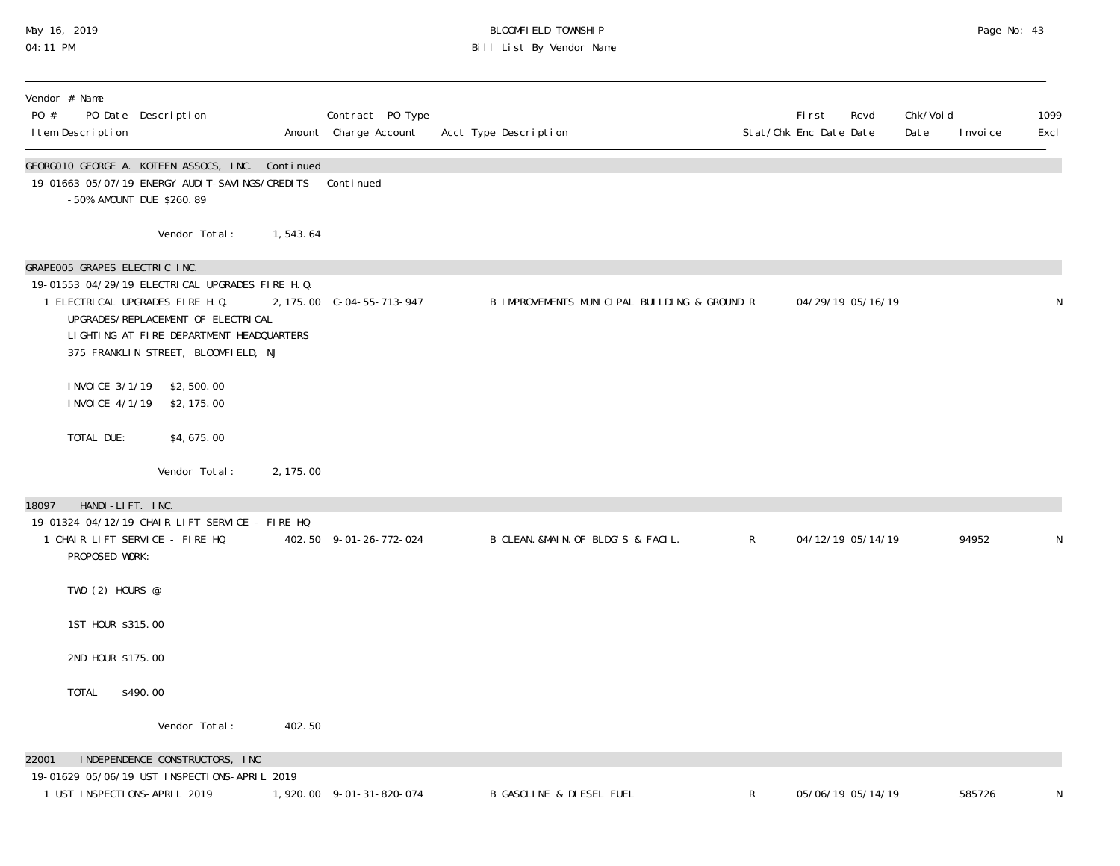# May 16, 2019 BLOOMFIELD TOWNSHIP Page No: 43 04:11 PM Bill List By Vendor Name

| Vendor # Name<br>PO #<br>I tem Description                       | PO Date Description                                                                                                                                                                                          |           | Contract PO Type<br>Amount Charge Account | Acct Type Description                        |              | <b>First</b><br>Stat/Chk Enc Date Date | Rcvd              | Chk/Voi d<br>Date | I nvoi ce | 1099<br>Excl |
|------------------------------------------------------------------|--------------------------------------------------------------------------------------------------------------------------------------------------------------------------------------------------------------|-----------|-------------------------------------------|----------------------------------------------|--------------|----------------------------------------|-------------------|-------------------|-----------|--------------|
|                                                                  | GEORGO10 GEORGE A. KOTEEN ASSOCS, INC. Continued<br>19-01663 05/07/19 ENERGY AUDIT-SAVINGS/CREDITS Continued<br>-50% AMOUNT DUE \$260.89                                                                     |           |                                           |                                              |              |                                        |                   |                   |           |              |
|                                                                  | Vendor Total:                                                                                                                                                                                                | 1,543.64  |                                           |                                              |              |                                        |                   |                   |           |              |
| GRAPE005 GRAPES ELECTRIC INC.                                    | 19-01553 04/29/19 ELECTRICAL UPGRADES FIRE H. Q.<br>1 ELECTRICAL UPGRADES FIRE H.Q.<br>UPGRADES/REPLACEMENT OF ELECTRICAL<br>LIGHTING AT FIRE DEPARTMENT HEADQUARTERS<br>375 FRANKLIN STREET, BLOOMFIELD, NJ |           | 2, 175.00 C-04-55-713-947                 | B IMPROVEMENTS MUNICIPAL BUILDING & GROUND R |              | 04/29/19 05/16/19                      |                   |                   |           | N            |
| I NVOI CE 4/1/19                                                 | I NVOI CE 3/1/19 \$2,500.00<br>\$2, 175.00                                                                                                                                                                   |           |                                           |                                              |              |                                        |                   |                   |           |              |
| TOTAL DUE:                                                       | \$4,675.00                                                                                                                                                                                                   |           |                                           |                                              |              |                                        |                   |                   |           |              |
|                                                                  | Vendor Total:                                                                                                                                                                                                | 2, 175.00 |                                           |                                              |              |                                        |                   |                   |           |              |
| HANDI-LIFT. INC.<br>18097<br>PROPOSED WORK:<br>TWO $(2)$ HOURS @ | 19-01324 04/12/19 CHAIR LIFT SERVICE - FIRE HQ<br>1 CHAIR LIFT SERVICE - FIRE HQ                                                                                                                             |           | 402.50 9-01-26-772-024                    | B CLEAN. &MAIN. OF BLDG'S & FACIL.           | $\mathsf{R}$ |                                        | 04/12/19 05/14/19 |                   | 94952     | N            |
| 1ST HOUR \$315.00                                                |                                                                                                                                                                                                              |           |                                           |                                              |              |                                        |                   |                   |           |              |
| 2ND HOUR \$175.00                                                |                                                                                                                                                                                                              |           |                                           |                                              |              |                                        |                   |                   |           |              |
| TOTAL                                                            | \$490.00                                                                                                                                                                                                     |           |                                           |                                              |              |                                        |                   |                   |           |              |
|                                                                  | Vendor Total:                                                                                                                                                                                                | 402.50    |                                           |                                              |              |                                        |                   |                   |           |              |
| 22001                                                            | INDEPENDENCE CONSTRUCTORS, INC<br>19-01629 05/06/19 UST INSPECTIONS-APRIL 2019                                                                                                                               |           |                                           |                                              |              |                                        |                   |                   |           |              |
| 1 UST INSPECTIONS-APRIL 2019                                     |                                                                                                                                                                                                              |           | 1, 920.00 9-01-31-820-074                 | <b>B GASOLINE &amp; DIESEL FUEL</b>          | R            |                                        | 05/06/19 05/14/19 |                   | 585726    | N            |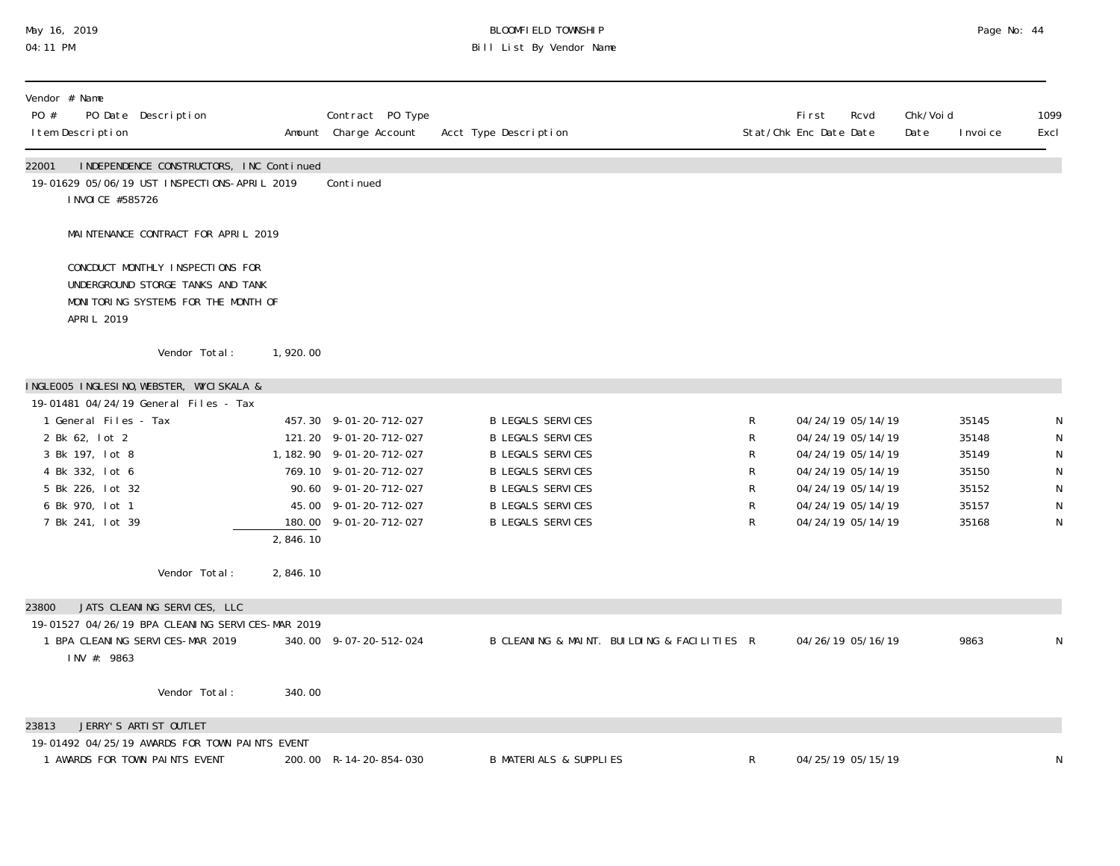# May 16, 2019 BLOOMFIELD TOWNSHIP Page No: 44 04:11 PM Bill List By Vendor Name

| Vendor # Name<br>PO #<br>PO Date Description<br>I tem Description                                                                           |               |          | Contract PO Type<br>Amount Charge Account                                                                                                                                            | Acct Type Description                                                                                                                                                                            |                            | <b>First</b><br>Rcvd<br>Stat/Chk Enc Date Date                                                                                                  | Chk/Voi d<br>Date | I nvoi ce                                                   | 1099<br>Excl                       |
|---------------------------------------------------------------------------------------------------------------------------------------------|---------------|----------|--------------------------------------------------------------------------------------------------------------------------------------------------------------------------------------|--------------------------------------------------------------------------------------------------------------------------------------------------------------------------------------------------|----------------------------|-------------------------------------------------------------------------------------------------------------------------------------------------|-------------------|-------------------------------------------------------------|------------------------------------|
| 22001<br>INDEPENDENCE CONSTRUCTORS, INC Continued<br>19-01629 05/06/19 UST INSPECTIONS-APRIL 2019<br>I NVOI CE #585726                      |               |          | Continued                                                                                                                                                                            |                                                                                                                                                                                                  |                            |                                                                                                                                                 |                   |                                                             |                                    |
| MAINTENANCE CONTRACT FOR APRIL 2019                                                                                                         |               |          |                                                                                                                                                                                      |                                                                                                                                                                                                  |                            |                                                                                                                                                 |                   |                                                             |                                    |
| CONCDUCT MONTHLY INSPECTIONS FOR<br>UNDERGROUND STORGE TANKS AND TANK<br>MONITORING SYSTEMS FOR THE MONTH OF<br>APRIL 2019                  |               |          |                                                                                                                                                                                      |                                                                                                                                                                                                  |                            |                                                                                                                                                 |                   |                                                             |                                    |
|                                                                                                                                             | Vendor Total: | 1,920.00 |                                                                                                                                                                                      |                                                                                                                                                                                                  |                            |                                                                                                                                                 |                   |                                                             |                                    |
| INGLEOO5 INGLESINO, WEBSTER, WYCISKALA &<br>19-01481 04/24/19 General Files - Tax                                                           |               |          |                                                                                                                                                                                      |                                                                                                                                                                                                  |                            |                                                                                                                                                 |                   |                                                             |                                    |
| 1 General Files - Tax<br>2 Bk 62, lot 2<br>3 Bk 197, lot 8<br>4 Bk 332, lot 6<br>5 Bk 226, lot 32<br>6 Bk 970, lot 1<br>7 Bk 241, lot 39    |               | 2,846.10 | 457.30 9-01-20-712-027<br>121.20 9-01-20-712-027<br>1, 182. 90 9-01-20-712-027<br>769.10 9-01-20-712-027<br>90.60 9-01-20-712-027<br>45.00 9-01-20-712-027<br>180.00 9-01-20-712-027 | <b>B LEGALS SERVICES</b><br><b>B LEGALS SERVICES</b><br><b>B LEGALS SERVICES</b><br><b>B LEGALS SERVICES</b><br><b>B LEGALS SERVICES</b><br><b>B LEGALS SERVICES</b><br><b>B LEGALS SERVICES</b> | R<br>R<br>R<br>R<br>R<br>R | 04/24/19 05/14/19<br>04/24/19 05/14/19<br>04/24/19 05/14/19<br>04/24/19 05/14/19<br>04/24/19 05/14/19<br>04/24/19 05/14/19<br>04/24/19 05/14/19 |                   | 35145<br>35148<br>35149<br>35150<br>35152<br>35157<br>35168 | N<br>N<br>N<br>${\sf N}$<br>N<br>N |
|                                                                                                                                             | Vendor Total: | 2,846.10 |                                                                                                                                                                                      |                                                                                                                                                                                                  |                            |                                                                                                                                                 |                   |                                                             |                                    |
| JATS CLEANING SERVICES, LLC<br>23800<br>19-01527 04/26/19 BPA CLEANING SERVICES-MAR 2019<br>1 BPA CLEANING SERVICES-MAR 2019<br>INV #: 9863 |               |          | 340.00 9-07-20-512-024                                                                                                                                                               | B CLEANING & MAINT. BUILDING & FACILITIES R                                                                                                                                                      |                            | 04/26/19 05/16/19                                                                                                                               |                   | 9863                                                        | N                                  |
|                                                                                                                                             | Vendor Total: | 340.00   |                                                                                                                                                                                      |                                                                                                                                                                                                  |                            |                                                                                                                                                 |                   |                                                             |                                    |
| JERRY'S ARTIST OUTLET<br>23813<br>19-01492 04/25/19 AWARDS FOR TOWN PAINTS EVENT<br>1 AWARDS FOR TOWN PAINTS EVENT                          |               |          | 200.00 R-14-20-854-030                                                                                                                                                               | <b>B MATERIALS &amp; SUPPLIES</b>                                                                                                                                                                | $\mathsf{R}$               | 04/25/19 05/15/19                                                                                                                               |                   |                                                             | N                                  |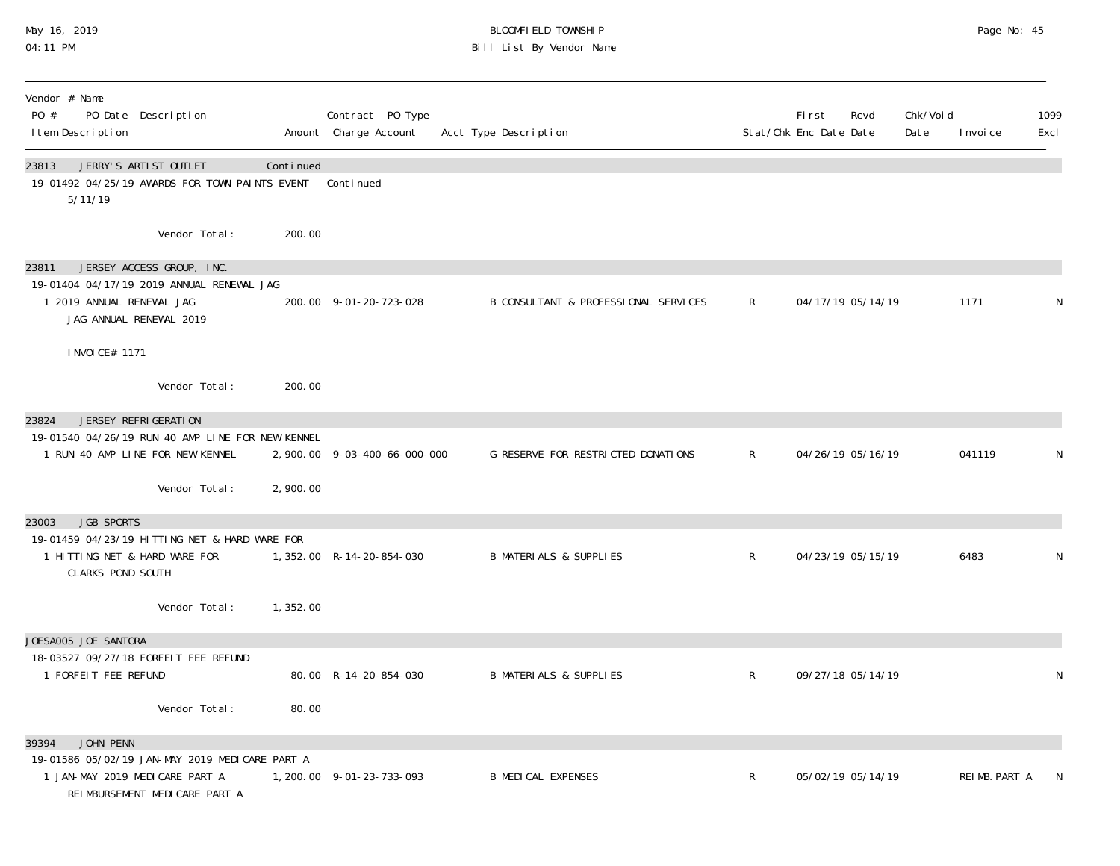## May 16, 2019 BLOOMFIELD TOWNSHIP Page No: 45 04:11 PM Bill List By Vendor Name

| Vendor # Name<br>PO #<br>I tem Description             | PO Date Description                                                                                                           |           | Contract PO Type<br>Amount Charge Account | Acct Type Description                |                | First<br>Rcvd<br>Stat/Chk Enc Date Date | Chk/Voi d<br>Date | I nvoi ce     | 1099<br>Excl |
|--------------------------------------------------------|-------------------------------------------------------------------------------------------------------------------------------|-----------|-------------------------------------------|--------------------------------------|----------------|-----------------------------------------|-------------------|---------------|--------------|
| 23813<br>5/11/19                                       | JERRY'S ARTIST OUTLET<br>19-01492 04/25/19 AWARDS FOR TOWN PAINTS EVENT                                                       | Continued | Continued                                 |                                      |                |                                         |                   |               |              |
|                                                        | Vendor Total:                                                                                                                 | 200.00    |                                           |                                      |                |                                         |                   |               |              |
| 23811<br>1 2019 ANNUAL RENEWAL JAG                     | JERSEY ACCESS GROUP, INC.<br>19-01404 04/17/19 2019 ANNUAL RENEWAL JAG<br>JAG ANNUAL RENEWAL 2019                             |           | 200.00 9-01-20-723-028                    | B CONSULTANT & PROFESSIONAL SERVICES | $\mathsf{R}$   | 04/17/19 05/14/19                       |                   | 1171          | N            |
| I NVOI CE# 1171                                        |                                                                                                                               |           |                                           |                                      |                |                                         |                   |               |              |
|                                                        | Vendor Total:                                                                                                                 | 200.00    |                                           |                                      |                |                                         |                   |               |              |
| 23824                                                  | JERSEY REFRIGERATION<br>19-01540 04/26/19 RUN 40 AMP LINE FOR NEW KENNEL<br>1 RUN 40 AMP LINE FOR NEW KENNEL<br>Vendor Total: | 2,900.00  | 2, 900. 00 9-03-400-66-000-000            | G RESERVE FOR RESTRICTED DONATIONS   | $\mathsf{R}$   | 04/26/19 05/16/19                       |                   | 041119        | N            |
| <b>JGB SPORTS</b><br>23003<br><b>CLARKS POND SOUTH</b> | 19-01459 04/23/19 HITTING NET & HARD WARE FOR<br>1 HITTING NET & HARD WARE FOR                                                |           | 1, 352.00 R-14-20-854-030                 | <b>B MATERIALS &amp; SUPPLIES</b>    | R.             | 04/23/19 05/15/19                       |                   | 6483          | N            |
|                                                        | Vendor Total:                                                                                                                 | 1,352.00  |                                           |                                      |                |                                         |                   |               |              |
| JOESA005 JOE SANTORA<br>1 FORFEIT FEE REFUND           | 18-03527 09/27/18 FORFEIT FEE REFUND                                                                                          |           | 80.00 R-14-20-854-030                     | <b>B MATERIALS &amp; SUPPLIES</b>    | $\mathsf{R}^-$ | 09/27/18 05/14/19                       |                   |               | N            |
|                                                        | Vendor Total:                                                                                                                 | 80.00     |                                           |                                      |                |                                         |                   |               |              |
| JOHN PENN<br>39394                                     | 19-01586 05/02/19 JAN-MAY 2019 MEDICARE PART A<br>1 JAN-MAY 2019 MEDICARE PART A<br>REI MBURSEMENT MEDI CARE PART A           |           | 1, 200.00 9-01-23-733-093                 | <b>B MEDICAL EXPENSES</b>            | R              | 05/02/19 05/14/19                       |                   | REIMB. PART A | N            |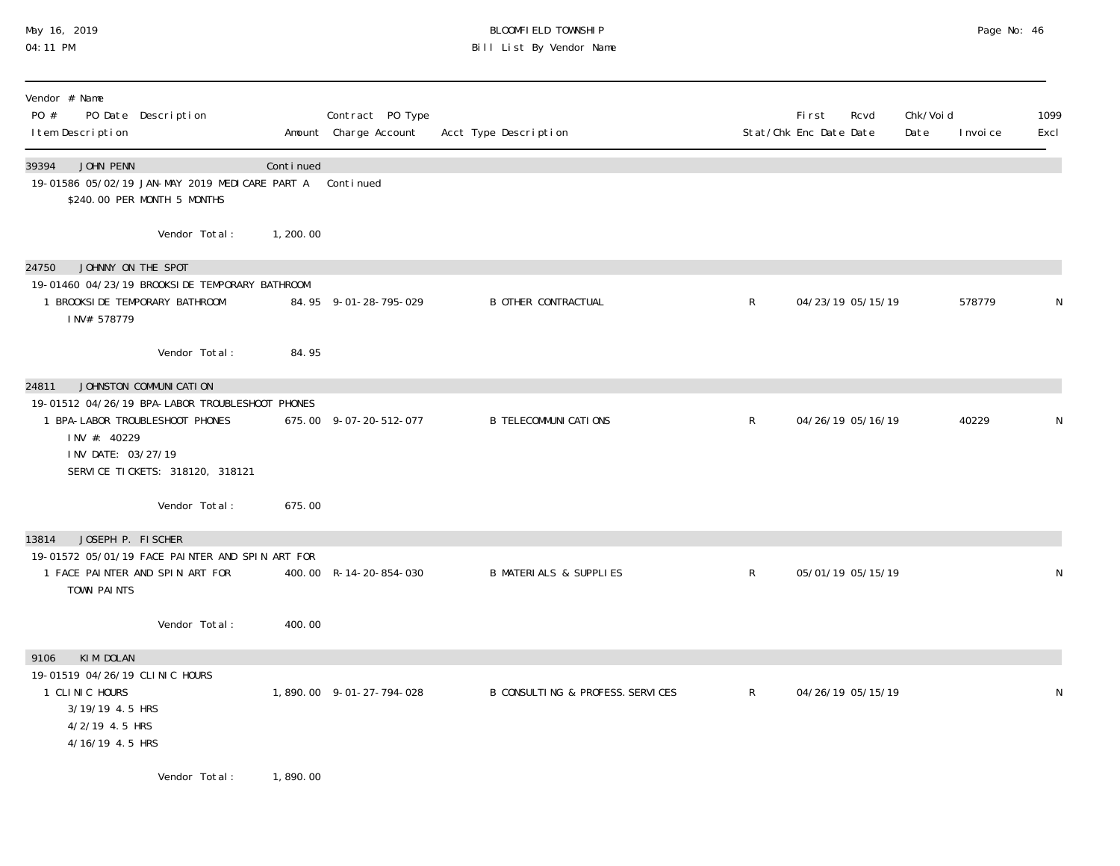# May 16, 2019 BLOOMFIELD TOWNSHIP Page No: 46 Bill List By Vendor Name

| Vendor # Name<br>PO #<br>PO Date Description<br>I tem Description                                                                                           |           | Contract PO Type<br>Amount Charge Account | Acct Type Description             |              | Rcvd<br><b>First</b><br>Stat/Chk Enc Date Date | Chk/Void<br>Date<br>I nvoi ce | 1099<br>Excl |
|-------------------------------------------------------------------------------------------------------------------------------------------------------------|-----------|-------------------------------------------|-----------------------------------|--------------|------------------------------------------------|-------------------------------|--------------|
| 39394<br>JOHN PENN<br>19-01586 05/02/19 JAN-MAY 2019 MEDICARE PART A<br>\$240.00 PER MONTH 5 MONTHS                                                         | Continued | Continued                                 |                                   |              |                                                |                               |              |
| Vendor Total:                                                                                                                                               | 1,200.00  |                                           |                                   |              |                                                |                               |              |
| JOHNNY ON THE SPOT<br>24750<br>19-01460 04/23/19 BROOKSIDE TEMPORARY BATHROOM<br>1 BROOKSIDE TEMPORARY BATHROOM<br>INV# 578779                              |           | 84.95 9-01-28-795-029                     | <b>B OTHER CONTRACTUAL</b>        | $\mathsf{R}$ | 04/23/19 05/15/19                              | 578779                        | N            |
| Vendor Total:                                                                                                                                               | 84.95     |                                           |                                   |              |                                                |                               |              |
| JOHNSTON COMMUNICATION<br>24811                                                                                                                             |           |                                           |                                   |              |                                                |                               |              |
| 19-01512 04/26/19 BPA-LABOR TROUBLESHOOT PHONES<br>1 BPA-LABOR TROUBLESHOOT PHONES<br>INV #: 40229<br>INV DATE: 03/27/19<br>SERVICE TICKETS: 318120, 318121 |           | 675.00 9-07-20-512-077                    | <b>B TELECOMMUNI CATIONS</b>      | $\mathsf{R}$ | 04/26/19 05/16/19                              | 40229                         | N            |
| Vendor Total:                                                                                                                                               | 675.00    |                                           |                                   |              |                                                |                               |              |
| JOSEPH P. FISCHER<br>13814                                                                                                                                  |           |                                           |                                   |              |                                                |                               |              |
| 19-01572 05/01/19 FACE PAINTER AND SPIN ART FOR<br>1 FACE PAINTER AND SPIN ART FOR<br>TOWN PAINTS                                                           |           | 400.00 R-14-20-854-030                    | <b>B MATERIALS &amp; SUPPLIES</b> | $\mathsf{R}$ | 05/01/19 05/15/19                              |                               | N            |
| Vendor Total:                                                                                                                                               | 400.00    |                                           |                                   |              |                                                |                               |              |
| KIM DOLAN<br>9106<br>19-01519 04/26/19 CLINIC HOURS<br>1 CLINIC HOURS<br>3/19/19 4.5 HRS<br>4/2/19 4.5 HRS<br>4/16/19 4.5 HRS                               |           | 1,890.00 9-01-27-794-028                  | B CONSULTING & PROFESS. SERVICES  | $\mathsf{R}$ | 04/26/19 05/15/19                              |                               | N            |
| Vendor Total:                                                                                                                                               | 1,890.00  |                                           |                                   |              |                                                |                               |              |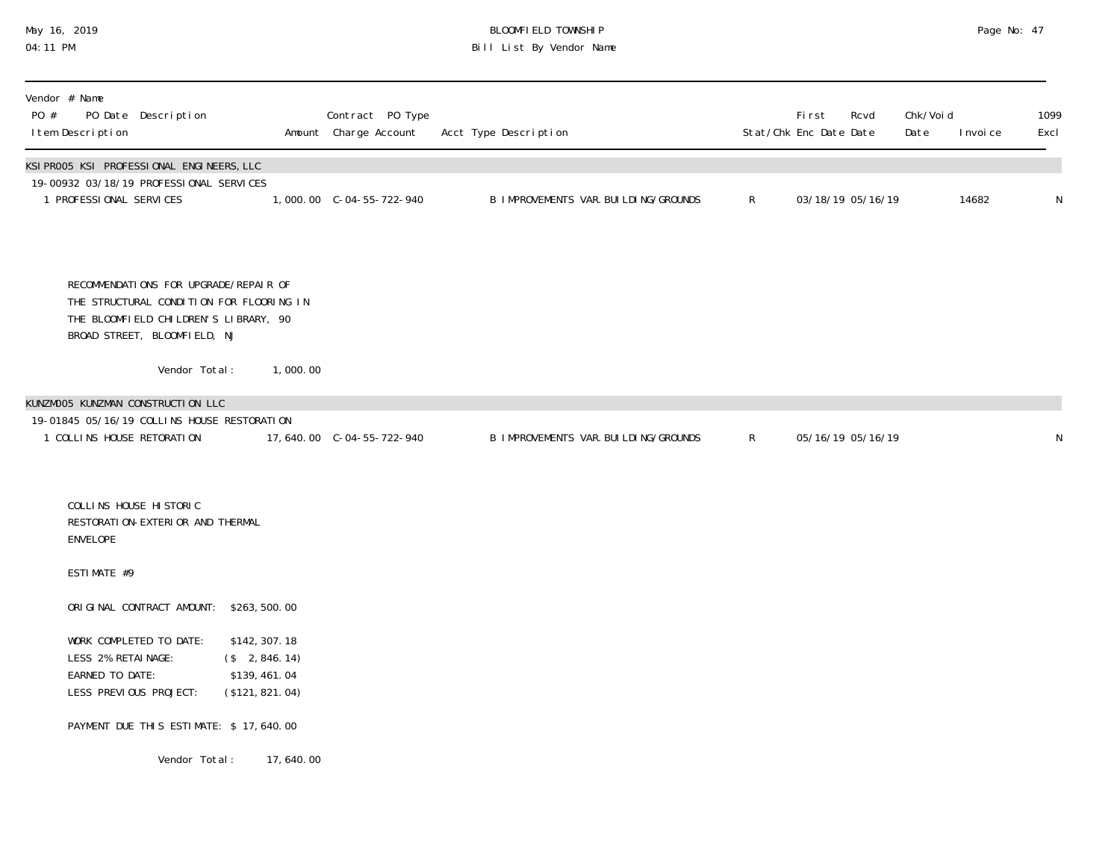# May 16, 2019 BLOOMFIELD TOWNSHIP Page No: 47 04:11 PM Bill List By Vendor Name

| Vendor # Name<br>PO #<br>PO Date Description<br>I tem Description                                                                                          |                                                                        | Contract PO Type<br>Amount Charge Account | Acct Type Description                  |                | <b>First</b><br>Stat/Chk Enc Date Date | Rcvd | Chk/Void<br>Date | I nvoi ce | 1099<br>Excl |
|------------------------------------------------------------------------------------------------------------------------------------------------------------|------------------------------------------------------------------------|-------------------------------------------|----------------------------------------|----------------|----------------------------------------|------|------------------|-----------|--------------|
| KSI PROO5 KSI PROFESSI ONAL ENGINEERS, LLC<br>19-00932 03/18/19 PROFESSIONAL SERVICES<br>1 PROFESSIONAL SERVICES                                           |                                                                        |                                           | B IMPROVEMENTS VAR. BUI LDI NG/GROUNDS | $\mathsf{R}^-$ | 03/18/19 05/16/19                      |      |                  | 14682     | ${\sf N}$    |
| RECOMMENDATIONS FOR UPGRADE/REPAIR OF<br>THE STRUCTURAL CONDITION FOR FLOORING IN<br>THE BLOOMFIELD CHILDREN'S LIBRARY, 90<br>BROAD STREET, BLOOMFIELD, NJ |                                                                        |                                           |                                        |                |                                        |      |                  |           |              |
| Vendor Total:                                                                                                                                              | 1,000.00                                                               |                                           |                                        |                |                                        |      |                  |           |              |
| KUNZMOO5 KUNZMAN CONSTRUCTION LLC<br>19-01845 05/16/19 COLLINS HOUSE RESTORATION<br>1 COLLINS HOUSE RETORATION                                             |                                                                        |                                           | B IMPROVEMENTS VAR. BUI LDI NG/GROUNDS | $R_{\perp}$    | 05/16/19 05/16/19                      |      |                  |           | ${\sf N}$    |
| COLLINS HOUSE HISTORIC<br>RESTORATION-EXTERIOR AND THERMAL<br><b>ENVELOPE</b>                                                                              |                                                                        |                                           |                                        |                |                                        |      |                  |           |              |
| ESTIMATE #9                                                                                                                                                |                                                                        |                                           |                                        |                |                                        |      |                  |           |              |
| ORIGINAL CONTRACT AMOUNT: \$263,500.00                                                                                                                     |                                                                        |                                           |                                        |                |                                        |      |                  |           |              |
| WORK COMPLETED TO DATE:<br>LESS 2% RETAINAGE:<br>EARNED TO DATE:<br>LESS PREVIOUS PROJECT:                                                                 | \$142, 307. 18<br>$($ \$ 2,846.14)<br>\$139, 461.04<br>(\$121, 821.04) |                                           |                                        |                |                                        |      |                  |           |              |
| PAYMENT DUE THIS ESTIMATE: \$17,640.00                                                                                                                     |                                                                        |                                           |                                        |                |                                        |      |                  |           |              |
| Vendor Total:                                                                                                                                              | 17,640.00                                                              |                                           |                                        |                |                                        |      |                  |           |              |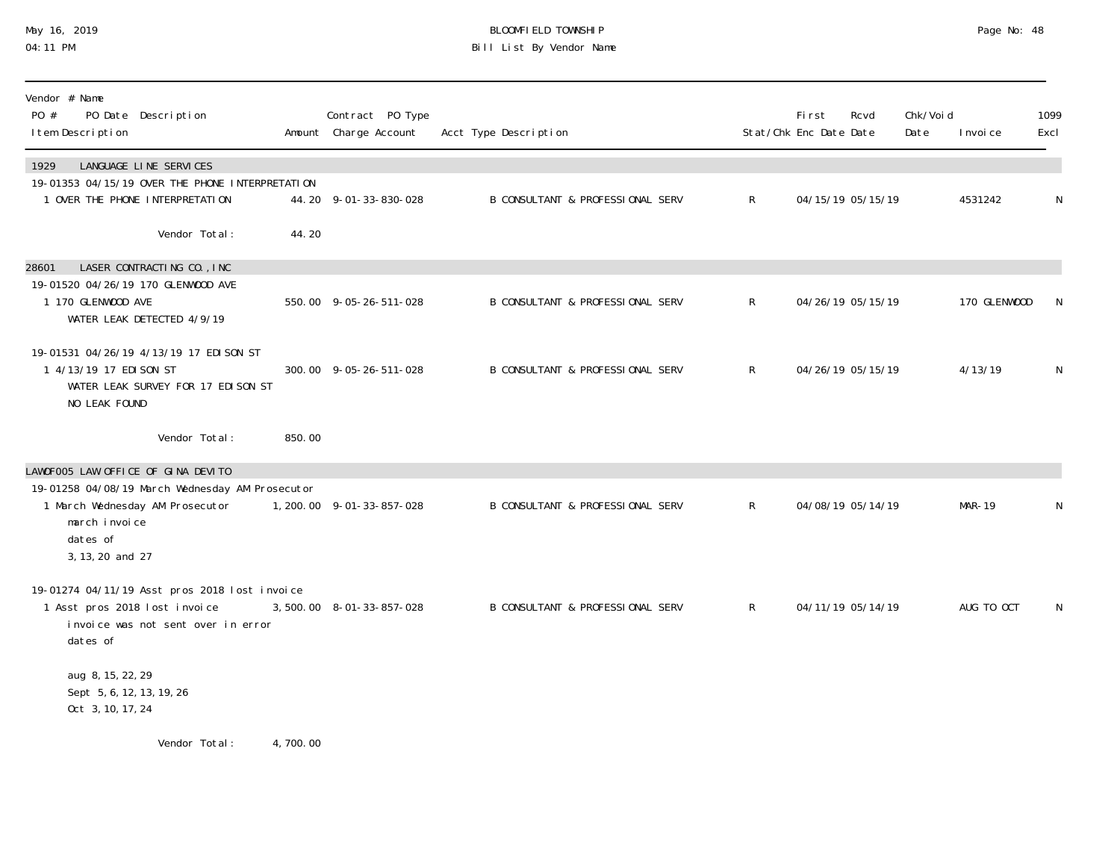## May 16, 2019 BLOOMFIELD TOWNSHIP Page No: 48 04:11 PM Bill List By Vendor Name

| Vendor # Name<br>PO #<br>PO Date Description<br>I tem Description                                                                   |          | Contract PO Type<br>Amount Charge Account | Acct Type Description                       |              | First<br>Stat/Chk Enc Date Date | Rcvd              | Chk/Voi d<br>Date | I nvoi ce     | 1099<br>Excl |
|-------------------------------------------------------------------------------------------------------------------------------------|----------|-------------------------------------------|---------------------------------------------|--------------|---------------------------------|-------------------|-------------------|---------------|--------------|
| LANGUAGE LINE SERVICES<br>1929<br>19-01353 04/15/19 OVER THE PHONE INTERPRETATION                                                   |          |                                           |                                             |              |                                 |                   |                   |               |              |
| 1 OVER THE PHONE INTERPRETATION                                                                                                     |          | 44.20 9-01-33-830-028                     | <b>B CONSULTANT &amp; PROFESSIONAL SERV</b> | $\mathsf{R}$ |                                 | 04/15/19 05/15/19 |                   | 4531242       | N            |
| Vendor Total:                                                                                                                       | 44.20    |                                           |                                             |              |                                 |                   |                   |               |              |
| LASER CONTRACTING CO., INC<br>28601                                                                                                 |          |                                           |                                             |              |                                 |                   |                   |               |              |
| 19-01520 04/26/19 170 GLENWOOD AVE<br>1 170 GLENWOOD AVE<br>WATER LEAK DETECTED 4/9/19                                              |          | 550.00 9-05-26-511-028                    | B CONSULTANT & PROFESSIONAL SERV            | $\mathsf{R}$ |                                 | 04/26/19 05/15/19 |                   | 170 GLENWOOD  | N            |
| 19-01531 04/26/19 4/13/19 17 EDI SON ST<br>1 4/13/19 17 EDI SON ST<br>WATER LEAK SURVEY FOR 17 EDI SON ST<br>NO LEAK FOUND          |          | 300.00 9-05-26-511-028                    | <b>B CONSULTANT &amp; PROFESSIONAL SERV</b> | $\mathsf{R}$ |                                 | 04/26/19 05/15/19 |                   | 4/13/19       | N            |
| Vendor Total:                                                                                                                       | 850.00   |                                           |                                             |              |                                 |                   |                   |               |              |
| LAWOFOO5 LAW OFFICE OF GINA DEVITO                                                                                                  |          |                                           |                                             |              |                                 |                   |                   |               |              |
| 19-01258 04/08/19 March Wednesday AM Prosecutor<br>1 March Wednesday AM Prosecutor<br>march invoice<br>dates of<br>3, 13, 20 and 27 |          | 1, 200. 00 9-01-33-857-028                | <b>B CONSULTANT &amp; PROFESSIONAL SERV</b> | $\mathsf{R}$ |                                 | 04/08/19 05/14/19 |                   | <b>MAR-19</b> | N            |
| 19-01274 04/11/19 Asst pros 2018 lost invoice<br>1 Asst pros 2018 lost invoice<br>invoice was not sent over in error<br>dates of    |          | 3,500.00 8-01-33-857-028                  | B CONSULTANT & PROFESSIONAL SERV            | R            |                                 | 04/11/19 05/14/19 |                   | AUG TO OCT    | N            |
| aug 8, 15, 22, 29<br>Sept 5, 6, 12, 13, 19, 26<br>Oct 3, 10, 17, 24                                                                 |          |                                           |                                             |              |                                 |                   |                   |               |              |
| Vendor Total:                                                                                                                       | 4,700.00 |                                           |                                             |              |                                 |                   |                   |               |              |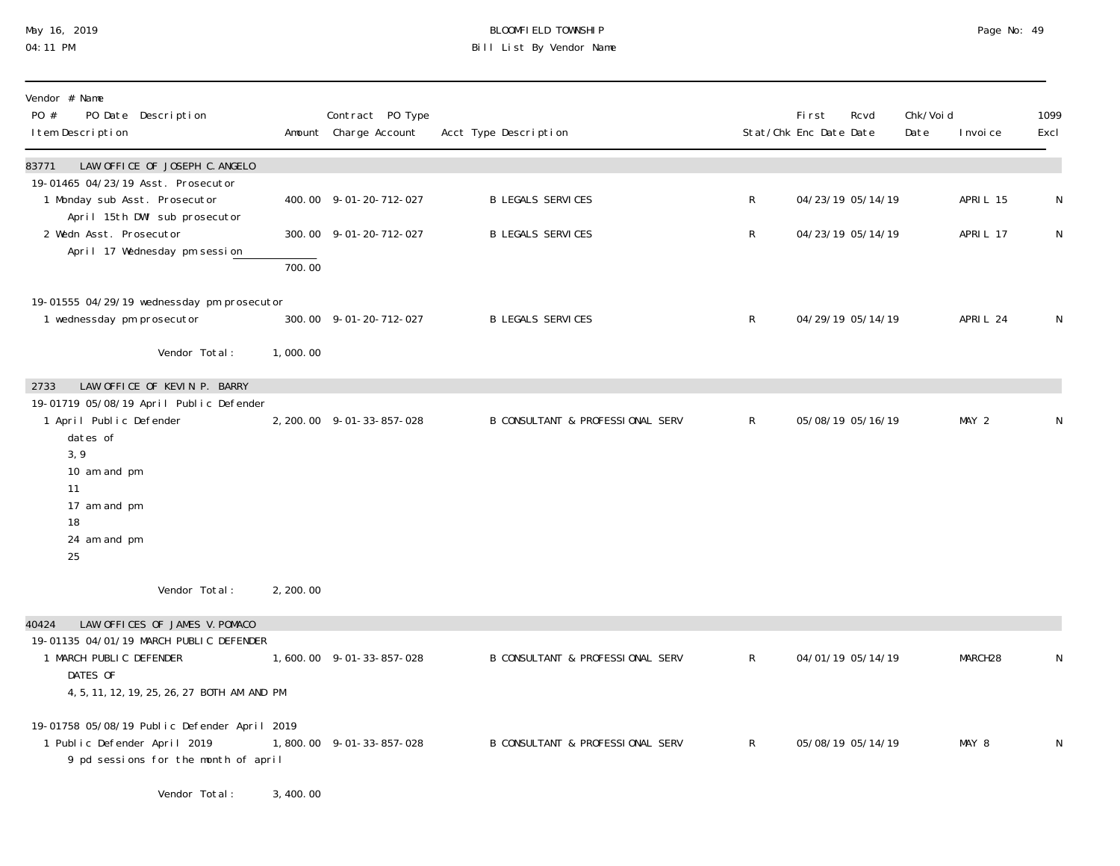## May 16, 2019 BLOOMFIELD TOWNSHIP Page No: 49 04:11 PM Bill List By Vendor Name

| Vendor # Name<br>PO #<br>PO Date Description<br>I tem Description                                                    |            | Contract PO Type<br>Amount Charge Account | Acct Type Description                       |                | <b>First</b><br>Stat/Chk Enc Date Date | Rcvd              | Chk/Voi d<br>Date | I nvoi ce | 1099<br>Excl |
|----------------------------------------------------------------------------------------------------------------------|------------|-------------------------------------------|---------------------------------------------|----------------|----------------------------------------|-------------------|-------------------|-----------|--------------|
| LAW OFFICE OF JOSEPH C. ANGELO<br>83771                                                                              |            |                                           |                                             |                |                                        |                   |                   |           |              |
| 19-01465 04/23/19 Asst. Prosecutor<br>1 Monday sub Asst. Prosecutor<br>April 15th DWI sub prosecutor                 |            | 400.00 9-01-20-712-027                    | <b>B LEGALS SERVICES</b>                    | $\mathsf{R}^-$ |                                        | 04/23/19 05/14/19 |                   | APRIL 15  | N            |
| 2 Wedn Asst. Prosecutor<br>April 17 Wednesday pm session                                                             |            | 300.00 9-01-20-712-027                    | <b>B LEGALS SERVICES</b>                    | $\mathsf{R}$   |                                        | 04/23/19 05/14/19 |                   | APRIL 17  | N            |
|                                                                                                                      | 700.00     |                                           |                                             |                |                                        |                   |                   |           |              |
| 19-01555 04/29/19 wednessday pm prosecutor<br>1 wednessday pm prosecutor                                             |            | 300.00 9-01-20-712-027                    | <b>B LEGALS SERVICES</b>                    | $\mathsf{R}^-$ |                                        | 04/29/19 05/14/19 |                   | APRIL 24  | N            |
| Vendor Total:                                                                                                        | 1,000.00   |                                           |                                             |                |                                        |                   |                   |           |              |
| LAW OFFICE OF KEVIN P. BARRY<br>2733                                                                                 |            |                                           |                                             |                |                                        |                   |                   |           |              |
| 19-01719 05/08/19 April Public Defender<br>1 April Public Defender<br>dates of                                       |            | 2, 200.00 9-01-33-857-028                 | B CONSULTANT & PROFESSIONAL SERV            | $\mathsf{R}^-$ |                                        | 05/08/19 05/16/19 |                   | MAY 2     | N            |
| 3,9<br>10 am and pm                                                                                                  |            |                                           |                                             |                |                                        |                   |                   |           |              |
| 11<br>17 am and pm<br>18                                                                                             |            |                                           |                                             |                |                                        |                   |                   |           |              |
| 24 am and pm<br>25                                                                                                   |            |                                           |                                             |                |                                        |                   |                   |           |              |
| Vendor Total:                                                                                                        | 2, 200, 00 |                                           |                                             |                |                                        |                   |                   |           |              |
| LAW OFFICES OF JAMES V. POMACO<br>40424                                                                              |            |                                           |                                             |                |                                        |                   |                   |           |              |
| 19-01135 04/01/19 MARCH PUBLIC DEFENDER<br>1 MARCH PUBLIC DEFENDER<br>DATES OF                                       |            | 1,600.00 9-01-33-857-028                  | <b>B CONSULTANT &amp; PROFESSIONAL SERV</b> | $\mathsf{R}$   |                                        | 04/01/19 05/14/19 |                   | MARCH28   | N            |
| 4, 5, 11, 12, 19, 25, 26, 27 BOTH AM AND PM                                                                          |            |                                           |                                             |                |                                        |                   |                   |           |              |
| 19-01758 05/08/19 Public Defender April 2019<br>1 Public Defender April 2019<br>9 pd sessions for the month of april |            | 1,800.00 9-01-33-857-028                  | <b>B CONSULTANT &amp; PROFESSIONAL SERV</b> | $\mathsf{R}$   |                                        | 05/08/19 05/14/19 |                   | MAY 8     | N            |
| Vendor Total:                                                                                                        | 3,400.00   |                                           |                                             |                |                                        |                   |                   |           |              |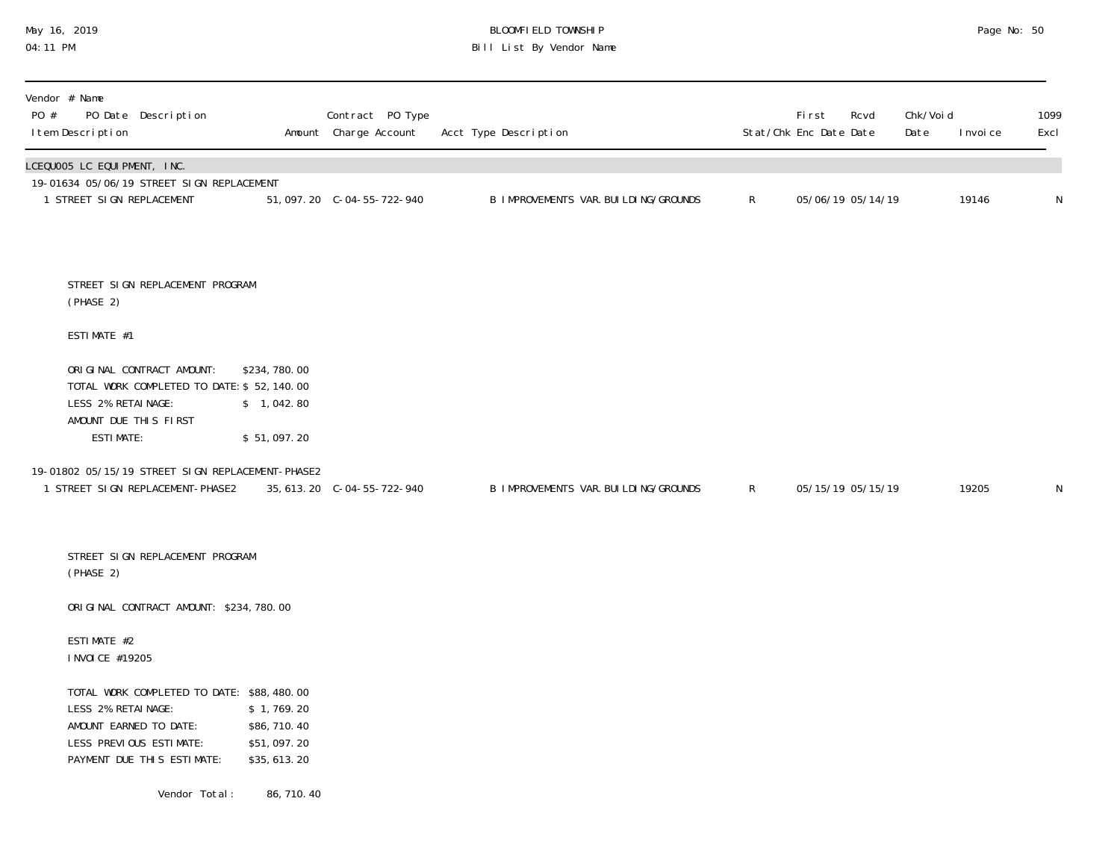## May 16, 2019 BLOOMFIELD TOWNSHIP Page No: 50 04:11 PM Bill List By Vendor Name

| Vendor # Name<br>PO #<br>PO Date Description<br>I tem Description                                                                                  |                                                         | Contract PO Type<br>Amount Charge Account | Acct Type Description                  |              | First<br>Stat/Chk Enc Date Date | Rcvd              | Chk/Void<br>Date | I nvoi ce | 1099<br>Excl |
|----------------------------------------------------------------------------------------------------------------------------------------------------|---------------------------------------------------------|-------------------------------------------|----------------------------------------|--------------|---------------------------------|-------------------|------------------|-----------|--------------|
| LCEQUOO5 LC EQUIPMENT, INC.<br>19-01634 05/06/19 STREET SIGN REPLACEMENT<br>1 STREET SIGN REPLACEMENT                                              |                                                         | 51, 097. 20 C-04-55-722-940               | B IMPROVEMENTS VAR. BUI LDI NG/GROUNDS | $\mathsf{R}$ |                                 | 05/06/19 05/14/19 |                  | 19146     | N            |
| STREET SIGN REPLACEMENT PROGRAM<br>(PHASE 2)                                                                                                       |                                                         |                                           |                                        |              |                                 |                   |                  |           |              |
| ESTIMATE #1                                                                                                                                        |                                                         |                                           |                                        |              |                                 |                   |                  |           |              |
| ORIGINAL CONTRACT AMOUNT:<br>TOTAL WORK COMPLETED TO DATE: \$ 52, 140.00<br>LESS 2% RETAINAGE:                                                     | \$234,780.00<br>\$1,042.80                              |                                           |                                        |              |                                 |                   |                  |           |              |
| AMOUNT DUE THIS FIRST<br><b>ESTIMATE:</b>                                                                                                          | \$51,097.20                                             |                                           |                                        |              |                                 |                   |                  |           |              |
| 19-01802 05/15/19 STREET SIGN REPLACEMENT-PHASE2<br>1 STREET SIGN REPLACEMENT-PHASE2                                                               |                                                         | 35, 613. 20 C-04-55-722-940               | B IMPROVEMENTS VAR. BUI LDI NG/GROUNDS | $\mathsf{R}$ |                                 | 05/15/19 05/15/19 |                  | 19205     | N            |
| STREET SIGN REPLACEMENT PROGRAM<br>(PHASE 2)                                                                                                       |                                                         |                                           |                                        |              |                                 |                   |                  |           |              |
| ORIGINAL CONTRACT AMOUNT: \$234,780.00                                                                                                             |                                                         |                                           |                                        |              |                                 |                   |                  |           |              |
| ESTIMATE #2<br>I NVOI CE #19205                                                                                                                    |                                                         |                                           |                                        |              |                                 |                   |                  |           |              |
| TOTAL WORK COMPLETED TO DATE: \$88,480.00<br>LESS 2% RETAINAGE:<br>AMOUNT EARNED TO DATE:<br>LESS PREVIOUS ESTIMATE:<br>PAYMENT DUE THIS ESTIMATE: | \$1,769.20<br>\$86,710.40<br>\$51,097.20<br>\$35,613.20 |                                           |                                        |              |                                 |                   |                  |           |              |
| Vendor Total:                                                                                                                                      | 86, 710. 40                                             |                                           |                                        |              |                                 |                   |                  |           |              |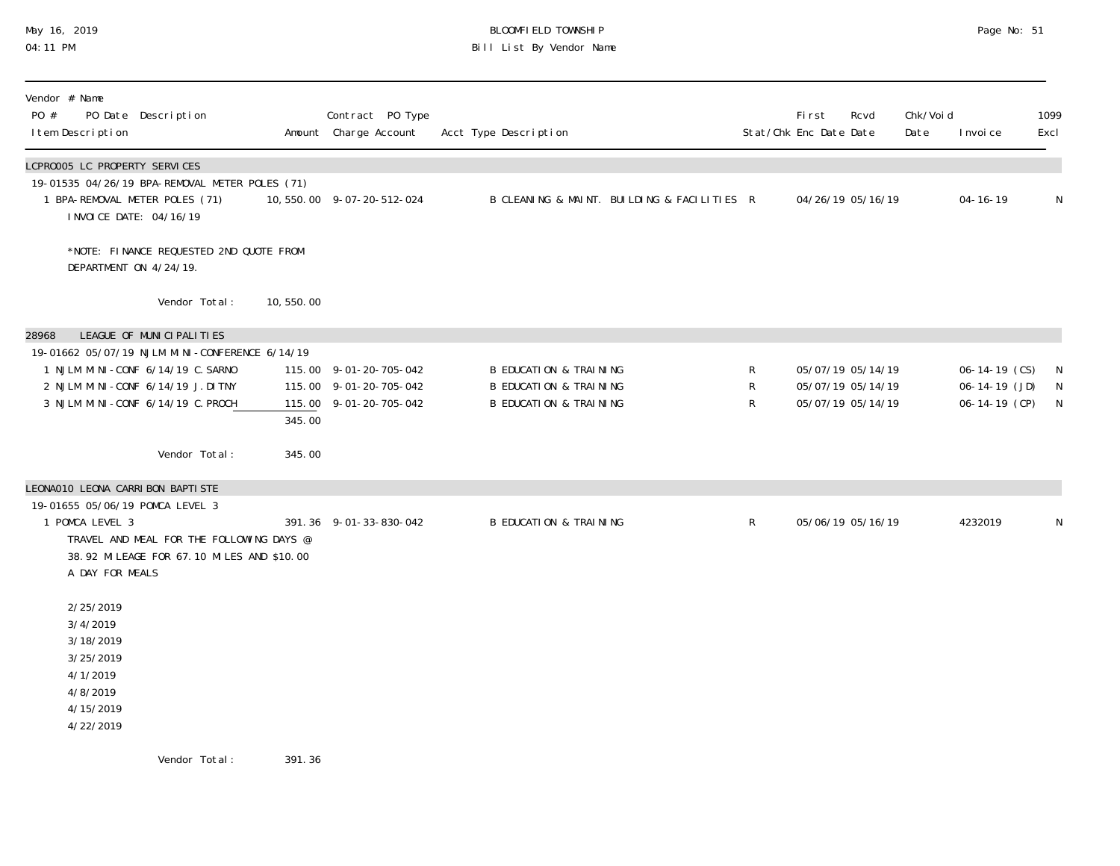# May 16, 2019 BLOOMFIELD TOWNSHIP Page No: 51 04:11 PM Bill List By Vendor Name

| Vendor # Name<br>PO #<br>PO Date Description<br>I tem Description                                                                                                                                  |           | Contract PO Type<br>Amount Charge Account                                  | Acct Type Description                                                                                       |                       | <b>First</b><br>Rcvd<br>Stat/Chk Enc Date Date              | Chk/Voi d<br>Date | I nvoi ce                                                     | 1099<br>Excl                     |
|----------------------------------------------------------------------------------------------------------------------------------------------------------------------------------------------------|-----------|----------------------------------------------------------------------------|-------------------------------------------------------------------------------------------------------------|-----------------------|-------------------------------------------------------------|-------------------|---------------------------------------------------------------|----------------------------------|
| LCPR0005 LC PROPERTY SERVICES<br>19-01535 04/26/19 BPA-REMOVAL METER POLES (71)<br>1 BPA-REMOVAL METER POLES (71)<br>I NVOI CE DATE: 04/16/19                                                      |           | 10,550.00 9-07-20-512-024                                                  | B CLEANING & MAINT. BUILDING & FACILITIES R                                                                 |                       | 04/26/19 05/16/19                                           |                   | $04 - 16 - 19$                                                | N                                |
| *NOTE: FINANCE REQUESTED 2ND QUOTE FROM<br>DEPARTMENT ON 4/24/19.                                                                                                                                  |           |                                                                            |                                                                                                             |                       |                                                             |                   |                                                               |                                  |
| Vendor Total:                                                                                                                                                                                      | 10,550.00 |                                                                            |                                                                                                             |                       |                                                             |                   |                                                               |                                  |
| LEAGUE OF MUNICIPALITIES<br>28968<br>19-01662 05/07/19 NJLM MINI-CONFERENCE 6/14/19<br>1 NJLM MINI-CONF 6/14/19 C. SARNO<br>2 NJLM MINI-CONF 6/14/19 J. DITNY<br>3 NJLM MINI-CONF 6/14/19 C. PROCH | 345.00    | 115.00 9-01-20-705-042<br>115.00 9-01-20-705-042<br>115.00 9-01-20-705-042 | <b>B EDUCATION &amp; TRAINING</b><br><b>B EDUCATION &amp; TRAINING</b><br><b>B EDUCATION &amp; TRAINING</b> | R<br>R<br>$\mathsf R$ | 05/07/19 05/14/19<br>05/07/19 05/14/19<br>05/07/19 05/14/19 |                   | $06 - 14 - 19$ (CS)<br>$06-14-19$ (JD)<br>$06 - 14 - 19$ (CP) | N<br>$\mathsf{N}$<br>$\mathbb N$ |
| Vendor Total:                                                                                                                                                                                      | 345.00    |                                                                            |                                                                                                             |                       |                                                             |                   |                                                               |                                  |
| LEONAO10 LEONA CARRIBON BAPTISTE                                                                                                                                                                   |           |                                                                            |                                                                                                             |                       |                                                             |                   |                                                               |                                  |
| 19-01655 05/06/19 POMCA LEVEL 3<br>1 POMCA LEVEL 3<br>TRAVEL AND MEAL FOR THE FOLLOWING DAYS @<br>38.92 MILEAGE FOR 67.10 MILES AND \$10.00<br>A DAY FOR MEALS                                     |           | 391.36 9-01-33-830-042                                                     | <b>B EDUCATION &amp; TRAINING</b>                                                                           | $\mathsf{R}$          | 05/06/19 05/16/19                                           |                   | 4232019                                                       | N                                |
| 2/25/2019<br>3/4/2019<br>3/18/2019<br>3/25/2019<br>4/1/2019<br>4/8/2019<br>4/15/2019<br>4/22/2019                                                                                                  |           |                                                                            |                                                                                                             |                       |                                                             |                   |                                                               |                                  |

Vendor Total: 391.36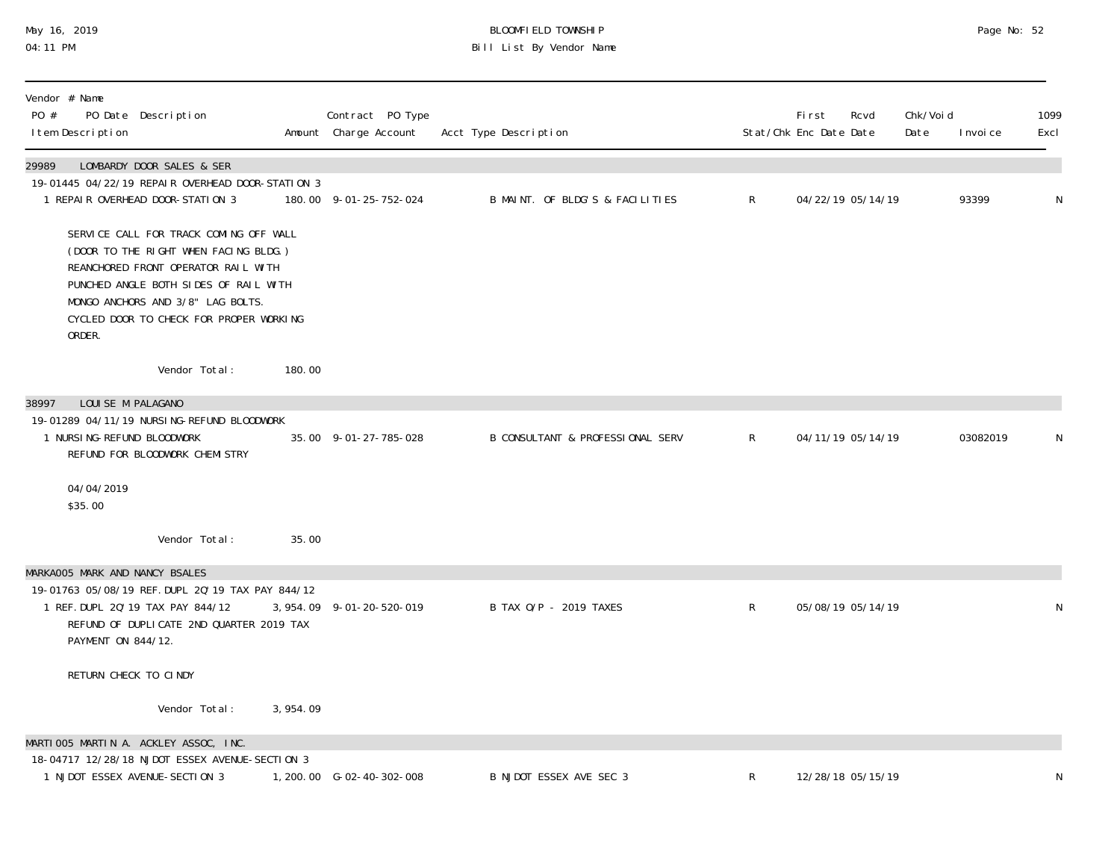## May 16, 2019 BLOOMFIELD TOWNSHIP Page No: 52 04:11 PM Bill List By Vendor Name

| Vendor # Name<br>PO #<br>PO Date Description<br>I tem Description                                                                                                                                                                                         |          | Contract PO Type<br>Amount Charge Account | Acct Type Description            |              | <b>First</b><br>Stat/Chk Enc Date Date | Rcvd<br>Date | Chk/Voi d<br>I nvoi ce | 1099<br>Excl |
|-----------------------------------------------------------------------------------------------------------------------------------------------------------------------------------------------------------------------------------------------------------|----------|-------------------------------------------|----------------------------------|--------------|----------------------------------------|--------------|------------------------|--------------|
| 29989<br>LOMBARDY DOOR SALES & SER<br>19-01445 04/22/19 REPAIR OVERHEAD DOOR-STATION 3<br>1 REPAIR OVERHEAD DOOR-STATION 3                                                                                                                                |          | 180.00 9-01-25-752-024                    | B MAINT. OF BLDG'S & FACILITIES  | R            | 04/22/19 05/14/19                      |              | 93399                  | ${\sf N}$    |
| SERVICE CALL FOR TRACK COMING OFF WALL<br>(DOOR TO THE RIGHT WHEN FACING BLDG.)<br>REANCHORED FRONT OPERATOR RAIL WITH<br>PUNCHED ANGLE BOTH SIDES OF RAIL WITH<br>MONGO ANCHORS AND 3/8" LAG BOLTS.<br>CYCLED DOOR TO CHECK FOR PROPER WORKING<br>ORDER. |          |                                           |                                  |              |                                        |              |                        |              |
| Vendor Total:                                                                                                                                                                                                                                             | 180.00   |                                           |                                  |              |                                        |              |                        |              |
| LOUISE M PALAGANO<br>38997                                                                                                                                                                                                                                |          |                                           |                                  |              |                                        |              |                        |              |
| 19-01289 04/11/19 NURSING-REFUND BLOODWORK<br>1 NURSI NG-REFUND BLOODWORK<br>REFUND FOR BLOODWORK CHEMISTRY                                                                                                                                               |          | 35.00 9-01-27-785-028                     | B CONSULTANT & PROFESSIONAL SERV | $\mathsf{R}$ | 04/11/19 05/14/19                      |              | 03082019               | N            |
| 04/04/2019<br>\$35.00                                                                                                                                                                                                                                     |          |                                           |                                  |              |                                        |              |                        |              |
| Vendor Total:                                                                                                                                                                                                                                             | 35.00    |                                           |                                  |              |                                        |              |                        |              |
| MARKAOO5 MARK AND NANCY BSALES                                                                                                                                                                                                                            |          |                                           |                                  |              |                                        |              |                        |              |
| 19-01763 05/08/19 REF. DUPL 20'19 TAX PAY 844/12<br>1 REF. DUPL 20' 19 TAX PAY 844/12<br>REFUND OF DUPLICATE 2ND QUARTER 2019 TAX<br>PAYMENT ON 844/12.                                                                                                   |          | 3, 954. 09 9-01-20-520-019                | B TAX 0/P - 2019 TAXES           | R            | 05/08/19 05/14/19                      |              |                        | N            |
| RETURN CHECK TO CINDY                                                                                                                                                                                                                                     |          |                                           |                                  |              |                                        |              |                        |              |
| Vendor Total:                                                                                                                                                                                                                                             | 3,954.09 |                                           |                                  |              |                                        |              |                        |              |
| MARTIOO5 MARTIN A. ACKLEY ASSOC, INC.                                                                                                                                                                                                                     |          |                                           |                                  |              |                                        |              |                        |              |
| 18-04717 12/28/18 NJDOT ESSEX AVENUE-SECTION 3<br>1 NJDOT ESSEX AVENUE-SECTION 3                                                                                                                                                                          |          | 1, 200. 00 G-02-40-302-008                | B NJDOT ESSEX AVE SEC 3          | R            | 12/28/18 05/15/19                      |              |                        | N            |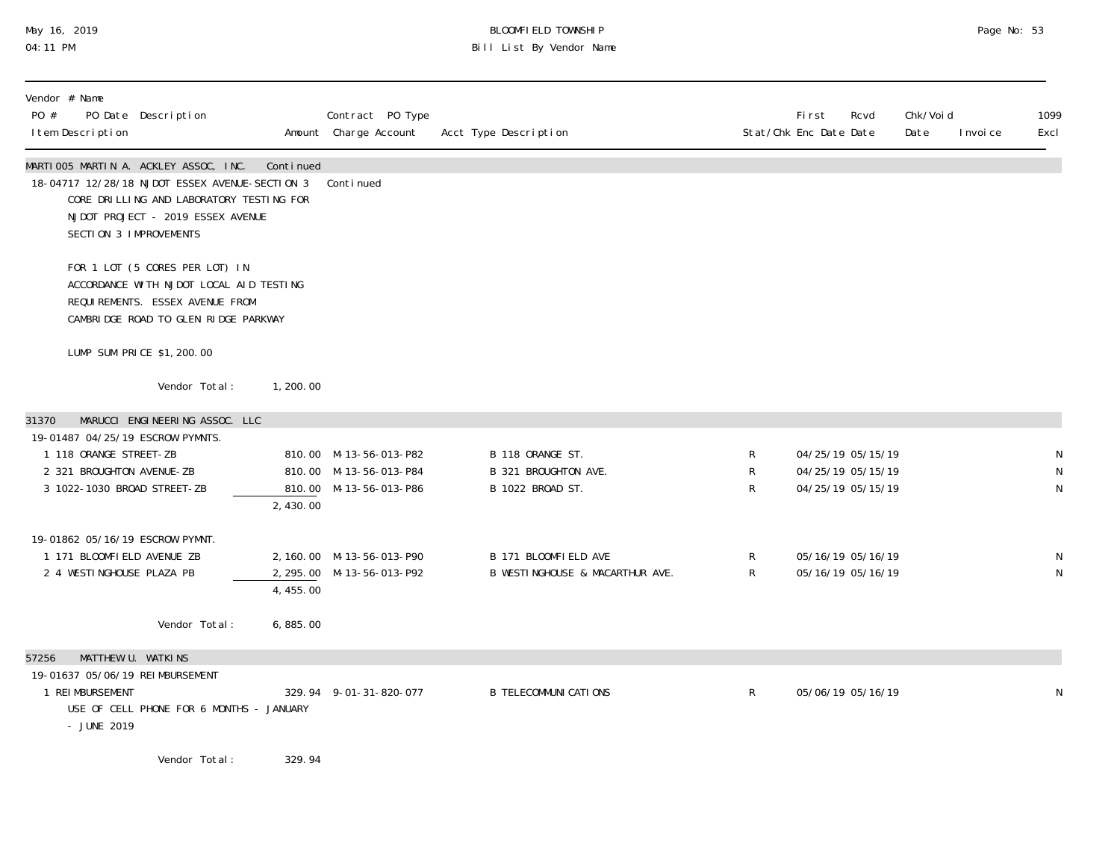# May 16, 2019 BLOOMFIELD TOWNSHIP Page No: 53 04:11 PM Bill List By Vendor Name

| Vendor # Name<br>PO #<br>I tem Description                                                                                      | PO Date Description                                                                                                                                                                                                                                                                                                                |            | Contract PO Type<br>Amount Charge Account                                  | Acct Type Description                                        |                              | <b>First</b><br>Rcvd<br>Stat/Chk Enc Date Date              | Chk/Voi d<br>Date | 1099<br>I nvoi ce<br>Excl |
|---------------------------------------------------------------------------------------------------------------------------------|------------------------------------------------------------------------------------------------------------------------------------------------------------------------------------------------------------------------------------------------------------------------------------------------------------------------------------|------------|----------------------------------------------------------------------------|--------------------------------------------------------------|------------------------------|-------------------------------------------------------------|-------------------|---------------------------|
| SECTION 3 IMPROVEMENTS                                                                                                          | MARTIOO5 MARTIN A. ACKLEY ASSOC, INC.<br>18-04717 12/28/18 NJDOT ESSEX AVENUE-SECTION 3<br>CORE DRILLING AND LABORATORY TESTING FOR<br>NJDOT PROJECT - 2019 ESSEX AVENUE                                                                                                                                                           | Continued  | Continued                                                                  |                                                              |                              |                                                             |                   |                           |
|                                                                                                                                 | FOR 1 LOT (5 CORES PER LOT) IN<br>ACCORDANCE WITH NJDOT LOCAL AID TESTING<br>REQUIREMENTS. ESSEX AVENUE FROM<br>CAMBRIDGE ROAD TO GLEN RIDGE PARKWAY                                                                                                                                                                               |            |                                                                            |                                                              |                              |                                                             |                   |                           |
|                                                                                                                                 | LUMP SUM PRICE \$1, 200.00                                                                                                                                                                                                                                                                                                         |            |                                                                            |                                                              |                              |                                                             |                   |                           |
|                                                                                                                                 | Vendor Total:                                                                                                                                                                                                                                                                                                                      | 1, 200, 00 |                                                                            |                                                              |                              |                                                             |                   |                           |
| 31370<br>19-01487 04/25/19 ESCROW PYMNTS.<br>1 118 ORANGE STREET-ZB<br>2 321 BROUGHTON AVENUE-ZB<br>3 1022-1030 BROAD STREET-ZB | MARUCCI ENGINEERING ASSOC. LLC                                                                                                                                                                                                                                                                                                     | 2,430.00   | 810.00 M-13-56-013-P82<br>810.00 M-13-56-013-P84<br>810.00 M-13-56-013-P86 | B 118 ORANGE ST.<br>B 321 BROUGHTON AVE.<br>B 1022 BROAD ST. | R<br>R<br>R                  | 04/25/19 05/15/19<br>04/25/19 05/15/19<br>04/25/19 05/15/19 |                   | N<br>N<br>N               |
| 19-01862 05/16/19 ESCROW PYMNT.<br>1 171 BLOOMFIELD AVENUE ZB<br>2 4 WESTINGHOUSE PLAZA PB                                      |                                                                                                                                                                                                                                                                                                                                    | 4,455.00   | 2, 160.00 M-13-56-013-P90<br>2, 295.00 M-13-56-013-P92                     | B 171 BLOOMFIELD AVE<br>B WESTINGHOUSE & MACARTHUR AVE.      | $\mathsf{R}$<br>$\mathsf{R}$ | 05/16/19 05/16/19<br>05/16/19 05/16/19                      |                   | N<br>$\mathsf N$          |
|                                                                                                                                 | Vendor Total:                                                                                                                                                                                                                                                                                                                      | 6,885.00   |                                                                            |                                                              |                              |                                                             |                   |                           |
| MATTHEW U. WATKINS<br>57256<br>19-01637 05/06/19 REIMBURSEMENT<br>1 REIMBURSEMENT<br>- JUNE 2019                                | USE OF CELL PHONE FOR 6 MONTHS - JANUARY                                                                                                                                                                                                                                                                                           |            | 329.94 9-01-31-820-077                                                     | <b>B TELECOMMUNICATIONS</b>                                  | $\mathsf{R}$                 | 05/06/19 05/16/19                                           |                   | N                         |
|                                                                                                                                 | $\mathbf{y}$ $\mathbf{y}$ $\mathbf{y}$ $\mathbf{y}$ $\mathbf{y}$ $\mathbf{y}$ $\mathbf{y}$ $\mathbf{y}$ $\mathbf{y}$ $\mathbf{y}$ $\mathbf{y}$ $\mathbf{y}$ $\mathbf{y}$ $\mathbf{y}$ $\mathbf{y}$ $\mathbf{y}$ $\mathbf{y}$ $\mathbf{y}$ $\mathbf{y}$ $\mathbf{y}$ $\mathbf{y}$ $\mathbf{y}$ $\mathbf{y}$ $\mathbf{y}$ $\mathbf{$ |            |                                                                            |                                                              |                              |                                                             |                   |                           |

Vendor Total: 329.94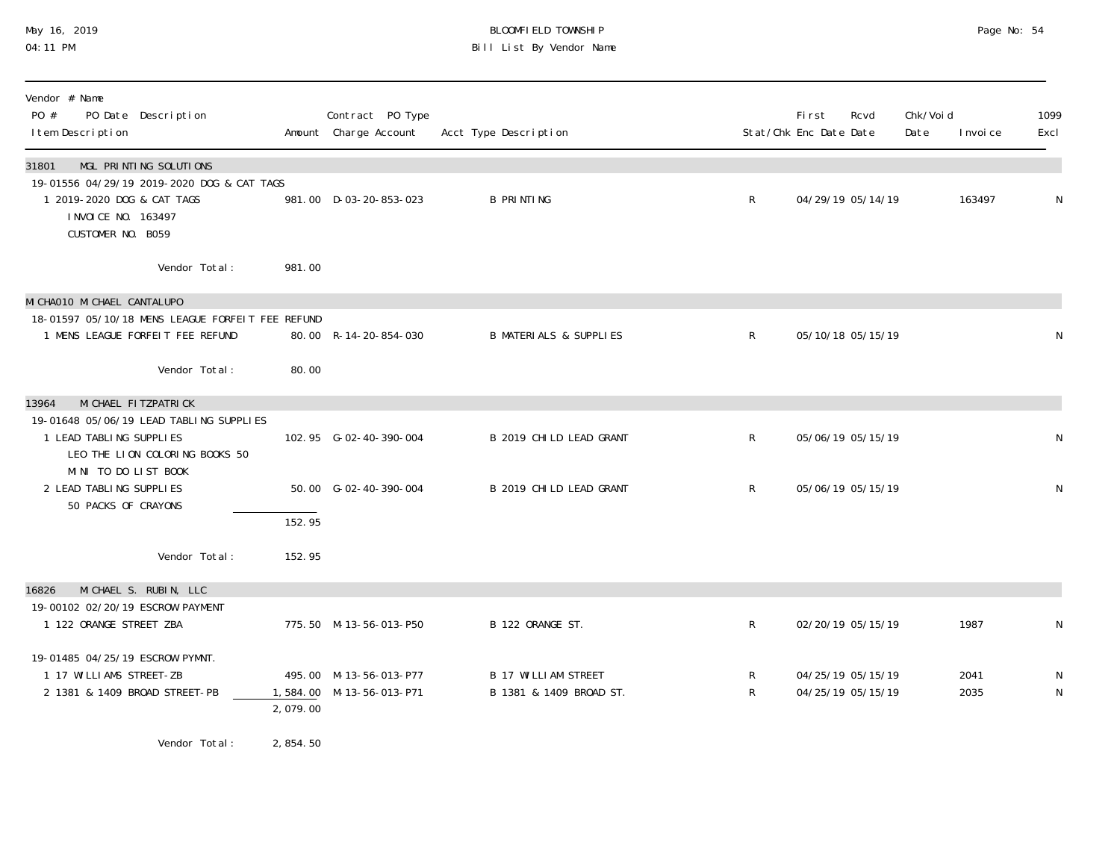## May 16, 2019 BLOOMFIELD TOWNSHIP Page No: 54 04:11 PM Bill List By Vendor Name

| Vendor # Name<br>PO #<br>PO Date Description<br>I tem Description                                                     |          | Contract PO Type<br>Amount Charge Account          | Acct Type Description                                 |                   | First<br>Stat/Chk Enc Date Date        | Rcvd              | Chk/Voi d<br>Date | I nvoi ce    | 1099<br>Excl |
|-----------------------------------------------------------------------------------------------------------------------|----------|----------------------------------------------------|-------------------------------------------------------|-------------------|----------------------------------------|-------------------|-------------------|--------------|--------------|
| MGL PRINTING SOLUTIONS<br>31801                                                                                       |          |                                                    |                                                       |                   |                                        |                   |                   |              |              |
| 19-01556 04/29/19 2019-2020 DOG & CAT TAGS<br>1 2019-2020 DOG & CAT TAGS<br>I NVOI CE NO. 163497<br>CUSTOMER NO. B059 |          | 981.00 D-03-20-853-023                             | <b>B PRINTING</b>                                     | $\mathsf{R}$      |                                        | 04/29/19 05/14/19 |                   | 163497       | N            |
| Vendor Total:                                                                                                         | 981.00   |                                                    |                                                       |                   |                                        |                   |                   |              |              |
| MI CHAO10 MI CHAEL CANTALUPO                                                                                          |          |                                                    |                                                       |                   |                                        |                   |                   |              |              |
| 18-01597 05/10/18 MENS LEAGUE FORFELT FEE REFUND<br>1 MENS LEAGUE FORFEIT FEE REFUND                                  |          | 80.00 R-14-20-854-030                              | <b>B MATERIALS &amp; SUPPLIES</b>                     | $\mathsf{R}$      | 05/10/18 05/15/19                      |                   |                   |              | N            |
| Vendor Total:                                                                                                         | 80.00    |                                                    |                                                       |                   |                                        |                   |                   |              |              |
| MI CHAEL FI TZPATRI CK<br>13964                                                                                       |          |                                                    |                                                       |                   |                                        |                   |                   |              |              |
| 19-01648 05/06/19 LEAD TABLING SUPPLIES<br>1 LEAD TABLING SUPPLIES<br>LEO THE LION COLORING BOOKS 50                  |          | 102.95 G-02-40-390-004                             | B 2019 CHILD LEAD GRANT                               | $\mathsf R$       | 05/06/19 05/15/19                      |                   |                   |              | N            |
| MINI TO DO LIST BOOK<br>2 LEAD TABLING SUPPLIES<br>50 PACKS OF CRAYONS                                                |          | 50.00 G-02-40-390-004                              | B 2019 CHILD LEAD GRANT                               | $\mathsf{R}$      |                                        | 05/06/19 05/15/19 |                   |              | N            |
|                                                                                                                       | 152.95   |                                                    |                                                       |                   |                                        |                   |                   |              |              |
| Vendor Total:                                                                                                         | 152.95   |                                                    |                                                       |                   |                                        |                   |                   |              |              |
| MICHAEL S. RUBIN, LLC<br>16826                                                                                        |          |                                                    |                                                       |                   |                                        |                   |                   |              |              |
| 19-00102 02/20/19 ESCROW PAYMENT<br>1 122 ORANGE STREET ZBA                                                           |          | 775.50 M-13-56-013-P50                             | B 122 ORANGE ST.                                      | $\mathsf{R}$      |                                        | 02/20/19 05/15/19 |                   | 1987         | N            |
| 19-01485 04/25/19 ESCROW PYMNT.                                                                                       |          |                                                    |                                                       |                   |                                        |                   |                   |              |              |
| 1 17 WILLIAMS STREET-ZB<br>2 1381 & 1409 BROAD STREET-PB                                                              | 2,079.00 | 495.00 M-13-56-013-P77<br>1,584.00 M-13-56-013-P71 | <b>B 17 WILLIAM STREET</b><br>B 1381 & 1409 BROAD ST. | R<br>$\mathsf{R}$ | 04/25/19 05/15/19<br>04/25/19 05/15/19 |                   |                   | 2041<br>2035 | N<br>N       |

Vendor Total: 2,854.50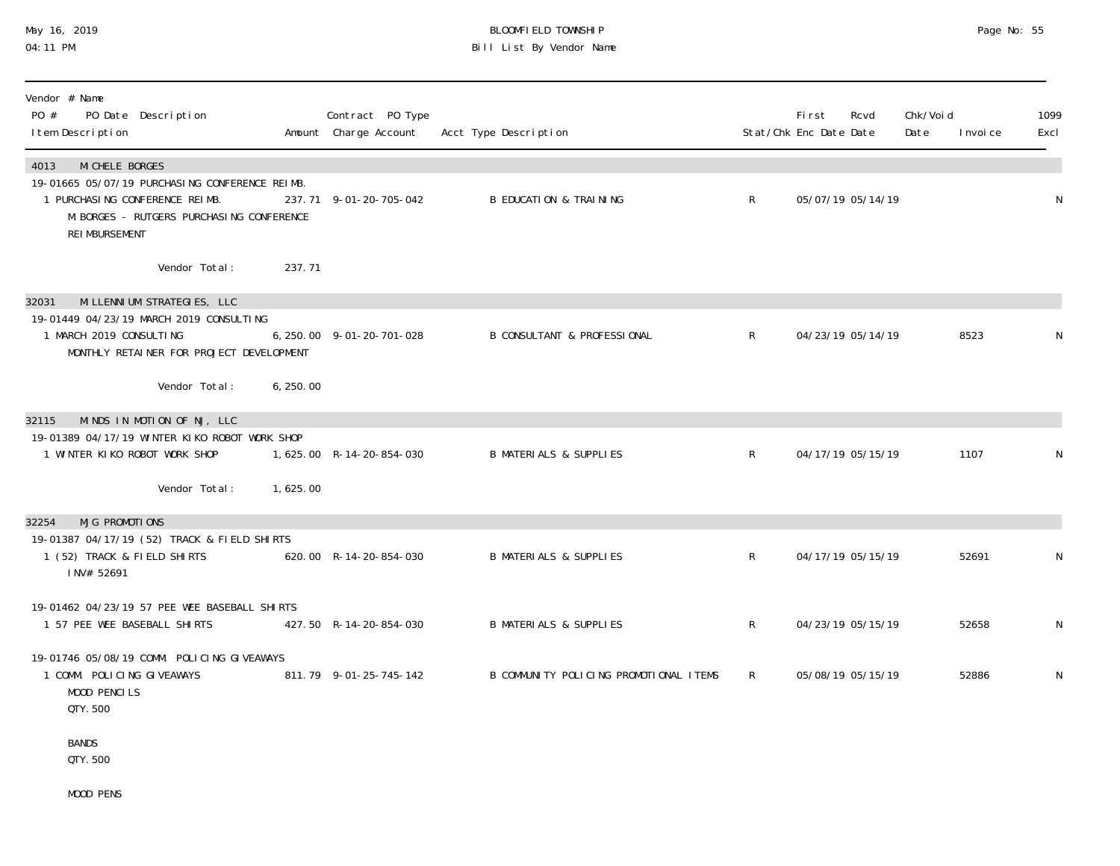## May 16, 2019 BLOOMFIELD TOWNSHIP Page No: 55 04:11 PM Bill List By Vendor Name

| Vendor # Name<br>PO #<br>PO Date Description<br>I tem Description                                                                                                                 | Contract PO Type<br>Amount Charge Account | Acct Type Description                  |              | <b>First</b><br>Stat/Chk Enc Date Date | Rcvd              | Chk/Voi d<br>Date | I nvoi ce | 1099<br>Excl |
|-----------------------------------------------------------------------------------------------------------------------------------------------------------------------------------|-------------------------------------------|----------------------------------------|--------------|----------------------------------------|-------------------|-------------------|-----------|--------------|
| MI CHELE BORGES<br>4013<br>19-01665 05/07/19 PURCHASING CONFERENCE REIMB.<br>1 PURCHASING CONFERENCE REIMB.<br>M. BORGES - RUTGERS PURCHASING CONFERENCE<br><b>REI MBURSEMENT</b> | 237.71 9-01-20-705-042                    | <b>B EDUCATION &amp; TRAINING</b>      | R            |                                        | 05/07/19 05/14/19 |                   |           | N            |
| 237.71<br>Vendor Total:                                                                                                                                                           |                                           |                                        |              |                                        |                   |                   |           |              |
| MI LLENNI UM STRATEGIES, LLC<br>32031<br>19-01449 04/23/19 MARCH 2019 CONSULTING<br>1 MARCH 2019 CONSULTING<br>MONTHLY RETAINER FOR PROJECT DEVELOPMENT                           | 6, 250. 00 9-01-20-701-028                | <b>B CONSULTANT &amp; PROFESSIONAL</b> | $\mathsf{R}$ |                                        | 04/23/19 05/14/19 |                   | 8523      | N            |
| Vendor Total:<br>6, 250.00                                                                                                                                                        |                                           |                                        |              |                                        |                   |                   |           |              |
| MINDS IN MOTION OF NJ, LLC<br>32115<br>19-01389 04/17/19 WINTER KIKO ROBOT WORK SHOP<br>1 WINTER KIKO ROBOT WORK SHOP                                                             | 1,625.00 R-14-20-854-030                  | <b>B MATERIALS &amp; SUPPLIES</b>      | $\mathsf{R}$ |                                        | 04/17/19 05/15/19 |                   | 1107      | N            |
| Vendor Total:<br>1,625.00                                                                                                                                                         |                                           |                                        |              |                                        |                   |                   |           |              |
| 32254<br>MJG PROMOTIONS<br>19-01387 04/17/19 (52) TRACK & FIELD SHIRTS<br>1 (52) TRACK & FIELD SHIRTS<br>INV# 52691                                                               | 620.00 R-14-20-854-030                    | <b>B MATERIALS &amp; SUPPLIES</b>      | $\mathsf{R}$ |                                        | 04/17/19 05/15/19 |                   | 52691     | N            |
| 19-01462 04/23/19 57 PEE WEE BASEBALL SHIRTS<br>1 57 PEE WEE BASEBALL SHIRTS                                                                                                      | 427.50 R-14-20-854-030                    | <b>B MATERIALS &amp; SUPPLIES</b>      | $\mathsf{R}$ |                                        | 04/23/19 05/15/19 |                   | 52658     | N            |
| 19-01746 05/08/19 COMM. POLICING GIVEAWAYS<br>1 COMM. POLICING GIVEAWAYS<br>MOOD PENCILS<br>QTY. 500                                                                              | 811.79 9-01-25-745-142                    | B COMMUNITY POLICING PROMOTIONAL ITEMS | R            |                                        | 05/08/19 05/15/19 |                   | 52886     | N            |
| <b>BANDS</b><br>QTY. 500                                                                                                                                                          |                                           |                                        |              |                                        |                   |                   |           |              |

MOOD PENS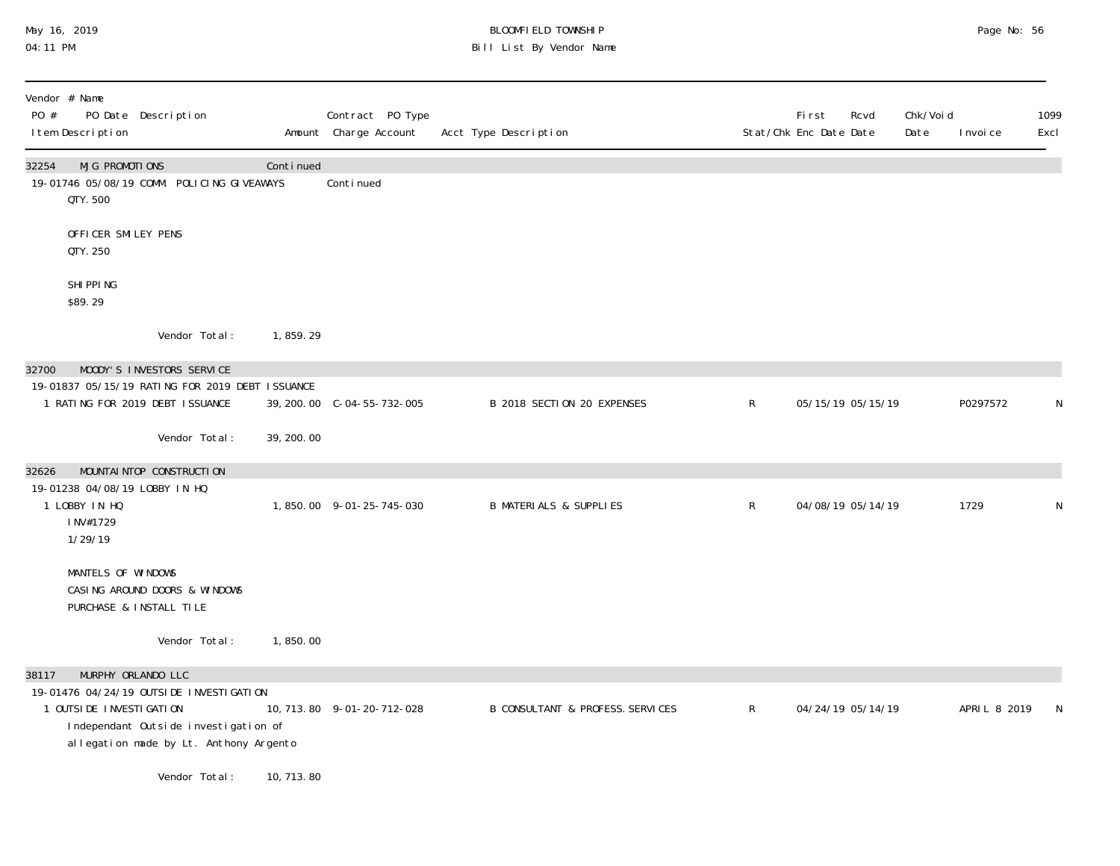## May 16, 2019 BLOOMFIELD TOWNSHIP Page No: 56 04:11 PM Bill List By Vendor Name

| PO #  | Vendor # Name<br>I tem Description   | PO Date Description                                                                                                                             |            | Contract PO Type<br>Amount Charge Account | Acct Type Description                       |              | <b>First</b><br>Rcvd<br>Stat/Chk Enc Date Date | Chk/Voi d<br>Date | I nvoi ce    | 1099<br>Excl |
|-------|--------------------------------------|-------------------------------------------------------------------------------------------------------------------------------------------------|------------|-------------------------------------------|---------------------------------------------|--------------|------------------------------------------------|-------------------|--------------|--------------|
| 32254 | <b>MJG PROMOTIONS</b><br>QTY. 500    | 19-01746 05/08/19 COMM. POLICING GIVEAWAYS                                                                                                      | Continued  | Continued                                 |                                             |              |                                                |                   |              |              |
|       | OFFICER SMILEY PENS<br>QTY. 250      |                                                                                                                                                 |            |                                           |                                             |              |                                                |                   |              |              |
|       | SHI PPI NG<br>\$89.29                |                                                                                                                                                 |            |                                           |                                             |              |                                                |                   |              |              |
|       |                                      | Vendor Total:                                                                                                                                   | 1,859.29   |                                           |                                             |              |                                                |                   |              |              |
| 32700 |                                      | MOODY'S INVESTORS SERVICE<br>19-01837 05/15/19 RATING FOR 2019 DEBT ISSUANCE<br>1 RATING FOR 2019 DEBT ISSUANCE                                 |            |                                           | B 2018 SECTION 20 EXPENSES                  | $\mathsf{R}$ | 05/15/19 05/15/19                              |                   | P0297572     | N            |
|       |                                      | Vendor Total:                                                                                                                                   | 39, 200.00 |                                           |                                             |              |                                                |                   |              |              |
| 32626 |                                      | MOUNTAI NTOP CONSTRUCTION<br>19-01238 04/08/19 LOBBY IN HQ                                                                                      |            |                                           |                                             |              |                                                |                   |              |              |
|       | 1 LOBBY IN HQ<br>INV#1729<br>1/29/19 |                                                                                                                                                 |            | 1,850.00 9-01-25-745-030                  | <b>B MATERIALS &amp; SUPPLIES</b>           | $\mathsf R$  | 04/08/19 05/14/19                              |                   | 1729         | N            |
|       | MANTELS OF WINDOWS                   | CASING AROUND DOORS & WINDOWS<br>PURCHASE & INSTALL TILE                                                                                        |            |                                           |                                             |              |                                                |                   |              |              |
|       |                                      | Vendor Total:                                                                                                                                   | 1,850.00   |                                           |                                             |              |                                                |                   |              |              |
| 38117 | 1 OUTSI DE INVESTI GATI ON           | MURPHY ORLANDO LLC<br>19-01476 04/24/19 OUTSIDE INVESTIGATION<br>Independant Outside investigation of<br>allegation made by Lt. Anthony Argento |            | 10, 713. 80 9-01-20-712-028               | <b>B CONSULTANT &amp; PROFESS. SERVICES</b> | $\mathsf R$  | 04/24/19 05/14/19                              |                   | APRIL 8 2019 | N            |
|       |                                      | Vendor Total:                                                                                                                                   | 10, 713.80 |                                           |                                             |              |                                                |                   |              |              |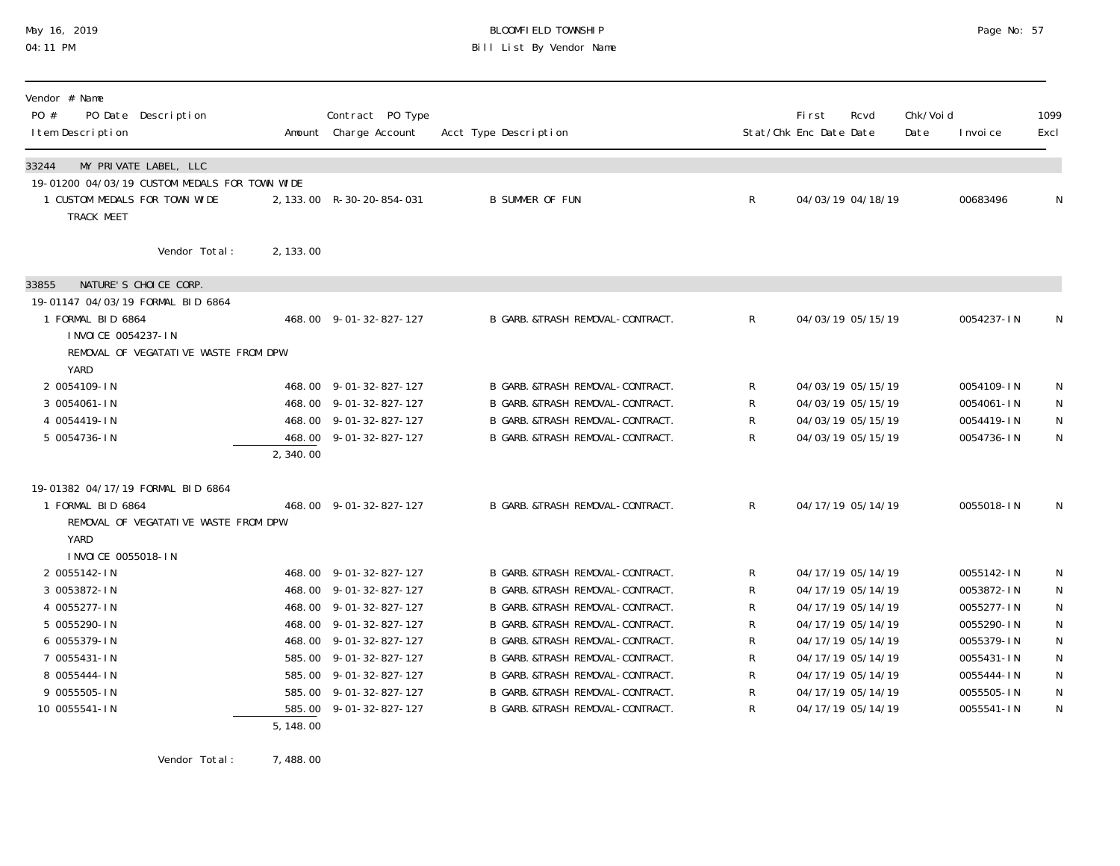## May 16, 2019 BLOOMFIELD TOWNSHIP Page No: 57 04:11 PM Bill List By Vendor Name

| Vendor # Name<br>PO #<br>PO Date Description<br>I tem Description                            |           | Contract PO Type<br>Amount Charge Account | Acct Type Description                      |              | <b>First</b><br>Stat/Chk Enc Date Date | Rcvd              | Chk/Voi d<br>Date | I nvoi ce  | 1099<br>Excl |
|----------------------------------------------------------------------------------------------|-----------|-------------------------------------------|--------------------------------------------|--------------|----------------------------------------|-------------------|-------------------|------------|--------------|
| MY PRIVATE LABEL, LLC<br>33244                                                               |           |                                           |                                            |              |                                        |                   |                   |            |              |
| 19-01200 04/03/19 CUSTOM MEDALS FOR TOWN WIDE<br>1 CUSTOM MEDALS FOR TOWN WIDE<br>TRACK MEET |           | 2, 133.00 R-30-20-854-031                 | <b>B SUMMER OF FUN</b>                     | R            |                                        | 04/03/19 04/18/19 |                   | 00683496   | N            |
| Vendor Total:                                                                                | 2, 133.00 |                                           |                                            |              |                                        |                   |                   |            |              |
| NATURE'S CHOICE CORP.<br>33855                                                               |           |                                           |                                            |              |                                        |                   |                   |            |              |
| 19-01147 04/03/19 FORMAL BID 6864                                                            |           |                                           |                                            |              |                                        |                   |                   |            |              |
| 1 FORMAL BID 6864                                                                            |           | 468.00 9-01-32-827-127                    | B GARB. &TRASH REMOVAL-CONTRACT.           | $\mathsf{R}$ |                                        | 04/03/19 05/15/19 |                   | 0054237-IN | N            |
| I NVOI CE 0054237-IN                                                                         |           |                                           |                                            |              |                                        |                   |                   |            |              |
| REMOVAL OF VEGATATIVE WASTE FROM DPW                                                         |           |                                           |                                            |              |                                        |                   |                   |            |              |
| YARD                                                                                         |           |                                           |                                            |              |                                        |                   |                   |            |              |
| 2 0054109-IN                                                                                 |           | 468.00 9-01-32-827-127                    | B GARB. &TRASH REMOVAL-CONTRACT.           | R            |                                        | 04/03/19 05/15/19 |                   | 0054109-IN | N            |
| 3 0054061-IN                                                                                 |           | 468.00 9-01-32-827-127                    | B GARB. & TRASH REMOVAL-CONTRACT.          | R            |                                        | 04/03/19 05/15/19 |                   | 0054061-IN | N            |
| 4 0054419-IN                                                                                 |           | 468.00 9-01-32-827-127                    | B GARB. & TRASH REMOVAL-CONTRACT.          | R            |                                        | 04/03/19 05/15/19 |                   | 0054419-IN | ${\sf N}$    |
| 5 0054736-IN                                                                                 |           | 468.00 9-01-32-827-127                    | B GARB. & TRASH REMOVAL-CONTRACT.          | R            |                                        | 04/03/19 05/15/19 |                   | 0054736-IN | $\mathsf{N}$ |
|                                                                                              | 2, 340.00 |                                           |                                            |              |                                        |                   |                   |            |              |
| 19-01382 04/17/19 FORMAL BID 6864                                                            |           |                                           |                                            |              |                                        |                   |                   |            |              |
| 1 FORMAL BID 6864                                                                            |           | 468.00 9-01-32-827-127                    | B GARB. &TRASH REMOVAL-CONTRACT.           | $\mathsf{R}$ |                                        | 04/17/19 05/14/19 |                   | 0055018-IN | N            |
| REMOVAL OF VEGATATIVE WASTE FROM DPW                                                         |           |                                           |                                            |              |                                        |                   |                   |            |              |
| YARD                                                                                         |           |                                           |                                            |              |                                        |                   |                   |            |              |
| I NVOI CE 0055018-IN                                                                         |           |                                           |                                            |              |                                        |                   |                   |            |              |
| 2 0055142-IN                                                                                 |           | 468.00 9-01-32-827-127                    | B GARB. & TRASH REMOVAL-CONTRACT.          | R            |                                        | 04/17/19 05/14/19 |                   | 0055142-IN | N            |
| 3 0053872-IN                                                                                 |           | 468.00 9-01-32-827-127                    | B GARB & TRASH REMOVAL-CONTRACT.           | R            |                                        | 04/17/19 05/14/19 |                   | 0053872-IN | N            |
| 4 0055277-IN                                                                                 |           | 468.00 9-01-32-827-127                    | B GARB. &TRASH REMOVAL-CONTRACT.           | R            |                                        | 04/17/19 05/14/19 |                   | 0055277-IN | $\mathsf N$  |
| 5 0055290-IN                                                                                 |           | 468.00 9-01-32-827-127                    | B GARB. & TRASH REMOVAL-CONTRACT.          | R            |                                        | 04/17/19 05/14/19 |                   | 0055290-IN | ${\sf N}$    |
| 6 0055379-IN                                                                                 |           | 468.00 9-01-32-827-127                    | B GARB. & TRASH REMOVAL-CONTRACT.          | R            |                                        | 04/17/19 05/14/19 |                   | 0055379-IN | $\mathsf N$  |
| 7 0055431-IN                                                                                 |           | 585.00 9-01-32-827-127                    | B GARB. & TRASH REMOVAL-CONTRACT.          | R            |                                        | 04/17/19 05/14/19 |                   | 0055431-IN | ${\sf N}$    |
| 8 0055444-IN                                                                                 |           | 585.00 9-01-32-827-127                    | B GARB & TRASH REMOVAL-CONTRACT.           | R            |                                        | 04/17/19 05/14/19 |                   | 0055444-IN | ${\sf N}$    |
| 9 0055505-IN                                                                                 |           | 585.00 9-01-32-827-127                    | B GARB & TRASH REMOVAL-CONTRACT.           | R            |                                        | 04/17/19 05/14/19 |                   | 0055505-IN | ${\sf N}$    |
| 10 0055541-IN                                                                                |           | 585.00 9-01-32-827-127                    | <b>B GARB &amp; TRASH REMOVAL-CONTRACT</b> | R            |                                        | 04/17/19 05/14/19 |                   | 0055541-IN | N            |
|                                                                                              | 5, 148.00 |                                           |                                            |              |                                        |                   |                   |            |              |

Vendor Total: 7,488.00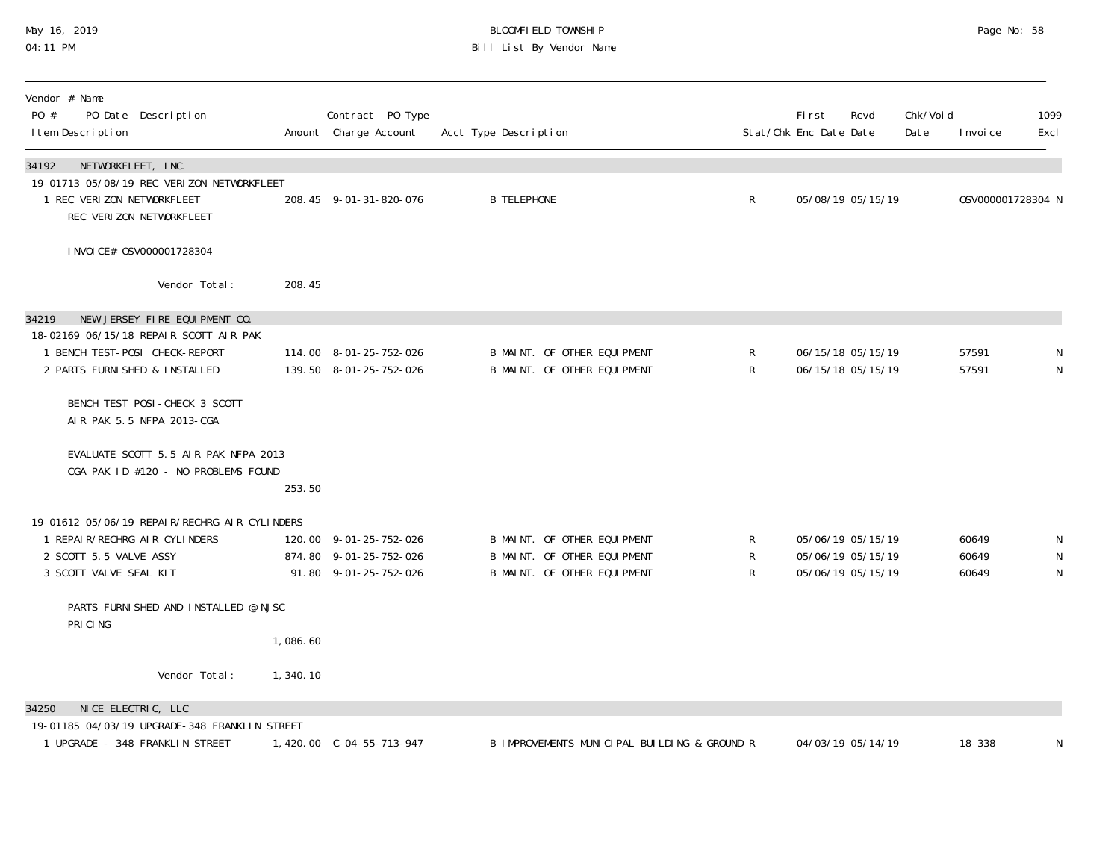## May 16, 2019 BLOOMFIELD TOWNSHIP Page No: 58 04:11 PM Bill List By Vendor Name

| Vendor # Name<br>PO #<br>PO Date Description<br>I tem Description                                                                                    |          | Contract PO Type<br>Amount Charge Account                                 | Acct Type Description                                                                     |                        | First<br>Stat/Chk Enc Date Date        | Rcvd              | Chk/Void<br>Date | I nvoi ce               | 1099<br>Excl        |
|------------------------------------------------------------------------------------------------------------------------------------------------------|----------|---------------------------------------------------------------------------|-------------------------------------------------------------------------------------------|------------------------|----------------------------------------|-------------------|------------------|-------------------------|---------------------|
| NETWORKFLEET, INC.<br>34192<br>19-01713 05/08/19 REC VERIZON NETWORKFLEET<br>1 REC VERIZON NETWORKFLEET<br>REC VERIZON NETWORKFLEET                  |          | 208.45 9-01-31-820-076                                                    | <b>B TELEPHONE</b>                                                                        | $\mathsf{R}$           |                                        | 05/08/19 05/15/19 |                  | 0SV000001728304 N       |                     |
| I NVOI CE# 0SV000001728304                                                                                                                           |          |                                                                           |                                                                                           |                        |                                        |                   |                  |                         |                     |
| Vendor Total:                                                                                                                                        | 208.45   |                                                                           |                                                                                           |                        |                                        |                   |                  |                         |                     |
| NEW JERSEY FIRE EQUIPMENT CO.<br>34219<br>18-02169 06/15/18 REPAIR SCOTT AIR PAK<br>1 BENCH TEST-POSI CHECK-REPORT<br>2 PARTS FURNI SHED & INSTALLED |          | 114.00 8-01-25-752-026<br>139.50 8-01-25-752-026                          | B MAINT. OF OTHER EQUIPMENT<br>B MAINT. OF OTHER EQUIPMENT                                | R<br>$\mathsf{R}$      | 06/15/18 05/15/19                      | 06/15/18 05/15/19 |                  | 57591<br>57591          | N                   |
| BENCH TEST POSI-CHECK 3 SCOTT<br>AIR PAK 5.5 NFPA 2013-CGA                                                                                           |          |                                                                           |                                                                                           |                        |                                        |                   |                  |                         |                     |
| EVALUATE SCOTT 5.5 AIR PAK NFPA 2013<br>CGA PAK ID #120 - NO PROBLEMS FOUND                                                                          | 253.50   |                                                                           |                                                                                           |                        |                                        |                   |                  |                         |                     |
| 19-01612 05/06/19 REPAIR/RECHRG AIR CYLINDERS<br>1 REPAIR/RECHRG AIR CYLINDERS<br>2 SCOTT 5.5 VALVE ASSY<br>3 SCOTT VALVE SEAL KIT                   |          | 120.00 9-01-25-752-026<br>874.80 9-01-25-752-026<br>91.80 9-01-25-752-026 | B MAINT. OF OTHER EQUIPMENT<br>B MAINT. OF OTHER EQUIPMENT<br>B MAINT. OF OTHER EQUIPMENT | $\mathsf{R}$<br>R<br>R | 05/06/19 05/15/19<br>05/06/19 05/15/19 | 05/06/19 05/15/19 |                  | 60649<br>60649<br>60649 | N<br>N<br>${\sf N}$ |
| PARTS FURNISHED AND INSTALLED @ NJSC<br>PRI CI NG                                                                                                    |          |                                                                           |                                                                                           |                        |                                        |                   |                  |                         |                     |
|                                                                                                                                                      | 1,086.60 |                                                                           |                                                                                           |                        |                                        |                   |                  |                         |                     |
| Vendor Total:                                                                                                                                        | 1,340.10 |                                                                           |                                                                                           |                        |                                        |                   |                  |                         |                     |
| NICE ELECTRIC, LLC<br>34250<br>19-01185 04/03/19 UPGRADE-348 FRANKLIN STREET<br>1 UPGRADE - 348 FRANKLIN STREET                                      |          | 1,420.00 C-04-55-713-947                                                  | B IMPROVEMENTS MUNICIPAL BUILDING & GROUND R                                              |                        |                                        | 04/03/19 05/14/19 |                  | 18-338                  | N                   |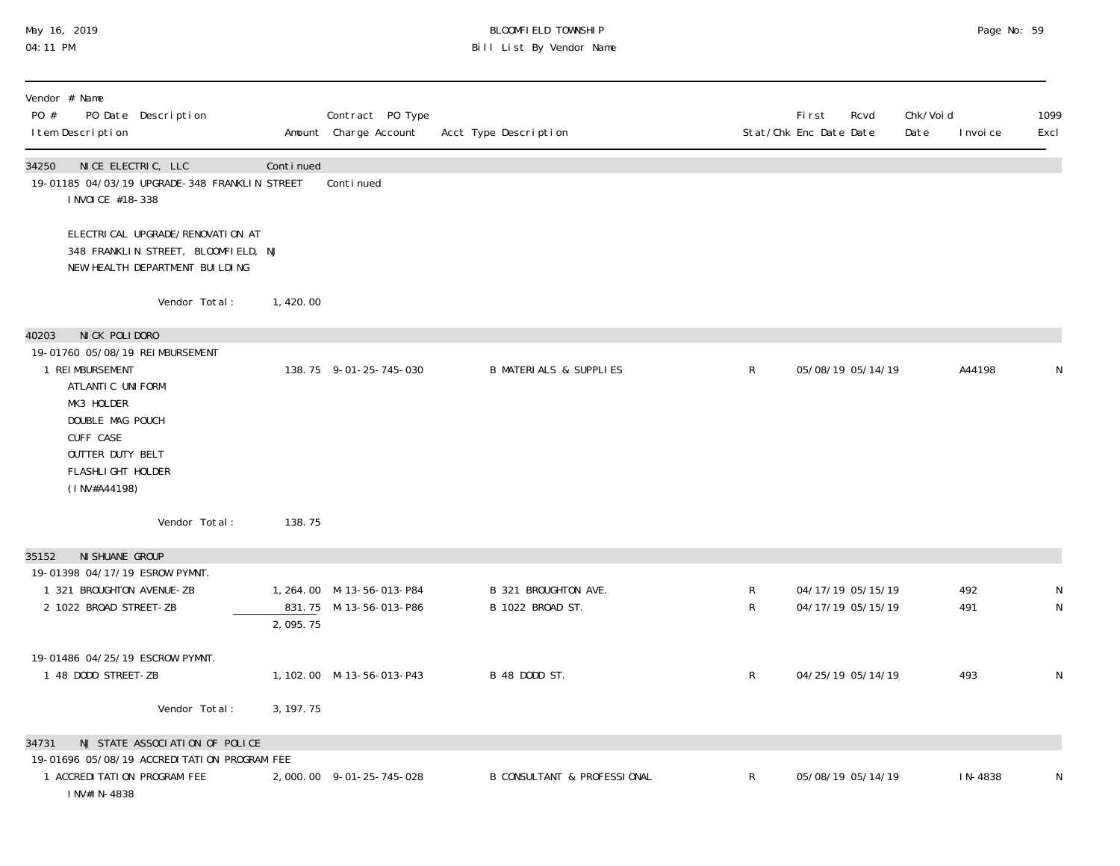# May 16, 2019 BLOOMFIELD TOWNSHIP Page No: 59 04:11 PM Bill List By Vendor Name

| Vendor # Name<br>PO #<br>PO Date Description<br>I tem Description                                                                                                                   |            | Contract PO Type<br>Amount Charge Account           | Acct Type Description                    |             | <b>First</b><br>Rcvd<br>Stat/Chk Enc Date Date | Chk/Voi d<br>Date | I nvoi ce  | 1099<br>Excl                |
|-------------------------------------------------------------------------------------------------------------------------------------------------------------------------------------|------------|-----------------------------------------------------|------------------------------------------|-------------|------------------------------------------------|-------------------|------------|-----------------------------|
| 34250<br>NICE ELECTRIC, LLC<br>19-01185 04/03/19 UPGRADE-348 FRANKLIN STREET<br>I NVOI CE #18-338                                                                                   | Continued  | Continued                                           |                                          |             |                                                |                   |            |                             |
| ELECTRI CAL UPGRADE/RENOVATI ON AT<br>348 FRANKLIN STREET, BLOOMFIELD, NJ<br>NEW HEALTH DEPARTMENT BUILDING                                                                         |            |                                                     |                                          |             |                                                |                   |            |                             |
| Vendor Total:                                                                                                                                                                       | 1,420.00   |                                                     |                                          |             |                                                |                   |            |                             |
| NICK POLIDORO<br>40203                                                                                                                                                              |            |                                                     |                                          |             |                                                |                   |            |                             |
| 19-01760 05/08/19 REIMBURSEMENT<br>1 REI MBURSEMENT<br>ATLANTIC UNIFORM<br>MK3 HOLDER<br>DOUBLE MAG POUCH<br>CUFF CASE<br>OUTTER DUTY BELT<br>FLASHLI GHT HOLDER<br>$(1$ NV#A44198) |            | 138.75 9-01-25-745-030                              | <b>B MATERIALS &amp; SUPPLIES</b>        | R           | 05/08/19 05/14/19                              |                   | A44198     | N                           |
| Vendor Total:                                                                                                                                                                       | 138.75     |                                                     |                                          |             |                                                |                   |            |                             |
| NI SHUANE GROUP<br>35152                                                                                                                                                            |            |                                                     |                                          |             |                                                |                   |            |                             |
| 19-01398 04/17/19 ESROW PYMNT.                                                                                                                                                      |            |                                                     |                                          |             |                                                |                   |            |                             |
| 1 321 BROUGHTON AVENUE-ZB<br>2 1022 BROAD STREET-ZB                                                                                                                                 | 2,095.75   | 1, 264.00 M-13-56-013-P84<br>831.75 M-13-56-013-P86 | B 321 BROUGHTON AVE.<br>B 1022 BROAD ST. | R<br>R      | 04/17/19 05/15/19<br>04/17/19 05/15/19         |                   | 492<br>491 | $\mathsf N$<br>$\mathsf{N}$ |
|                                                                                                                                                                                     |            |                                                     |                                          |             |                                                |                   |            |                             |
| 19-01486 04/25/19 ESCROW PYMNT.<br>1 48 DODD STREET-ZB                                                                                                                              |            | 1, 102. 00 M-13-56-013-P43                          | B 48 DODD ST.                            | R           | 04/25/19 05/14/19                              |                   | 493        | $\mathsf N$                 |
| Vendor Total:                                                                                                                                                                       | 3, 197. 75 |                                                     |                                          |             |                                                |                   |            |                             |
| NJ STATE ASSOCIATION OF POLICE<br>34731                                                                                                                                             |            |                                                     |                                          |             |                                                |                   |            |                             |
| 19-01696 05/08/19 ACCREDI TATION PROGRAM FEE                                                                                                                                        |            |                                                     |                                          |             |                                                |                   |            |                             |
| 1 ACCREDITATION PROGRAM FEE<br>INV#IN-4838                                                                                                                                          |            | 2,000.00 9-01-25-745-028                            | <b>B CONSULTANT &amp; PROFESSIONAL</b>   | $\mathsf R$ | 05/08/19 05/14/19                              |                   | IN-4838    | N                           |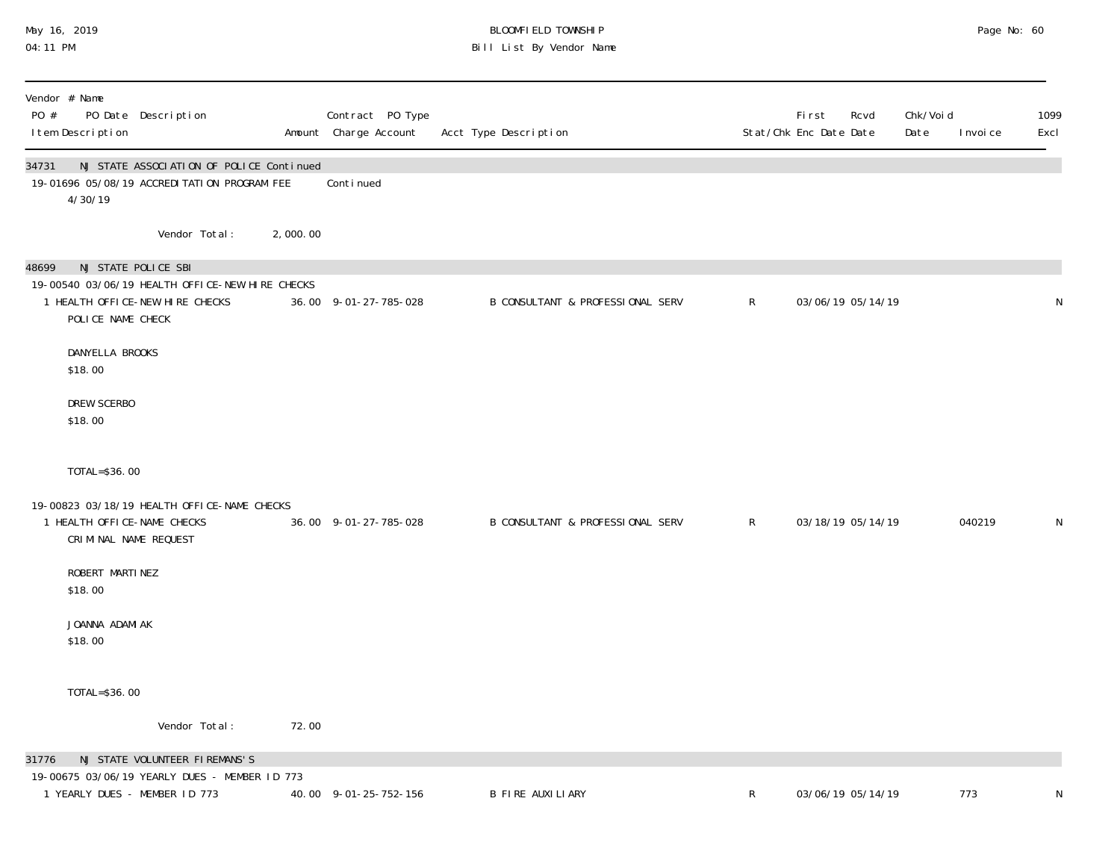# May 16, 2019 BLOOMFIELD TOWNSHIP Page No: 60 04:11 PM Bill List By Vendor Name

| Vendor # Name<br>PO #<br>I tem Description | PO Date Description                                                                                       |          | Contract PO Type<br>Amount Charge Account | Acct Type Description                       |              | First<br>Rcvd<br>Stat/Chk Enc Date Date | Chk/Voi d<br>Date | 1099<br>I nvoi ce<br>Excl |
|--------------------------------------------|-----------------------------------------------------------------------------------------------------------|----------|-------------------------------------------|---------------------------------------------|--------------|-----------------------------------------|-------------------|---------------------------|
| 34731<br>4/30/19                           | NJ STATE ASSOCIATION OF POLICE Continued<br>19-01696 05/08/19 ACCREDITATION PROGRAM FEE                   |          | Conti nued                                |                                             |              |                                         |                   |                           |
|                                            | Vendor Total:                                                                                             | 2,000.00 |                                           |                                             |              |                                         |                   |                           |
| 48699<br>POLICE NAME CHECK                 | NJ STATE POLICE SBI<br>19-00540 03/06/19 HEALTH OFFICE-NEW HIRE CHECKS<br>1 HEALTH OFFICE-NEW HIRE CHECKS |          | 36.00 9-01-27-785-028                     | <b>B CONSULTANT &amp; PROFESSIONAL SERV</b> | $\mathsf{R}$ | 03/06/19 05/14/19                       |                   | ${\sf N}$                 |
| DANYELLA BROOKS<br>\$18.00                 |                                                                                                           |          |                                           |                                             |              |                                         |                   |                           |
| DREW SCERBO<br>\$18.00                     |                                                                                                           |          |                                           |                                             |              |                                         |                   |                           |
| TOTAL=\$36.00                              |                                                                                                           |          |                                           |                                             |              |                                         |                   |                           |
| 1 HEALTH OFFICE-NAME CHECKS                | 19-00823 03/18/19 HEALTH OFFICE-NAME CHECKS<br>CRIMINAL NAME REQUEST                                      |          | 36.00 9-01-27-785-028                     | B CONSULTANT & PROFESSIONAL SERV            | $\mathsf{R}$ | 03/18/19 05/14/19                       |                   | 040219<br>N               |
| ROBERT MARTINEZ<br>\$18.00                 |                                                                                                           |          |                                           |                                             |              |                                         |                   |                           |
| JOANNA ADAMIAK<br>\$18.00                  |                                                                                                           |          |                                           |                                             |              |                                         |                   |                           |
| TOTAL=\$36.00                              |                                                                                                           |          |                                           |                                             |              |                                         |                   |                           |
|                                            | Vendor Total:                                                                                             | 72.00    |                                           |                                             |              |                                         |                   |                           |
| 31776                                      | NJ STATE VOLUNTEER FIREMANS'S<br>19-00675 03/06/19 YEARLY DUES - MEMBER ID 773                            |          |                                           |                                             |              |                                         |                   |                           |
|                                            | 1 YEARLY DUES - MEMBER ID 773                                                                             |          | 40.00 9-01-25-752-156                     | <b>B FIRE AUXILIARY</b>                     | R            | 03/06/19 05/14/19                       |                   | 773<br>N                  |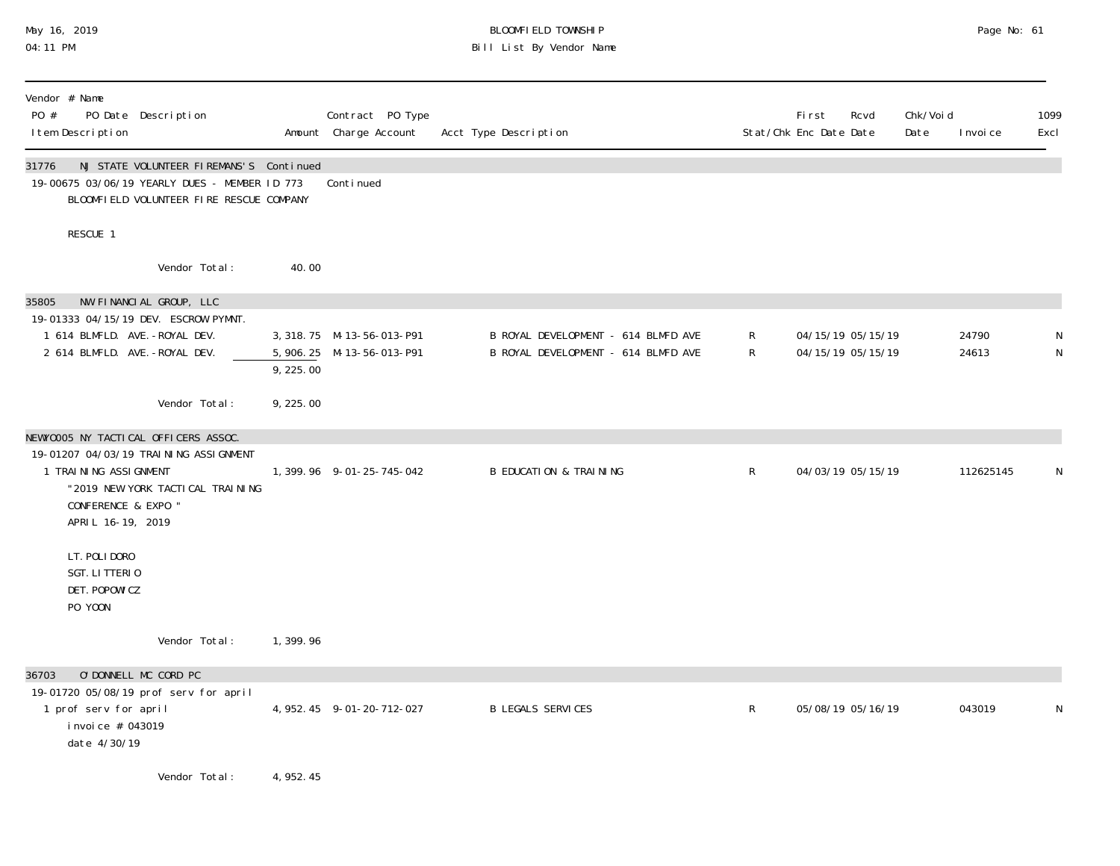# May 16, 2019 BLOOMFIELD TOWNSHIP Page No: 61 04:11 PM Bill List By Vendor Name

| Vendor # Name<br>PO #<br>PO Date Description<br>I tem Description                                                                                                                       |           | Contract PO Type<br>Amount Charge Account                | Acct Type Description                                                      |              | Rcvd<br><b>First</b><br>Stat/Chk Enc Date Date | Chk/Voi d<br>Date | I nvoi ce      | 1099<br>Excl   |
|-----------------------------------------------------------------------------------------------------------------------------------------------------------------------------------------|-----------|----------------------------------------------------------|----------------------------------------------------------------------------|--------------|------------------------------------------------|-------------------|----------------|----------------|
| NJ STATE VOLUNTEER FIREMANS'S Continued<br>31776<br>19-00675 03/06/19 YEARLY DUES - MEMBER ID 773<br>BLOOMFIELD VOLUNTEER FIRE RESCUE COMPANY                                           |           | Continued                                                |                                                                            |              |                                                |                   |                |                |
| RESCUE 1                                                                                                                                                                                |           |                                                          |                                                                            |              |                                                |                   |                |                |
| Vendor Total:                                                                                                                                                                           | 40.00     |                                                          |                                                                            |              |                                                |                   |                |                |
| NW FINANCIAL GROUP, LLC<br>35805<br>19-01333 04/15/19 DEV. ESCROW PYMNT.<br>1 614 BLMFLD. AVE. - ROYAL DEV.<br>2 614 BLMFLD. AVE. - ROYAL DEV.                                          | 9,225.00  | 3, 318. 75 M-13-56-013-P91<br>5, 906. 25 M-13-56-013-P91 | B ROYAL DEVELOPMENT - 614 BLMFD AVE<br>B ROYAL DEVELOPMENT - 614 BLMFD AVE | R<br>R       | 04/15/19 05/15/19<br>04/15/19 05/15/19         |                   | 24790<br>24613 | N<br>${\sf N}$ |
| Vendor Total:                                                                                                                                                                           | 9,225.00  |                                                          |                                                                            |              |                                                |                   |                |                |
| NEWYOOO5 NY TACTICAL OFFICERS ASSOC.<br>19-01207 04/03/19 TRAINING ASSI GNMENT<br>1 TRAINING ASSIGNMENT<br>"2019 NEW YORK TACTICAL TRAINING<br>CONFERENCE & EXPO "<br>APRIL 16-19, 2019 |           | 1, 399. 96 9-01-25-745-042                               | <b>B EDUCATION &amp; TRAINING</b>                                          | $\mathsf{R}$ | 04/03/19 05/15/19                              |                   | 112625145      | N              |
| LT. POLI DORO<br>SGT. LITTERIO<br>DET. POPOWI CZ<br>PO YOON                                                                                                                             |           |                                                          |                                                                            |              |                                                |                   |                |                |
| Vendor Total:                                                                                                                                                                           | 1,399.96  |                                                          |                                                                            |              |                                                |                   |                |                |
| O'DONNELL MC CORD PC<br>36703<br>19-01720 05/08/19 prof serv for april<br>1 prof serv for april<br>i nvoi ce # 043019<br>date 4/30/19                                                   |           | 4, 952.45 9-01-20-712-027                                | <b>B LEGALS SERVICES</b>                                                   | $\mathsf R$  | 05/08/19 05/16/19                              |                   | 043019         | N              |
| Vendor Total:                                                                                                                                                                           | 4, 952.45 |                                                          |                                                                            |              |                                                |                   |                |                |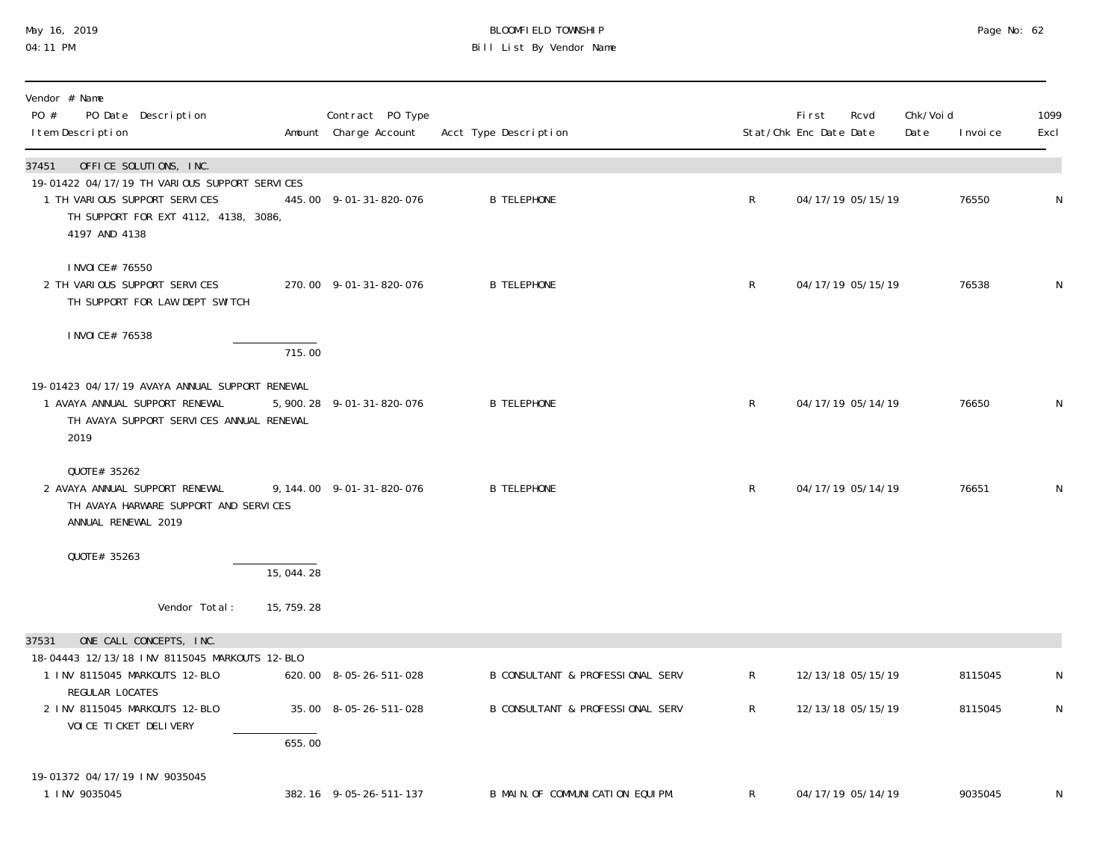## May 16, 2019 BLOOMFIELD TOWNSHIP Page No: 62 04:11 PM Bill List By Vendor Name

| Vendor # Name<br>PO #<br>PO Date Description<br>I tem Description                                                                                                          |             | Contract PO Type<br>Amount Charge Account | Acct Type Description            |                | First<br>Stat/Chk Enc Date Date | Rcvd              | Chk/Voi d<br>Date | I nvoi ce | 1099<br>Excl |
|----------------------------------------------------------------------------------------------------------------------------------------------------------------------------|-------------|-------------------------------------------|----------------------------------|----------------|---------------------------------|-------------------|-------------------|-----------|--------------|
| 37451<br>OFFICE SOLUTIONS, INC.<br>19-01422 04/17/19 TH VARIOUS SUPPORT SERVICES<br>1 TH VARIOUS SUPPORT SERVICES<br>TH SUPPORT FOR EXT 4112, 4138, 3086,<br>4197 AND 4138 |             | 445.00 9-01-31-820-076                    | <b>B TELEPHONE</b>               | $\mathsf{R}$   |                                 | 04/17/19 05/15/19 |                   | 76550     | N            |
| I NVOI CE# 76550<br>2 TH VARIOUS SUPPORT SERVICES<br>TH SUPPORT FOR LAW DEPT SWITCH                                                                                        |             | 270.00 9-01-31-820-076                    | <b>B TELEPHONE</b>               | $\mathsf{R}$   |                                 | 04/17/19 05/15/19 |                   | 76538     | N            |
| I NVOI CE# 76538                                                                                                                                                           | 715.00      |                                           |                                  |                |                                 |                   |                   |           |              |
| 19-01423 04/17/19 AVAYA ANNUAL SUPPORT RENEWAL<br>1 AVAYA ANNUAL SUPPORT RENEWAL<br>TH AVAYA SUPPORT SERVICES ANNUAL RENEWAL<br>2019                                       |             | 5, 900. 28 9-01-31-820-076                | <b>B TELEPHONE</b>               | $\mathsf{R}$   |                                 | 04/17/19 05/14/19 |                   | 76650     | N            |
| QUOTE# 35262<br>2 AVAYA ANNUAL SUPPORT RENEWAL<br>TH AVAYA HARWARE SUPPORT AND SERVICES<br>ANNUAL RENEWAL 2019                                                             |             | 9, 144.00 9-01-31-820-076                 | <b>B TELEPHONE</b>               | $\mathsf{R}$   |                                 | 04/17/19 05/14/19 |                   | 76651     | N            |
| QUOTE# 35263                                                                                                                                                               | 15,044.28   |                                           |                                  |                |                                 |                   |                   |           |              |
| Vendor Total:                                                                                                                                                              | 15, 759. 28 |                                           |                                  |                |                                 |                   |                   |           |              |
| ONE CALL CONCEPTS, INC.<br>37531                                                                                                                                           |             |                                           |                                  |                |                                 |                   |                   |           |              |
| 18-04443 12/13/18 INV 8115045 MARKOUTS 12-BLO<br>1 INV 8115045 MARKOUTS 12-BLO                                                                                             |             | 620.00 8-05-26-511-028                    | B CONSULTANT & PROFESSIONAL SERV | $\mathsf{R}^-$ |                                 | 12/13/18 05/15/19 |                   | 8115045   | N            |
| REGULAR LOCATES<br>2 INV 8115045 MARKOUTS 12-BLO<br>VOI CE TI CKET DELI VERY                                                                                               | 655.00      | 35.00 8-05-26-511-028                     | B CONSULTANT & PROFESSIONAL SERV | $\mathsf{R}$   |                                 | 12/13/18 05/15/19 |                   | 8115045   | N            |
| 19-01372 04/17/19 INV 9035045<br>1 INV 9035045                                                                                                                             |             | 382.16 9-05-26-511-137                    | B MAIN. OF COMMUNICATION EQUIPM. | $\mathsf{R}$   |                                 | 04/17/19 05/14/19 |                   | 9035045   | N            |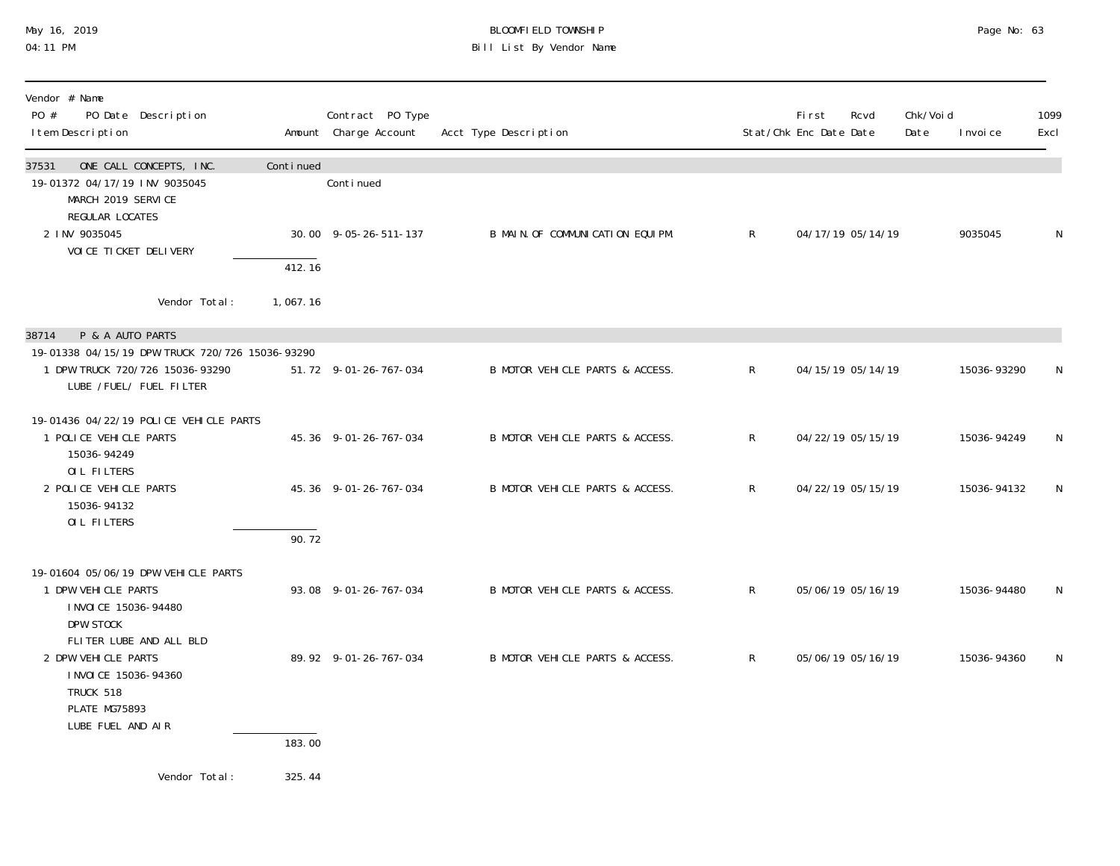## May 16, 2019 BLOOMFIELD TOWNSHIP Page No: 63 04:11 PM Bill List By Vendor Name

| Vendor # Name<br>PO #<br>PO Date Description<br>I tem Description                                                          |           | Contract PO Type<br>Amount Charge Account | Acct Type Description            |                | First<br>Stat/Chk Enc Date Date | Rcvd              | Chk/Voi d<br>Date | I nvoi ce   | 1099<br>Excl |
|----------------------------------------------------------------------------------------------------------------------------|-----------|-------------------------------------------|----------------------------------|----------------|---------------------------------|-------------------|-------------------|-------------|--------------|
| ONE CALL CONCEPTS, INC.<br>37531<br>19-01372 04/17/19 INV 9035045<br>MARCH 2019 SERVICE                                    | Continued | Continued                                 |                                  |                |                                 |                   |                   |             |              |
| REGULAR LOCATES<br>2 INV 9035045<br>VOI CE TI CKET DELI VERY                                                               | 412.16    | 30.00 9-05-26-511-137                     | B MAIN. OF COMMUNICATION EQUIPM. | $\mathsf{R}$   |                                 | 04/17/19 05/14/19 |                   | 9035045     | N            |
| Vendor Total:                                                                                                              | 1,067.16  |                                           |                                  |                |                                 |                   |                   |             |              |
| P & A AUTO PARTS<br>38714                                                                                                  |           |                                           |                                  |                |                                 |                   |                   |             |              |
| 19-01338 04/15/19 DPW TRUCK 720/726 15036-93290<br>1 DPW TRUCK 720/726 15036-93290<br>LUBE /FUEL/ FUEL FILTER              |           | 51.72 9-01-26-767-034                     | B MOTOR VEHICLE PARTS & ACCESS.  | R              |                                 | 04/15/19 05/14/19 |                   | 15036-93290 | N            |
| 19-01436 04/22/19 POLICE VEHICLE PARTS<br>1 POLICE VEHICLE PARTS<br>15036-94249                                            |           | 45.36 9-01-26-767-034                     | B MOTOR VEHICLE PARTS & ACCESS.  | $\mathsf{R}$   |                                 | 04/22/19 05/15/19 |                   | 15036-94249 | N            |
| OIL FILTERS<br>2 POLICE VEHICLE PARTS<br>15036-94132<br>OIL FILTERS                                                        |           | 45.36 9-01-26-767-034                     | B MOTOR VEHICLE PARTS & ACCESS.  | $\mathsf{R}^-$ |                                 | 04/22/19 05/15/19 |                   | 15036-94132 | N            |
|                                                                                                                            | 90.72     |                                           |                                  |                |                                 |                   |                   |             |              |
| 19-01604 05/06/19 DPW VEHICLE PARTS<br>1 DPW VEHICLE PARTS<br>I NVOI CE 15036-94480<br>DPW STOCK                           |           | 93.08 9-01-26-767-034                     | B MOTOR VEHICLE PARTS & ACCESS.  | $\mathsf{R}$   |                                 | 05/06/19 05/16/19 |                   | 15036-94480 | N            |
| FLITER LUBE AND ALL BLD<br>2 DPW VEHICLE PARTS<br>I NVOI CE 15036-94360<br>TRUCK 518<br>PLATE MG75893<br>LUBE FUEL AND AIR |           | 89.92 9-01-26-767-034                     | B MOTOR VEHICLE PARTS & ACCESS.  | $\mathsf{R}$   |                                 | 05/06/19 05/16/19 |                   | 15036-94360 | N            |
|                                                                                                                            | 183.00    |                                           |                                  |                |                                 |                   |                   |             |              |
| Vendor Total:                                                                                                              | 325.44    |                                           |                                  |                |                                 |                   |                   |             |              |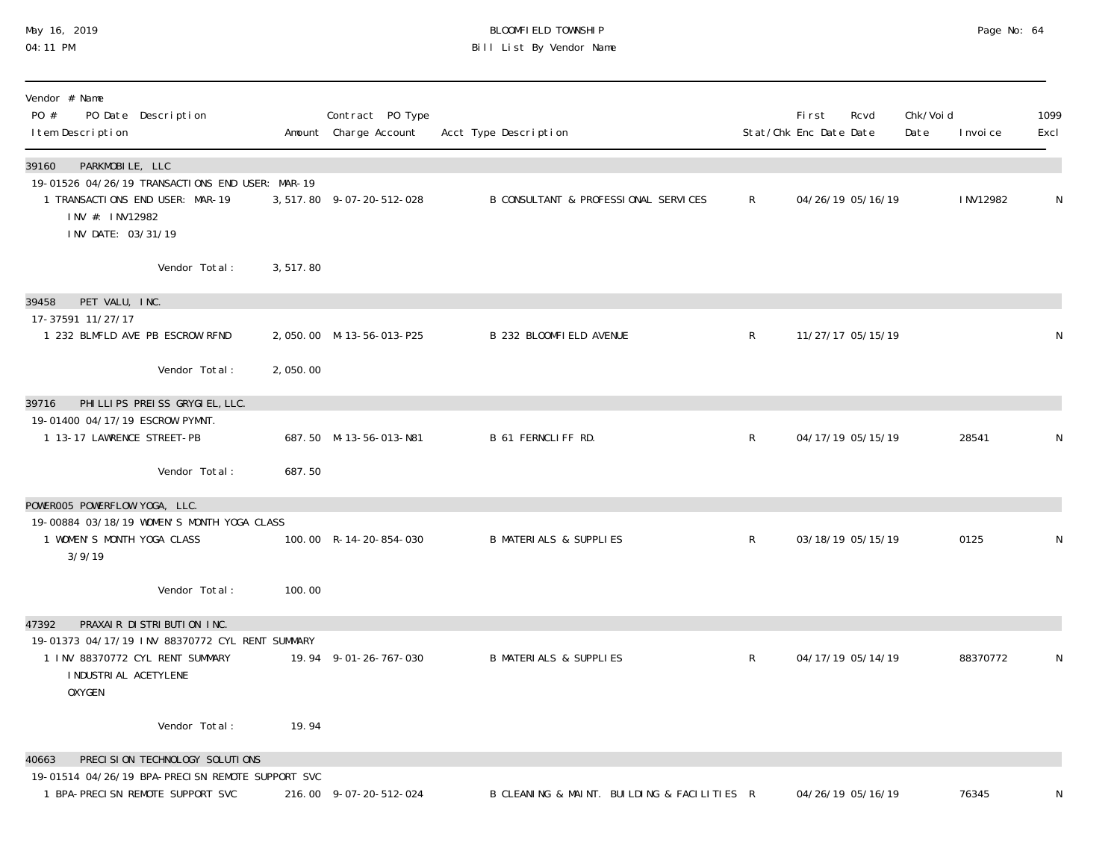## May 16, 2019 BLOOMFIELD TOWNSHIP Page No: 64 04:11 PM Bill List By Vendor Name

| Vendor # Name<br>PO #<br>PO Date Description<br>I tem Description                                                                                                   |          | Contract PO Type<br>Amount Charge Account | Acct Type Description                       |                | First<br>Stat/Chk Enc Date Date | Rcvd              | Chk/Void<br>Date | I nvoi ce | 1099<br>Excl |
|---------------------------------------------------------------------------------------------------------------------------------------------------------------------|----------|-------------------------------------------|---------------------------------------------|----------------|---------------------------------|-------------------|------------------|-----------|--------------|
| 39160<br>PARKMOBILE, LLC<br>19-01526 04/26/19 TRANSACTIONS END USER: MAR-19<br>1 TRANSACTIONS END USER: MAR-19<br>INV #: INV12982<br>INV DATE: 03/31/19             |          | 3,517.80 9-07-20-512-028                  | B CONSULTANT & PROFESSIONAL SERVICES        | $\mathsf{R}^-$ |                                 | 04/26/19 05/16/19 |                  | I NV12982 | $\mathsf N$  |
| Vendor Total:                                                                                                                                                       | 3,517.80 |                                           |                                             |                |                                 |                   |                  |           |              |
| 39458<br>PET VALU, INC.<br>17-37591 11/27/17<br>1 232 BLMFLD AVE PB ESCROW RFND<br>Vendor Total:                                                                    | 2,050.00 | 2,050.00 M-13-56-013-P25                  | <b>B 232 BLOOMFIELD AVENUE</b>              | $\mathsf{R}$   |                                 | 11/27/17 05/15/19 |                  |           | N            |
| PHI LLI PS PREISS GRYGIEL, LLC.<br>39716                                                                                                                            |          |                                           |                                             |                |                                 |                   |                  |           |              |
| 19-01400 04/17/19 ESCROW PYMNT.<br>1 13-17 LAWRENCE STREET-PB                                                                                                       |          | 687.50 M-13-56-013-N81                    | B 61 FERNCLIFF RD.                          | $\mathsf{R}$   |                                 | 04/17/19 05/15/19 |                  | 28541     | N            |
| Vendor Total:                                                                                                                                                       | 687.50   |                                           |                                             |                |                                 |                   |                  |           |              |
| POWEROO5 POWERFLOW YOGA, LLC.<br>19-00884 03/18/19 WOMEN'S MONTH YOGA CLASS<br>1 WOMEN'S MONTH YOGA CLASS<br>3/9/19                                                 |          | 100.00 R-14-20-854-030                    | <b>B MATERIALS &amp; SUPPLIES</b>           | $\mathsf{R}$   |                                 | 03/18/19 05/15/19 |                  | 0125      | N            |
| Vendor Total:                                                                                                                                                       | 100.00   |                                           |                                             |                |                                 |                   |                  |           |              |
| PRAXAIR DISTRIBUTION INC.<br>47392<br>19-01373 04/17/19 INV 88370772 CYL RENT SUMMARY<br>1 INV 88370772 CYL RENT SUMMARY<br>I NDUSTRI AL ACETYLENE<br><b>OXYGEN</b> |          | 19.94 9-01-26-767-030                     | <b>B MATERIALS &amp; SUPPLIES</b>           | $\mathsf{R}$   |                                 | 04/17/19 05/14/19 |                  | 88370772  | N            |
| Vendor Total:                                                                                                                                                       | 19.94    |                                           |                                             |                |                                 |                   |                  |           |              |
| PRECISION TECHNOLOGY SOLUTIONS<br>40663<br>19-01514 04/26/19 BPA-PRECISN REMOTE SUPPORT SVC                                                                         |          |                                           |                                             |                |                                 |                   |                  |           |              |
| 1 BPA-PRECISN REMOTE SUPPORT SVC                                                                                                                                    |          | 216.00 9-07-20-512-024                    | B CLEANING & MAINT. BUILDING & FACILITIES R |                |                                 | 04/26/19 05/16/19 |                  | 76345     | N            |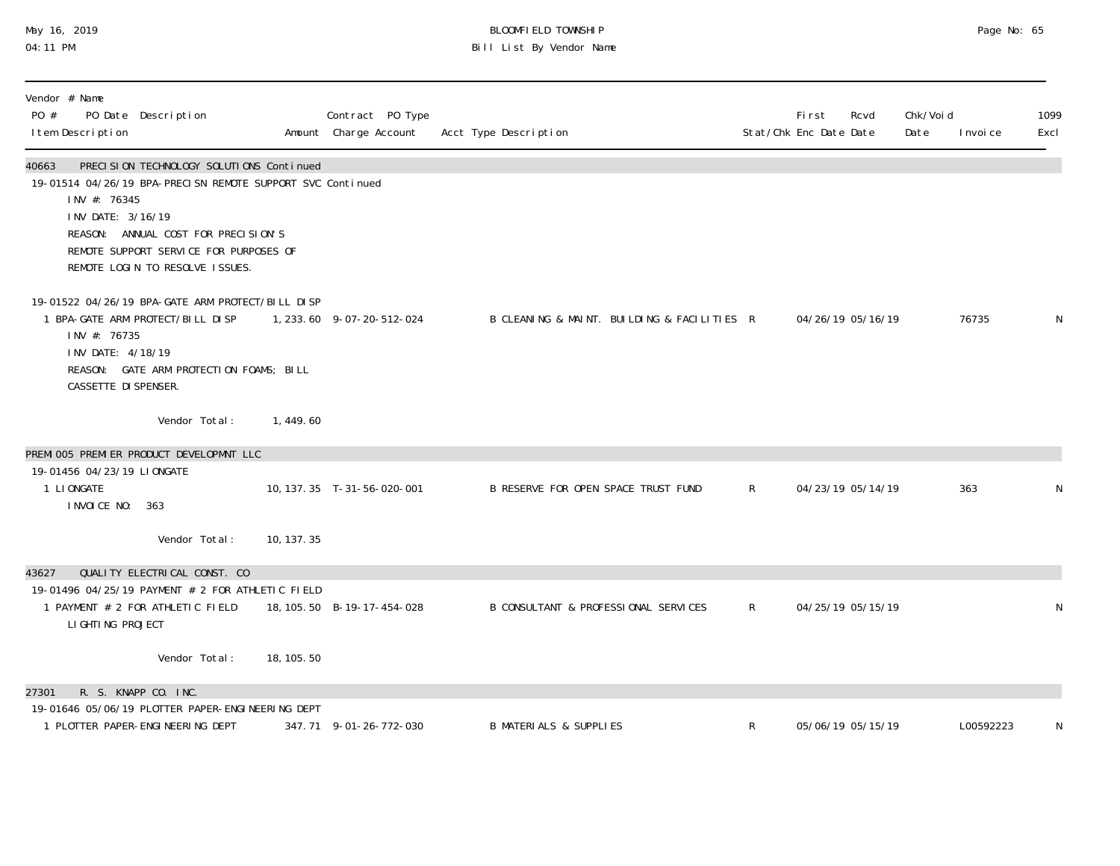## May 16, 2019 BLOOMFIELD TOWNSHIP Page No: 65 04:11 PM Bill List By Vendor Name

| Vendor # Name<br>PO #<br>PO Date Description<br>I tem Description                                                                                                                                                                                                        |             | Contract PO Type<br>Amount Charge Account | Acct Type Description                       |              | Fi rst<br>Stat/Chk Enc Date Date | Rcvd              | Chk/Voi d<br>Date | I nvoi ce | 1099<br>Excl |
|--------------------------------------------------------------------------------------------------------------------------------------------------------------------------------------------------------------------------------------------------------------------------|-------------|-------------------------------------------|---------------------------------------------|--------------|----------------------------------|-------------------|-------------------|-----------|--------------|
| PRECISION TECHNOLOGY SOLUTIONS Continued<br>40663<br>19-01514 04/26/19 BPA-PRECISN REMOTE SUPPORT SVC Continued<br>INV #: 76345<br>INV DATE: 3/16/19<br>REASON: ANNUAL COST FOR PRECISION'S<br>REMOTE SUPPORT SERVICE FOR PURPOSES OF<br>REMOTE LOGIN TO RESOLVE ISSUES. |             |                                           |                                             |              |                                  |                   |                   |           |              |
| 19-01522 04/26/19 BPA-GATE ARM PROTECT/BILL DISP<br>1 BPA-GATE ARM PROTECT/BILL DISP<br>INV #: 76735<br>INV DATE: 4/18/19<br>REASON: GATE ARM PROTECTION FOAMS; BILL<br>CASSETTE DI SPENSER.                                                                             |             | 1, 233.60 9-07-20-512-024                 | B CLEANING & MAINT. BUILDING & FACILITIES R |              | 04/26/19 05/16/19                |                   |                   | 76735     | $\mathsf N$  |
| Vendor Total:                                                                                                                                                                                                                                                            | 1, 449.60   |                                           |                                             |              |                                  |                   |                   |           |              |
| PREMI 005 PREMI ER PRODUCT DEVELOPMNT LLC<br>19-01456 04/23/19 LIONGATE                                                                                                                                                                                                  |             |                                           |                                             |              |                                  |                   |                   |           |              |
| 1 LI ONGATE<br>I NVOI CE NO: 363                                                                                                                                                                                                                                         |             | 10, 137. 35 T-31-56-020-001               | B RESERVE FOR OPEN SPACE TRUST FUND         | $\mathsf{R}$ |                                  | 04/23/19 05/14/19 |                   | 363       | N            |
| Vendor Total:                                                                                                                                                                                                                                                            | 10, 137. 35 |                                           |                                             |              |                                  |                   |                   |           |              |
| QUALITY ELECTRICAL CONST. CO<br>43627                                                                                                                                                                                                                                    |             |                                           |                                             |              |                                  |                   |                   |           |              |
| 19-01496 04/25/19 PAYMENT # 2 FOR ATHLETIC FIELD<br>1 PAYMENT # 2 FOR ATHLETIC FIELD<br>LI GHTI NG PROJECT                                                                                                                                                               |             | 18, 105. 50 B-19-17-454-028               | B CONSULTANT & PROFESSIONAL SERVICES        | R            | 04/25/19 05/15/19                |                   |                   |           | N            |
| Vendor Total:                                                                                                                                                                                                                                                            | 18, 105. 50 |                                           |                                             |              |                                  |                   |                   |           |              |
| R. S. KNAPP CO. INC.<br>27301                                                                                                                                                                                                                                            |             |                                           |                                             |              |                                  |                   |                   |           |              |
| 19-01646 05/06/19 PLOTTER PAPER-ENGINEERING DEPT<br>1 PLOTTER PAPER-ENGINEERING DEPT                                                                                                                                                                                     |             | 347.71 9-01-26-772-030                    | <b>B MATERIALS &amp; SUPPLIES</b>           | R            |                                  | 05/06/19 05/15/19 |                   | L00592223 | N            |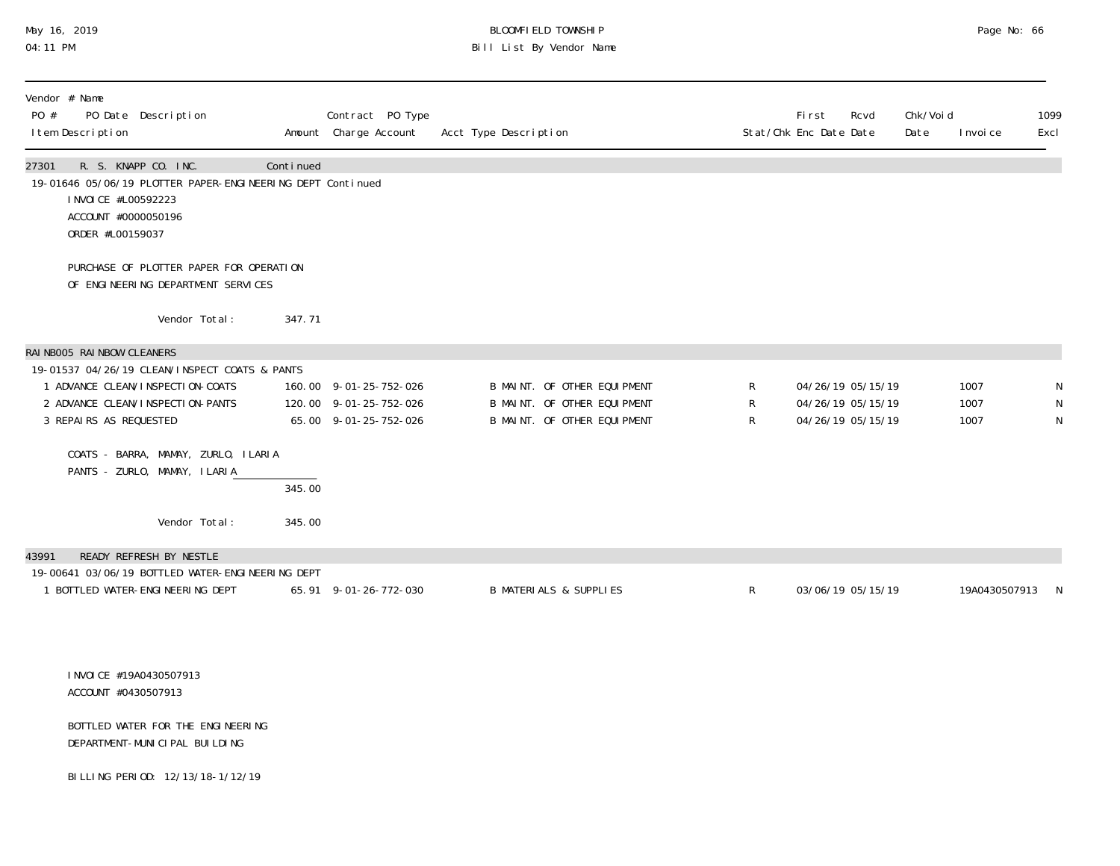# May 16, 2019 BLOOMFIELD TOWNSHIP Page No: 66 04:11 PM Bill List By Vendor Name

| Vendor # Name<br>PO #<br>PO Date Description<br>I tem Description                                                                                                                                                                                                                                          |                  | Contract PO Type<br>Amount Charge Account                                 | Acct Type Description                                                                     |             | <b>First</b><br>Stat/Chk Enc Date Date                      | Rcvd | Chk/Voi d<br>Date | I nvoi ce            | 1099<br>Excl |
|------------------------------------------------------------------------------------------------------------------------------------------------------------------------------------------------------------------------------------------------------------------------------------------------------------|------------------|---------------------------------------------------------------------------|-------------------------------------------------------------------------------------------|-------------|-------------------------------------------------------------|------|-------------------|----------------------|--------------|
| R. S. KNAPP CO. INC.<br>27301<br>19-01646 05/06/19 PLOTTER PAPER-ENGINEERING DEPT Continued<br>I NVOI CE #L00592223<br>ACCOUNT #0000050196<br>ORDER #L00159037                                                                                                                                             | Continued        |                                                                           |                                                                                           |             |                                                             |      |                   |                      |              |
| PURCHASE OF PLOTTER PAPER FOR OPERATION<br>OF ENGINEERING DEPARTMENT SERVICES                                                                                                                                                                                                                              |                  |                                                                           |                                                                                           |             |                                                             |      |                   |                      |              |
| Vendor Total:                                                                                                                                                                                                                                                                                              | 347.71           |                                                                           |                                                                                           |             |                                                             |      |                   |                      |              |
| RAI NBOO5 RAI NBOW CLEANERS<br>19-01537 04/26/19 CLEAN/INSPECT COATS & PANTS<br>1 ADVANCE CLEAN/INSPECTION-COATS<br>2 ADVANCE CLEAN/INSPECTION-PANTS<br>3 REPAIRS AS REQUESTED<br>COATS - BARRA, MAMAY, ZURLO, ILARIA<br>PANTS - ZURLO, MAMAY, ILARIA<br>Vendor Total:<br>READY REFRESH BY NESTLE<br>43991 | 345.00<br>345.00 | 160.00 9-01-25-752-026<br>120.00 9-01-25-752-026<br>65.00 9-01-25-752-026 | B MAINT. OF OTHER EQUIPMENT<br>B MAINT. OF OTHER EQUIPMENT<br>B MAINT. OF OTHER EQUIPMENT | R<br>R<br>R | 04/26/19 05/15/19<br>04/26/19 05/15/19<br>04/26/19 05/15/19 |      |                   | 1007<br>1007<br>1007 | N<br>N<br>N  |
| 19-00641 03/06/19 BOTTLED WATER-ENGINEERING DEPT<br>1 BOTTLED WATER-ENGINEERING DEPT                                                                                                                                                                                                                       |                  | 65.91 9-01-26-772-030                                                     | <b>B MATERIALS &amp; SUPPLIES</b>                                                         | $R_{\perp}$ | 03/06/19 05/15/19                                           |      |                   | 19A0430507913 N      |              |
| I NVOI CE #19A0430507913<br>ACCOUNT #0430507913                                                                                                                                                                                                                                                            |                  |                                                                           |                                                                                           |             |                                                             |      |                   |                      |              |
| BOTTLED WATER FOR THE ENGINEERING<br>DEPARTMENT-MUNICIPAL BUILDING                                                                                                                                                                                                                                         |                  |                                                                           |                                                                                           |             |                                                             |      |                   |                      |              |
| BILLING PERIOD: 12/13/18-1/12/19                                                                                                                                                                                                                                                                           |                  |                                                                           |                                                                                           |             |                                                             |      |                   |                      |              |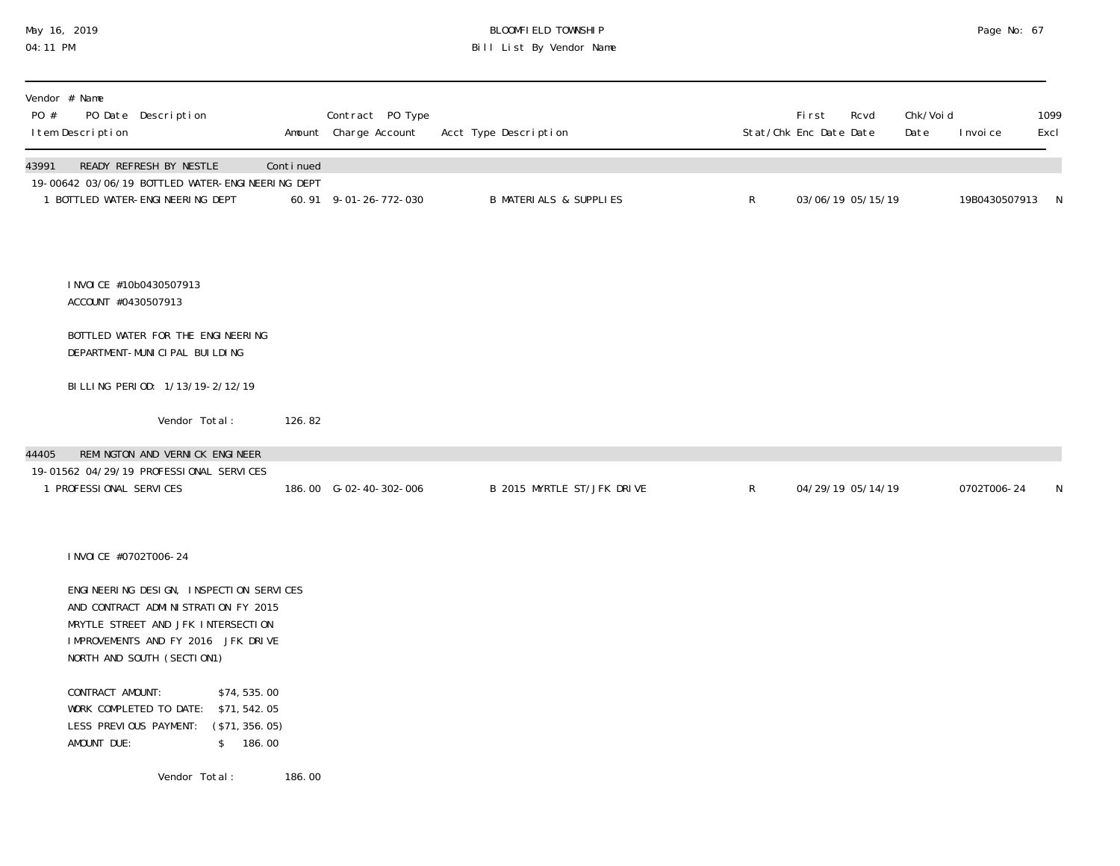# May 16, 2019 BLOOMFIELD TOWNSHIP Page No: 67 04:11 PM Bill List By Vendor Name

| Vendor # Name<br>PO #<br>PO Date Description<br>I tem Description                                                                                                                        |           | Contract PO Type<br>Amount Charge Account | Acct Type Description             |              | First<br>Stat/Chk Enc Date Date | Rcvd              | Chk/Voi d<br>Date | I nvoi ce       | 1099<br>Excl |
|------------------------------------------------------------------------------------------------------------------------------------------------------------------------------------------|-----------|-------------------------------------------|-----------------------------------|--------------|---------------------------------|-------------------|-------------------|-----------------|--------------|
| READY REFRESH BY NESTLE<br>43991<br>19-00642 03/06/19 BOTTLED WATER-ENGINEERING DEPT<br>1 BOTTLED WATER-ENGINEERING DEPT                                                                 | Continued | 60.91 9-01-26-772-030                     | <b>B MATERIALS &amp; SUPPLIES</b> | $\mathsf{R}$ |                                 | 03/06/19 05/15/19 |                   | 19B0430507913 N |              |
| I NVOI CE #10b0430507913<br>ACCOUNT #0430507913                                                                                                                                          |           |                                           |                                   |              |                                 |                   |                   |                 |              |
| BOTTLED WATER FOR THE ENGINEERING<br>DEPARTMENT-MUNICIPAL BUILDING                                                                                                                       |           |                                           |                                   |              |                                 |                   |                   |                 |              |
| BILLING PERIOD: 1/13/19-2/12/19                                                                                                                                                          |           |                                           |                                   |              |                                 |                   |                   |                 |              |
| Vendor Total:                                                                                                                                                                            | 126.82    |                                           |                                   |              |                                 |                   |                   |                 |              |
| REMINGTON AND VERNICK ENGINEER<br>44405<br>19-01562 04/29/19 PROFESSIONAL SERVICES<br>1 PROFESSIONAL SERVICES                                                                            |           | 186.00 G-02-40-302-006                    | B 2015 MYRTLE ST/JFK DRIVE        | $\mathsf{R}$ |                                 | 04/29/19 05/14/19 |                   | 0702T006-24     | N            |
| I NVOI CE #0702T006-24                                                                                                                                                                   |           |                                           |                                   |              |                                 |                   |                   |                 |              |
| ENGINEERING DESIGN, INSPECTION SERVICES<br>AND CONTRACT ADMINISTRATION FY 2015<br>MRYTLE STREET AND JFK INTERSECTION<br>IMPROVEMENTS AND FY 2016 JFK DRIVE<br>NORTH AND SOUTH (SECTION1) |           |                                           |                                   |              |                                 |                   |                   |                 |              |
| CONTRACT AMOUNT:<br>\$74,535.00<br>WORK COMPLETED TO DATE: \$71,542.05<br>LESS PREVIOUS PAYMENT:<br>(\$71, 356.05)<br>AMOUNT DUE:<br>\$ 186.00                                           |           |                                           |                                   |              |                                 |                   |                   |                 |              |
| Vendor Total:                                                                                                                                                                            | 186.00    |                                           |                                   |              |                                 |                   |                   |                 |              |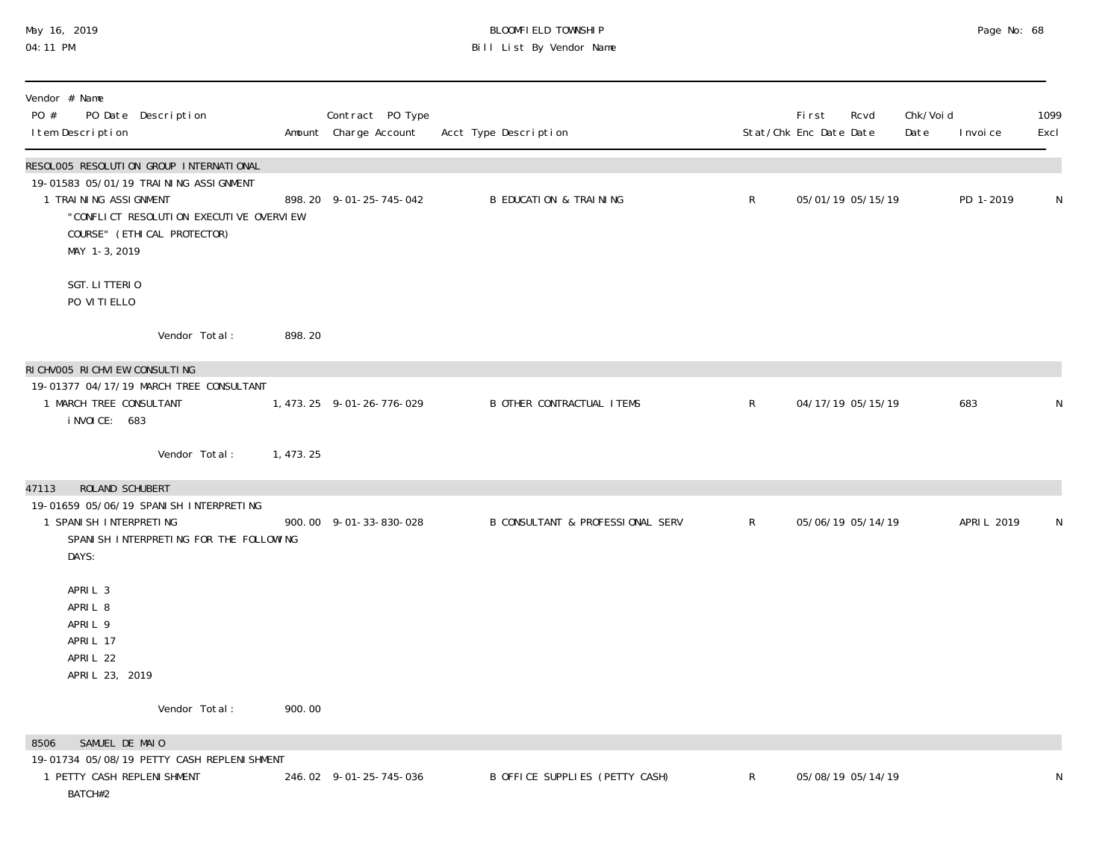#### May 16, 2019 BLOOMFIELD TOWNSHIP Page No: 68 04:11 PM Bill List By Vendor Name

| Vendor # Name<br>PO #<br>PO Date Description<br>I tem Description                                                                                                                                       |            | Contract PO Type<br>Amount Charge Account | Acct Type Description             |              | <b>First</b><br>Stat/Chk Enc Date Date | Rcvd              | Chk/Voi d<br>Date | I nvoi ce   | 1099<br>Excl |
|---------------------------------------------------------------------------------------------------------------------------------------------------------------------------------------------------------|------------|-------------------------------------------|-----------------------------------|--------------|----------------------------------------|-------------------|-------------------|-------------|--------------|
| RESOLOO5 RESOLUTI ON GROUP INTERNATI ONAL<br>19-01583 05/01/19 TRAINING ASSIGNMENT<br>1 TRAINING ASSIGNMENT<br>"CONFLICT RESOLUTION EXECUTIVE OVERVIEW<br>COURSE" (ETHI CAL PROTECTOR)<br>MAY 1-3, 2019 |            | 898.20 9-01-25-745-042                    | <b>B EDUCATION &amp; TRAINING</b> | $\mathsf{R}$ |                                        | 05/01/19 05/15/19 |                   | PD 1-2019   | N            |
| SGT. LITTERIO<br>PO VITIELLO                                                                                                                                                                            |            |                                           |                                   |              |                                        |                   |                   |             |              |
| Vendor Total:                                                                                                                                                                                           | 898.20     |                                           |                                   |              |                                        |                   |                   |             |              |
| RICHVOO5 RICHVIEW CONSULTING                                                                                                                                                                            |            |                                           |                                   |              |                                        |                   |                   |             |              |
| 19-01377 04/17/19 MARCH TREE CONSULTANT<br>1 MARCH TREE CONSULTANT<br>i NVOI CE: 683                                                                                                                    |            | 1, 473. 25 9-01-26-776-029                | <b>B OTHER CONTRACTUAL ITEMS</b>  | $\mathsf{R}$ |                                        | 04/17/19 05/15/19 |                   | 683         | N            |
| Vendor Total:                                                                                                                                                                                           | 1, 473. 25 |                                           |                                   |              |                                        |                   |                   |             |              |
| ROLAND SCHUBERT<br>47113                                                                                                                                                                                |            |                                           |                                   |              |                                        |                   |                   |             |              |
| 19-01659 05/06/19 SPANI SH INTERPRETING<br>1 SPANI SH INTERPRETING<br>SPANI SH INTERPRETING FOR THE FOLLOWING<br>DAYS:                                                                                  |            | 900.00 9-01-33-830-028                    | B CONSULTANT & PROFESSIONAL SERV  | $\mathsf{R}$ |                                        | 05/06/19 05/14/19 |                   | APRI L 2019 | N            |
| APRIL 3<br>APRIL 8<br>APRIL 9<br>APRIL 17<br>APRIL 22<br>APRIL 23, 2019                                                                                                                                 |            |                                           |                                   |              |                                        |                   |                   |             |              |
| Vendor Total:                                                                                                                                                                                           | 900.00     |                                           |                                   |              |                                        |                   |                   |             |              |
| SAMUEL DE MAIO<br>8506                                                                                                                                                                                  |            |                                           |                                   |              |                                        |                   |                   |             |              |
| 19-01734 05/08/19 PETTY CASH REPLENI SHMENT<br>1 PETTY CASH REPLENI SHMENT<br>BATCH#2                                                                                                                   |            | 246.02 9-01-25-745-036                    | B OFFICE SUPPLIES (PETTY CASH)    | $\mathsf{R}$ |                                        | 05/08/19 05/14/19 |                   |             | ${\sf N}$    |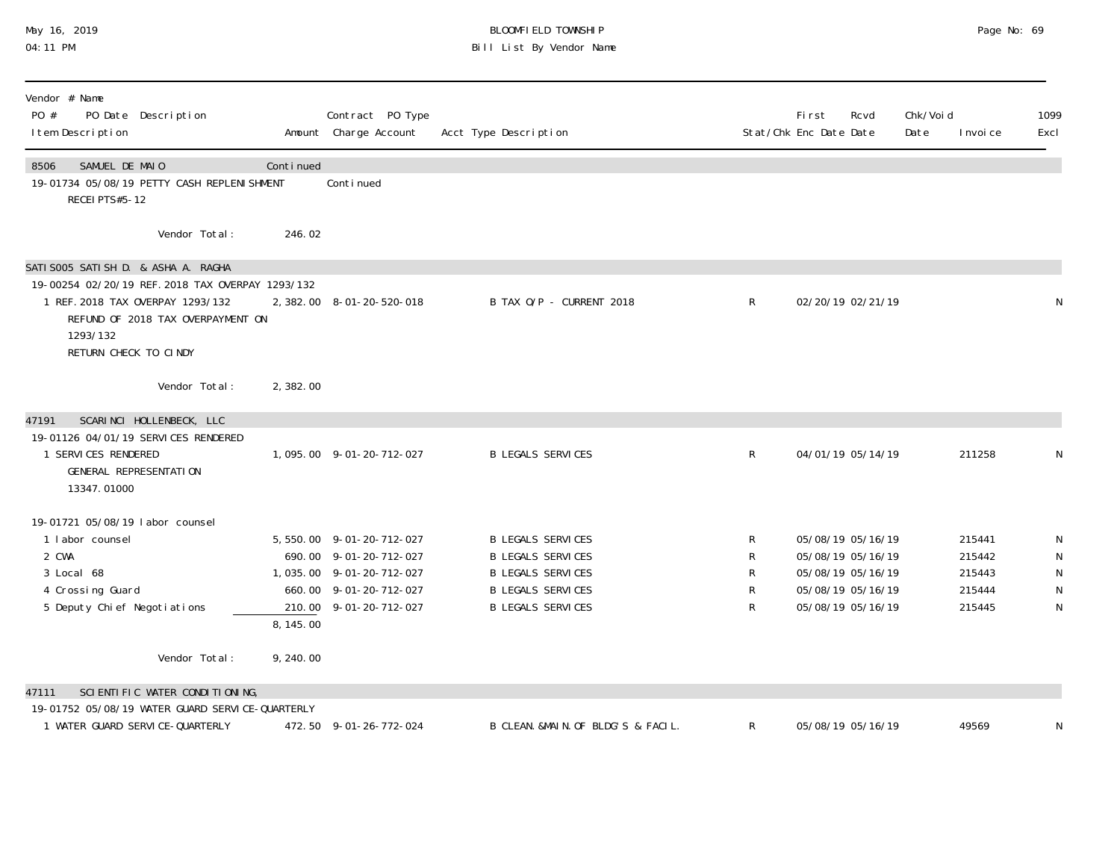## May 16, 2019 BLOOMFIELD TOWNSHIP Page No: 69 04:11 PM Bill List By Vendor Name

| Vendor # Name<br>PO #<br>PO Date Description<br>I tem Description                                                                                                                                      |           | Contract PO Type<br>Amount Charge Account                                                                                           | Acct Type Description                                                                                                                    |                       | <b>First</b><br>Stat/Chk Enc Date Date                                                                | Rcvd | Chk/Voi d<br>Date | I nvoi ce                                      | 1099<br>Excl |
|--------------------------------------------------------------------------------------------------------------------------------------------------------------------------------------------------------|-----------|-------------------------------------------------------------------------------------------------------------------------------------|------------------------------------------------------------------------------------------------------------------------------------------|-----------------------|-------------------------------------------------------------------------------------------------------|------|-------------------|------------------------------------------------|--------------|
| SAMUEL DE MAIO<br>8506<br>19-01734 05/08/19 PETTY CASH REPLENI SHMENT<br>RECEI PTS#5-12                                                                                                                | Continued | Conti nued                                                                                                                          |                                                                                                                                          |                       |                                                                                                       |      |                   |                                                |              |
| Vendor Total:                                                                                                                                                                                          | 246.02    |                                                                                                                                     |                                                                                                                                          |                       |                                                                                                       |      |                   |                                                |              |
| SATI SOO5 SATI SH D. & ASHA A. RAGHA<br>19-00254 02/20/19 REF. 2018 TAX OVERPAY 1293/132<br>1 REF. 2018 TAX OVERPAY 1293/132<br>REFUND OF 2018 TAX OVERPAYMENT ON<br>1293/132<br>RETURN CHECK TO CINDY |           | 2, 382.00 8-01-20-520-018                                                                                                           | B TAX O/P - CURRENT 2018                                                                                                                 | R                     | 02/20/19 02/21/19                                                                                     |      |                   |                                                |              |
| Vendor Total:                                                                                                                                                                                          | 2,382.00  |                                                                                                                                     |                                                                                                                                          |                       |                                                                                                       |      |                   |                                                |              |
| SCARINCI HOLLENBECK, LLC<br>47191<br>19-01126 04/01/19 SERVICES RENDERED<br>1 SERVICES RENDERED<br>GENERAL REPRESENTATION<br>13347.01000                                                               |           | 1,095.00 9-01-20-712-027                                                                                                            | <b>B LEGALS SERVICES</b>                                                                                                                 | R                     | 04/01/19 05/14/19                                                                                     |      |                   | 211258                                         |              |
| 19-01721 05/08/19 labor counsel<br>1 labor counsel<br>2 CWA<br>3 Local 68<br>4 Crossing Guard<br>5 Deputy Chief Negotiations                                                                           | 8, 145.00 | 5, 550.00 9-01-20-712-027<br>690.00 9-01-20-712-027<br>1,035.00 9-01-20-712-027<br>660.00 9-01-20-712-027<br>210.00 9-01-20-712-027 | <b>B LEGALS SERVICES</b><br><b>B LEGALS SERVICES</b><br><b>B LEGALS SERVICES</b><br><b>B LEGALS SERVICES</b><br><b>B LEGALS SERVICES</b> | R<br>R<br>R<br>R<br>R | 05/08/19 05/16/19<br>05/08/19 05/16/19<br>05/08/19 05/16/19<br>05/08/19 05/16/19<br>05/08/19 05/16/19 |      |                   | 215441<br>215442<br>215443<br>215444<br>215445 | N<br>N       |
| Vendor Total:                                                                                                                                                                                          | 9,240.00  |                                                                                                                                     |                                                                                                                                          |                       |                                                                                                       |      |                   |                                                |              |
| SCIENTIFIC WATER CONDITIONING,<br>47111                                                                                                                                                                |           |                                                                                                                                     |                                                                                                                                          |                       |                                                                                                       |      |                   |                                                |              |
| 19-01752 05/08/19 WATER GUARD SERVICE-QUARTERLY<br>1 WATER GUARD SERVICE-QUARTERLY                                                                                                                     |           | 472.50 9-01-26-772-024                                                                                                              | B CLEAN. &MAIN. OF BLDG'S & FACIL.                                                                                                       | R                     | 05/08/19 05/16/19                                                                                     |      |                   | 49569                                          |              |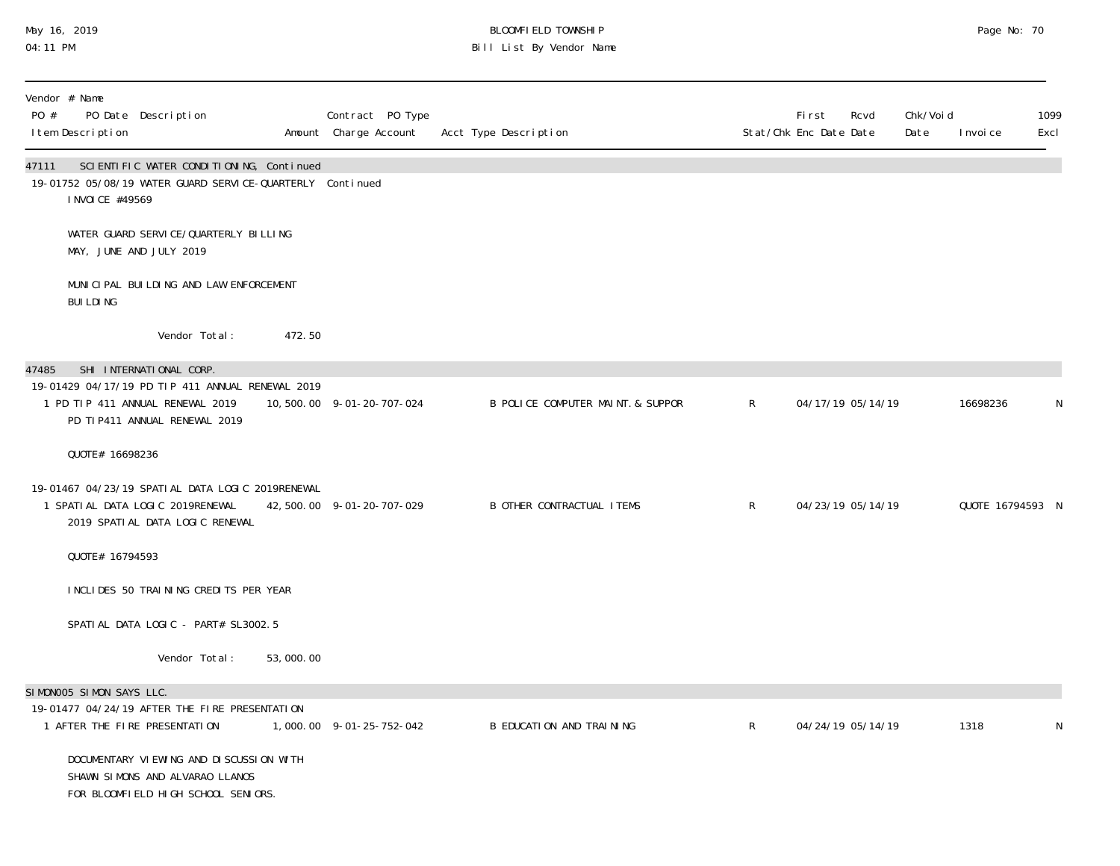## May 16, 2019 BLOOMFIELD TOWNSHIP Page No: 70 04:11 PM Bill List By Vendor Name

| PO #  | Vendor # Name<br>I tem Description | PO Date Description                                                                                                      |           | Contract PO Type<br>Amount Charge Account | Acct Type Description             |                | First<br>Rcvd<br>Stat/Chk Enc Date Date | Chk/Voi d<br>Date | I nvoi ce        | 1099<br>Excl |
|-------|------------------------------------|--------------------------------------------------------------------------------------------------------------------------|-----------|-------------------------------------------|-----------------------------------|----------------|-----------------------------------------|-------------------|------------------|--------------|
| 47111 | I NVOI CE #49569                   | SCIENTIFIC WATER CONDITIONING, Continued<br>19-01752 05/08/19 WATER GUARD SERVICE-QUARTERLY Continued                    |           |                                           |                                   |                |                                         |                   |                  |              |
|       |                                    | WATER GUARD SERVICE/QUARTERLY BILLING<br>MAY, JUNE AND JULY 2019                                                         |           |                                           |                                   |                |                                         |                   |                  |              |
|       | <b>BUILDING</b>                    | MUNICIPAL BUILDING AND LAW ENFORCEMENT                                                                                   |           |                                           |                                   |                |                                         |                   |                  |              |
|       |                                    | Vendor Total:                                                                                                            | 472.50    |                                           |                                   |                |                                         |                   |                  |              |
| 47485 |                                    | SHI INTERNATIONAL CORP.                                                                                                  |           |                                           |                                   |                |                                         |                   |                  |              |
|       |                                    | 19-01429 04/17/19 PD TIP 411 ANNUAL RENEWAL 2019<br>1 PD TIP 411 ANNUAL RENEWAL 2019<br>PD TI P411 ANNUAL RENEWAL 2019   |           | 10,500.00 9-01-20-707-024                 | B POLICE COMPUTER MAINT. & SUPPOR | $\mathsf{R}$   | 04/17/19 05/14/19                       |                   | 16698236         | N            |
|       | QUOTE# 16698236                    |                                                                                                                          |           |                                           |                                   |                |                                         |                   |                  |              |
|       |                                    | 19-01467 04/23/19 SPATIAL DATA LOGIC 2019RENEWAL<br>1 SPATI AL DATA LOGIC 2019RENEWAL<br>2019 SPATIAL DATA LOGIC RENEWAL |           | 42, 500. 00 9-01-20-707-029               | <b>B OTHER CONTRACTUAL ITEMS</b>  | $\mathsf{R}^-$ | 04/23/19 05/14/19                       |                   | QUOTE 16794593 N |              |
|       | QUOTE# 16794593                    |                                                                                                                          |           |                                           |                                   |                |                                         |                   |                  |              |
|       |                                    | INCLIDES 50 TRAINING CREDITS PER YEAR                                                                                    |           |                                           |                                   |                |                                         |                   |                  |              |
|       |                                    | SPATIAL DATA LOGIC - PART# SL3002.5                                                                                      |           |                                           |                                   |                |                                         |                   |                  |              |
|       |                                    | Vendor Total:                                                                                                            | 53,000.00 |                                           |                                   |                |                                         |                   |                  |              |
|       | SIMONOO5 SIMON SAYS LLC.           |                                                                                                                          |           |                                           |                                   |                |                                         |                   |                  |              |
|       |                                    | 19-01477 04/24/19 AFTER THE FIRE PRESENTATION<br>1 AFTER THE FIRE PRESENTATION                                           |           | 1,000.00 9-01-25-752-042                  | B EDUCATION AND TRAINING          | $\mathsf{R}$   | 04/24/19 05/14/19                       |                   | 1318             | N            |
|       |                                    | DOCUMENTARY VIEWING AND DISCUSSION WITH<br>SHAWN SIMONS AND ALVARAO LLANOS<br>FOR BLOOMFIELD HIGH SCHOOL SENIORS.        |           |                                           |                                   |                |                                         |                   |                  |              |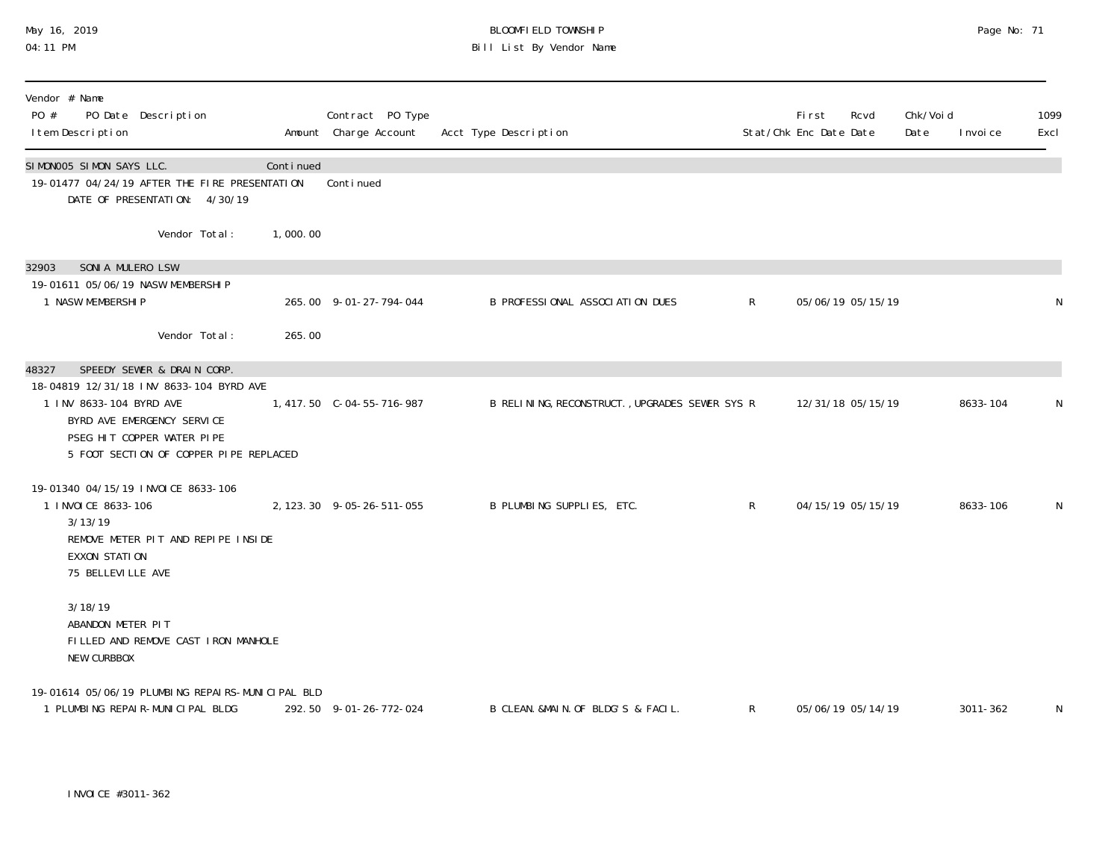#### May 16, 2019 BLOOMFIELD TOWNSHIP Page No: 71 04:11 PM Bill List By Vendor Name

| Vendor # Name<br>PO #<br>PO Date Description<br>I tem Description                                                                               |           | Contract PO Type<br>Amount Charge Account | Acct Type Description                          |                 | Fi rst<br>Stat/Chk Enc Date Date | Rcvd              | Chk/Void<br>Date | I nvoi ce | 1099<br>Excl |
|-------------------------------------------------------------------------------------------------------------------------------------------------|-----------|-------------------------------------------|------------------------------------------------|-----------------|----------------------------------|-------------------|------------------|-----------|--------------|
| SIMONOO5 SIMON SAYS LLC.<br>19-01477 04/24/19 AFTER THE FIRE PRESENTATION<br>DATE OF PRESENTATION: 4/30/19                                      | Continued | Continued                                 |                                                |                 |                                  |                   |                  |           |              |
| Vendor Total:                                                                                                                                   | 1,000.00  |                                           |                                                |                 |                                  |                   |                  |           |              |
| SONIA MULERO LSW<br>32903<br>19-01611 05/06/19 NASW MEMBERSHIP<br>1 NASW MEMBERSHIP<br>Vendor Total:                                            | 265.00    | 265.00 9-01-27-794-044                    | B PROFESSIONAL ASSOCIATION DUES                | $\mathsf{R}$    | 05/06/19 05/15/19                |                   |                  |           | N            |
| SPEEDY SEWER & DRAIN CORP.<br>48327<br>18-04819 12/31/18 INV 8633-104 BYRD AVE                                                                  |           |                                           |                                                |                 |                                  |                   |                  |           |              |
| 1 INV 8633-104 BYRD AVE<br>BYRD AVE EMERGENCY SERVICE<br>PSEG HIT COPPER WATER PIPE<br>5 FOOT SECTION OF COPPER PIPE REPLACED                   |           | 1,417.50 C-04-55-716-987                  | B RELINING, RECONSTRUCT., UPGRADES SEWER SYS R |                 |                                  | 12/31/18 05/15/19 |                  | 8633-104  | N            |
| 19-01340 04/15/19 INVOICE 8633-106<br>1 INVOICE 8633-106<br>3/13/19<br>REMOVE METER PIT AND REPIPE INSIDE<br>EXXON STATION<br>75 BELLEVILLE AVE |           | 2, 123. 30 9-05-26-511-055                | B PLUMBING SUPPLIES, ETC.                      | $R_{\parallel}$ |                                  | 04/15/19 05/15/19 |                  | 8633-106  | $\mathsf{N}$ |
| 3/18/19<br>ABANDON METER PIT<br>FILLED AND REMOVE CAST IRON MANHOLE<br>NEW CURBBOX                                                              |           |                                           |                                                |                 |                                  |                   |                  |           |              |
| 19-01614 05/06/19 PLUMBING REPAIRS-MUNICIPAL BLD<br>1 PLUMBING REPAIR-MUNICIPAL BLDG                                                            |           | 292.50 9-01-26-772-024                    | B CLEAN. &MAIN. OF BLDG'S & FACIL.             | $\mathsf{R}$    |                                  | 05/06/19 05/14/19 |                  | 3011-362  | N            |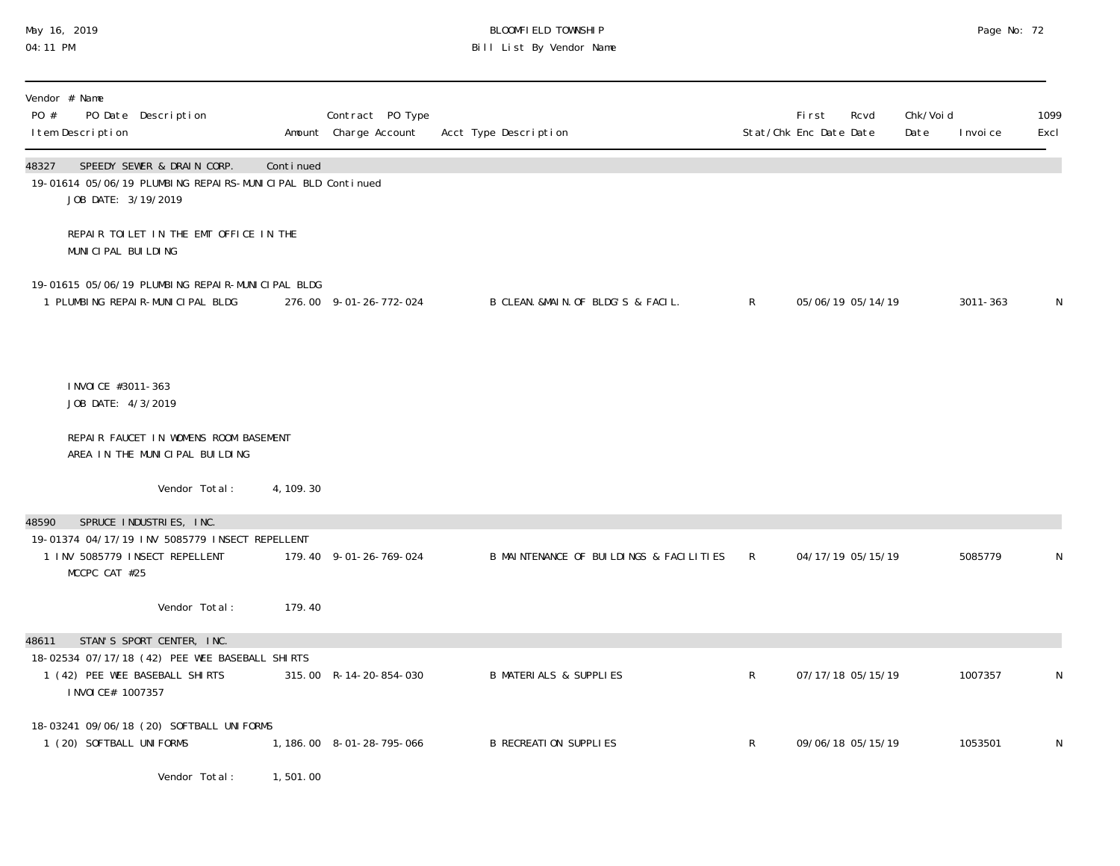## May 16, 2019 BLOOMFIELD TOWNSHIP Page No: 72 04:11 PM Bill List By Vendor Name

| Vendor # Name<br>PO #<br>PO Date Description<br>I tem Description                                                                            |            | Contract PO Type<br>Amount Charge Account | Acct Type Description                   |              | <b>First</b><br>Rcvd<br>Stat/Chk Enc Date Date | Chk/Voi d<br>Date | I nvoi ce | 1099<br>Excl |
|----------------------------------------------------------------------------------------------------------------------------------------------|------------|-------------------------------------------|-----------------------------------------|--------------|------------------------------------------------|-------------------|-----------|--------------|
| SPEEDY SEWER & DRAIN CORP.<br>48327<br>19-01614 05/06/19 PLUMBING REPAIRS-MUNICIPAL BLD Continued<br>JOB DATE: 3/19/2019                     | Continued  |                                           |                                         |              |                                                |                   |           |              |
| REPAIR TOILET IN THE EMT OFFICE IN THE<br>MUNICIPAL BUILDING                                                                                 |            |                                           |                                         |              |                                                |                   |           |              |
| 19-01615 05/06/19 PLUMBING REPAIR-MUNICIPAL BLDG<br>1 PLUMBING REPAIR-MUNICIPAL BLDG                                                         |            | 276.00 9-01-26-772-024                    | B CLEAN. &MAIN. OF BLDG'S & FACIL.      | $\mathsf{R}$ | 05/06/19 05/14/19                              |                   | 3011-363  | N            |
| I NVOI CE #3011-363<br>JOB DATE: 4/3/2019                                                                                                    |            |                                           |                                         |              |                                                |                   |           |              |
| REPAIR FAUCET IN WOMENS ROOM BASEMENT<br>AREA IN THE MUNICIPAL BUILDING                                                                      |            |                                           |                                         |              |                                                |                   |           |              |
| Vendor Total:                                                                                                                                | 4, 109. 30 |                                           |                                         |              |                                                |                   |           |              |
| SPRUCE INDUSTRIES, INC.<br>48590<br>19-01374 04/17/19 INV 5085779 INSECT REPELLENT<br>1 INV 5085779 INSECT REPELLENT<br>MCCPC CAT #25        |            | 179.40 9-01-26-769-024                    | B MAINTENANCE OF BUILDINGS & FACILITIES | $\mathsf{R}$ | 04/17/19 05/15/19                              |                   | 5085779   | N            |
| Vendor Total:                                                                                                                                | 179.40     |                                           |                                         |              |                                                |                   |           |              |
| STAN'S SPORT CENTER, INC.<br>48611<br>18-02534 07/17/18 (42) PEE WEE BASEBALL SHIRTS<br>1 (42) PEE WEE BASEBALL SHIRTS<br>I NVOI CE# 1007357 |            | 315.00 R-14-20-854-030                    | <b>B MATERIALS &amp; SUPPLIES</b>       | $\mathsf{R}$ | 07/17/18 05/15/19                              |                   | 1007357   | N            |
| 18-03241 09/06/18 (20) SOFTBALL UNIFORMS<br>1 (20) SOFTBALL UNIFORMS                                                                         |            | 1, 186.00 8-01-28-795-066                 | <b>B RECREATION SUPPLIES</b>            | $\mathsf{R}$ | 09/06/18 05/15/19                              |                   | 1053501   | N            |
| Vendor Total:                                                                                                                                | 1,501.00   |                                           |                                         |              |                                                |                   |           |              |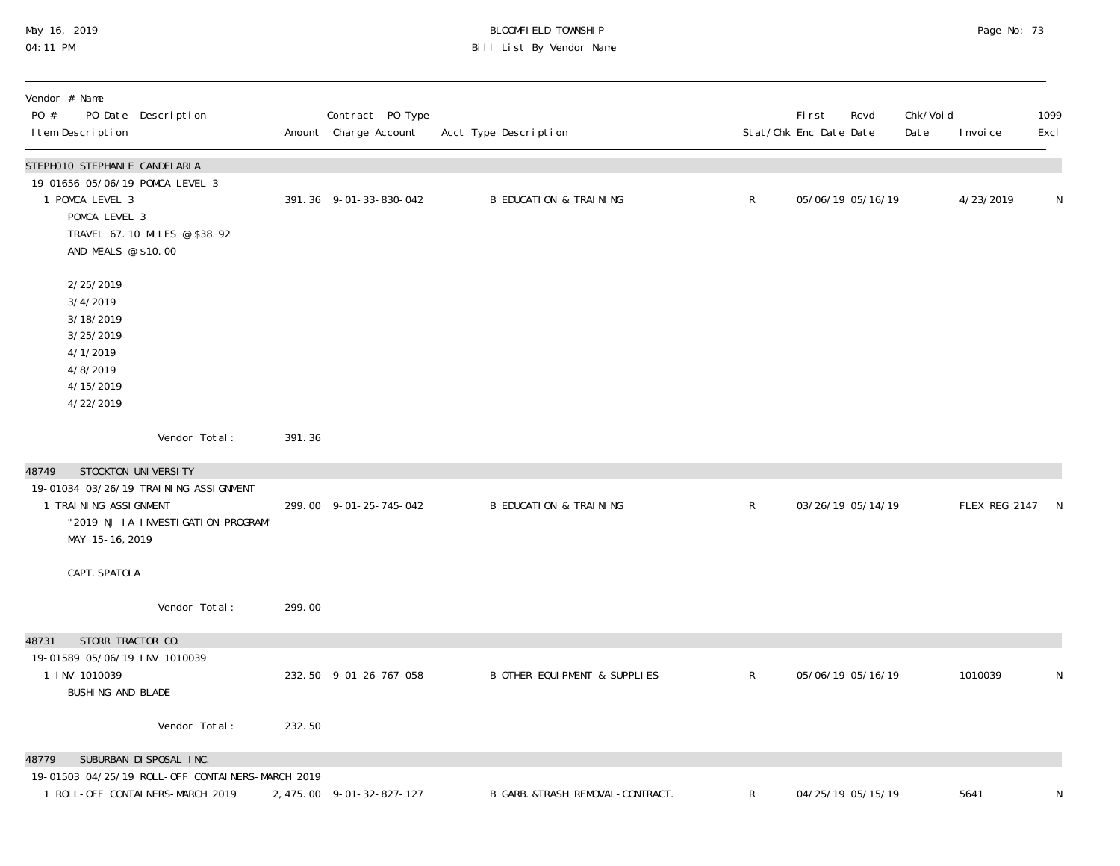# May 16, 2019 BLOOMFIELD TOWNSHIP Page No: 73 04:11 PM Bill List By Vendor Name

| Vendor # Name<br>PO #<br>PO Date Description<br>I tem Description                                                                                           |        | Contract PO Type<br>Amount Charge Account | Acct Type Description                    |              | First<br>Stat/Chk Enc Date Date | Rcvd              | Chk/Voi d<br>Date | I nvoi ce       | 1099<br>Excl |
|-------------------------------------------------------------------------------------------------------------------------------------------------------------|--------|-------------------------------------------|------------------------------------------|--------------|---------------------------------|-------------------|-------------------|-----------------|--------------|
| STEPHO10 STEPHANIE CANDELARIA<br>19-01656 05/06/19 POMCA LEVEL 3<br>1 POMCA LEVEL 3<br>POMCA LEVEL 3<br>TRAVEL 67.10 MILES @ \$38.92<br>AND MEALS @ \$10.00 |        | 391.36 9-01-33-830-042                    | <b>B EDUCATION &amp; TRAINING</b>        | R            |                                 | 05/06/19 05/16/19 |                   | 4/23/2019       | N            |
| 2/25/2019<br>3/4/2019<br>3/18/2019<br>3/25/2019<br>4/1/2019<br>4/8/2019<br>4/15/2019<br>4/22/2019                                                           |        |                                           |                                          |              |                                 |                   |                   |                 |              |
| Vendor Total:                                                                                                                                               | 391.36 |                                           |                                          |              |                                 |                   |                   |                 |              |
| STOCKTON UNIVERSITY<br>48749<br>19-01034 03/26/19 TRAINING ASSI GNMENT<br>1 TRAINING ASSIGNMENT<br>"2019 NJ IA INVESTIGATION PROGRAM"<br>MAY 15-16, 2019    |        | 299.00 9-01-25-745-042                    | <b>B EDUCATION &amp; TRAINING</b>        | $\mathsf R$  |                                 | 03/26/19 05/14/19 |                   | FLEX REG 2147 N |              |
| CAPT. SPATOLA                                                                                                                                               |        |                                           |                                          |              |                                 |                   |                   |                 |              |
| Vendor Total:                                                                                                                                               | 299.00 |                                           |                                          |              |                                 |                   |                   |                 |              |
| STORR TRACTOR CO.<br>48731                                                                                                                                  |        |                                           |                                          |              |                                 |                   |                   |                 |              |
| 19-01589 05/06/19 INV 1010039<br>1 INV 1010039<br>BUSHING AND BLADE                                                                                         |        | 232.50 9-01-26-767-058                    | <b>B OTHER EQUI PMENT &amp; SUPPLIES</b> | $\mathsf{R}$ |                                 | 05/06/19 05/16/19 |                   | 1010039         | N            |
| Vendor Total:                                                                                                                                               | 232.50 |                                           |                                          |              |                                 |                   |                   |                 |              |
| SUBURBAN DI SPOSAL INC.<br>48779                                                                                                                            |        |                                           |                                          |              |                                 |                   |                   |                 |              |
| 19-01503 04/25/19 ROLL-OFF CONTAINERS-MARCH 2019<br>1 ROLL-OFF CONTAINERS-MARCH 2019                                                                        |        | 2, 475.00 9-01-32-827-127                 | B GARB. &TRASH REMOVAL-CONTRACT.         | R            |                                 | 04/25/19 05/15/19 |                   | 5641            | N            |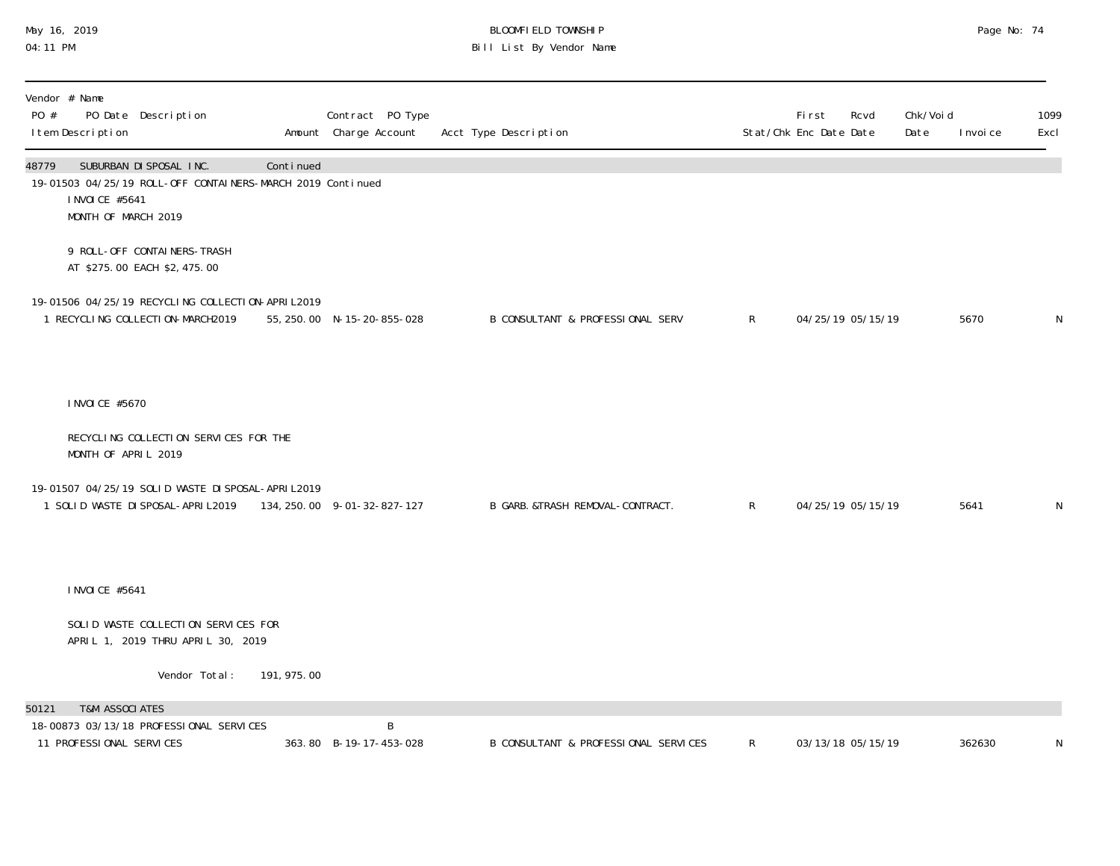## May 16, 2019 BLOOMFIELD TOWNSHIP Page No: 74 04:11 PM Bill List By Vendor Name

| PO #  | Vendor # Name<br>I tem Description                    | PO Date Description                                                                                                  |             | Contract PO Type<br>Amount Charge Account | Acct Type Description            |                                      |              | <b>First</b><br>Stat/Chk Enc Date Date | Rcvd | Chk/Voi d<br>Date | I nvoi ce | 1099<br>Excl |
|-------|-------------------------------------------------------|----------------------------------------------------------------------------------------------------------------------|-------------|-------------------------------------------|----------------------------------|--------------------------------------|--------------|----------------------------------------|------|-------------------|-----------|--------------|
| 48779 | I NVOI CE #5641<br>MONTH OF MARCH 2019                | SUBURBAN DI SPOSAL INC.<br>19-01503 04/25/19 ROLL-OFF CONTAINERS-MARCH 2019 Continued                                | Continued   |                                           |                                  |                                      |              |                                        |      |                   |           |              |
|       |                                                       | 9 ROLL-OFF CONTAINERS-TRASH<br>AT \$275.00 EACH \$2,475.00                                                           |             |                                           |                                  |                                      |              |                                        |      |                   |           |              |
|       |                                                       | 19-01506 04/25/19 RECYCLING COLLECTION-APRIL2019<br>1 RECYCLING COLLECTION-MARCH2019                                 |             | 55, 250.00 N-15-20-855-028                | B CONSULTANT & PROFESSIONAL SERV |                                      | $\mathsf{R}$ | 04/25/19 05/15/19                      |      |                   | 5670      | N            |
|       | I NVOI CE #5670                                       |                                                                                                                      |             |                                           |                                  |                                      |              |                                        |      |                   |           |              |
|       | MONTH OF APRIL 2019                                   | RECYCLING COLLECTION SERVICES FOR THE                                                                                |             |                                           |                                  |                                      |              |                                        |      |                   |           |              |
|       |                                                       | 19-01507 04/25/19 SOLID WASTE DI SPOSAL-APRI L2019<br>1 SOLID WASTE DI SPOSAL-APRI L2019 134, 250.00 9-01-32-827-127 |             |                                           | B GARB. &TRASH REMOVAL-CONTRACT. |                                      | R            | 04/25/19 05/15/19                      |      |                   | 5641      | N            |
|       | I NVOI CE #5641                                       |                                                                                                                      |             |                                           |                                  |                                      |              |                                        |      |                   |           |              |
|       |                                                       | SOLID WASTE COLLECTION SERVICES FOR<br>APRIL 1, 2019 THRU APRIL 30, 2019                                             |             |                                           |                                  |                                      |              |                                        |      |                   |           |              |
|       |                                                       | Vendor Total:                                                                                                        | 191, 975.00 |                                           |                                  |                                      |              |                                        |      |                   |           |              |
| 50121 | <b>T&amp;M ASSOCIATES</b><br>11 PROFESSIONAL SERVICES | 18-00873 03/13/18 PROFESSIONAL SERVICES                                                                              |             | B<br>363.80 B-19-17-453-028               |                                  | B CONSULTANT & PROFESSIONAL SERVICES | $\mathsf{R}$ | 03/13/18 05/15/19                      |      |                   | 362630    |              |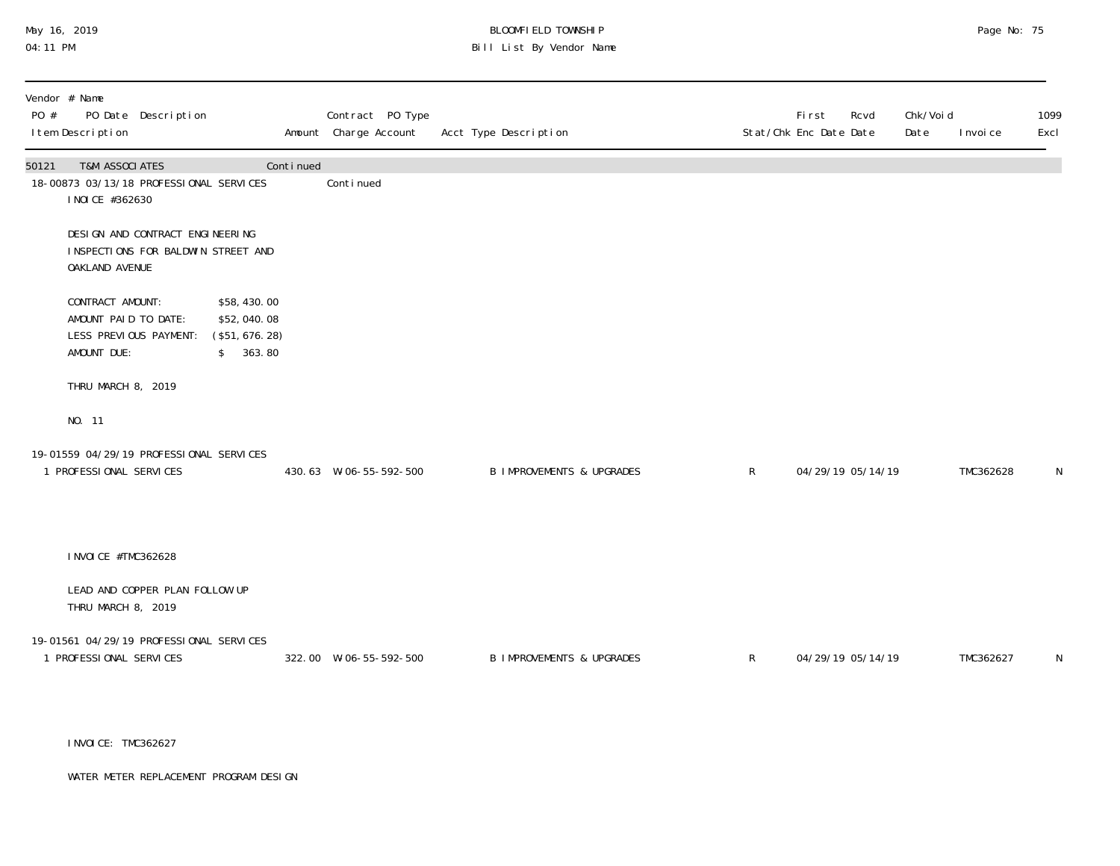# May 16, 2019 BLOOMFIELD TOWNSHIP Page No: 75 Bill List By Vendor Name

| PO #  | Vendor # Name<br>I tem Description                                                | PO Date Description                                                   |                                                           |           | Contract PO Type<br>Amount Charge Account | Acct Type Description                |              | <b>First</b><br>Stat/Chk Enc Date Date | Chk/Voi d<br>Rcvd<br>Date | I nvoi ce | 1099<br>Excl |
|-------|-----------------------------------------------------------------------------------|-----------------------------------------------------------------------|-----------------------------------------------------------|-----------|-------------------------------------------|--------------------------------------|--------------|----------------------------------------|---------------------------|-----------|--------------|
| 50121 | <b>T&amp;M ASSOCIATES</b><br>I NOI CE #362630                                     | 18-00873 03/13/18 PROFESSIONAL SERVICES                               |                                                           | Continued | Conti nued                                |                                      |              |                                        |                           |           |              |
|       | OAKLAND AVENUE                                                                    | DESIGN AND CONTRACT ENGINEERING<br>INSPECTIONS FOR BALDWIN STREET AND |                                                           |           |                                           |                                      |              |                                        |                           |           |              |
|       | CONTRACT AMOUNT:<br>AMOUNT PAID TO DATE:<br>LESS PREVIOUS PAYMENT:<br>AMOUNT DUE: |                                                                       | \$58,430.00<br>\$52,040.08<br>(\$51, 676. 28)<br>\$363.80 |           |                                           |                                      |              |                                        |                           |           |              |
|       | THRU MARCH 8, 2019                                                                |                                                                       |                                                           |           |                                           |                                      |              |                                        |                           |           |              |
|       | NO. 11                                                                            |                                                                       |                                                           |           |                                           |                                      |              |                                        |                           |           |              |
|       | 1 PROFESSIONAL SERVICES                                                           | 19-01559 04/29/19 PROFESSIONAL SERVICES                               |                                                           |           | 430.63 W-06-55-592-500                    | <b>B IMPROVEMENTS &amp; UPGRADES</b> | R            | 04/29/19 05/14/19                      |                           | TMC362628 | N            |
|       | I NVOI CE #TMC362628                                                              |                                                                       |                                                           |           |                                           |                                      |              |                                        |                           |           |              |
|       | THRU MARCH 8, 2019                                                                | LEAD AND COPPER PLAN FOLLOW UP                                        |                                                           |           |                                           |                                      |              |                                        |                           |           |              |
|       | 1 PROFESSIONAL SERVICES                                                           | 19-01561 04/29/19 PROFESSIONAL SERVICES                               |                                                           |           | 322.00 W-06-55-592-500                    | <b>B IMPROVEMENTS &amp; UPGRADES</b> | $\mathsf{R}$ | 04/29/19 05/14/19                      |                           | TMC362627 | N            |

INVOICE: TMC362627

WATER METER REPLACEMENT PROGRAM DESIGN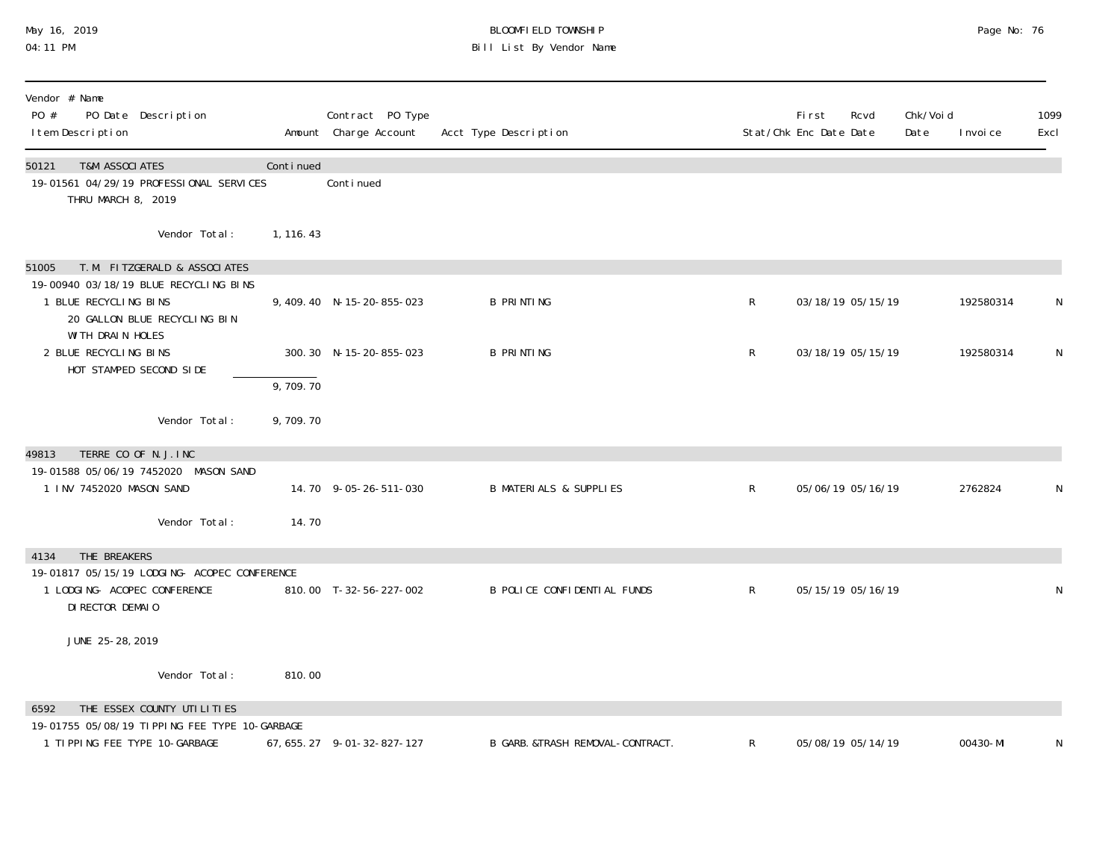# May 16, 2019 BLOOMFIELD TOWNSHIP Page No: 76 04:11 PM Bill List By Vendor Name

| Vendor # Name<br>PO #<br>PO Date Description<br>I tem Description                                                                                            |            | Contract PO Type<br>Amount Charge Account | Acct Type Description             |              | Fi rst<br>Stat/Chk Enc Date Date | Rcvd              | Chk/Voi d<br>Date | I nvoi ce | 1099<br>Excl |
|--------------------------------------------------------------------------------------------------------------------------------------------------------------|------------|-------------------------------------------|-----------------------------------|--------------|----------------------------------|-------------------|-------------------|-----------|--------------|
| <b>T&amp;M ASSOCIATES</b><br>50121<br>19-01561 04/29/19 PROFESSIONAL SERVICES<br>THRU MARCH 8, 2019                                                          | Continued  | Continued                                 |                                   |              |                                  |                   |                   |           |              |
| Vendor Total:                                                                                                                                                | 1, 116. 43 |                                           |                                   |              |                                  |                   |                   |           |              |
| T. M. FITZGERALD & ASSOCIATES<br>51005<br>19-00940 03/18/19 BLUE RECYCLING BINS<br>1 BLUE RECYCLING BINS<br>20 GALLON BLUE RECYCLING BIN<br>WITH DRAIN HOLES |            | 9, 409.40 N-15-20-855-023                 | <b>B PRINTING</b>                 | R            |                                  | 03/18/19 05/15/19 |                   | 192580314 |              |
| 2 BLUE RECYCLING BINS<br>HOT STAMPED SECOND SIDE                                                                                                             | 9,709.70   | 300.30 N-15-20-855-023                    | <b>B PRINTING</b>                 | R            |                                  | 03/18/19 05/15/19 |                   | 192580314 | N            |
| Vendor Total:                                                                                                                                                | 9,709.70   |                                           |                                   |              |                                  |                   |                   |           |              |
| TERRE CO OF N.J. INC<br>49813<br>19-01588 05/06/19 7452020 MASON SAND<br>1 INV 7452020 MASON SAND<br>Vendor Total:                                           | 14.70      | 14.70 9-05-26-511-030                     | <b>B MATERIALS &amp; SUPPLIES</b> | $\mathsf{R}$ |                                  | 05/06/19 05/16/19 |                   | 2762824   |              |
| THE BREAKERS<br>4134                                                                                                                                         |            |                                           |                                   |              |                                  |                   |                   |           |              |
| 19-01817 05/15/19 LODGING- ACOPEC CONFERENCE<br>1 LODGING- ACOPEC CONFERENCE<br>DI RECTOR DEMAIO                                                             |            | 810.00 T-32-56-227-002                    | B POLICE CONFIDENTIAL FUNDS       | $\mathsf{R}$ |                                  | 05/15/19 05/16/19 |                   |           | N            |
| JUNE 25-28, 2019                                                                                                                                             |            |                                           |                                   |              |                                  |                   |                   |           |              |
| Vendor Total:                                                                                                                                                | 810.00     |                                           |                                   |              |                                  |                   |                   |           |              |
| THE ESSEX COUNTY UTILITIES<br>6592<br>19-01755 05/08/19 TIPPING FEE TYPE 10-GARBAGE                                                                          |            |                                           |                                   |              |                                  |                   |                   |           |              |
| 1 TIPPING FEE TYPE 10-GARBAGE                                                                                                                                |            | 67, 655. 27 9-01-32-827-127               | B GARB. &TRASH REMOVAL-CONTRACT.  | R            |                                  | 05/08/19 05/14/19 |                   | 00430-MI  |              |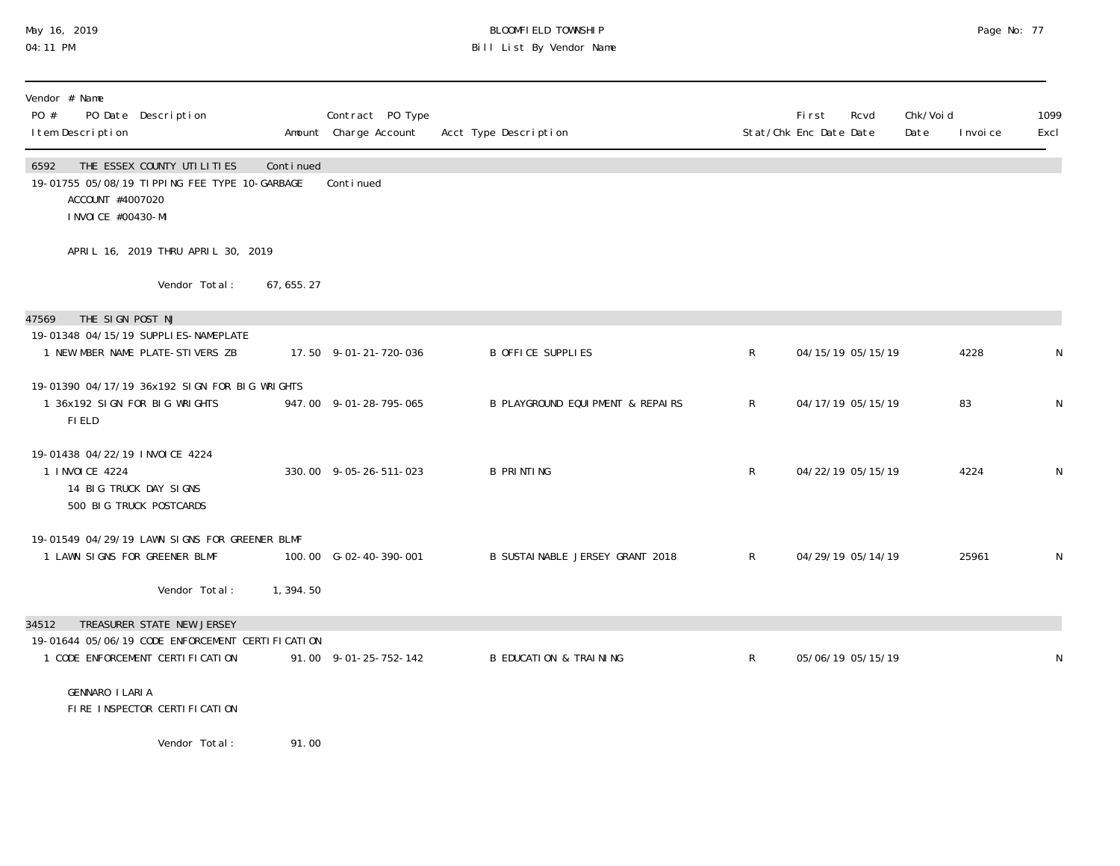## May 16, 2019 BLOOMFIELD TOWNSHIP Page No: 77 04:11 PM Bill List By Vendor Name

| Vendor # Name<br>PO #<br>PO Date Description<br>I tem Description                                                              |             | Contract PO Type<br>Amount Charge Account | Acct Type Description                       |              | <b>First</b><br>Rcvd<br>Stat/Chk Enc Date Date | Chk/Voi d<br>Date | I nvoi ce | 1099<br>Excl |
|--------------------------------------------------------------------------------------------------------------------------------|-------------|-------------------------------------------|---------------------------------------------|--------------|------------------------------------------------|-------------------|-----------|--------------|
| THE ESSEX COUNTY UTILITIES<br>6592<br>19-01755 05/08/19 TIPPING FEE TYPE 10-GARBAGE<br>ACCOUNT #4007020<br>I NVOI CE #00430-MI | Continued   | Conti nued                                |                                             |              |                                                |                   |           |              |
| APRIL 16, 2019 THRU APRIL 30, 2019                                                                                             |             |                                           |                                             |              |                                                |                   |           |              |
| Vendor Total:                                                                                                                  | 67, 655. 27 |                                           |                                             |              |                                                |                   |           |              |
| 47569<br>THE SIGN POST NJ                                                                                                      |             |                                           |                                             |              |                                                |                   |           |              |
| 19-01348 04/15/19 SUPPLI ES-NAMEPLATE<br>1 NEW MBER NAME PLATE-STIVERS ZB                                                      |             | 17.50 9-01-21-720-036                     | <b>B OFFICE SUPPLIES</b>                    | $\mathsf{R}$ | 04/15/19 05/15/19                              |                   | 4228      | N            |
| 19-01390 04/17/19 36x192 SIGN FOR BIG WRIGHTS<br>1 36x192 SIGN FOR BIG WRIGHTS<br>FI ELD                                       |             | 947.00 9-01-28-795-065                    | <b>B PLAYGROUND EQUIPMENT &amp; REPAIRS</b> | $\mathsf{R}$ | 04/17/19 05/15/19                              |                   | 83        | $\mathsf N$  |
| 19-01438 04/22/19 INVOICE 4224<br>1 INVOICE 4224<br>14 BIG TRUCK DAY SIGNS<br>500 BIG TRUCK POSTCARDS                          |             | 330.00 9-05-26-511-023                    | <b>B PRINTING</b>                           | $\mathsf{R}$ | 04/22/19 05/15/19                              |                   | 4224      | N            |
| 19-01549 04/29/19 LAWN SIGNS FOR GREENER BLMF<br>1 LAWN SIGNS FOR GREENER BLMF                                                 |             | 100.00 G-02-40-390-001                    | B SUSTAINABLE JERSEY GRANT 2018             | $\mathsf{R}$ | 04/29/19 05/14/19                              |                   | 25961     | N            |
| Vendor Total:                                                                                                                  | 1,394.50    |                                           |                                             |              |                                                |                   |           |              |
| TREASURER STATE NEW JERSEY<br>34512                                                                                            |             |                                           |                                             |              |                                                |                   |           |              |
| 19-01644 05/06/19 CODE ENFORCEMENT CERTIFICATION<br>1 CODE ENFORCEMENT CERTIFICATION                                           |             | 91.00 9-01-25-752-142                     | <b>B EDUCATION &amp; TRAINING</b>           | $\mathsf{R}$ | 05/06/19 05/15/19                              |                   |           | N            |
| GENNARO I LARI A<br>FIRE INSPECTOR CERTIFICATION                                                                               |             |                                           |                                             |              |                                                |                   |           |              |
| Vendor Total:                                                                                                                  | 91.00       |                                           |                                             |              |                                                |                   |           |              |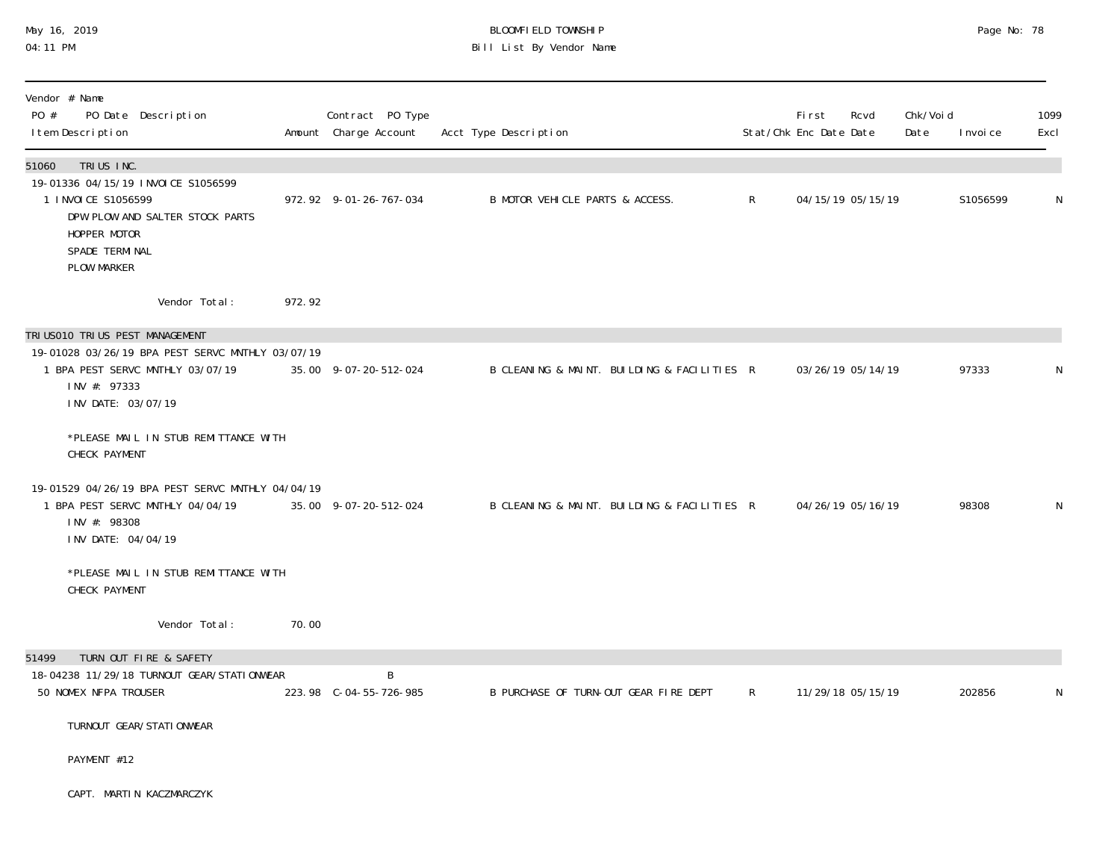## May 16, 2019 BLOOMFIELD TOWNSHIP Page No: 78 04:11 PM Bill List By Vendor Name

| Vendor # Name<br>PO #<br>PO Date Description<br>I tem Description                                                                                                            |        | Contract PO Type<br>Amount Charge Account | Acct Type Description                       |              | <b>First</b><br>Stat/Chk Enc Date Date | Rcvd              | Chk/Voi d<br>Date | I nvoi ce | 1099<br>Excl |
|------------------------------------------------------------------------------------------------------------------------------------------------------------------------------|--------|-------------------------------------------|---------------------------------------------|--------------|----------------------------------------|-------------------|-------------------|-----------|--------------|
| TRIUS INC.<br>51060<br>19-01336 04/15/19 INVOICE S1056599<br>1 I NVOI CE S1056599<br>DPW PLOW AND SALTER STOCK PARTS<br>HOPPER MOTOR<br>SPADE TERMINAL<br><b>PLOW MARKER</b> |        | 972.92 9-01-26-767-034                    | B MOTOR VEHICLE PARTS & ACCESS.             | $\mathsf{R}$ |                                        | 04/15/19 05/15/19 |                   | S1056599  | N            |
| Vendor Total:                                                                                                                                                                | 972.92 |                                           |                                             |              |                                        |                   |                   |           |              |
| TRI US010 TRI US PEST MANAGEMENT                                                                                                                                             |        |                                           |                                             |              |                                        |                   |                   |           |              |
| 19-01028 03/26/19 BPA PEST SERVC MNTHLY 03/07/19<br>1 BPA PEST SERVC MNTHLY 03/07/19<br>INV #: 97333<br>INV DATE: 03/07/19                                                   |        | 35.00 9-07-20-512-024                     | B CLEANING & MAINT. BUILDING & FACILITIES R |              |                                        | 03/26/19 05/14/19 |                   | 97333     | N            |
| *PLEASE MAIL IN STUB REMITTANCE WITH<br>CHECK PAYMENT                                                                                                                        |        |                                           |                                             |              |                                        |                   |                   |           |              |
| 19-01529 04/26/19 BPA PEST SERVC MNTHLY 04/04/19<br>1 BPA PEST SERVC MNTHLY 04/04/19<br>INV #: 98308<br>INV DATE: 04/04/19                                                   |        | 35.00 9-07-20-512-024                     | B CLEANING & MAINT. BUILDING & FACILITIES R |              |                                        | 04/26/19 05/16/19 |                   | 98308     | N            |
| *PLEASE MAIL IN STUB REMITTANCE WITH<br>CHECK PAYMENT                                                                                                                        |        |                                           |                                             |              |                                        |                   |                   |           |              |
| Vendor Total:                                                                                                                                                                | 70.00  |                                           |                                             |              |                                        |                   |                   |           |              |
| 51499<br>TURN OUT FIRE & SAFETY<br>18-04238 11/29/18 TURNOUT GEAR/STATIONWEAR                                                                                                |        | B                                         |                                             |              |                                        |                   |                   |           |              |
| 50 NOMEX NFPA TROUSER                                                                                                                                                        |        | 223.98 C-04-55-726-985                    | B PURCHASE OF TURN-OUT GEAR FIRE DEPT       | R            |                                        | 11/29/18 05/15/19 |                   | 202856    | N            |
| TURNOUT GEAR/STATI ONWEAR                                                                                                                                                    |        |                                           |                                             |              |                                        |                   |                   |           |              |
| PAYMENT #12                                                                                                                                                                  |        |                                           |                                             |              |                                        |                   |                   |           |              |
| CAPT. MARTIN KACZMARCZYK                                                                                                                                                     |        |                                           |                                             |              |                                        |                   |                   |           |              |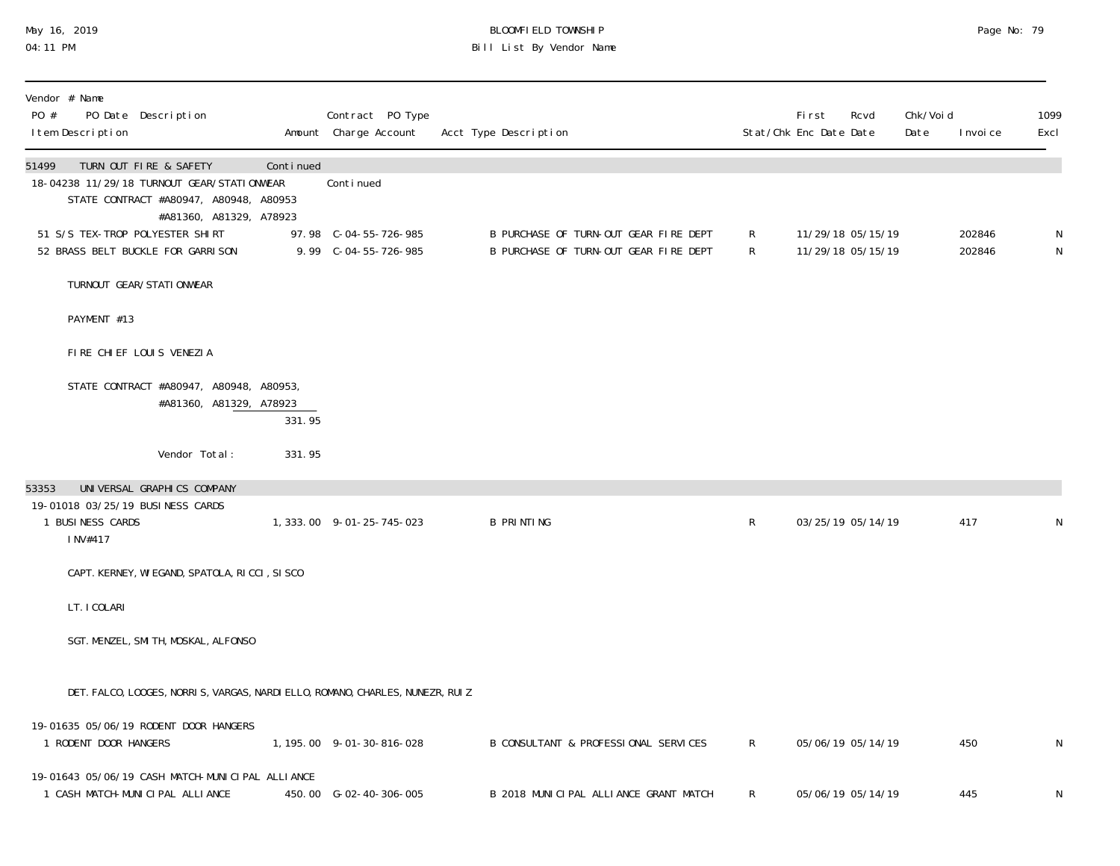# May 16, 2019 BLOOMFIELD TOWNSHIP Page No: 79 04:11 PM Bill List By Vendor Name

| Vendor # Name<br>PO #<br>PO Date Description<br>I tem Description                                                                                  |           | Contract PO Type<br>Amount Charge Account     | Acct Type Description                                                          |              | <b>First</b><br>Rcvd<br>Stat/Chk Enc Date Date | Chk/Voi d<br>Date | Excl<br>I nvoi ce | 1099   |
|----------------------------------------------------------------------------------------------------------------------------------------------------|-----------|-----------------------------------------------|--------------------------------------------------------------------------------|--------------|------------------------------------------------|-------------------|-------------------|--------|
| 51499<br>TURN OUT FIRE & SAFETY<br>18-04238 11/29/18 TURNOUT GEAR/STATIONWEAR<br>STATE CONTRACT #A80947, A80948, A80953<br>#A81360, A81329, A78923 | Continued | Conti nued                                    |                                                                                |              |                                                |                   |                   |        |
| 51 S/S TEX-TROP POLYESTER SHIRT<br>52 BRASS BELT BUCKLE FOR GARRISON                                                                               |           | 97.98 C-04-55-726-985<br>9.99 C-04-55-726-985 | B PURCHASE OF TURN-OUT GEAR FIRE DEPT<br>B PURCHASE OF TURN-OUT GEAR FIRE DEPT | R<br>R       | 11/29/18 05/15/19<br>11/29/18 05/15/19         |                   | 202846<br>202846  | N<br>N |
| TURNOUT GEAR/STATI ONWEAR                                                                                                                          |           |                                               |                                                                                |              |                                                |                   |                   |        |
| PAYMENT #13                                                                                                                                        |           |                                               |                                                                                |              |                                                |                   |                   |        |
| FIRE CHIEF LOUIS VENEZIA                                                                                                                           |           |                                               |                                                                                |              |                                                |                   |                   |        |
| STATE CONTRACT #A80947, A80948, A80953,<br>#A81360, A81329, A78923                                                                                 | 331.95    |                                               |                                                                                |              |                                                |                   |                   |        |
| Vendor Total:                                                                                                                                      | 331.95    |                                               |                                                                                |              |                                                |                   |                   |        |
| UNIVERSAL GRAPHICS COMPANY<br>53353<br>19-01018 03/25/19 BUSINESS CARDS<br>1 BUSINESS CARDS<br>INV#417                                             |           | 1, 333.00 9-01-25-745-023                     | <b>B PRINTING</b>                                                              | $\mathsf{R}$ | 03/25/19 05/14/19                              |                   | 417               | N      |
| CAPT. KERNEY, WI EGAND, SPATOLA, RICCI, SI SCO                                                                                                     |           |                                               |                                                                                |              |                                                |                   |                   |        |
| LT. I COLARI                                                                                                                                       |           |                                               |                                                                                |              |                                                |                   |                   |        |
| SGT. MENZEL, SMI TH, MOSKAL, ALFONSO                                                                                                               |           |                                               |                                                                                |              |                                                |                   |                   |        |
| DET. FALCO, LOOGES, NORRIS, VARGAS, NARDI ELLO, ROMANO, CHARLES, NUNEZR, RUIZ                                                                      |           |                                               |                                                                                |              |                                                |                   |                   |        |
| 19-01635 05/06/19 RODENT DOOR HANGERS<br>1 RODENT DOOR HANGERS                                                                                     |           | 1, 195.00 9-01-30-816-028                     | B CONSULTANT & PROFESSIONAL SERVICES                                           | R            | 05/06/19 05/14/19                              |                   | 450               | N      |
| 19-01643 05/06/19 CASH MATCH-MUNICIPAL ALLIANCE<br>1 CASH MATCH-MUNICIPAL ALLIANCE                                                                 |           | 450.00 G-02-40-306-005                        | B 2018 MUNICIPAL ALLIANCE GRANT MATCH                                          | R            | 05/06/19 05/14/19                              |                   | 445               | N      |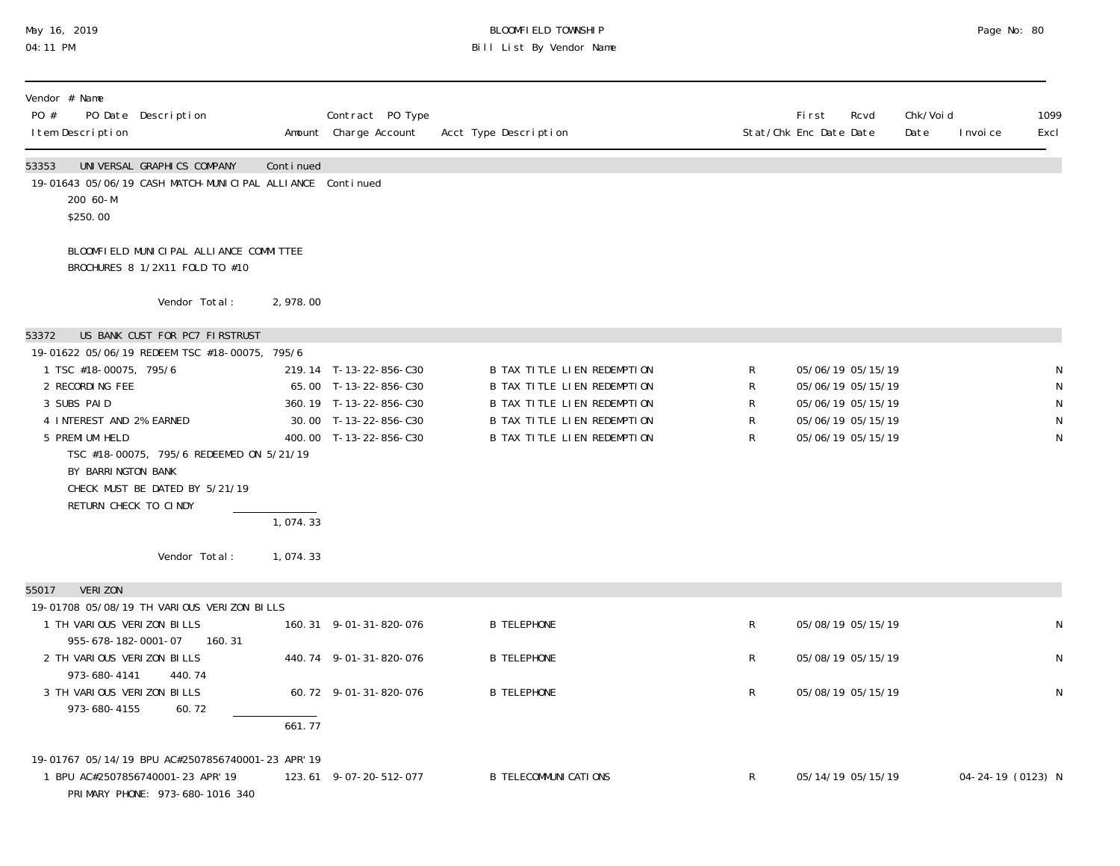## May 16, 2019 BLOOMFIELD TOWNSHIP Page No: 80 04:11 PM Bill List By Vendor Name

| Vendor # Name<br>PO #<br>PO Date Description<br>I tem Description                                                                                                                                                                                                                     |                                |                                   | Contract PO Type<br>Amount Charge Account                                                                                    | Acct Type Description                                                                                                                                   |                       | <b>First</b><br>Rcvd<br>Stat/Chk Enc Date Date                                                        | Chk/Voi d<br>Date | 1099<br>I nvoi ce<br>Excl                       |
|---------------------------------------------------------------------------------------------------------------------------------------------------------------------------------------------------------------------------------------------------------------------------------------|--------------------------------|-----------------------------------|------------------------------------------------------------------------------------------------------------------------------|---------------------------------------------------------------------------------------------------------------------------------------------------------|-----------------------|-------------------------------------------------------------------------------------------------------|-------------------|-------------------------------------------------|
| UNIVERSAL GRAPHICS COMPANY<br>53353<br>19-01643 05/06/19 CASH MATCH-MUNICIPAL ALLIANCE Continued<br>200 60-M<br>\$250.00                                                                                                                                                              |                                | Continued                         |                                                                                                                              |                                                                                                                                                         |                       |                                                                                                       |                   |                                                 |
| BLOOMFIELD MUNICIPAL ALLIANCE COMMITTEE<br>BROCHURES 8 1/2X11 FOLD TO #10                                                                                                                                                                                                             |                                |                                   |                                                                                                                              |                                                                                                                                                         |                       |                                                                                                       |                   |                                                 |
|                                                                                                                                                                                                                                                                                       | Vendor Total:                  | 2,978.00                          |                                                                                                                              |                                                                                                                                                         |                       |                                                                                                       |                   |                                                 |
| 53372                                                                                                                                                                                                                                                                                 | US BANK CUST FOR PC7 FIRSTRUST |                                   |                                                                                                                              |                                                                                                                                                         |                       |                                                                                                       |                   |                                                 |
| 19-01622 05/06/19 REDEEM TSC #18-00075, 795/6<br>1 TSC #18-00075, 795/6<br>2 RECORDING FEE<br>3 SUBS PAID<br>4 INTEREST AND 2% EARNED<br>5 PREMI UM HELD<br>TSC #18-00075, 795/6 REDEEMED ON 5/21/19<br>BY BARRINGTON BANK<br>CHECK MUST BE DATED BY 5/21/19<br>RETURN CHECK TO CINDY | Vendor Total:                  | $\overline{1,074.33}$<br>1,074.33 | 219.14 T-13-22-856-C30<br>65.00 T-13-22-856-C30<br>360.19 T-13-22-856-C30<br>30.00 T-13-22-856-C30<br>400.00 T-13-22-856-C30 | B TAX TITLE LIEN REDEMPTION<br>B TAX TITLE LIEN REDEMPTION<br>B TAX TITLE LIEN REDEMPTION<br>B TAX TITLE LIEN REDEMPTION<br>B TAX TITLE LIEN REDEMPTION | R<br>R<br>R<br>R<br>R | 05/06/19 05/15/19<br>05/06/19 05/15/19<br>05/06/19 05/15/19<br>05/06/19 05/15/19<br>05/06/19 05/15/19 |                   | N<br>${\sf N}$<br>$\mathsf N$<br>${\sf N}$<br>N |
| VERI ZON<br>55017                                                                                                                                                                                                                                                                     |                                |                                   |                                                                                                                              |                                                                                                                                                         |                       |                                                                                                       |                   |                                                 |
| 19-01708 05/08/19 TH VARIOUS VERIZON BILLS<br>1 TH VARIOUS VERIZON BILLS<br>955-678-182-0001-07                                                                                                                                                                                       | 160.31                         |                                   | 160.31 9-01-31-820-076                                                                                                       | <b>B TELEPHONE</b>                                                                                                                                      | R                     | 05/08/19 05/15/19                                                                                     |                   | ${\sf N}$                                       |
| 2 TH VARIOUS VERIZON BILLS                                                                                                                                                                                                                                                            |                                |                                   | 440.74 9-01-31-820-076                                                                                                       | <b>B TELEPHONE</b>                                                                                                                                      | R                     | 05/08/19 05/15/19                                                                                     |                   | N                                               |
| 973-680-4141<br>3 TH VARIOUS VERIZON BILLS<br>973-680-4155                                                                                                                                                                                                                            | 440.74<br>60.72                | 661.77                            | 60.72 9-01-31-820-076                                                                                                        | <b>B TELEPHONE</b>                                                                                                                                      | R                     | 05/08/19 05/15/19                                                                                     |                   | N                                               |
| 19-01767 05/14/19 BPU AC#2507856740001-23 APR'19<br>1 BPU AC#2507856740001-23 APR' 19<br>PRIMARY PHONE: 973-680-1016 340                                                                                                                                                              |                                |                                   | 123.61 9-07-20-512-077                                                                                                       | <b>B TELECOMMUNI CATI ONS</b>                                                                                                                           | $\mathsf{R}$          | 05/14/19 05/15/19                                                                                     |                   | 04-24-19 (0123) N                               |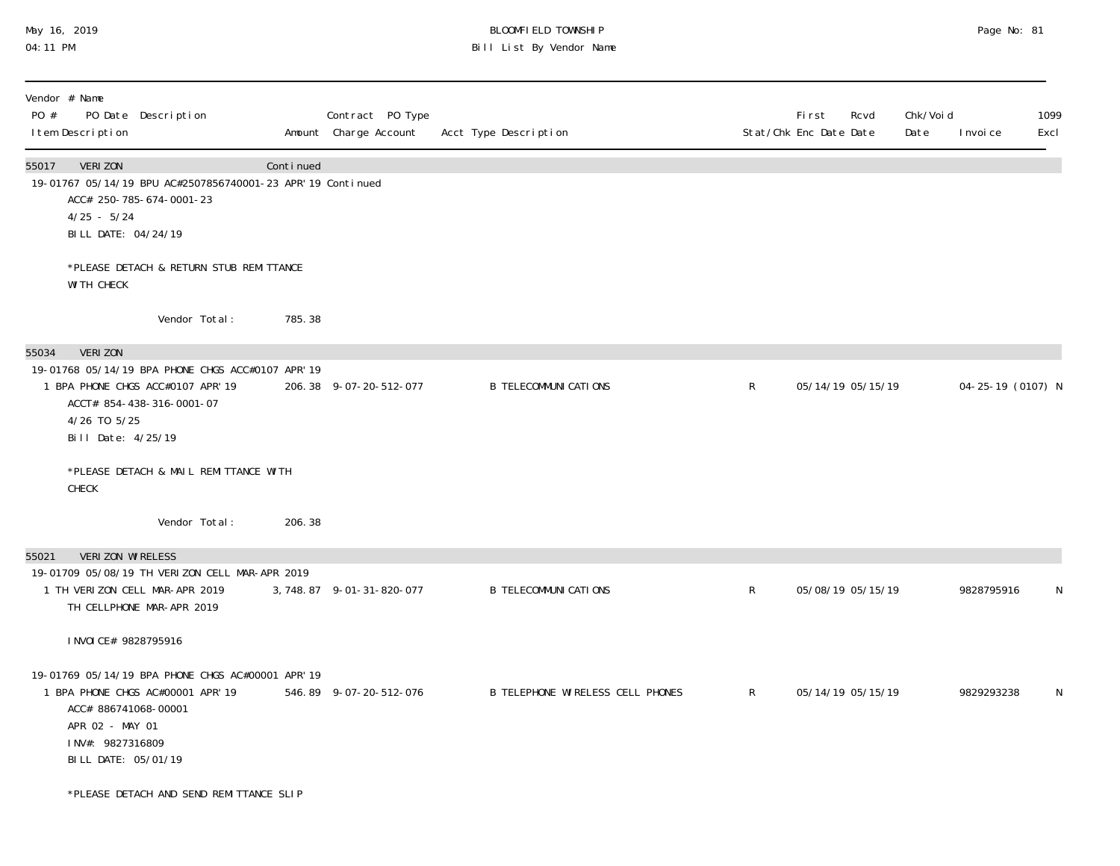# May 16, 2019 BLOOMFIELD TOWNSHIP Page No: 81 04:11 PM Bill List By Vendor Name

| Vendor # Name<br>PO #<br>PO Date Description<br>I tem Description                                                                                                                                                                      |           | Contract PO Type<br>Amount Charge Account | Acct Type Description                   |                | <b>First</b><br>Rcvd<br>Stat/Chk Enc Date Date | Chk/Voi d<br>Date | I nvoi ce         | 1099<br>Excl |
|----------------------------------------------------------------------------------------------------------------------------------------------------------------------------------------------------------------------------------------|-----------|-------------------------------------------|-----------------------------------------|----------------|------------------------------------------------|-------------------|-------------------|--------------|
| VERI ZON<br>55017<br>19-01767 05/14/19 BPU AC#2507856740001-23 APR' 19 Continued<br>ACC# 250-785-674-0001-23<br>$4/25 - 5/24$<br>BILL DATE: 04/24/19                                                                                   | Continued |                                           |                                         |                |                                                |                   |                   |              |
| *PLEASE DETACH & RETURN STUB REMITTANCE<br>WI TH CHECK                                                                                                                                                                                 |           |                                           |                                         |                |                                                |                   |                   |              |
| Vendor Total:                                                                                                                                                                                                                          | 785.38    |                                           |                                         |                |                                                |                   |                   |              |
| VERI ZON<br>55034<br>19-01768 05/14/19 BPA PHONE CHGS ACC#0107 APR'19<br>1 BPA PHONE CHGS ACC#0107 APR' 19<br>ACCT# 854-438-316-0001-07<br>4/26 TO 5/25<br>Bill Date: 4/25/19<br>*PLEASE DETACH & MAIL REMITTANCE WITH<br><b>CHECK</b> |           | 206.38 9-07-20-512-077                    | <b>B TELECOMMUNI CATIONS</b>            | R              | 05/14/19 05/15/19                              |                   | 04-25-19 (0107) N |              |
| Vendor Total:                                                                                                                                                                                                                          | 206.38    |                                           |                                         |                |                                                |                   |                   |              |
| VERIZON WIRELESS<br>55021<br>19-01709 05/08/19 TH VERIZON CELL MAR-APR 2019<br>1 TH VERIZON CELL MAR-APR 2019<br>TH CELLPHONE MAR-APR 2019                                                                                             |           | 3, 748.87 9-01-31-820-077                 | <b>B TELECOMMUNI CATIONS</b>            | $\mathsf{R}$   | 05/08/19 05/15/19                              |                   | 9828795916        | N            |
| I NVOI CE# 9828795916<br>19-01769 05/14/19 BPA PHONE CHGS AC#00001 APR' 19<br>1 BPA PHONE CHGS AC#00001 APR' 19<br>ACC# 886741068-00001<br>APR 02 - MAY 01<br>INV#: 9827316809<br>BILL DATE: 05/01/19                                  |           | 546.89 9-07-20-512-076                    | <b>B TELEPHONE WIRELESS CELL PHONES</b> | $\mathsf{R}^-$ | 05/14/19 05/15/19                              |                   | 9829293238        | N            |
| *PLEASE DETACH AND SEND REMITTANCE SLIP                                                                                                                                                                                                |           |                                           |                                         |                |                                                |                   |                   |              |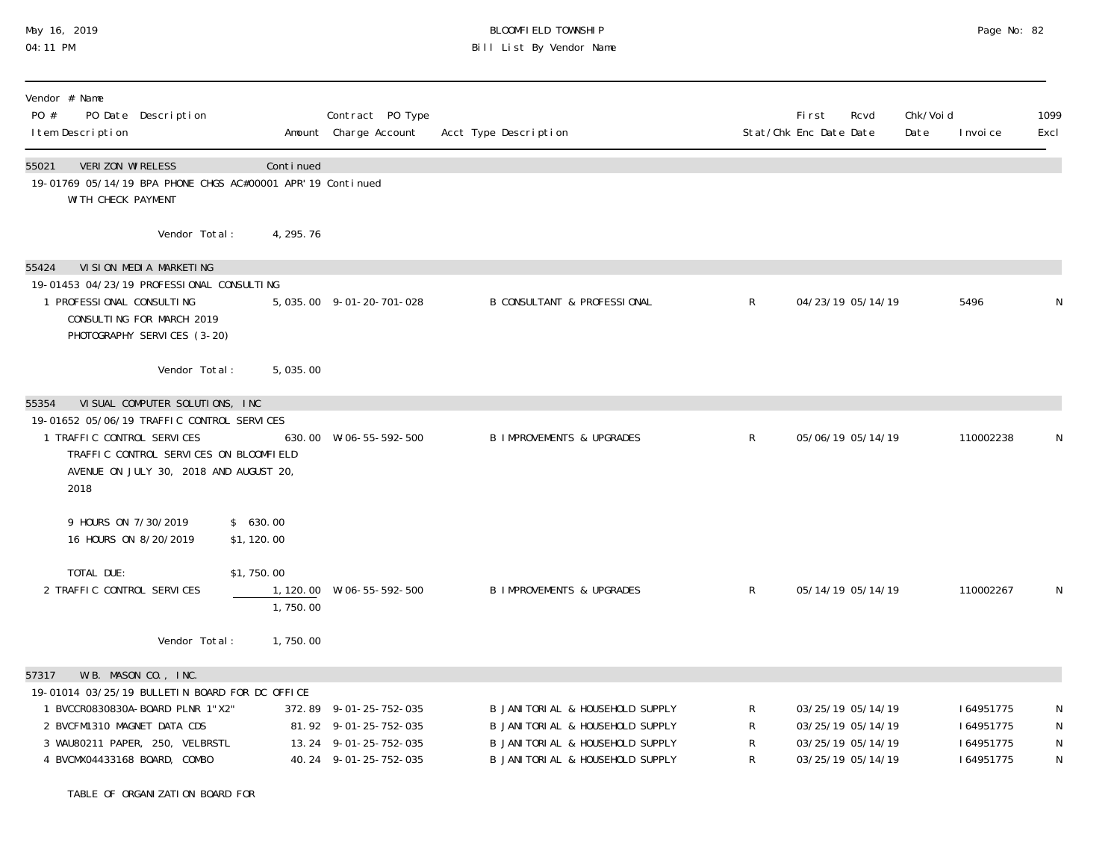# May 16, 2019 BLOOMFIELD TOWNSHIP Page No: 82 04:11 PM Bill List By Vendor Name

| Vendor # Name<br>PO #<br>PO Date Description<br>I tem Description                                                                                                                                                     |                                                  | Contract PO Type<br>Amount Charge Account                                                         | Acct Type Description                                                                                                                      |                  | First<br>Rcvd<br>Stat/Chk Enc Date Date                                          | Chk/Voi d<br>Date | I nvoi ce                                        | 1099<br>Excl             |
|-----------------------------------------------------------------------------------------------------------------------------------------------------------------------------------------------------------------------|--------------------------------------------------|---------------------------------------------------------------------------------------------------|--------------------------------------------------------------------------------------------------------------------------------------------|------------------|----------------------------------------------------------------------------------|-------------------|--------------------------------------------------|--------------------------|
| VERIZON WIRELESS<br>55021<br>19-01769 05/14/19 BPA PHONE CHGS AC#00001 APR' 19 Continued<br>WI TH CHECK PAYMENT                                                                                                       | Continued                                        |                                                                                                   |                                                                                                                                            |                  |                                                                                  |                   |                                                  |                          |
| Vendor Total:                                                                                                                                                                                                         | 4, 295. 76                                       |                                                                                                   |                                                                                                                                            |                  |                                                                                  |                   |                                                  |                          |
| VI SI ON MEDI A MARKETI NG<br>55424<br>19-01453 04/23/19 PROFESSIONAL CONSULTING<br>1 PROFESSIONAL CONSULTING<br>CONSULTING FOR MARCH 2019<br>PHOTOGRAPHY SERVICES (3-20)                                             |                                                  | 5, 035.00 9-01-20-701-028                                                                         | <b>B CONSULTANT &amp; PROFESSIONAL</b>                                                                                                     | $\mathsf{R}$     | 04/23/19 05/14/19                                                                |                   | 5496                                             | N                        |
| Vendor Total:                                                                                                                                                                                                         | 5,035.00                                         |                                                                                                   |                                                                                                                                            |                  |                                                                                  |                   |                                                  |                          |
| VI SUAL COMPUTER SOLUTIONS, INC.<br>55354<br>19-01652 05/06/19 TRAFFIC CONTROL SERVICES<br>1 TRAFFIC CONTROL SERVICES<br>TRAFFIC CONTROL SERVICES ON BLOOMFIELD<br>AVENUE ON JULY 30, 2018 AND AUGUST 20,<br>2018     |                                                  | 630.00 W-06-55-592-500                                                                            | <b>B IMPROVEMENTS &amp; UPGRADES</b>                                                                                                       | $\mathsf{R}$     | 05/06/19 05/14/19                                                                |                   | 110002238                                        | N                        |
| 9 HOURS ON 7/30/2019<br>16 HOURS ON 8/20/2019<br>TOTAL DUE:<br>2 TRAFFIC CONTROL SERVICES                                                                                                                             | \$630.00<br>\$1,120.00<br>\$1,750.00<br>1,750.00 | 1, 120.00 W-06-55-592-500                                                                         | <b>B IMPROVEMENTS &amp; UPGRADES</b>                                                                                                       | $\mathsf{R}$     | 05/14/19 05/14/19                                                                |                   | 110002267                                        | N                        |
| Vendor Total:                                                                                                                                                                                                         | 1,750.00                                         |                                                                                                   |                                                                                                                                            |                  |                                                                                  |                   |                                                  |                          |
| W.B. MASON CO., INC.<br>57317<br>19-01014 03/25/19 BULLETIN BOARD FOR DC OFFICE<br>1 BVCCR0830830A-B0ARD PLNR 1"X2"<br>2 BVCFM1310 MAGNET DATA CDS<br>3 WAU80211 PAPER, 250, VELBRSTL<br>4 BVCMX04433168 BOARD, COMBO |                                                  | 372.89 9-01-25-752-035<br>81.92 9-01-25-752-035<br>13.24 9-01-25-752-035<br>40.24 9-01-25-752-035 | B JANI TORI AL & HOUSEHOLD SUPPLY<br>B JANITORIAL & HOUSEHOLD SUPPLY<br>B JANITORIAL & HOUSEHOLD SUPPLY<br>B JANITORIAL & HOUSEHOLD SUPPLY | R<br>R<br>R<br>R | 03/25/19 05/14/19<br>03/25/19 05/14/19<br>03/25/19 05/14/19<br>03/25/19 05/14/19 |                   | 164951775<br>164951775<br>164951775<br>164951775 | N<br>N<br>${\sf N}$<br>N |

TABLE OF ORGANIZATION BOARD FOR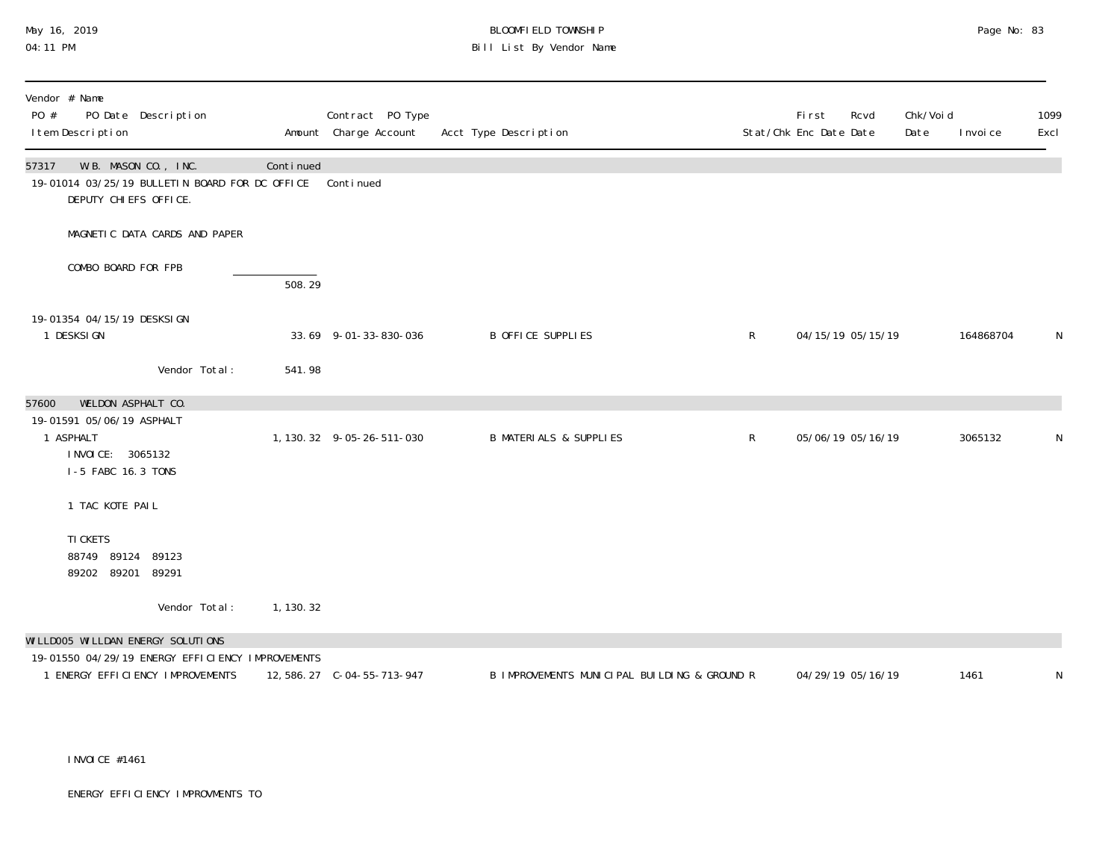# May 16, 2019 BLOOMFIELD TOWNSHIP Page No: 83 Bill List By Vendor Name

| Vendor # Name<br>PO #<br>PO Date Description<br>I tem Description                                                                    |            | Contract PO Type<br>Amount Charge Account | Acct Type Description                        |              | <b>First</b><br>Stat/Chk Enc Date Date | Rcvd | Chk/Voi d<br>Date | I nvoi ce | 1099<br>Excl |
|--------------------------------------------------------------------------------------------------------------------------------------|------------|-------------------------------------------|----------------------------------------------|--------------|----------------------------------------|------|-------------------|-----------|--------------|
| W.B. MASON CO., INC.<br>57317<br>19-01014 03/25/19 BULLETIN BOARD FOR DC OFFICE<br>DEPUTY CHIEFS OFFICE.                             | Continued  | Continued                                 |                                              |              |                                        |      |                   |           |              |
| MAGNETIC DATA CARDS AND PAPER                                                                                                        |            |                                           |                                              |              |                                        |      |                   |           |              |
| COMBO BOARD FOR FPB                                                                                                                  | 508.29     |                                           |                                              |              |                                        |      |                   |           |              |
| 19-01354 04/15/19 DESKSI GN<br>1 DESKSI GN                                                                                           |            | 33.69 9-01-33-830-036                     | B OFFICE SUPPLIES                            | $\mathsf{R}$ | 04/15/19 05/15/19                      |      |                   | 164868704 | N            |
| Vendor Total:                                                                                                                        | 541.98     |                                           |                                              |              |                                        |      |                   |           |              |
| WELDON ASPHALT CO.<br>57600<br>19-01591 05/06/19 ASPHALT<br>1 ASPHALT<br>I NVOI CE: 3065132<br>I-5 FABC 16.3 TONS<br>1 TAC KOTE PAIL |            | 1, 130. 32 9-05-26-511-030                | <b>B MATERIALS &amp; SUPPLIES</b>            | $\mathsf{R}$ | 05/06/19 05/16/19                      |      |                   | 3065132   | N            |
| TI CKETS<br>88749 89124<br>89123<br>89202 89201<br>89291                                                                             |            |                                           |                                              |              |                                        |      |                   |           |              |
| Vendor Total:                                                                                                                        | 1, 130. 32 |                                           |                                              |              |                                        |      |                   |           |              |
| WI LLD005 WI LLDAN ENERGY SOLUTIONS<br>19-01550 04/29/19 ENERGY EFFICIENCY IMPROVEMENTS                                              |            |                                           |                                              |              |                                        |      |                   |           |              |
| 1 ENERGY EFFICIENCY IMPROVEMENTS                                                                                                     |            | 12, 586. 27 C-04-55-713-947               | B IMPROVEMENTS MUNICIPAL BUILDING & GROUND R |              | 04/29/19 05/16/19                      |      |                   | 1461      | N            |

INVOICE #1461

ENERGY EFFICIENCY IMPROVMENTS TO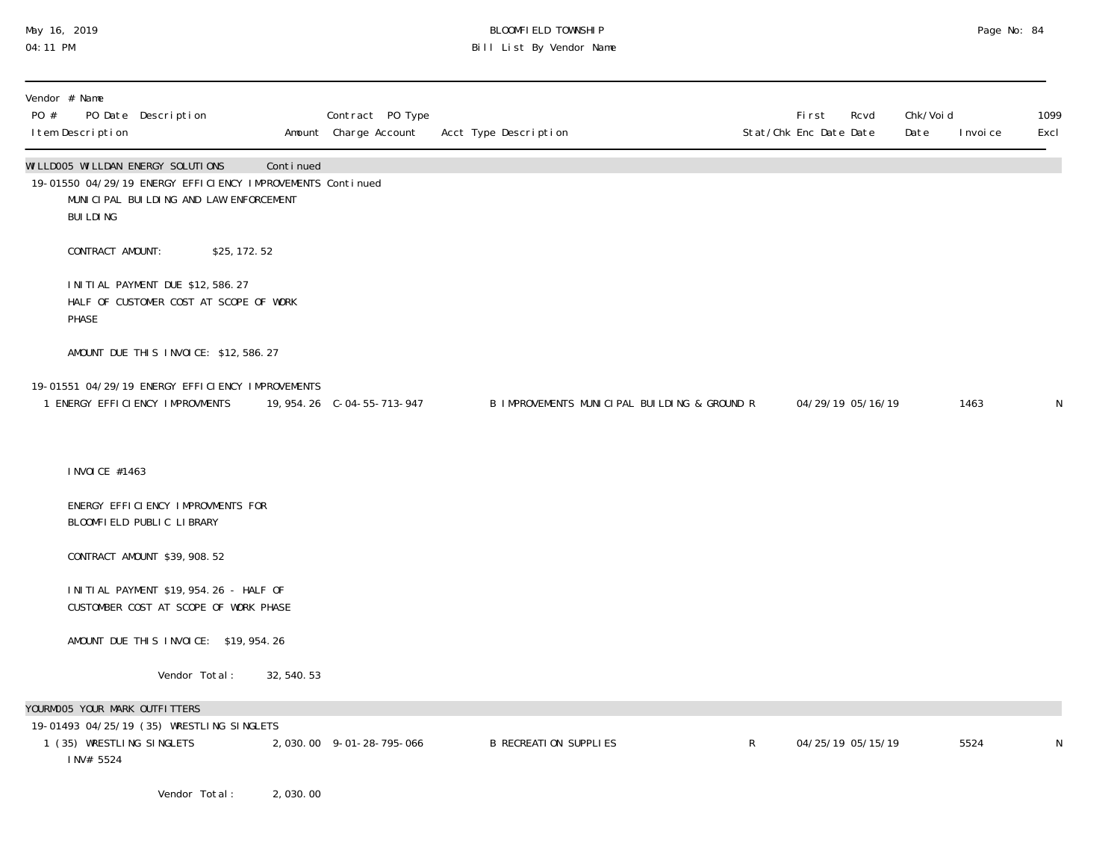### May 16, 2019 BLOOMFIELD TOWNSHIP Page No: 84 04:11 PM Bill List By Vendor Name

| Vendor # Name<br>PO # | I tem Description | PO Date Description                                                                                                                       |               |             | Contract PO Type<br>Amount Charge Account | Acct Type Description                        |   | <b>First</b><br>Stat/Chk Enc Date Date | Rcvd              | Chk/Voi d<br>Date | I nvoi ce | 1099<br>Excl |
|-----------------------|-------------------|-------------------------------------------------------------------------------------------------------------------------------------------|---------------|-------------|-------------------------------------------|----------------------------------------------|---|----------------------------------------|-------------------|-------------------|-----------|--------------|
|                       | <b>BUILDING</b>   | WILLDOO5 WILLDAN ENERGY SOLUTIONS<br>19-01550 04/29/19 ENERGY EFFICIENCY IMPROVEMENTS Continued<br>MUNICIPAL BUILDING AND LAW ENFORCEMENT |               | Continued   |                                           |                                              |   |                                        |                   |                   |           |              |
|                       | CONTRACT AMOUNT:  |                                                                                                                                           | \$25, 172. 52 |             |                                           |                                              |   |                                        |                   |                   |           |              |
|                       | PHASE             | INITIAL PAYMENT DUE \$12,586.27<br>HALF OF CUSTOMER COST AT SCOPE OF WORK                                                                 |               |             |                                           |                                              |   |                                        |                   |                   |           |              |
|                       |                   | AMOUNT DUE THIS INVOICE: \$12,586.27                                                                                                      |               |             |                                           |                                              |   |                                        |                   |                   |           |              |
|                       |                   | 19-01551 04/29/19 ENERGY EFFICLENCY IMPROVEMENTS<br>1 ENERGY EFFICIENCY IMPROVMENTS                                                       |               |             | 19, 954. 26 C-04-55-713-947               | B IMPROVEMENTS MUNICIPAL BUILDING & GROUND R |   |                                        | 04/29/19 05/16/19 |                   | 1463      | N            |
|                       | I NVOI CE #1463   |                                                                                                                                           |               |             |                                           |                                              |   |                                        |                   |                   |           |              |
|                       |                   | ENERGY EFFICIENCY IMPROVMENTS FOR<br>BLOOMFIELD PUBLIC LIBRARY                                                                            |               |             |                                           |                                              |   |                                        |                   |                   |           |              |
|                       |                   | CONTRACT AMOUNT \$39, 908.52                                                                                                              |               |             |                                           |                                              |   |                                        |                   |                   |           |              |
|                       |                   | I NI TI AL PAYMENT \$19, 954. 26 - HALF OF<br>CUSTOMBER COST AT SCOPE OF WORK PHASE                                                       |               |             |                                           |                                              |   |                                        |                   |                   |           |              |
|                       |                   | AMOUNT DUE THIS INVOICE: \$19,954.26                                                                                                      |               |             |                                           |                                              |   |                                        |                   |                   |           |              |
|                       |                   | Vendor Total:                                                                                                                             |               | 32, 540. 53 |                                           |                                              |   |                                        |                   |                   |           |              |
|                       |                   | YOURMOO5 YOUR MARK OUTFITTERS<br>19-01493 04/25/19 (35) WRESTLING SINGLETS<br>1 (35) WRESTLING SINGLETS                                   |               |             | 2,030.00 9-01-28-795-066                  | <b>B RECREATION SUPPLIES</b>                 | R |                                        | 04/25/19 05/15/19 |                   | 5524      | N            |
|                       | INV# 5524         | Vendor Total:                                                                                                                             |               | 2,030.00    |                                           |                                              |   |                                        |                   |                   |           |              |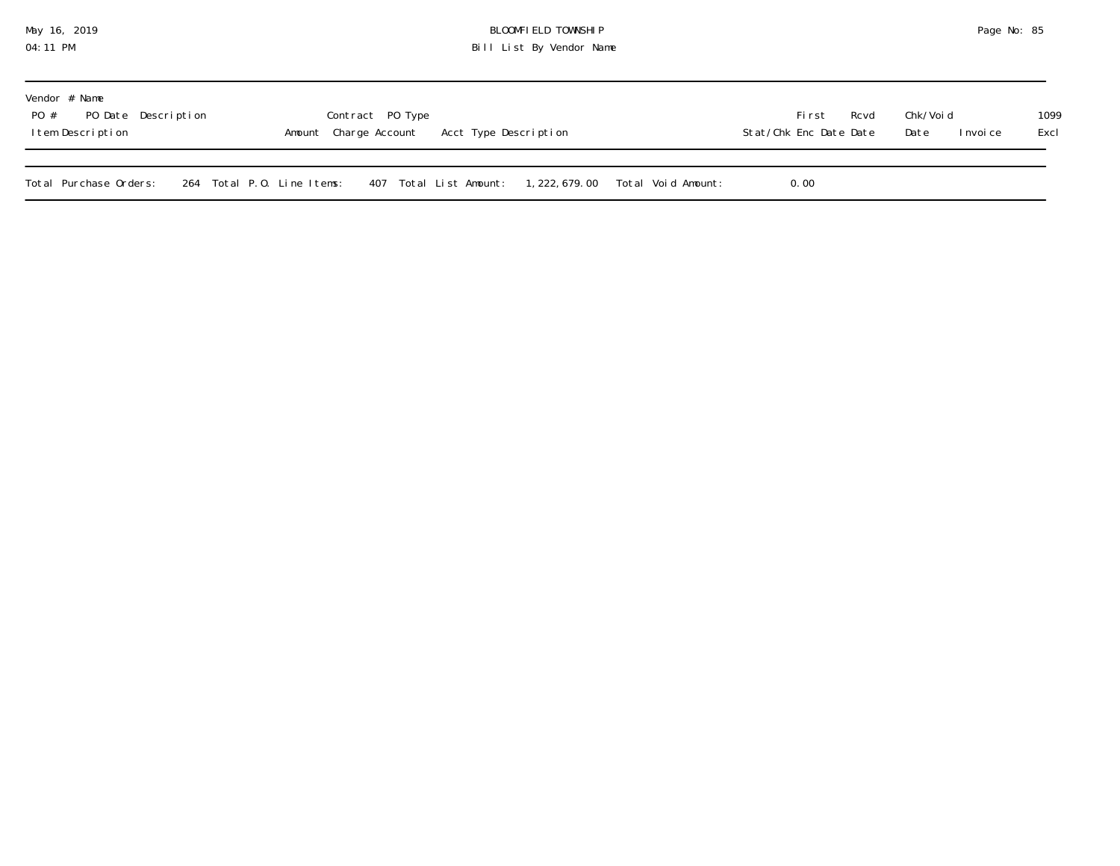## May 16, 2019 BLOOMFIELD TOWNSHIP Page No: 85 04:11 PM Bill List By Vendor Name

| Vendor # Name<br>PO Date Description<br>PO #<br>Item Description |                            | Contract PO Type<br>Amount Charge Account Acct Type Description |  |  |      | Rcvd<br>Stat/Chk Enc Date Date | Chk/Voi d<br>Date<br>I nvoi ce | 1099<br>Excl |
|------------------------------------------------------------------|----------------------------|-----------------------------------------------------------------|--|--|------|--------------------------------|--------------------------------|--------------|
| Total Purchase Orders:                                           | 264 Total P.O. Line Items: | 407 Total List Amount: 1,222,679.00 Total Void Amount:          |  |  | 0.00 |                                |                                |              |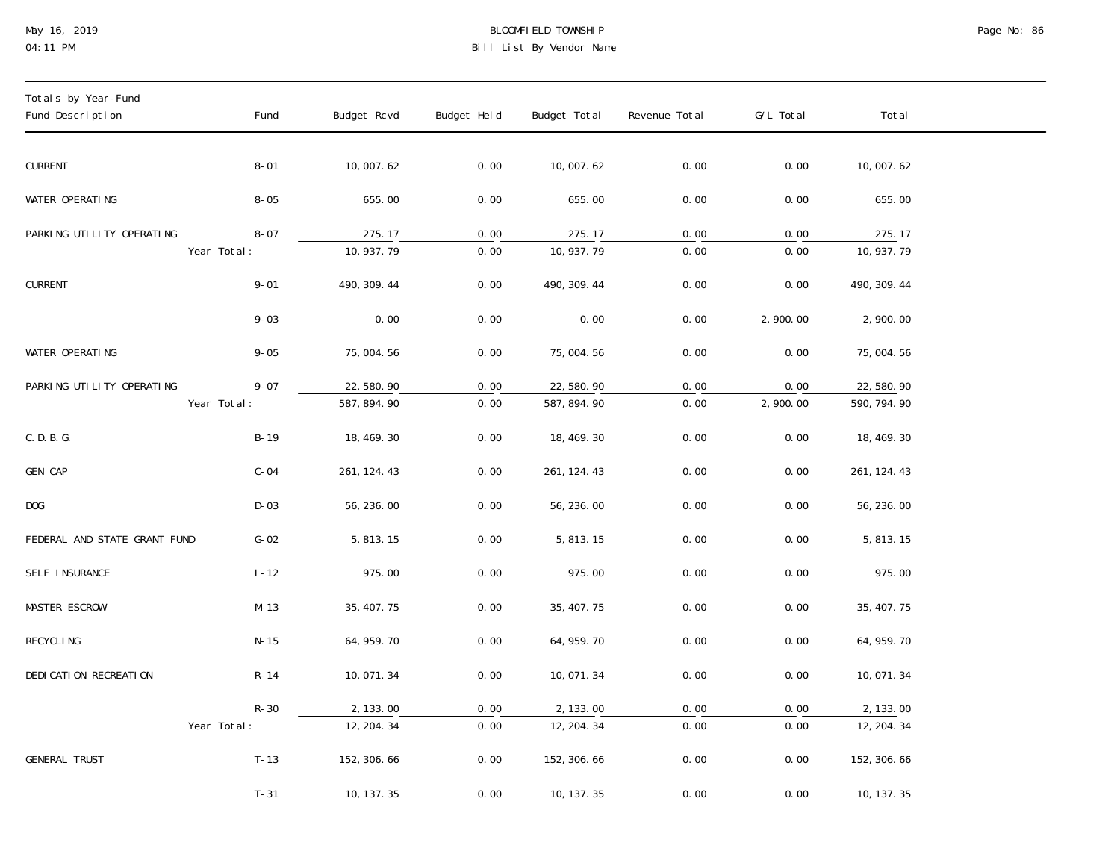## May 16, 2019 BLOOMFIELD TOWNSHIP Page No: 86 04:11 PM Bill List By Vendor Name

| Totals by Year-Fund<br>Fund Description  | Fund     | Budget Rcvd                       | Budget Held  | Budget Total                         | Revenue Total             | G/L Total                     | Total                                 |
|------------------------------------------|----------|-----------------------------------|--------------|--------------------------------------|---------------------------|-------------------------------|---------------------------------------|
| <b>CURRENT</b>                           | $8 - 01$ | 10,007.62                         | 0.00         | 10,007.62                            | 0.00                      | 0.00                          | 10,007.62                             |
| WATER OPERATING                          | $8 - 05$ | 655.00                            | 0.00         | 655.00                               | 0.00                      | 0.00                          | 655.00                                |
| PARKING UTILITY OPERATING<br>Year Total: | $8 - 07$ | 275.17<br>$\overline{10, 937.79}$ | 0.00<br>0.00 | 275.17<br>$\overline{10, 937.79}$    | 0.00<br>$\overline{0.00}$ | 0.00<br>$\overline{0.00}$     | 275.17<br>$\overline{10, 937}$ . 79   |
| <b>CURRENT</b>                           | $9 - 01$ | 490, 309. 44                      | 0.00         | 490, 309. 44                         | 0.00                      | 0.00                          | 490, 309. 44                          |
|                                          | $9 - 03$ | 0.00                              | 0.00         | 0.00                                 | 0.00                      | 2,900.00                      | 2,900.00                              |
| WATER OPERATING                          | $9 - 05$ | 75,004.56                         | 0.00         | 75,004.56                            | 0.00                      | 0.00                          | 75,004.56                             |
| PARKING UTILITY OPERATING<br>Year Total: | $9 - 07$ | 22,580.90<br>587, 894. 90         | 0.00<br>0.00 | 22,580.90<br>587, 894. 90            | 0.00<br>$\overline{0.00}$ | 0.00<br>$\overline{2,900.00}$ | 22,580.90<br>590, 794. 90             |
| C. D. B. G.                              | $B-19$   | 18, 469. 30                       | 0.00         | 18, 469. 30                          | 0.00                      | 0.00                          | 18, 469. 30                           |
| GEN CAP                                  | $C-04$   | 261, 124. 43                      | 0.00         | 261, 124. 43                         | 0.00                      | 0.00                          | 261, 124. 43                          |
| DOG                                      | $D-03$   | 56, 236.00                        | 0.00         | 56, 236.00                           | 0.00                      | 0.00                          | 56, 236.00                            |
| FEDERAL AND STATE GRANT FUND             | $G-02$   | 5, 813. 15                        | 0.00         | 5, 813. 15                           | 0.00                      | 0.00                          | 5, 813. 15                            |
| SELF INSURANCE                           | $1 - 12$ | 975.00                            | 0.00         | 975.00                               | 0.00                      | 0.00                          | 975.00                                |
| <b>MASTER ESCROW</b>                     | $M-13$   | 35, 407.75                        | 0.00         | 35, 407. 75                          | 0.00                      | 0.00                          | 35, 407.75                            |
| <b>RECYCLING</b>                         | $N-15$   | 64, 959. 70                       | 0.00         | 64, 959. 70                          | 0.00                      | 0.00                          | 64, 959. 70                           |
| DEDI CATI ON RECREATI ON                 | $R-14$   | 10,071.34                         | 0.00         | 10,071.34                            | 0.00                      | 0.00                          | 10,071.34                             |
| Year Total:                              | $R-30$   | 2, 133.00<br>12, 204.34           | 0.00<br>0.00 | 2, 133.00<br>$\overline{12, 204.34}$ | 0.00<br>$\overline{0.00}$ | 0.00<br>0.00                  | 2, 133.00<br>$\overline{12, 204.}$ 34 |
| <b>GENERAL TRUST</b>                     | $T-13$   | 152, 306. 66                      | 0.00         | 152, 306. 66                         | 0.00                      | 0.00                          | 152, 306. 66                          |
|                                          | $T-31$   | 10, 137.35                        | 0.00         | 10, 137. 35                          | 0.00                      | 0.00                          | 10, 137. 35                           |